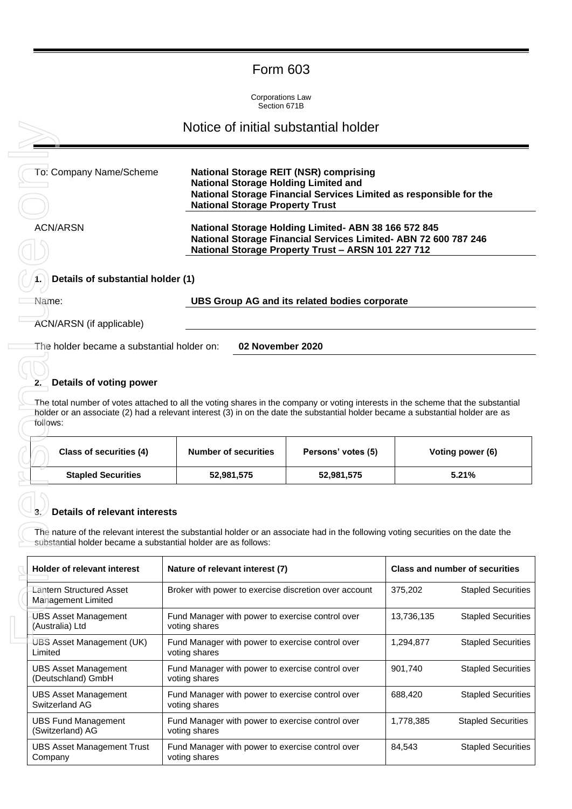# Form 603

Corporations Law Section 671B

| To: Company Name/Scheme                                                                                | <b>National Storage REIT (NSR) comprising</b><br><b>National Storage Holding Limited and</b><br>National Storage Financial Services Limited as responsible for the<br><b>National Storage Property Trust</b>                                                                                        |                    |            |                                                        |
|--------------------------------------------------------------------------------------------------------|-----------------------------------------------------------------------------------------------------------------------------------------------------------------------------------------------------------------------------------------------------------------------------------------------------|--------------------|------------|--------------------------------------------------------|
| <b>ACN/ARSN</b>                                                                                        | National Storage Holding Limited- ABN 38 166 572 845<br>National Storage Financial Services Limited- ABN 72 600 787 246<br>National Storage Property Trust - ARSN 101 227 712                                                                                                                       |                    |            |                                                        |
| Details of substantial holder (1)                                                                      |                                                                                                                                                                                                                                                                                                     |                    |            |                                                        |
| Name:                                                                                                  | UBS Group AG and its related bodies corporate                                                                                                                                                                                                                                                       |                    |            |                                                        |
| ACN/ARSN (if applicable)                                                                               |                                                                                                                                                                                                                                                                                                     |                    |            |                                                        |
|                                                                                                        |                                                                                                                                                                                                                                                                                                     |                    |            |                                                        |
| Details of voting power<br>follows:<br>Class of securities (4)                                         | The total number of votes attached to all the voting shares in the company or voting interests in the scheme that the substantial<br>holder or an associate (2) had a relevant interest (3) in on the date the substantial holder became a substantial holder are as<br><b>Number of securities</b> | Persons' votes (5) |            | Voting power (6)                                       |
| <b>Stapled Securities</b>                                                                              | 52,981,575                                                                                                                                                                                                                                                                                          | 52,981,575         |            | 5.21%                                                  |
| <b>Details of relevant interests</b><br>substantial holder became a substantial holder are as follows: | The nature of the relevant interest the substantial holder or an associate had in the following voting securities on the date the                                                                                                                                                                   |                    |            |                                                        |
| <b>Holder of relevant interest</b>                                                                     | Nature of relevant interest (7)                                                                                                                                                                                                                                                                     |                    |            | <b>Class and number of securities</b>                  |
| <b>Lantern Structured Asset</b><br>Management Limited                                                  | Broker with power to exercise discretion over account                                                                                                                                                                                                                                               |                    | 375,202    |                                                        |
| <b>UBS Asset Management</b><br>(Australia) Ltd                                                         | Fund Manager with power to exercise control over<br>voting shares                                                                                                                                                                                                                                   |                    | 13,736,135 | <b>Stapled Securities</b><br><b>Stapled Securities</b> |

## **2. Details of voting power**

| Class of securities (4)   | <b>Number of securities</b> | Persons' votes (5) | Voting power (6) |
|---------------------------|-----------------------------|--------------------|------------------|
| <b>Stapled Securities</b> | 52,981,575                  | 52,981,575         | 5.21%            |

## **3. Details of relevant interests**

| Holder of relevant interest                       | Nature of relevant interest (7)                                   |            | <b>Class and number of securities</b> |
|---------------------------------------------------|-------------------------------------------------------------------|------------|---------------------------------------|
| Lantern Structured Asset<br>Management Limited    | Broker with power to exercise discretion over account             | 375,202    | <b>Stapled Securities</b>             |
| UBS Asset Management<br>(Australia) Ltd           | Fund Manager with power to exercise control over<br>voting shares | 13,736,135 | <b>Stapled Securities</b>             |
| UBS Asset Management (UK)<br>Limited              | Fund Manager with power to exercise control over<br>voting shares | 1,294,877  | <b>Stapled Securities</b>             |
| <b>UBS Asset Management</b><br>(Deutschland) GmbH | Fund Manager with power to exercise control over<br>voting shares | 901,740    | <b>Stapled Securities</b>             |
| UBS Asset Management<br>Switzerland AG            | Fund Manager with power to exercise control over<br>voting shares | 688,420    | <b>Stapled Securities</b>             |
| <b>UBS Fund Management</b><br>(Switzerland) AG    | Fund Manager with power to exercise control over<br>voting shares | 1,778,385  | <b>Stapled Securities</b>             |
| <b>UBS Asset Management Trust</b><br>Company      | Fund Manager with power to exercise control over<br>voting shares | 84,543     | <b>Stapled Securities</b>             |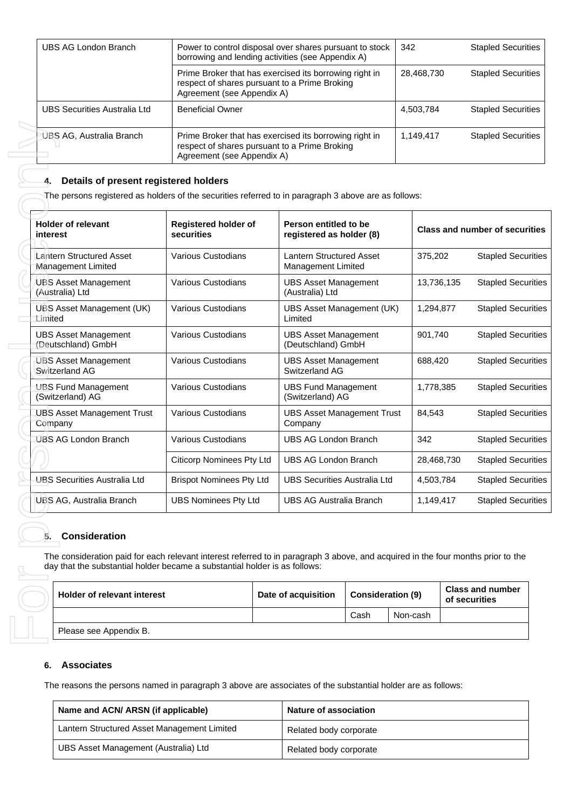| UBS AG London Branch         | Power to control disposal over shares pursuant to stock<br>borrowing and lending activities (see Appendix A)                          | 342        | <b>Stapled Securities</b> |
|------------------------------|---------------------------------------------------------------------------------------------------------------------------------------|------------|---------------------------|
|                              | Prime Broker that has exercised its borrowing right in<br>respect of shares pursuant to a Prime Broking<br>Agreement (see Appendix A) | 28,468,730 | <b>Stapled Securities</b> |
| UBS Securities Australia Ltd | <b>Beneficial Owner</b>                                                                                                               | 4,503,784  | <b>Stapled Securities</b> |
| UBS AG, Australia Branch     | Prime Broker that has exercised its borrowing right in<br>respect of shares pursuant to a Prime Broking<br>Agreement (see Appendix A) | 1,149,417  | <b>Stapled Securities</b> |

## **4. Details of present registered holders**

| <b>Holder of relevant</b>                                                                                                                                                                                                                                                          | Registered holder of                    | Person entitled to be                                       |                          |            | <b>Class and number of securities</b>    |
|------------------------------------------------------------------------------------------------------------------------------------------------------------------------------------------------------------------------------------------------------------------------------------|-----------------------------------------|-------------------------------------------------------------|--------------------------|------------|------------------------------------------|
| interest<br>Lantern Structured Asset                                                                                                                                                                                                                                               | securities<br><b>Various Custodians</b> | registered as holder (8)<br><b>Lantern Structured Asset</b> |                          | 375,202    | <b>Stapled Securities</b>                |
| Management Limited                                                                                                                                                                                                                                                                 |                                         | <b>Management Limited</b>                                   |                          |            |                                          |
| <b>UBS Asset Management</b><br>(Australia) Ltd                                                                                                                                                                                                                                     | <b>Various Custodians</b>               | <b>UBS Asset Management</b><br>(Australia) Ltd              |                          | 13,736,135 | <b>Stapled Securities</b>                |
| <b>UBS Asset Management (UK)</b><br>Limited                                                                                                                                                                                                                                        | <b>Various Custodians</b>               | UBS Asset Management (UK)<br>Limited                        |                          | 1,294,877  | <b>Stapled Securities</b>                |
| <b>UBS Asset Management</b><br>(Deutschland) GmbH                                                                                                                                                                                                                                  | Various Custodians                      | <b>UBS Asset Management</b><br>(Deutschland) GmbH           |                          | 901,740    | <b>Stapled Securities</b>                |
| <b>UBS Asset Management</b><br>Switzerland AG                                                                                                                                                                                                                                      | Various Custodians                      | <b>UBS Asset Management</b><br>Switzerland AG               |                          | 688,420    | <b>Stapled Securities</b>                |
| <b>UBS Fund Management</b><br>(Switzerland) AG                                                                                                                                                                                                                                     | Various Custodians                      | <b>UBS Fund Management</b><br>(Switzerland) AG              |                          | 1,778,385  | <b>Stapled Securities</b>                |
| <b>UBS Asset Management Trust</b><br>Company                                                                                                                                                                                                                                       | Various Custodians                      | <b>UBS Asset Management Trust</b><br>Company                |                          | 84,543     | <b>Stapled Securities</b>                |
| <b>UBS AG London Branch</b>                                                                                                                                                                                                                                                        | Various Custodians                      | <b>UBS AG London Branch</b>                                 |                          | 342        | <b>Stapled Securities</b>                |
|                                                                                                                                                                                                                                                                                    | Citicorp Nominees Pty Ltd               | <b>UBS AG London Branch</b>                                 |                          | 28,468,730 | <b>Stapled Securities</b>                |
| <b>UBS Securities Australia Ltd</b>                                                                                                                                                                                                                                                | <b>Brispot Nominees Pty Ltd</b>         | <b>UBS Securities Australia Ltd</b>                         |                          | 4,503,784  | <b>Stapled Securities</b>                |
| <b>UBS AG, Australia Branch</b>                                                                                                                                                                                                                                                    | <b>UBS Nominees Pty Ltd</b>             | <b>UBS AG Australia Branch</b>                              |                          | 1,149,417  | <b>Stapled Securities</b>                |
| <b>Consideration</b><br>5.<br>The consideration paid for each relevant interest referred to in paragraph 3 above, and acquired in the four months prior to the<br>day that the substantial holder became a substantial holder is as follows:<br><b>Holder of relevant interest</b> |                                         | Date of acquisition                                         | <b>Consideration (9)</b> |            | <b>Class and number</b><br>of securities |
|                                                                                                                                                                                                                                                                                    |                                         |                                                             | Cash                     | Non-cash   |                                          |
| Please see Appendix B.                                                                                                                                                                                                                                                             |                                         |                                                             |                          |            |                                          |
|                                                                                                                                                                                                                                                                                    |                                         |                                                             |                          |            |                                          |
| <b>Associates</b><br>6.                                                                                                                                                                                                                                                            |                                         |                                                             |                          |            |                                          |
| The reasons the persons named in paragraph 3 above are associates of the substantial holder are as follows:                                                                                                                                                                        |                                         |                                                             |                          |            |                                          |

## **5. Consideration**

| <b>Holder of relevant interest</b> | Date of acquisition | <b>Consideration (9)</b> |          | <b>Class and number</b><br>of securities |
|------------------------------------|---------------------|--------------------------|----------|------------------------------------------|
|                                    |                     | Cash                     | Non-cash |                                          |
| Please see Appendix B.             |                     |                          |          |                                          |

## **6. Associates**

| Name and ACN/ ARSN (if applicable)          | <b>Nature of association</b> |
|---------------------------------------------|------------------------------|
| Lantern Structured Asset Management Limited | Related body corporate       |
| UBS Asset Management (Australia) Ltd        | Related body corporate       |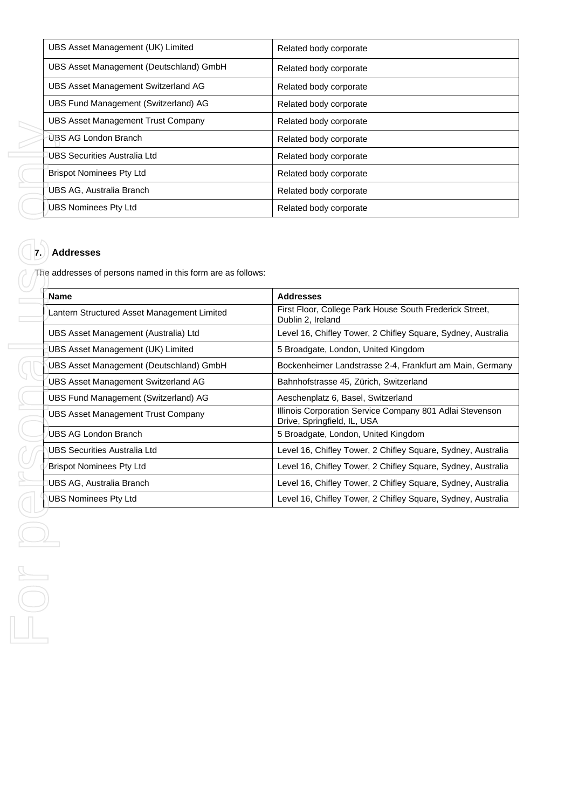| UBS Asset Management (UK) Limited         | Related body corporate |
|-------------------------------------------|------------------------|
| UBS Asset Management (Deutschland) GmbH   | Related body corporate |
| UBS Asset Management Switzerland AG       | Related body corporate |
| UBS Fund Management (Switzerland) AG      | Related body corporate |
| <b>UBS Asset Management Trust Company</b> | Related body corporate |
| UBS AG London Branch                      | Related body corporate |
| UBS Securities Australia Ltd              | Related body corporate |
| <b>Brispot Nominees Pty Ltd</b>           | Related body corporate |
| UBS AG, Australia Branch                  | Related body corporate |
| <b>UBS Nominees Pty Ltd</b>               | Related body corporate |

# **7. Addresses**

| ODO ASSEI Management Hust Company                                               | n <del>c</del> ialcu buuy curpuralc                                                     |
|---------------------------------------------------------------------------------|-----------------------------------------------------------------------------------------|
| UBS AG London Branch                                                            | Related body corporate                                                                  |
| <b>UBS Securities Australia Ltd</b>                                             | Related body corporate                                                                  |
| <b>Brispot Nominees Pty Ltd</b>                                                 | Related body corporate                                                                  |
| UBS AG, Australia Branch                                                        | Related body corporate                                                                  |
| <b>UBS Nominees Pty Ltd</b>                                                     | Related body corporate                                                                  |
| <b>Addresses</b><br>The addresses of persons named in this form are as follows: |                                                                                         |
| Name                                                                            | <b>Addresses</b>                                                                        |
| Lantern Structured Asset Management Limited                                     | First Floor, College Park House South Frederick Street,<br>Dublin 2, Ireland            |
| UBS Asset Management (Australia) Ltd                                            | Level 16, Chifley Tower, 2 Chifley Square, Sydney, Australia                            |
| UBS Asset Management (UK) Limited                                               | 5 Broadgate, London, United Kingdom                                                     |
| UBS Asset Management (Deutschland) GmbH                                         | Bockenheimer Landstrasse 2-4, Frankfurt am Main, Germany                                |
| UBS Asset Management Switzerland AG                                             | Bahnhofstrasse 45, Zürich, Switzerland                                                  |
| UBS Fund Management (Switzerland) AG                                            | Aeschenplatz 6, Basel, Switzerland                                                      |
| <b>UBS Asset Management Trust Company</b>                                       | Illinois Corporation Service Company 801 Adlai Stevenson<br>Drive, Springfield, IL, USA |
| UBS AG London Branch                                                            | 5 Broadgate, London, United Kingdom                                                     |
| <b>UBS Securities Australia Ltd</b>                                             | Level 16, Chifley Tower, 2 Chifley Square, Sydney, Australia                            |
| <b>Brispot Nominees Pty Ltd</b>                                                 | Level 16, Chifley Tower, 2 Chifley Square, Sydney, Australia                            |
| UBS AG, Australia Branch                                                        | Level 16, Chifley Tower, 2 Chifley Square, Sydney, Australia                            |
| <b>UBS Nominees Pty Ltd</b>                                                     | Level 16, Chifley Tower, 2 Chifley Square, Sydney, Australia                            |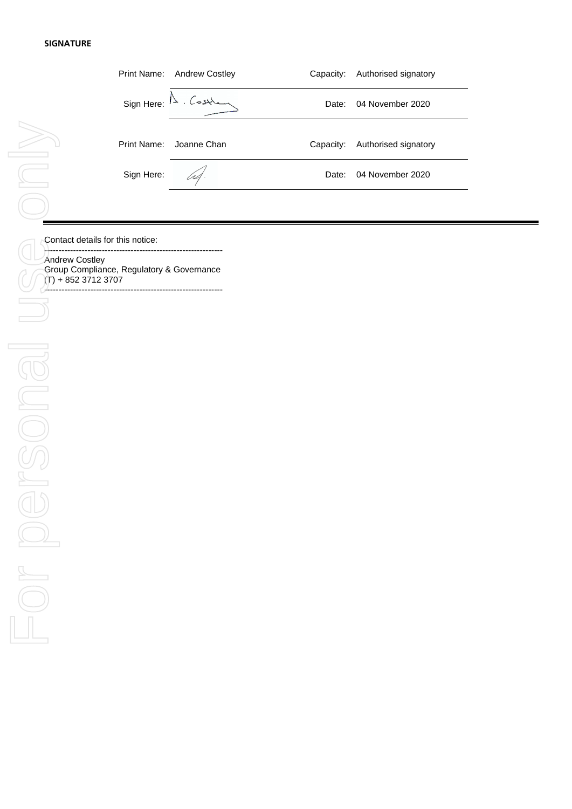### **SIGNATURE**

|    |            | Print Name: Andrew Costley                 | Capacity: | Authorised signatory |
|----|------------|--------------------------------------------|-----------|----------------------|
|    |            | $Sign Here: I^{\lambda} \cdot \text{CosM}$ | Date:     | 04 November 2020     |
| >2 |            | Print Name: Joanne Chan                    | Capacity: | Authorised signatory |
|    | Sign Here: | $4 -$                                      | Date:     | 04 November 2020     |
|    |            |                                            |           |                      |

**Contact details for this notice:** 

-------------------------------------------------------------- Andrew Costley Group Compliance, Regulatory & Governance  $(T) + 85237123707$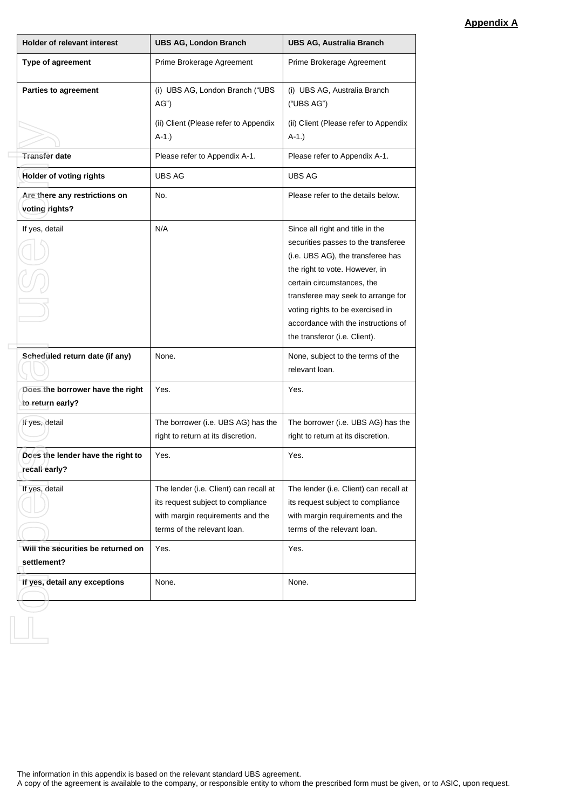## **Appendix A**

| <b>Holder of relevant interest</b>                   | <b>UBS AG, London Branch</b>                                                                                                                   | <b>UBS AG, Australia Branch</b>                                                                                                                                                                                                                                                                                                |
|------------------------------------------------------|------------------------------------------------------------------------------------------------------------------------------------------------|--------------------------------------------------------------------------------------------------------------------------------------------------------------------------------------------------------------------------------------------------------------------------------------------------------------------------------|
| Type of agreement                                    | Prime Brokerage Agreement                                                                                                                      | Prime Brokerage Agreement                                                                                                                                                                                                                                                                                                      |
| <b>Parties to agreement</b>                          | (i) UBS AG, London Branch ("UBS<br>AG'                                                                                                         | (i) UBS AG, Australia Branch<br>("UBS AG")                                                                                                                                                                                                                                                                                     |
|                                                      | (ii) Client (Please refer to Appendix<br>$A-1.$ )                                                                                              | (ii) Client (Please refer to Appendix<br>$A-1.$ )                                                                                                                                                                                                                                                                              |
| <b>Transfer date</b>                                 | Please refer to Appendix A-1.                                                                                                                  | Please refer to Appendix A-1.                                                                                                                                                                                                                                                                                                  |
| Holder of voting rights                              | UBS AG                                                                                                                                         | <b>UBS AG</b>                                                                                                                                                                                                                                                                                                                  |
| Are there any restrictions on<br>voting rights?      | No.                                                                                                                                            | Please refer to the details below.                                                                                                                                                                                                                                                                                             |
| If yes, detail                                       | N/A                                                                                                                                            | Since all right and title in the<br>securities passes to the transferee<br>(i.e. UBS AG), the transferee has<br>the right to vote. However, in<br>certain circumstances, the<br>transferee may seek to arrange for<br>voting rights to be exercised in<br>accordance with the instructions of<br>the transferor (i.e. Client). |
| Scheduled return date (if any)                       | None.                                                                                                                                          | None, subject to the terms of the<br>relevant loan.                                                                                                                                                                                                                                                                            |
| Does the borrower have the right<br>to return early? | Yes.                                                                                                                                           | Yes.                                                                                                                                                                                                                                                                                                                           |
| If yes, detail                                       | The borrower (i.e. UBS AG) has the<br>right to return at its discretion.                                                                       | The borrower (i.e. UBS AG) has the<br>right to return at its discretion.                                                                                                                                                                                                                                                       |
| Does the lender have the right to<br>recall early?   | Yes.                                                                                                                                           | Yes.                                                                                                                                                                                                                                                                                                                           |
| If yes, detail                                       | The lender (i.e. Client) can recall at<br>its request subject to compliance<br>with margin requirements and the<br>terms of the relevant loan. | The lender (i.e. Client) can recall at<br>its request subject to compliance<br>with margin requirements and the<br>terms of the relevant loan.                                                                                                                                                                                 |
| Will the securities be returned on<br>settlement?    | Yes.                                                                                                                                           | Yes.                                                                                                                                                                                                                                                                                                                           |
| If yes, detail any exceptions                        | None.                                                                                                                                          | None.                                                                                                                                                                                                                                                                                                                          |
|                                                      |                                                                                                                                                |                                                                                                                                                                                                                                                                                                                                |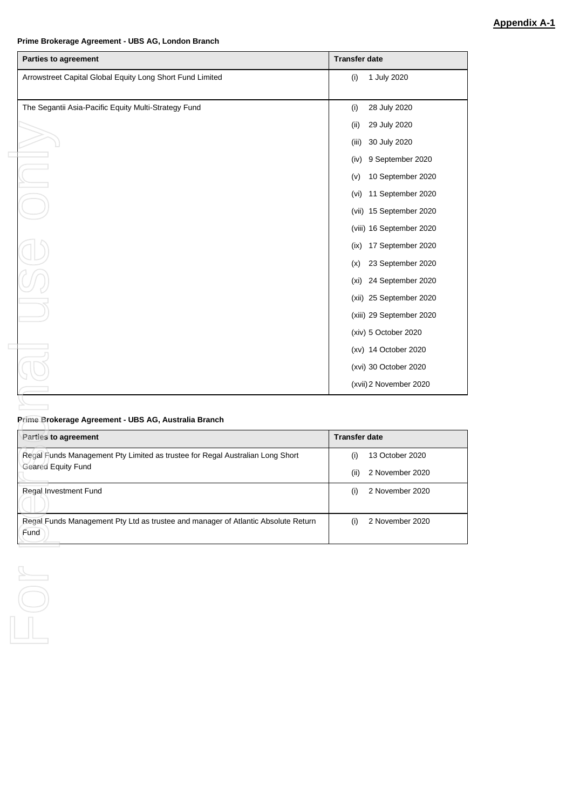### **Prime Brokerage Agreement - UBS AG, London Branch**

| Arrowstreet Capital Global Equity Long Short Fund Limited                     | <b>Transfer date</b>                            |
|-------------------------------------------------------------------------------|-------------------------------------------------|
|                                                                               | 1 July 2020<br>(i)                              |
| The Segantii Asia-Pacific Equity Multi-Strategy Fund                          | 28 July 2020<br>(i)                             |
|                                                                               | 29 July 2020<br>(ii)                            |
|                                                                               | 30 July 2020<br>(iii)                           |
|                                                                               | 9 September 2020<br>(iv)                        |
|                                                                               | 10 September 2020<br>(V)                        |
|                                                                               | 11 September 2020<br>(vi)                       |
|                                                                               | (vii) 15 September 2020                         |
|                                                                               | (viii) 16 September 2020                        |
|                                                                               | 17 September 2020<br>(ix)                       |
|                                                                               | 23 September 2020<br>(x)                        |
|                                                                               | (xi) 24 September 2020                          |
|                                                                               | (xii) 25 September 2020                         |
|                                                                               | (xiii) 29 September 2020                        |
|                                                                               | (xiv) 5 October 2020                            |
|                                                                               | (xv) 14 October 2020                            |
|                                                                               |                                                 |
|                                                                               |                                                 |
|                                                                               | (xvi) 30 October 2020<br>(xvii) 2 November 2020 |
| Prime Brokerage Agreement - UBS AG, Australia Branch                          |                                                 |
| Parties to agreement                                                          | <b>Transfer date</b>                            |
| Regal Funds Management Pty Limited as trustee for Regal Australian Long Short | 13 October 2020<br>(i)                          |
| Geared Equity Fund                                                            | 2 November 2020<br>(ii)                         |
| Regal Investment Fund                                                         | 2 November 2020<br>(i)                          |

 $\begin{picture}(45,4) \put(0,0) {\line(0,1){10}} \put(15,0) {\line(0,1){10}} \put(15,0) {\line(0,1){10}} \put(15,0) {\line(0,1){10}} \put(15,0) {\line(0,1){10}} \put(15,0) {\line(0,1){10}} \put(15,0) {\line(0,1){10}} \put(15,0) {\line(0,1){10}} \put(15,0) {\line(0,1){10}} \put(15,0) {\line(0,1){10}} \put(15,0) {\line(0,1){10}} \put(15,0) {\line(0,$ 

## **Prime Brokerage Agreement - UBS AG, Australia Branch**

| Parties to agreement                                                              | <b>Transfer date</b>    |
|-----------------------------------------------------------------------------------|-------------------------|
| Regal Funds Management Pty Limited as trustee for Regal Australian Long Short     | 13 October 2020<br>(i)  |
| <b>Geared Equity Fund</b>                                                         | 2 November 2020<br>(ii) |
| Regal Investment Fund                                                             | 2 November 2020<br>(i)  |
|                                                                                   |                         |
| Regal Funds Management Pty Ltd as trustee and manager of Atlantic Absolute Return | 2 November 2020<br>(۱)  |
| Fund                                                                              |                         |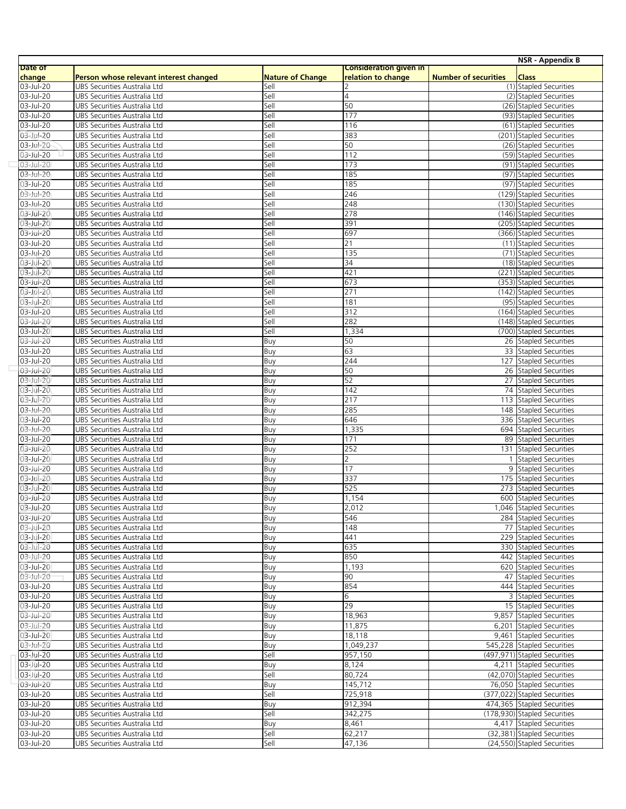|                        |                                                                        |                                 |                        |                             | <b>NSR - Appendix B</b>                                    |
|------------------------|------------------------------------------------------------------------|---------------------------------|------------------------|-----------------------------|------------------------------------------------------------|
| Date of                |                                                                        |                                 | Consideration given in |                             |                                                            |
| change<br>03-Jul-20    | Person whose relevant interest changed<br>UBS Securities Australia Ltd | <b>Nature of Change</b><br>Sell | relation to change     | <b>Number of securities</b> | <b>Class</b><br>(1) Stapled Securities                     |
| 03-Jul-20              | UBS Securities Australia Ltd                                           | Sell                            | $\overline{a}$         |                             | (2) Stapled Securities                                     |
| 03-Jul-20              | UBS Securities Australia Ltd                                           | Sell                            | 50                     |                             | (26) Stapled Securities                                    |
| 03-Jul-20              | UBS Securities Australia Ltd                                           | Sell                            | 177                    |                             | (93) Stapled Securities                                    |
| 03-Jul-20              | UBS Securities Australia Ltd                                           | Sell                            | 116                    |                             | (61) Stapled Securities                                    |
| 03-Jul-20              | UBS Securities Australia Ltd                                           | Sell                            | 383                    |                             | (201) Stapled Securities                                   |
| 03-Jul-20              | UBS Securities Australia Ltd                                           | Sell                            | 50                     |                             | (26) Stapled Securities                                    |
| 03-Jul-20              | UBS Securities Australia Ltd                                           | Sell                            | 112                    |                             | (59) Stapled Securities                                    |
| 03-Jul-20              | UBS Securities Australia Ltd                                           | Sell                            | 173                    |                             | (91) Stapled Securities                                    |
| 03-Jul-20<br>03-Jul-20 | UBS Securities Australia Ltd<br>UBS Securities Australia Ltd           | Sell<br>Sell                    | 185<br>185             |                             | (97) Stapled Securities<br>(97) Stapled Securities         |
| 03-Jul-20              | UBS Securities Australia Ltd                                           | Sell                            | 246                    |                             | (129) Stapled Securities                                   |
| 03-Jul-20              | UBS Securities Australia Ltd                                           | Sell                            | 248                    |                             | (130) Stapled Securities                                   |
| 03-Jul-20              | UBS Securities Australia Ltd                                           | Sell                            | 278                    |                             | (146) Stapled Securities                                   |
| 03-Jul-20              | UBS Securities Australia Ltd                                           | Sell                            | 391                    |                             | (205) Stapled Securities                                   |
| 03-Jul-20              | UBS Securities Australia Ltd                                           | Sell                            | 697                    |                             | (366) Stapled Securities                                   |
| 03-Jul-20              | UBS Securities Australia Ltd                                           | Sell                            | 21                     |                             | (11) Stapled Securities                                    |
| 03-Jul-20              | UBS Securities Australia Ltd                                           | Sell                            | 135                    |                             | (71) Stapled Securities                                    |
| 03-Jul-20              | UBS Securities Australia Ltd                                           | Sell                            | 34                     |                             | (18) Stapled Securities                                    |
| 03-Jul-20<br>03-Jul-20 | UBS Securities Australia Ltd<br>UBS Securities Australia Ltd           | Sell<br>Sell                    | 421<br>673             |                             | (221) Stapled Securities<br>(353) Stapled Securities       |
| 03-Jul-20              | UBS Securities Australia Ltd                                           | Sell                            | 271                    |                             | (142) Stapled Securities                                   |
| 03-Jul-20              | UBS Securities Australia Ltd                                           | Sell                            | 181                    |                             | (95) Stapled Securities                                    |
| 03-Jul-20              | UBS Securities Australia Ltd                                           | Sell                            | 312                    |                             | (164) Stapled Securities                                   |
| 03-Jul-20              | UBS Securities Australia Ltd                                           | Sell                            | 282                    |                             | (148) Stapled Securities                                   |
| 03-Jul-20              | UBS Securities Australia Ltd                                           | Sell                            | 1,334                  |                             | (700) Stapled Securities                                   |
| 03-Jul-20              | UBS Securities Australia Ltd                                           | Buy                             | 50                     |                             | 26 Stapled Securities                                      |
| 03-Jul-20              | UBS Securities Australia Ltd                                           | Buy                             | 63                     |                             | 33 Stapled Securities                                      |
| 03-Jul-20              | UBS Securities Australia Ltd                                           | Buy                             | 244                    |                             | 127 Stapled Securities                                     |
| 03-Jul-20<br>03-Jul-20 | UBS Securities Australia Ltd<br>UBS Securities Australia Ltd           | Buy<br>Buy                      | 50<br>52               |                             | 26 Stapled Securities<br>27 Stapled Securities             |
| 03-Jul-20              | UBS Securities Australia Ltd                                           | <b>Buy</b>                      | 142                    |                             | 74 Stapled Securities                                      |
| 03-Jul-20              | UBS Securities Australia Ltd                                           | Buy                             | 217                    |                             | 113 Stapled Securities                                     |
| 03-Jul-20              | UBS Securities Australia Ltd                                           | Buy                             | 285                    |                             | 148 Stapled Securities                                     |
| 03-Jul-20              | UBS Securities Australia Ltd                                           | Buy                             | 646                    |                             | 336 Stapled Securities                                     |
| 03-Jul-20              | UBS Securities Australia Ltd                                           | Buy                             | 1,335                  |                             | 694 Stapled Securities                                     |
| 03-Jul-20              | UBS Securities Australia Ltd                                           | <b>Buy</b>                      | 171                    |                             | 89 Stapled Securities                                      |
| 03-Jul-20              | UBS Securities Australia Ltd                                           | Buy                             | 252                    |                             | 131 Stapled Securities                                     |
| 03-Jul-20<br>03-Jul-20 | UBS Securities Australia Ltd<br>UBS Securities Australia Ltd           | Buy<br>Buy                      | $\overline{2}$<br>17   |                             | <b>Stapled Securities</b><br>9 Stapled Securities          |
| 03-Jul-20              | UBS Securities Australia Ltd                                           | Buy                             | 337                    |                             | 175 Stapled Securities                                     |
| 03-Jul-20              | UBS Securities Australia Ltd                                           | Buy                             | 525                    |                             | 273 Stapled Securities                                     |
| 03-Jul-20              | UBS Securities Australia Ltd                                           | Buy                             | 1,154                  |                             | 600 Stapled Securities                                     |
| 03-Jul-20              | UBS Securities Australia Ltd                                           | Buy                             | 2,012                  |                             | 1,046 Stapled Securities                                   |
| 03-Jul-20              | UBS Securities Australia Ltd                                           | Buy                             | 546                    |                             | 284 Stapled Securities                                     |
| 03-Jul-20              | UBS Securities Australia Ltd                                           | Buy                             | 148                    |                             | 77 Stapled Securities                                      |
| 03-Jul-20              | UBS Securities Australia Ltd                                           | Buy                             | 441                    |                             | 229 Stapled Securities                                     |
| 03-Jul-20<br>03-Jul-20 | UBS Securities Australia Ltd<br>UBS Securities Australia Ltd           | Buy                             | 635<br>850             |                             | 330 Stapled Securities<br>442 Stapled Securities           |
| 03-Jul-20              | UBS Securities Australia Ltd                                           | Buy<br>Buy                      | 1,193                  |                             | 620 Stapled Securities                                     |
| 03-Jul-20              | UBS Securities Australia Ltd                                           | Buy                             | 90                     |                             | 47 Stapled Securities                                      |
| 03-Jul-20              | UBS Securities Australia Ltd                                           | Buy                             | 854                    |                             | 444 Stapled Securities                                     |
| 03-Jul-20              | UBS Securities Australia Ltd                                           | Buy                             | 6                      |                             | 3 Stapled Securities                                       |
| 03-Jul-20              | UBS Securities Australia Ltd                                           | Buy                             | 29                     |                             | 15 Stapled Securities                                      |
| 03-Jul-20              | UBS Securities Australia Ltd                                           | Buy                             | 18,963                 |                             | 9,857 Stapled Securities                                   |
| 03-Jul-20              | UBS Securities Australia Ltd                                           | Buy                             | 11,875                 |                             | 6,201 Stapled Securities                                   |
| 03-Jul-20              | UBS Securities Australia Ltd                                           | Buy                             | 18,118                 |                             | 9,461 Stapled Securities                                   |
| 03-Jul-20<br>03-Jul-20 | UBS Securities Australia Ltd<br>UBS Securities Australia Ltd           | Buy<br>Sell                     | 1,049,237<br>957,150   |                             | 545,228 Stapled Securities<br>(497,971) Stapled Securities |
| 03-Jul-20              | UBS Securities Australia Ltd                                           | Buy                             | 8,124                  |                             | 4,211 Stapled Securities                                   |
| 03-Jul-20              | UBS Securities Australia Ltd                                           | Sell                            | 80,724                 |                             | (42,070) Stapled Securities                                |
| 03-Jul-20              | UBS Securities Australia Ltd                                           | Buy                             | 145,712                |                             | 76,050 Stapled Securities                                  |
| 03-Jul-20              | UBS Securities Australia Ltd                                           | Sell                            | 725,918                |                             | (377,022) Stapled Securities                               |
| 03-Jul-20              | UBS Securities Australia Ltd                                           | Buy                             | 912,394                |                             | 474,365 Stapled Securities                                 |
| 03-Jul-20              | UBS Securities Australia Ltd                                           | Sell                            | 342,275                |                             | (178,930) Stapled Securities                               |
| 03-Jul-20              | UBS Securities Australia Ltd                                           | Buy                             | 8,461                  |                             | 4,417 Stapled Securities                                   |
| 03-Jul-20              | UBS Securities Australia Ltd                                           | Sell                            | 62,217                 |                             | (32,381) Stapled Securities                                |
| 03-Jul-20              | UBS Securities Australia Ltd                                           | Sell                            | 47,136                 |                             | (24,550) Stapled Securities                                |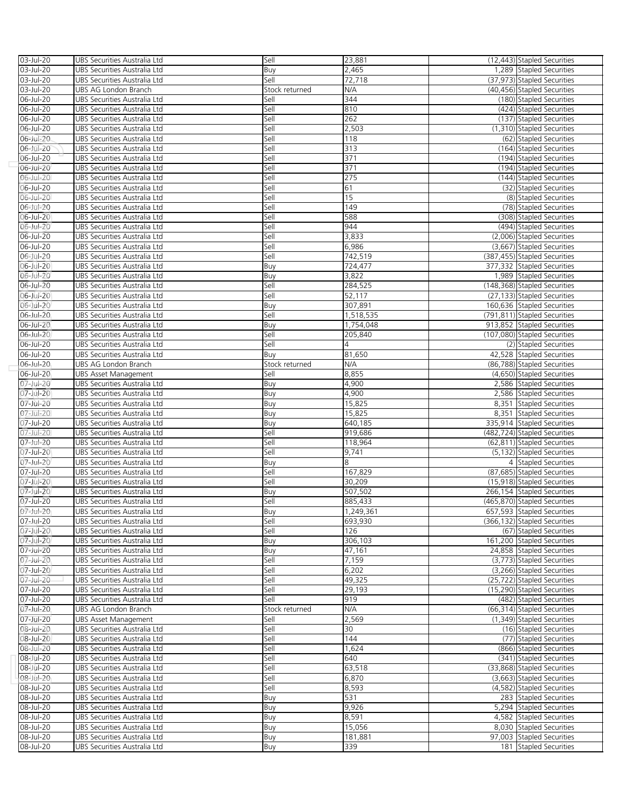| 03-Jul-20              | UBS Securities Australia Ltd                                 | Sell           | 23,881          | (12,443) Stapled Securities                              |
|------------------------|--------------------------------------------------------------|----------------|-----------------|----------------------------------------------------------|
| 03-Jul-20              | UBS Securities Australia Ltd                                 | Buy            | 2,465           | 1,289 Stapled Securities                                 |
| 03-Jul-20              | UBS Securities Australia Ltd                                 | Sell           | 72,718          | (37,973) Stapled Securities                              |
| 03-Jul-20              | UBS AG London Branch                                         | Stock returned | N/A             | (40,456) Stapled Securities                              |
| 06-Jul-20              | UBS Securities Australia Ltd                                 | Sell           | 344             | (180) Stapled Securities                                 |
| 06-Jul-20              | UBS Securities Australia Ltd                                 | Sell           | 810             | (424) Stapled Securities                                 |
| 06-Jul-20              | UBS Securities Australia Ltd                                 | Sell           | 262             | (137) Stapled Securities                                 |
| 06-Jul-20              | UBS Securities Australia Ltd                                 | Sell           | 2,503           | (1,310) Stapled Securities                               |
| 06-Jul-20              | UBS Securities Australia Ltd                                 | Sell           | 118             | (62) Stapled Securities                                  |
| 06-Jul-20              | UBS Securities Australia Ltd                                 | Sell           | 313             | (164) Stapled Securities                                 |
| 06-Jul-20              | UBS Securities Australia Ltd                                 | Sell           | 371             | (194) Stapled Securities                                 |
| 06-Jul-20              | UBS Securities Australia Ltd                                 | Sell           | 371             | (194) Stapled Securities                                 |
| 06-Jul-20              | UBS Securities Australia Ltd                                 | Sell           | 275             | (144) Stapled Securities                                 |
| 06-Jul-20              | UBS Securities Australia Ltd                                 | Sell           | 61              | (32) Stapled Securities                                  |
| 06-Jul-20              | UBS Securities Australia Ltd                                 | Sell           | 15              | (8) Stapled Securities                                   |
| 06-Jul-20              | UBS Securities Australia Ltd                                 | Sell           | 149             | (78) Stapled Securities                                  |
| 06-Jul-20              | UBS Securities Australia Ltd                                 | Sell           | 588             | (308) Stapled Securities                                 |
| 06-Jul-20              | UBS Securities Australia Ltd                                 | Sell           | 944             | (494) Stapled Securities                                 |
| 06-Jul-20              | UBS Securities Australia Ltd                                 | Sell           | 3,833           | (2,006) Stapled Securities                               |
| 06-Jul-20              | UBS Securities Australia Ltd                                 | Sell           | 6,986           | (3,667) Stapled Securities                               |
| 06-Jul-20              | UBS Securities Australia Ltd                                 | Sell           | 742,519         | (387,455) Stapled Securities                             |
| 06-Jul-20              | UBS Securities Australia Ltd                                 | Buy            | 724,477         | 377,332 Stapled Securities                               |
| 06-Jul-20              | UBS Securities Australia Ltd                                 | Buy            | 3,822           | 1,989 Stapled Securities                                 |
| 06-Jul-20              | UBS Securities Australia Ltd                                 | Sell           | 284,525         | (148,368) Stapled Securities                             |
| 06-Jul-20              | UBS Securities Australia Ltd                                 | Sell           | 52,117          | (27.133) Stapled Securities                              |
| 06-Jul-20              | UBS Securities Australia Ltd                                 | Buy            | 307,891         | 160,636 Stapled Securities                               |
| 06-Jul-20              | UBS Securities Australia Ltd                                 | Sell           | 1,518,535       | (791,811) Stapled Securities                             |
| 06-Jul-20              | UBS Securities Australia Ltd                                 | Buy            | 1,754,048       | 913,852 Stapled Securities                               |
| 06-Jul-20              | UBS Securities Australia Ltd                                 | Sell           | 205,840         | (107,080) Stapled Securities                             |
| 06-Jul-20              | UBS Securities Australia Ltd                                 | Sell           | 4               | (2) Stapled Securities                                   |
| 06-Jul-20              | UBS Securities Australia Ltd                                 | Buy            | 81,650          | 42,528 Stapled Securities                                |
| 06-Jul-20              | UBS AG London Branch                                         | Stock returned | N/A             | (86,788) Stapled Securities                              |
| 06-Jul-20              | <b>UBS Asset Management</b>                                  | Sell           | 8,855           | (4,650) Stapled Securities                               |
| 07-Jul-20              | UBS Securities Australia Ltd                                 | Buy            | 4,900           | 2,586 Stapled Securities                                 |
| 07-Jul-20              | UBS Securities Australia Ltd                                 | Buy            | 4,900           | 2,586 Stapled Securities                                 |
| 07-Jul-20              | UBS Securities Australia Ltd                                 | Buy            | 15,825          | 8,351 Stapled Securities                                 |
| 07-Jul-20              | UBS Securities Australia Ltd                                 | Buy            | 15,825          | 8,351 Stapled Securities                                 |
| 07-Jul-20              | UBS Securities Australia Ltd                                 | Buy            | 640,185         | 335,914 Stapled Securities                               |
| 07-Jul-20              | UBS Securities Australia Ltd                                 | Sell           | 919,686         | (482,724) Stapled Securities                             |
| 07-Jul-20              | UBS Securities Australia Ltd                                 | Sell           | 118,964         | (62,811) Stapled Securities                              |
| 07-Jul-20              | UBS Securities Australia Ltd                                 | Sell           | 9,741           | (5,132) Stapled Securities                               |
|                        | UBS Securities Australia Ltd                                 | Buy            | 8               |                                                          |
| 07-Jul-20              |                                                              |                |                 | 4 Stapled Securities                                     |
| 07-Jul-20              | UBS Securities Australia Ltd                                 | Sell           | 167,829         | (87,685) Stapled Securities                              |
| 07-Jul-20              | UBS Securities Australia Ltd                                 | Sell           | 30,209          | (15,918) Stapled Securities                              |
| 07-Jul-20              | UBS Securities Australia Ltd                                 | Buy            | 507,502         | 266,154 Stapled Securities                               |
| 07-Jul-20              | UBS Securities Australia Ltd                                 | Sell           | 885,433         | (465,870) Stapled Securities                             |
| 07-Jul-20              | UBS Securities Australia Ltd                                 | Buv            | 1.249.361       | 657,593 Stapled Securities                               |
| $07 -$ Jul-20          | UBS Securities Australia Ltd                                 | Sell           | 693,930         | (366,132) Stapled Securities                             |
| 07-Jul-20              | UBS Securities Australia Ltd                                 | Sell           | 126             | (67) Stapled Securities                                  |
| 07-Jul-20              | UBS Securities Australia Ltd                                 | Buy            | 306,103         | 161,200 Stapled Securities                               |
| 07-Jul-20              | UBS Securities Australia Ltd                                 | Buy            | 47,161          | 24,858 Stapled Securities                                |
| 07-Jul-20              | UBS Securities Australia Ltd                                 | Sell           | 7,159           | (3,773) Stapled Securities                               |
| 07-Jul-20              | UBS Securities Australia Ltd                                 | Sell           | 6,202           | (3,266) Stapled Securities                               |
| 07-Jul-20              | UBS Securities Australia Ltd                                 | Sell           | 49,325          | (25,722) Stapled Securities                              |
| 07-Jul-20              | UBS Securities Australia Ltd                                 | Sell           | 29,193          | (15,290) Stapled Securities                              |
| 07-Jul-20              | UBS Securities Australia Ltd                                 | Sell           | 919             | (482) Stapled Securities                                 |
| 07-Jul-20              | UBS AG London Branch                                         | Stock returned | N/A             | (66,314) Stapled Securities                              |
| 07-Jul-20              | UBS Asset Management                                         | Sell           | 2,569<br>30     | (1,349) Stapled Securities                               |
| 08-Jul-20              | UBS Securities Australia Ltd<br>UBS Securities Australia Ltd | Sell           | 144             | (16) Stapled Securities<br>(77) Stapled Securities       |
| 08-Jul-20              |                                                              | Sell           |                 |                                                          |
| 08-Jul-20              | UBS Securities Australia Ltd                                 | Sell           | 1,624           | (866) Stapled Securities                                 |
| 08-Jul-20              | UBS Securities Australia Ltd                                 | Sell           | 640             | (341) Stapled Securities                                 |
| 08-Jul-20<br>08-Jul-20 | UBS Securities Australia Ltd                                 | Sell           | 63,518<br>6,870 | (33,868) Stapled Securities                              |
| 08-Jul-20              | UBS Securities Australia Ltd<br>UBS Securities Australia Ltd | Sell<br>Sell   |                 | (3,663) Stapled Securities<br>(4,582) Stapled Securities |
| 08-Jul-20              | UBS Securities Australia Ltd                                 |                | 8,593<br>531    | 283 Stapled Securities                                   |
| 08-Jul-20              |                                                              | Buy            |                 |                                                          |
|                        | UBS Securities Australia Ltd                                 | Buy            | 9,926           | 5,294 Stapled Securities                                 |
| 08-Jul-20<br>08-Jul-20 | UBS Securities Australia Ltd<br>UBS Securities Australia Ltd | Buy<br>Buy     | 8,591<br>15,056 | 4,582 Stapled Securities<br>8,030 Stapled Securities     |
| 08-Jul-20              | UBS Securities Australia Ltd                                 | Buy            | 181,881         | 97,003 Stapled Securities                                |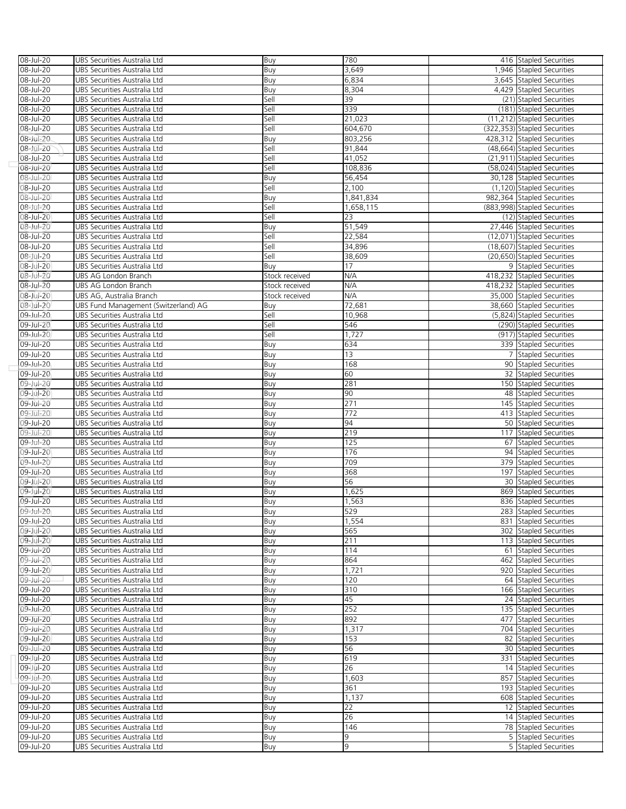| 08-Jul-20 | UBS Securities Australia Ltd         | Buy            | 780       | 416 Stapled Securities       |  |
|-----------|--------------------------------------|----------------|-----------|------------------------------|--|
| 08-Jul-20 | UBS Securities Australia Ltd         | Buy            | 3,649     | 1,946 Stapled Securities     |  |
|           |                                      |                |           |                              |  |
| 08-Jul-20 | UBS Securities Australia Ltd         | Buy            | 6,834     | 3,645 Stapled Securities     |  |
| 08-Jul-20 | UBS Securities Australia Ltd         | Buy            | 8,304     | 4,429 Stapled Securities     |  |
| 08-Jul-20 | UBS Securities Australia Ltd         | Sell           | 39        | (21) Stapled Securities      |  |
| 08-Jul-20 | UBS Securities Australia Ltd         | Sell           | 339       | (181) Stapled Securities     |  |
| 08-Jul-20 | UBS Securities Australia Ltd         | Sell           | 21,023    | (11,212) Stapled Securities  |  |
|           |                                      |                |           |                              |  |
| 08-Jul-20 | UBS Securities Australia Ltd         | Sell           | 604,670   | (322,353) Stapled Securities |  |
| 08-Jul-20 | UBS Securities Australia Ltd         | Buy            | 803,256   | 428,312 Stapled Securities   |  |
| 08-Jul-20 | UBS Securities Australia Ltd         | Sell           | 91,844    | (48,664) Stapled Securities  |  |
| 08-Jul-20 | UBS Securities Australia Ltd         | Sell           | 41,052    | (21,911) Stapled Securities  |  |
|           |                                      |                | 108,836   | (58,024) Stapled Securities  |  |
| 08-Jul-20 | UBS Securities Australia Ltd         | Sell           |           |                              |  |
| 08-Jul-20 | UBS Securities Australia Ltd         | Buy            | 56,454    | 30,128 Stapled Securities    |  |
| 08-Jul-20 | UBS Securities Australia Ltd         | Sell           | 2,100     | (1,120) Stapled Securities   |  |
| 08-Jul-20 | UBS Securities Australia Ltd         | Buy            | 1,841,834 | 982,364 Stapled Securities   |  |
| 08-Jul-20 | UBS Securities Australia Ltd         | Sell           | 1,658,115 | (883,998) Stapled Securities |  |
|           |                                      |                |           |                              |  |
| 08-Jul-20 | UBS Securities Australia Ltd         | Sell           | 23        | (12) Stapled Securities      |  |
| 08-Jul-20 | UBS Securities Australia Ltd         | Buy            | 51,549    | 27,446 Stapled Securities    |  |
| 08-Jul-20 | UBS Securities Australia Ltd         | Sell           | 22,584    | (12,071) Stapled Securities  |  |
| 08-Jul-20 | UBS Securities Australia Ltd         | Sell           | 34,896    | (18,607) Stapled Securities  |  |
|           | UBS Securities Australia Ltd         |                |           | (20,650) Stapled Securities  |  |
| 08-Jul-20 |                                      | Sell           | 38,609    |                              |  |
| 08-Jul-20 | UBS Securities Australia Ltd         | Buy            | 17        | 9 Stapled Securities         |  |
| 08-Jul-20 | UBS AG London Branch                 | Stock received | N/A       | 418,232 Stapled Securities   |  |
| 08-Jul-20 | UBS AG London Branch                 | Stock received | N/A       | 418,232 Stapled Securities   |  |
| 08-Jul-20 | UBS AG, Australia Branch             | Stock received | N/A       | 35,000 Stapled Securities    |  |
|           |                                      |                |           |                              |  |
| 08-Jul-20 | UBS Fund Management (Switzerland) AG | Buy            | 72,681    | 38,660 Stapled Securities    |  |
| 09-Jul-20 | UBS Securities Australia Ltd         | Sell           | 10,968    | (5,824) Stapled Securities   |  |
| 09-Jul-20 | UBS Securities Australia Ltd         | Sell           | 546       | (290) Stapled Securities     |  |
| 09-Jul-20 | UBS Securities Australia Ltd         | Sell           | 1,727     | (917) Stapled Securities     |  |
| 09-Jul-20 | UBS Securities Australia Ltd         | Buy            | 634       | 339 Stapled Securities       |  |
|           |                                      |                |           |                              |  |
| 09-Jul-20 | UBS Securities Australia Ltd         | Buy            | 13        | 7 Stapled Securities         |  |
| 09-Jul-20 | UBS Securities Australia Ltd         | Buy            | 168       | 90 Stapled Securities        |  |
| 09-Jul-20 | UBS Securities Australia Ltd         | Buy            | 60        | 32 Stapled Securities        |  |
| 09-Jul-20 | UBS Securities Australia Ltd         | Buy            | 281       | 150 Stapled Securities       |  |
| 09-Jul-20 | UBS Securities Australia Ltd         |                | 90        | 48 Stapled Securities        |  |
|           |                                      | Buy            |           |                              |  |
| 09-Jul-20 | UBS Securities Australia Ltd         | Buy            | 271       | 145 Stapled Securities       |  |
| 09-Jul-20 | UBS Securities Australia Ltd         | Buy            | 772       | 413 Stapled Securities       |  |
| 09-Jul-20 | UBS Securities Australia Ltd         | Buy            | 94        | 50 Stapled Securities        |  |
| 09-Jul-20 | UBS Securities Australia Ltd         | Buy            | 219       | 117 Stapled Securities       |  |
| 09-Jul-20 | UBS Securities Australia Ltd         |                | 125       |                              |  |
|           |                                      | Buy            |           | 67 Stapled Securities        |  |
| 09-Jul-20 | UBS Securities Australia Ltd         | Buy            | 176       | 94 Stapled Securities        |  |
| 09-Jul-20 | UBS Securities Australia Ltd         | Buy            | 709       | 379 Stapled Securities       |  |
| 09-Jul-20 | UBS Securities Australia Ltd         | Buy            | 368       | 197 Stapled Securities       |  |
| 09-Jul-20 | UBS Securities Australia Ltd         | Buy            | 56        | 30 Stapled Securities        |  |
| 09-Jul-20 |                                      |                | 1,625     |                              |  |
|           | UBS Securities Australia Ltd         | Buy            |           | 869 Stapled Securities       |  |
| 09-Jul-20 | UBS Securities Australia Ltd         | Buy            | 1,563     | 836 Stapled Securities       |  |
| 09-Jul-20 | UBS Securities Australia Ltd         | Buy            | 529       | 283 Stapled Securities       |  |
| 09-Jul-20 | UBS Securities Australia Ltd         | Buy            | 1,554     | 831 Stapled Securities       |  |
| 09-Jul-20 | UBS Securities Australia Ltd         | Buy            | 565       | 302 Stapled Securities       |  |
|           |                                      |                |           |                              |  |
| 09-Jul-20 | UBS Securities Australia Ltd         | Buy            | 211       | 113 Stapled Securities       |  |
| 09-Jul-20 | UBS Securities Australia Ltd         | Buy            | 114       | 61 Stapled Securities        |  |
| 09-Jul-20 | UBS Securities Australia Ltd         | Buy            | 864       | 462 Stapled Securities       |  |
| 09-Jul-20 | UBS Securities Australia Ltd         | Buy            | 1,721     | 920 Stapled Securities       |  |
| 09-Jul-20 | UBS Securities Australia Ltd         | Buy            | 120       | 64 Stapled Securities        |  |
|           |                                      |                |           |                              |  |
| 09-Jul-20 | UBS Securities Australia Ltd         | Buy            | 310       | 166 Stapled Securities       |  |
| 09-Jul-20 | UBS Securities Australia Ltd         | Buy            | 45        | 24 Stapled Securities        |  |
| 09-Jul-20 | UBS Securities Australia Ltd         | Buy            | 252       | 135 Stapled Securities       |  |
| 09-Jul-20 | UBS Securities Australia Ltd         | Buy            | 892       | 477 Stapled Securities       |  |
| 09-Jul-20 | UBS Securities Australia Ltd         | Buy            | 1,317     | 704 Stapled Securities       |  |
|           |                                      |                |           |                              |  |
| 09-Jul-20 | UBS Securities Australia Ltd         | Buy            | 153       | 82 Stapled Securities        |  |
| 09-Jul-20 | UBS Securities Australia Ltd         | Buy            | 56        | 30 Stapled Securities        |  |
| 09-Jul-20 | UBS Securities Australia Ltd         | Buy            | 619       | 331 Stapled Securities       |  |
| 09-Jul-20 | UBS Securities Australia Ltd         | Buy            | 26        | 14 Stapled Securities        |  |
|           |                                      |                |           |                              |  |
| 09-Jul-20 | UBS Securities Australia Ltd         | Buy            | 1,603     | 857 Stapled Securities       |  |
| 09-Jul-20 | UBS Securities Australia Ltd         | Buy            | 361       | 193 Stapled Securities       |  |
| 09-Jul-20 | UBS Securities Australia Ltd         | Buy            | 1,137     | 608 Stapled Securities       |  |
| 09-Jul-20 | UBS Securities Australia Ltd         | Buy            | 22        | 12 Stapled Securities        |  |
| 09-Jul-20 | UBS Securities Australia Ltd         | Buy            | 26        | 14 Stapled Securities        |  |
|           |                                      |                |           |                              |  |
| 09-Jul-20 | UBS Securities Australia Ltd         | Buy            | 146       | 78 Stapled Securities        |  |
| 09-Jul-20 | UBS Securities Australia Ltd         | Buy            | 9         | 5 Stapled Securities         |  |
| 09-Jul-20 | UBS Securities Australia Ltd         | Buy            | 9         | 5 Stapled Securities         |  |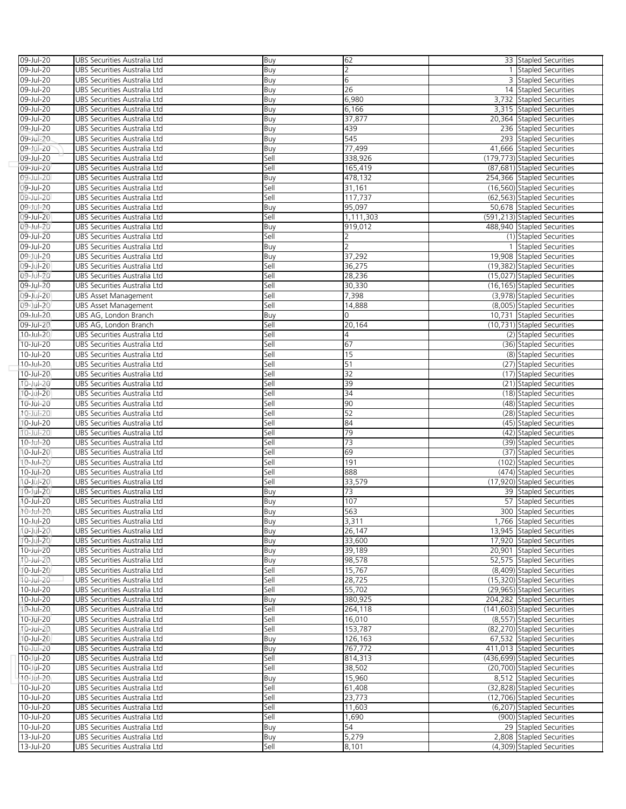| 09-Jul-20                    | UBS Securities Australia Ltd | Buy  | 62             | 33 Stapled Securities        |
|------------------------------|------------------------------|------|----------------|------------------------------|
| 09-Jul-20                    | UBS Securities Australia Ltd | Buy  | $\overline{2}$ | 1 Stapled Securities         |
| 09-Jul-20                    | UBS Securities Australia Ltd | Buy  | 6              | 3 Stapled Securities         |
| 09-Jul-20                    | UBS Securities Australia Ltd | Buy  | 26             | 14 Stapled Securities        |
| 09-Jul-20                    | UBS Securities Australia Ltd | Buy  | 6,980          | 3,732 Stapled Securities     |
| 09-Jul-20                    | UBS Securities Australia Ltd | Buy  | 6,166          | 3,315 Stapled Securities     |
| 09-Jul-20                    | UBS Securities Australia Ltd | Buy  | 37,877         | 20,364 Stapled Securities    |
| 09-Jul-20                    | UBS Securities Australia Ltd | Buy  | 439            | 236 Stapled Securities       |
| 09-Jul-20                    | UBS Securities Australia Ltd | Buy  | 545            | 293 Stapled Securities       |
| 09-Jul-20                    | UBS Securities Australia Ltd | Buy  | 77,499         | 41,666 Stapled Securities    |
| 09-Jul-20                    | UBS Securities Australia Ltd | Sell | 338,926        | (179,773) Stapled Securities |
|                              |                              |      |                |                              |
| 09-Jul-20                    | UBS Securities Australia Ltd | Sell | 165,419        | (87,681) Stapled Securities  |
| 09-Jul-20                    | UBS Securities Australia Ltd | Buy  | 478,132        | 254,366 Stapled Securities   |
| 09-Jul-20                    | UBS Securities Australia Ltd | Sell | 31,161         | (16,560) Stapled Securities  |
| 09-Jul-20                    | UBS Securities Australia Ltd | Sell | 117,737        | (62.563) Stapled Securities  |
| 09-Jul-20                    | UBS Securities Australia Ltd | Buy  | 95,097         | 50,678 Stapled Securities    |
| 09-Jul-20                    | UBS Securities Australia Ltd | Sell | 1,111,303      | (591,213) Stapled Securities |
| 09-Jul-20                    | UBS Securities Australia Ltd | Buy  | 919,012        | 488,940 Stapled Securities   |
| 09-Jul-20                    | UBS Securities Australia Ltd | Sell |                | (1) Stapled Securities       |
| 09-Jul-20                    | UBS Securities Australia Ltd | Buy  | $\overline{2}$ | 1 Stapled Securities         |
| 09-Jul-20                    | UBS Securities Australia Ltd | Buy  | 37,292         | 19,908 Stapled Securities    |
| 09-Jul-20                    | UBS Securities Australia Ltd | Sell | 36,275         | (19,382) Stapled Securities  |
| 09-Jul-20                    | UBS Securities Australia Ltd | Sell | 28,236         | (15,027) Stapled Securities  |
| 09-Jul-20                    | UBS Securities Australia Ltd | Sell | 30,330         | (16,165) Stapled Securities  |
| 09-Jul-20                    | UBS Asset Management         | Sell | 7,398          | (3,978) Stapled Securities   |
| 09-Jul-20                    | <b>UBS Asset Management</b>  | Sell | 14,888         | (8,005) Stapled Securities   |
| 09-Jul-20                    | UBS AG, London Branch        | Buy  | 0              | 10,731 Stapled Securities    |
| 09-Jul-20                    | UBS AG, London Branch        | Sell | 20,164         | (10,731) Stapled Securities  |
| 10-Jul-20                    | UBS Securities Australia Ltd | Sell | 4              | (2) Stapled Securities       |
| 10-Jul-20                    | UBS Securities Australia Ltd | Sell | 67             | (36) Stapled Securities      |
| 10-Jul-20                    | UBS Securities Australia Ltd | Sell | 15             | (8) Stapled Securities       |
| 10-Jul-20                    | UBS Securities Australia Ltd | Sell | 51             | (27) Stapled Securities      |
| 10-Jul-20                    | UBS Securities Australia Ltd | Sell | 32             | (17) Stapled Securities      |
| 10-Jul-20                    | UBS Securities Australia Ltd | Sell | 39             | (21) Stapled Securities      |
| 10-Jul-20                    | UBS Securities Australia Ltd | Sell | 34             | (18) Stapled Securities      |
| 10-Jul-20                    | UBS Securities Australia Ltd | Sell | 90             | (48) Stapled Securities      |
| 10-Jul-20                    | UBS Securities Australia Ltd | Sell | 52             | (28) Stapled Securities      |
| 10-Jul-20                    | UBS Securities Australia Ltd | Sell | 84             | (45) Stapled Securities      |
| 10-Jul-20                    | UBS Securities Australia Ltd | Sell | 79             | (42) Stapled Securities      |
| 10-Jul-20                    |                              | Sell | 73             | (39) Stapled Securities      |
|                              | UBS Securities Australia Ltd |      | 69             | (37) Stapled Securities      |
| 10-Jul-20<br>$10 - Jul - 20$ | UBS Securities Australia Ltd | Sell |                |                              |
|                              | UBS Securities Australia Ltd | Sell | 191            | (102) Stapled Securities     |
| 10-Jul-20                    | UBS Securities Australia Ltd | Sell | 888            | (474) Stapled Securities     |
| 10-Jul-20                    | UBS Securities Australia Ltd | Sell | 33,579         | (17,920) Stapled Securities  |
| 10-Jul-20                    | UBS Securities Australia Ltd | Buy  | 73             | 39 Stapled Securities        |
| 10-Jul-20                    | UBS Securities Australia Ltd | Buy  | 107            | 57 Stapled Securities        |
| 10-Jul-20                    | UBS Securities Australia Ltd | Buy  | 563            | 300 Stapled Securities       |
| 10-Jul-20                    | UBS Securities Australia Ltd | Buy  | 3,311          | 1,766 Stapled Securities     |
| 10-Jul-20                    | UBS Securities Australia Ltd | Buy  | 26,147         | 13,945 Stapled Securities    |
| 10-Jul-20                    | UBS Securities Australia Ltd | Buy  | 33,600         | 17.920 Stapled Securities    |
| 10-Jul-20                    | UBS Securities Australia Ltd | Buy  | 39,189         | 20,901 Stapled Securities    |
| $10$ -Jul-20                 | UBS Securities Australia Ltd | Buy  | 98,578         | 52,575 Stapled Securities    |
| 10-Jul-20                    | UBS Securities Australia Ltd | Sell | 15,767         | (8,409) Stapled Securities   |
| 10-Jul-20                    | UBS Securities Australia Ltd | Sell | 28,725         | (15,320) Stapled Securities  |
| 10-Jul-20                    | UBS Securities Australia Ltd | Sell | 55,702         | (29,965) Stapled Securities  |
| 10-Jul-20                    | UBS Securities Australia Ltd | Buy  | 380,925        | 204,282 Stapled Securities   |
| 10-Jul-20                    | UBS Securities Australia Ltd | Sell | 264,118        | (141,603) Stapled Securities |
| 10-Jul-20                    | UBS Securities Australia Ltd | Sell | 16,010         | (8,557) Stapled Securities   |
| $10$ -Jul-20                 | UBS Securities Australia Ltd | Sell | 153,787        | (82,270) Stapled Securities  |
| 10-Jul-20                    | UBS Securities Australia Ltd | Buy  | 126,163        | 67,532 Stapled Securities    |
| $10$ -Jul-20                 | UBS Securities Australia Ltd | Buy  | 767,772        | 411,013 Stapled Securities   |
| 10-Jul-20                    | UBS Securities Australia Ltd | Sell | 814,313        | (436,699) Stapled Securities |
| $10 -$ Jul-20                | UBS Securities Australia Ltd | Sell | 38,502         | (20,700) Stapled Securities  |
| 10-Jul-20                    | UBS Securities Australia Ltd | Buy  | 15,960         | 8,512 Stapled Securities     |
| 10-Jul-20                    | UBS Securities Australia Ltd | Sell | 61,408         | (32,828) Stapled Securities  |
| 10-Jul-20                    | UBS Securities Australia Ltd | Sell | 23,773         | (12,706) Stapled Securities  |
| 10-Jul-20                    | UBS Securities Australia Ltd | Sell | 11,603         | (6,207) Stapled Securities   |
| 10-Jul-20                    | UBS Securities Australia Ltd | Sell | 1,690          | (900) Stapled Securities     |
| 10-Jul-20                    | UBS Securities Australia Ltd | Buy  | 54             | 29 Stapled Securities        |
| 13-Jul-20                    | UBS Securities Australia Ltd | Buy  | 5,279          | 2,808 Stapled Securities     |
| 13-Jul-20                    | UBS Securities Australia Ltd | Sell | 8,101          | (4,309) Stapled Securities   |
|                              |                              |      |                |                              |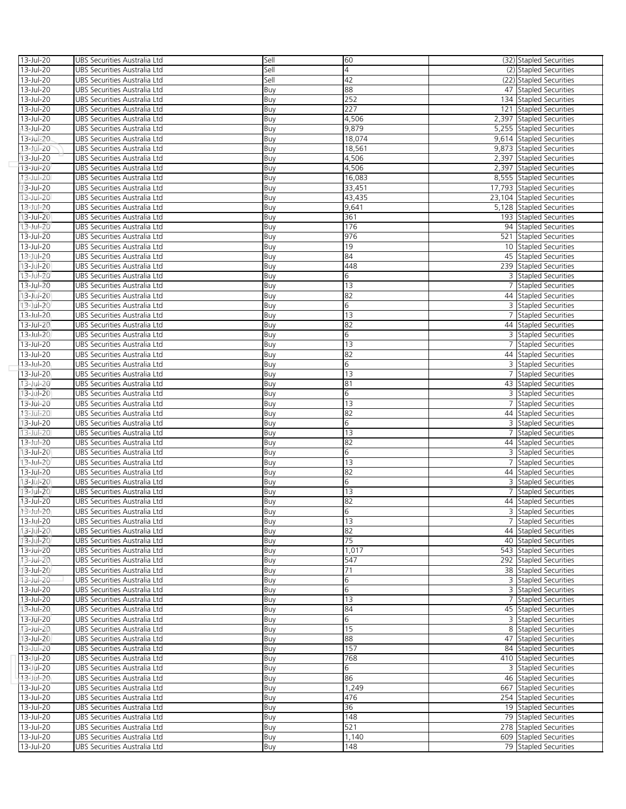| 13-Jul-20                 | UBS Securities Australia Ltd                                 | Sell       | 60       | (32) Stapled Securities                        |
|---------------------------|--------------------------------------------------------------|------------|----------|------------------------------------------------|
| 13-Jul-20                 | UBS Securities Australia Ltd                                 | Sell       | 4        | (2) Stapled Securities                         |
| 13-Jul-20                 | UBS Securities Australia Ltd                                 | Sell       | 42       | (22) Stapled Securities                        |
| 13-Jul-20                 | UBS Securities Australia Ltd                                 | Buy        | 88       | 47 Stapled Securities                          |
| 13-Jul-20                 | UBS Securities Australia Ltd                                 | Buy        | 252      | 134 Stapled Securities                         |
| 13-Jul-20                 | UBS Securities Australia Ltd                                 | Buy        | 227      | 121 Stapled Securities                         |
| 13-Jul-20                 | UBS Securities Australia Ltd                                 | Buy        | 4,506    | 2,397 Stapled Securities                       |
| 13-Jul-20                 | UBS Securities Australia Ltd                                 | Buy        | 9,879    | 5,255 Stapled Securities                       |
| 13-Jul-20                 | UBS Securities Australia Ltd                                 | Buy        | 18,074   | 9,614 Stapled Securities                       |
| 13-Jul-20                 | UBS Securities Australia Ltd                                 | Buy        | 18,561   | 9,873 Stapled Securities                       |
| 13-Jul-20                 | UBS Securities Australia Ltd                                 | Buy        | 4,506    | 2,397 Stapled Securities                       |
| 13-Jul-20                 | UBS Securities Australia Ltd                                 | Buy        | 4,506    | 2,397 Stapled Securities                       |
| 13-Jul-20                 | UBS Securities Australia Ltd                                 | Buy        | 16,083   | 8,555 Stapled Securities                       |
| 13-Jul-20                 | UBS Securities Australia Ltd                                 | Buy        | 33,451   | 17,793 Stapled Securities                      |
| 13-Jul-20                 | UBS Securities Australia Ltd                                 | Buy        | 43,435   | 23,104 Stapled Securities                      |
| 13-Jul-20                 | UBS Securities Australia Ltd                                 | Buy        | 9,641    | 5,128 Stapled Securities                       |
| 13-Jul-20                 | UBS Securities Australia Ltd                                 | Buy        | 361      | 193 Stapled Securities                         |
| 13-Jul-20                 | UBS Securities Australia Ltd                                 | Buy        | 176      | 94 Stapled Securities                          |
| 13-Jul-20                 | UBS Securities Australia Ltd                                 | Buy        | 976      | 521 Stapled Securities                         |
| 13-Jul-20                 | UBS Securities Australia Ltd                                 | Buy        | 19       | 10 Stapled Securities                          |
| 13-Jul-20                 | UBS Securities Australia Ltd                                 | Buy        | 84       | 45 Stapled Securities                          |
| 13-Jul-20                 | UBS Securities Australia Ltd                                 | Buy        | 448      | 239 Stapled Securities                         |
| $13 - Jul - 20$           | UBS Securities Australia Ltd                                 | Buy        | 6        | 3 Stapled Securities                           |
| 13-Jul-20                 | UBS Securities Australia Ltd                                 | Buy        | 13       | 7 Stapled Securities                           |
| 13-Jul-20                 | UBS Securities Australia Ltd                                 | Buy        | 82       | 44 Stapled Securities                          |
| 13-Jul-20                 | UBS Securities Australia Ltd                                 | Buy        | 6        | 3 Stapled Securities                           |
| 13-Jul-20                 | UBS Securities Australia Ltd                                 | Buy        | 13       | 7 Stapled Securities                           |
| 13-Jul-20                 | UBS Securities Australia Ltd                                 | Buy        | 82       | 44 Stapled Securities                          |
| 13-Jul-20                 | UBS Securities Australia Ltd                                 | Buy        | 6        | 3 Stapled Securities                           |
| 13-Jul-20                 | UBS Securities Australia Ltd                                 | Buy        | 13       | 7 Stapled Securities                           |
| 13-Jul-20                 | UBS Securities Australia Ltd                                 | Buy        | 82       | 44 Stapled Securities                          |
| 13-Jul-20                 | UBS Securities Australia Ltd                                 | Buy        | 6        | 3 Stapled Securities                           |
| 13-Jul-20                 | UBS Securities Australia Ltd                                 | Buy        | 13       | 7 Stapled Securities                           |
| 13-Jul-20                 | UBS Securities Australia Ltd                                 | Buy        | 81       | 43 Stapled Securities                          |
| 13-Jul-20                 | UBS Securities Australia Ltd                                 | Buy        | 6        | 3 Stapled Securities                           |
| 13-Jul-20                 | UBS Securities Australia Ltd                                 | Buy        | 13       | 7 Stapled Securities                           |
| 13-Jul-20                 | UBS Securities Australia Ltd                                 | Buy        | 82       | 44 Stapled Securities                          |
| 13-Jul-20                 | UBS Securities Australia Ltd                                 | Buy        | 6        | 3 Stapled Securities                           |
| 13-Jul-20                 | UBS Securities Australia Ltd                                 | Buy        | 13       | 7 Stapled Securities                           |
| 13-Jul-20                 | UBS Securities Australia Ltd                                 | Buy        | 82       | 44 Stapled Securities                          |
| 13-Jul-20                 | UBS Securities Australia Ltd                                 | Buy        | 6        | 3 Stapled Securities                           |
| 13-Jul-20                 | UBS Securities Australia Ltd                                 | Buy        | 13       | 7 Stapled Securities                           |
| 13-Jul-20                 | UBS Securities Australia Ltd                                 | Buy        | 82       | 44 Stapled Securities                          |
| 13-Jul-20                 | UBS Securities Australia Ltd                                 | Buy        | 6        | 3 Stapled Securities                           |
| 13-Jul-20                 | UBS Securities Australia Ltd                                 | Buy        | 13       | 7 Stapled Securities                           |
| 13-Jul-20<br>13-Jul-20    | UBS Securities Australia Ltd                                 | Buy        | 82<br>6  | 44 Stapled Securities                          |
|                           | UBS Securities Australia Ltd                                 | Buv        |          | 3 Stapled Securities                           |
| 13-Jul-20<br>$13$ -Jul-20 | UBS Securities Australia Ltd                                 | Buy        | 13       | 7 Stapled Securities                           |
| 13-Jul-20                 | UBS Securities Australia Ltd<br>UBS Securities Australia Ltd | Buy        | 82<br>75 | 44 Stapled Securities<br>40 Stapled Securities |
| 13-Jul-20                 | UBS Securities Australia Ltd                                 | Buy        | 1,017    | 543 Stapled Securities                         |
| 13-Jul-20                 | UBS Securities Australia Ltd                                 | Buy<br>Buy | 547      | 292 Stapled Securities                         |
| 13-Jul-20                 | UBS Securities Australia Ltd                                 | Buy        | 71       | 38 Stapled Securities                          |
| 13-Jul-20                 | UBS Securities Australia Ltd                                 | Buy        | 6        | 3 Stapled Securities                           |
| 13-Jul-20                 | UBS Securities Australia Ltd                                 | Buy        | 6        | 3 Stapled Securities                           |
| 13-Jul-20                 | UBS Securities Australia Ltd                                 | Buy        | 13       | 7 Stapled Securities                           |
| 13-Jul-20                 | UBS Securities Australia Ltd                                 | Buy        | 84       | 45 Stapled Securities                          |
| 13-Jul-20                 | UBS Securities Australia Ltd                                 | Buy        | 6        | 3 Stapled Securities                           |
| 13-Jul-20                 | UBS Securities Australia Ltd                                 | Buy        | 15       | 8 Stapled Securities                           |
| 13-Jul-20                 | UBS Securities Australia Ltd                                 | Buy        | 88       | 47 Stapled Securities                          |
| 13-Jul-20                 | UBS Securities Australia Ltd                                 | Buy        | 157      | 84 Stapled Securities                          |
| 13-Jul-20                 | UBS Securities Australia Ltd                                 | Buy        | 768      | 410 Stapled Securities                         |
| 13-Jul-20                 | UBS Securities Australia Ltd                                 | Buy        | 6        | 3 Stapled Securities                           |
| 13-Jul-20                 | UBS Securities Australia Ltd                                 | Buy        | 86       | 46 Stapled Securities                          |
| 13-Jul-20                 | UBS Securities Australia Ltd                                 | Buy        | 1,249    | 667 Stapled Securities                         |
| 13-Jul-20                 | UBS Securities Australia Ltd                                 | Buy        | 476      | 254 Stapled Securities                         |
| 13-Jul-20                 | UBS Securities Australia Ltd                                 | Buy        | 36       | 19 Stapled Securities                          |
| 13-Jul-20                 | UBS Securities Australia Ltd                                 | Buy        | 148      | 79 Stapled Securities                          |
| 13-Jul-20                 | UBS Securities Australia Ltd                                 | Buy        | 521      | 278 Stapled Securities                         |
| 13-Jul-20                 | UBS Securities Australia Ltd                                 | Buy        | 1,140    | 609 Stapled Securities                         |
| 13-Jul-20                 | UBS Securities Australia Ltd                                 | Buy        | 148      | 79 Stapled Securities                          |
|                           |                                                              |            |          |                                                |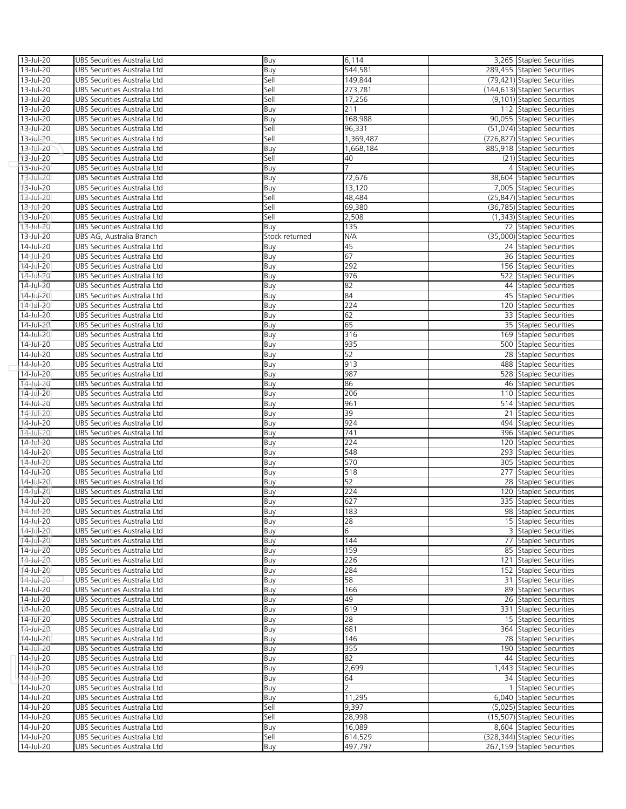| 13-Jul-20              | UBS Securities Australia Ltd                                 | Buy            | 6,114               | 3,265 Stapled Securities                                |
|------------------------|--------------------------------------------------------------|----------------|---------------------|---------------------------------------------------------|
| 13-Jul-20              | UBS Securities Australia Ltd                                 | Buy            | 544,581             | 289,455 Stapled Securities                              |
| 13-Jul-20              | UBS Securities Australia Ltd                                 | Sell           | 149,844             | (79,421) Stapled Securities                             |
| 13-Jul-20              | UBS Securities Australia Ltd                                 | Sell           | 273,781             | (144,613) Stapled Securities                            |
| 13-Jul-20              | UBS Securities Australia Ltd                                 | Sell           | 17,256              | (9,101) Stapled Securities                              |
| 13-Jul-20              | UBS Securities Australia Ltd                                 | Buy            | 211                 | 112 Stapled Securities                                  |
| 13-Jul-20              | UBS Securities Australia Ltd                                 | Buy            | 168,988             | 90,055 Stapled Securities                               |
| 13-Jul-20              | UBS Securities Australia Ltd                                 | Sell           | 96,331              | (51,074) Stapled Securities                             |
| 13-Jul-20              | UBS Securities Australia Ltd                                 | Sell           | 1,369,487           | (726,827) Stapled Securities                            |
| 13-Jul-20              | UBS Securities Australia Ltd                                 | Buy            | 1,668,184           | 885,918 Stapled Securities                              |
| 13-Jul-20              | UBS Securities Australia Ltd                                 | Sell           | 40                  | (21) Stapled Securities                                 |
| 13-Jul-20              | UBS Securities Australia Ltd                                 | Buy            |                     | 4 Stapled Securities                                    |
| 13-Jul-20              | UBS Securities Australia Ltd                                 | Buy            | 72,676              | 38,604 Stapled Securities                               |
| 13-Jul-20              | UBS Securities Australia Ltd                                 | Buy            | 13,120              | 7,005 Stapled Securities                                |
| 13-Jul-20              | UBS Securities Australia Ltd                                 | Sell           | 48,484              | (25,847) Stapled Securities                             |
| 13-Jul-20              | UBS Securities Australia Ltd                                 | Sell           | 69,380              | (36,785) Stapled Securities                             |
| 13-Jul-20              | UBS Securities Australia Ltd                                 | Sell           | 2,508               | (1,343) Stapled Securities                              |
| 13-Jul-20              | UBS Securities Australia Ltd                                 | Buy            | 135                 | 72 Stapled Securities                                   |
| 13-Jul-20              | UBS AG, Australia Branch                                     | Stock returned | N/A                 | (35,000) Stapled Securities                             |
| 14-Jul-20              | UBS Securities Australia Ltd                                 | Buy            | 45                  | 24 Stapled Securities                                   |
| 14-Jul-20              | UBS Securities Australia Ltd                                 | Buy            | 67                  | 36 Stapled Securities                                   |
| 14-Jul-20              | UBS Securities Australia Ltd                                 | Buy            | 292                 | 156 Stapled Securities                                  |
| 14-Jul-20              | UBS Securities Australia Ltd                                 | Buy            | 976                 | 522 Stapled Securities                                  |
| 14-Jul-20              | UBS Securities Australia Ltd                                 | Buy            | 82                  | 44 Stapled Securities                                   |
| 14-Jul-20              | UBS Securities Australia Ltd                                 | Buy            | 84                  | 45 Stapled Securities                                   |
| 14-Jul-20              | UBS Securities Australia Ltd                                 | Buy            | 224                 | 120 Stapled Securities                                  |
| 14-Jul-20              | UBS Securities Australia Ltd                                 | Buy            | 62                  | 33 Stapled Securities                                   |
| 14-Jul-20              | UBS Securities Australia Ltd                                 | Buy            | 65                  | 35 Stapled Securities                                   |
| 14-Jul-20              | UBS Securities Australia Ltd                                 | Buy            | 316                 | 169 Stapled Securities                                  |
| 14-Jul-20              | UBS Securities Australia Ltd                                 | Buy            | 935                 | 500 Stapled Securities                                  |
| 14-Jul-20              | UBS Securities Australia Ltd                                 | Buy            | 52                  | 28 Stapled Securities                                   |
| 14-Jul-20              | UBS Securities Australia Ltd                                 | Buy            | 913                 | 488 Stapled Securities                                  |
| 14-Jul-20              | UBS Securities Australia Ltd                                 | Buy            | 987                 | 528 Stapled Securities                                  |
| 14-Jul-20              | UBS Securities Australia Ltd                                 | Buy            | 86                  | 46 Stapled Securities                                   |
| 14-Jul-20              | UBS Securities Australia Ltd                                 | Buy            | 206                 | 110 Stapled Securities                                  |
| 14-Jul-20              | UBS Securities Australia Ltd                                 | Buy            | 961                 | 514 Stapled Securities                                  |
| 14-Jul-20              | UBS Securities Australia Ltd                                 | Buy            | 39                  | 21 Stapled Securities                                   |
| 14-Jul-20              | UBS Securities Australia Ltd                                 | Buy            | 924                 | 494 Stapled Securities                                  |
| 14-Jul-20              | UBS Securities Australia Ltd                                 | Buy            | 741                 | 396 Stapled Securities                                  |
| 14-Jul-20              | UBS Securities Australia Ltd                                 | Buy            | 224                 | 120 Stapled Securities<br>293 Stapled Securities        |
|                        | UBS Securities Australia Ltd                                 | Buy            | 548                 |                                                         |
| 14-Jul-20              |                                                              |                |                     |                                                         |
| 14-Jul-20              | UBS Securities Australia Ltd                                 | Buy            | 570                 | 305 Stapled Securities                                  |
| 14-Jul-20              | UBS Securities Australia Ltd                                 | Buy            | 518                 | 277 Stapled Securities                                  |
| 14-Jul-20              | UBS Securities Australia Ltd                                 | Buy            | 52                  | 28 Stapled Securities                                   |
| 14-Jul-20              | UBS Securities Australia Ltd                                 | Buy            | 224                 | 120 Stapled Securities                                  |
| 14-Jul-20              | UBS Securities Australia Ltd                                 | Buy            | 627                 | 335 Stapled Securities                                  |
| 14-Jul-20              | UBS Securities Australia Ltd                                 | Buv            | 183                 | 98 Stapled Securities                                   |
| 14-Jul-20              | UBS Securities Australia Ltd                                 | Buy            | 28                  | 15 Stapled Securities                                   |
| 14-Jul-20              | UBS Securities Australia Ltd                                 | Buy            | 6                   | 3 Stapled Securities                                    |
| 14-Jul-20              | UBS Securities Australia Ltd                                 | Buy            | 144                 | 77 Stapled Securities                                   |
| 14-Jul-20              | UBS Securities Australia Ltd                                 | Buy            | 159                 | 85 Stapled Securities                                   |
| 14-Jul-20              | UBS Securities Australia Ltd                                 | Buy            | 226                 | 121 Stapled Securities                                  |
| 14-Jul-20              | UBS Securities Australia Ltd                                 | Buy            | 284                 | 152 Stapled Securities                                  |
| 14-Jul-20              | UBS Securities Australia Ltd                                 | Buy            | 58                  | 31 Stapled Securities                                   |
| 14-Jul-20              | UBS Securities Australia Ltd                                 | Buy            | 166                 | 89 Stapled Securities                                   |
| 14-Jul-20              | UBS Securities Australia Ltd                                 | Buy            | 49                  | 26 Stapled Securities                                   |
| 14-Jul-20              | UBS Securities Australia Ltd                                 | Buy            | 619                 | 331 Stapled Securities                                  |
| 14-Jul-20              | UBS Securities Australia Ltd                                 | Buy            | 28                  | 15 Stapled Securities                                   |
| $14 -$ Jul-20          | UBS Securities Australia Ltd                                 | Buy            | 681                 | 364 Stapled Securities                                  |
| 14-Jul-20              | UBS Securities Australia Ltd                                 | Buy            | 146                 | 78 Stapled Securities                                   |
| 14-Jul-20              | UBS Securities Australia Ltd                                 | Buy            | 355                 | 190 Stapled Securities                                  |
| 14-Jul-20              | UBS Securities Australia Ltd                                 | Buy            | 82                  | 44 Stapled Securities                                   |
| 14-Jul-20              | UBS Securities Australia Ltd                                 | Buy            | 2,699               | 1,443 Stapled Securities                                |
| 14-Jul-20              | UBS Securities Australia Ltd                                 | Buy            | 64<br>$\mathcal{P}$ | 34 Stapled Securities                                   |
| 14-Jul-20              | UBS Securities Australia Ltd                                 | Buy            |                     | 1 Stapled Securities                                    |
| 14-Jul-20<br>14-Jul-20 | UBS Securities Australia Ltd                                 | Buy            | 11,295<br>9,397     | 6,040 Stapled Securities                                |
|                        | UBS Securities Australia Ltd                                 | Sell           |                     | (5,025) Stapled Securities                              |
| 14-Jul-20<br>14-Jul-20 | UBS Securities Australia Ltd                                 | Sell           | 28,998<br>16,089    | (15,507) Stapled Securities<br>8,604 Stapled Securities |
| 14-Jul-20              | UBS Securities Australia Ltd<br>UBS Securities Australia Ltd | Buy<br>Sell    | 614,529             | (328,344) Stapled Securities                            |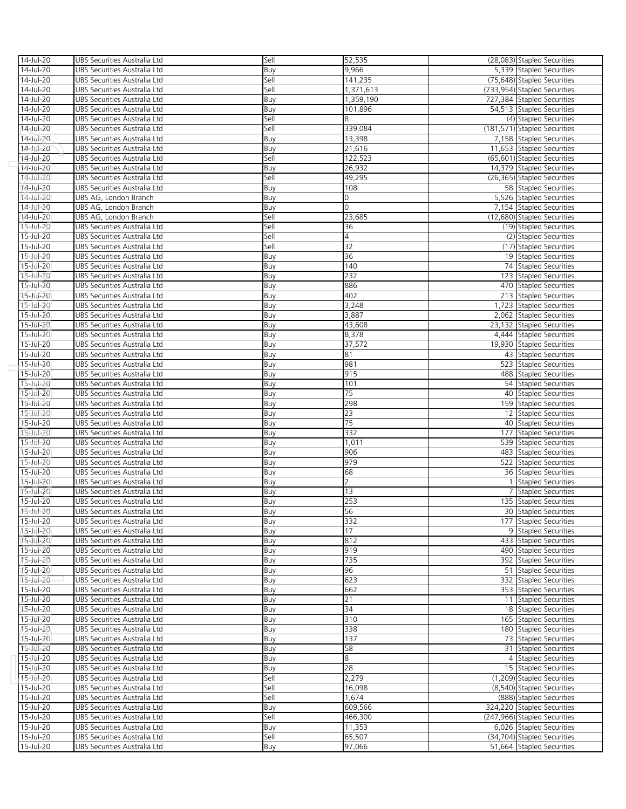| 14-Jul-20              | UBS Securities Australia Ltd                                 | Sell       | 52,535               | (28,083) Stapled Securities                    |
|------------------------|--------------------------------------------------------------|------------|----------------------|------------------------------------------------|
| 14-Jul-20              | UBS Securities Australia Ltd                                 | Buy        | 9,966                | 5,339 Stapled Securities                       |
| 14-Jul-20              | UBS Securities Australia Ltd                                 | Sell       | 141,235              | (75,648) Stapled Securities                    |
| 14-Jul-20              | UBS Securities Australia Ltd                                 | Sell       | 1,371,613            | (733,954) Stapled Securities                   |
| 14-Jul-20              | UBS Securities Australia Ltd                                 | Buy        | 1,359,190            | 727,384 Stapled Securities                     |
| 14-Jul-20              | UBS Securities Australia Ltd                                 | Buy        | 101,896              | 54,513 Stapled Securities                      |
| 14-Jul-20              | UBS Securities Australia Ltd                                 | Sell       | 8                    | (4) Stapled Securities                         |
| 14-Jul-20              | UBS Securities Australia Ltd                                 | Sell       | 339,084              | (181,571) Stapled Securities                   |
| 14-Jul-20              | UBS Securities Australia Ltd                                 | Buy        | 13,398               | 7,158 Stapled Securities                       |
| 14-Jul-20              | UBS Securities Australia Ltd                                 | Buy        | 21,616               | 11,653 Stapled Securities                      |
| 14-Jul-20              | UBS Securities Australia Ltd                                 | Sell       | 122,523              | (65,601) Stapled Securities                    |
| 14-Jul-20              | UBS Securities Australia Ltd                                 | Buy        | 26,932               | 14,379 Stapled Securities                      |
| 14-Jul-20              | UBS Securities Australia Ltd                                 | Sell       | 49,295               | (26,365) Stapled Securities                    |
| 14-Jul-20              | UBS Securities Australia Ltd                                 | Buy        | 108                  | 58 Stapled Securities                          |
| 14-Jul-20              | UBS AG, London Branch                                        | Buy        | 0                    | 5,526 Stapled Securities                       |
| 14-Jul-20              | UBS AG, London Branch                                        | Buy        | 0                    | 7,154 Stapled Securities                       |
| 14-Jul-20              | UBS AG, London Branch                                        | Sell       | 23,685               | (12,680) Stapled Securities                    |
| 15-Jul-20              | UBS Securities Australia Ltd                                 | Sell       | 36                   | (19) Stapled Securities                        |
| 15-Jul-20              | UBS Securities Australia Ltd                                 | Sell       | 4                    | (2) Stapled Securities                         |
| 15-Jul-20              | UBS Securities Australia Ltd                                 | Sell       | 32                   | (17) Stapled Securities                        |
| 15-Jul-20              | UBS Securities Australia Ltd                                 | Buy        | 36                   | 19 Stapled Securities                          |
| 15-Jul-20              | UBS Securities Australia Ltd                                 | Buy        | 140                  | 74 Stapled Securities                          |
| $15 - Jul - 20$        | UBS Securities Australia Ltd                                 | Buy        | 232                  | 123 Stapled Securities                         |
| 15-Jul-20              | UBS Securities Australia Ltd                                 | Buy        | 886                  | 470 Stapled Securities                         |
| 15-Jul-20              | UBS Securities Australia Ltd                                 | Buy        | 402                  | 213 Stapled Securities                         |
| 15-Jul-20              | UBS Securities Australia Ltd                                 | Buy        | 3,248                | 1,723 Stapled Securities                       |
| 15-Jul-20              | UBS Securities Australia Ltd                                 | Buy        | 3,887                | 2,062 Stapled Securities                       |
| 15-Jul-20              | UBS Securities Australia Ltd                                 | Buy        | 43,608               | 23,132 Stapled Securities                      |
| 15-Jul-20              | UBS Securities Australia Ltd                                 | Buy        | 8,378                | 4,444 Stapled Securities                       |
| 15-Jul-20              | UBS Securities Australia Ltd                                 | Buy        | 37,572               | 19,930 Stapled Securities                      |
| 15-Jul-20              | UBS Securities Australia Ltd                                 | Buy        | 81                   | 43 Stapled Securities                          |
| 15-Jul-20              | UBS Securities Australia Ltd                                 | Buy        | 981                  | 523 Stapled Securities                         |
| 15-Jul-20              | UBS Securities Australia Ltd                                 | Buy        | 915                  | 488 Stapled Securities                         |
| 15-Jul-20              | UBS Securities Australia Ltd                                 | Buy        | 101                  | 54 Stapled Securities                          |
| 15-Jul-20              | UBS Securities Australia Ltd                                 | Buy        | 75                   | 40 Stapled Securities                          |
| 15-Jul-20              | UBS Securities Australia Ltd                                 | Buy        | 298                  | 159 Stapled Securities                         |
| $15$ -Jul-20           | UBS Securities Australia Ltd                                 | Buy        | 23                   | 12 Stapled Securities                          |
| 15-Jul-20              | UBS Securities Australia Ltd                                 | Buy        | 75                   | 40 Stapled Securities                          |
| 15-Jul-20              | UBS Securities Australia Ltd                                 | Buy        | 332                  | 177 Stapled Securities                         |
| 15-Jul-20              | UBS Securities Australia Ltd                                 | Buy        | 1,011                | 539 Stapled Securities                         |
| 15-Jul-20              | UBS Securities Australia Ltd                                 | Buy        | 906                  | 483 Stapled Securities                         |
| 15-Jul-20              | UBS Securities Australia Ltd                                 | Buy        | 979                  | 522 Stapled Securities                         |
| 15-Jul-20              | UBS Securities Australia Ltd                                 | Buy        | 68<br>$\overline{2}$ | 36 Stapled Securities                          |
| 15-Jul-20              | UBS Securities Australia Ltd                                 | Buy        |                      | 1 Stapled Securities                           |
| 15-Jul-20              | UBS Securities Australia Ltd                                 | Buy        | 13                   | 7 Stapled Securities                           |
| 15-Jul-20<br>15-Jul-20 | UBS Securities Australia Ltd                                 | Buy        | 253<br>56            | 135 Stapled Securities                         |
| 15-Jul-20              | UBS Securities Australia Ltd                                 | Buv        |                      | 30 Stapled Securities                          |
|                        | UBS Securities Australia Ltd                                 | Buy        | 332<br>17            | 177 Stapled Securities                         |
| 15-Jul-20<br>15-Jul-20 | UBS Securities Australia Ltd<br>UBS Securities Australia Ltd | Buy        | 812                  | 9 Stapled Securities<br>433 Stapled Securities |
| 15-Jul-20              | UBS Securities Australia Ltd                                 | Buy        | 919                  | 490 Stapled Securities                         |
| 15-Jul-20              | UBS Securities Australia Ltd                                 | Buy<br>Buy | 735                  | 392 Stapled Securities                         |
| 15-Jul-20              | UBS Securities Australia Ltd                                 |            | 96                   | 51 Stapled Securities                          |
| 15-Jul-20              | UBS Securities Australia Ltd                                 | Buy<br>Buy | 623                  | 332 Stapled Securities                         |
| 15-Jul-20              | UBS Securities Australia Ltd                                 | Buy        | 662                  | 353 Stapled Securities                         |
| 15-Jul-20              | UBS Securities Australia Ltd                                 | Buy        | 21                   | 11 Stapled Securities                          |
| 15-Jul-20              | UBS Securities Australia Ltd                                 | Buy        | 34                   | 18 Stapled Securities                          |
| 15-Jul-20              | UBS Securities Australia Ltd                                 | Buy        | 310                  | 165 Stapled Securities                         |
| 15-Jul-20              | UBS Securities Australia Ltd                                 | Buy        | 338                  | 180 Stapled Securities                         |
| 15-Jul-20              | UBS Securities Australia Ltd                                 | Buy        | 137                  | 73 Stapled Securities                          |
| 15-Jul-20              | UBS Securities Australia Ltd                                 | Buy        | 58                   | 31 Stapled Securities                          |
| 15-Jul-20              | UBS Securities Australia Ltd                                 | Buy        | 8                    | 4 Stapled Securities                           |
| 15-Jul-20              | UBS Securities Australia Ltd                                 | Buy        | 28                   | 15 Stapled Securities                          |
| 15-Jul-20              | UBS Securities Australia Ltd                                 | Sell       | 2,279                | (1,209) Stapled Securities                     |
| 15-Jul-20              | UBS Securities Australia Ltd                                 | Sell       | 16,098               | (8,540) Stapled Securities                     |
| 15-Jul-20              | UBS Securities Australia Ltd                                 | Sell       | 1,674                | (888) Stapled Securities                       |
| 15-Jul-20              | UBS Securities Australia Ltd                                 | Buy        | 609,566              | 324,220 Stapled Securities                     |
| 15-Jul-20              | UBS Securities Australia Ltd                                 | Sell       | 466,300              | (247,966) Stapled Securities                   |
| 15-Jul-20              | UBS Securities Australia Ltd                                 | Buy        | 11,353               | 6,026 Stapled Securities                       |
| 15-Jul-20              | UBS Securities Australia Ltd                                 | Sell       | 65,507               | (34,704) Stapled Securities                    |
| 15-Jul-20              | UBS Securities Australia Ltd                                 | Buy        | 97,066               | 51,664 Stapled Securities                      |
|                        |                                                              |            |                      |                                                |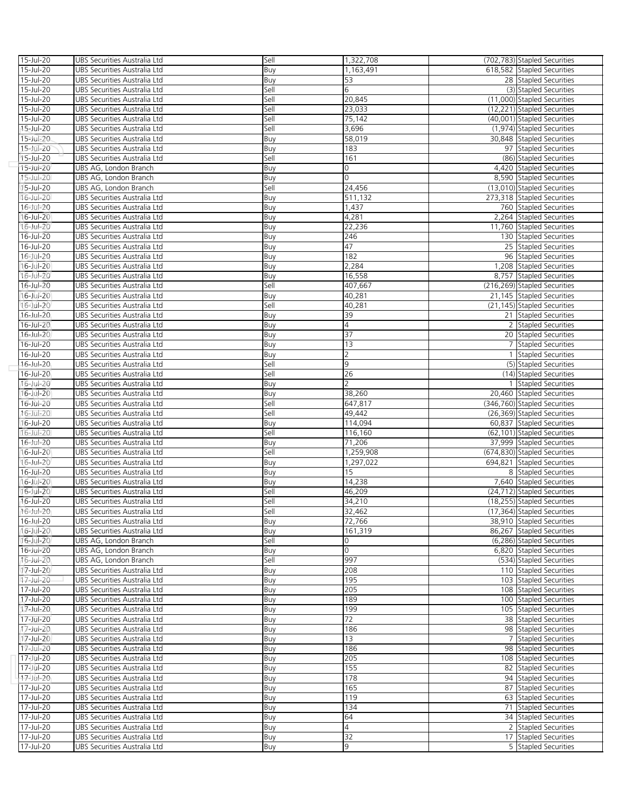| 15-Jul-20              | UBS Securities Australia Ltd | Sell        | 1,322,708          | (702,783) Stapled Securities                               |
|------------------------|------------------------------|-------------|--------------------|------------------------------------------------------------|
| 15-Jul-20              | UBS Securities Australia Ltd | Buy         | 1,163,491          | 618,582 Stapled Securities                                 |
| 15-Jul-20              | UBS Securities Australia Ltd | Buy         | 53                 | 28 Stapled Securities                                      |
| 15-Jul-20              | UBS Securities Australia Ltd | Sell        | 6                  | (3) Stapled Securities                                     |
| 15-Jul-20              | UBS Securities Australia Ltd | Sell        | 20,845             | (11,000) Stapled Securities                                |
| 15-Jul-20              | UBS Securities Australia Ltd | Sell        | 23,033             | (12,221) Stapled Securities                                |
| 15-Jul-20              | UBS Securities Australia Ltd | Sell        | 75,142             | (40,001) Stapled Securities                                |
| 15-Jul-20              | UBS Securities Australia Ltd | Sell        | 3,696              | (1,974) Stapled Securities                                 |
| 15-Jul-20              | UBS Securities Australia Ltd | Buy         | 58,019             | 30,848 Stapled Securities                                  |
| 15-Jul-20              | UBS Securities Australia Ltd | Buy         | 183                | 97 Stapled Securities                                      |
| 15-Jul-20              | UBS Securities Australia Ltd | Sell        | 161                | (86) Stapled Securities                                    |
| 15-Jul-20              | UBS AG, London Branch        | Buy         | 0                  | 4,420 Stapled Securities                                   |
| 15-Jul-20              | UBS AG, London Branch        | Buy         | 0                  | 8,590 Stapled Securities                                   |
| 15-Jul-20              | UBS AG, London Branch        | Sell        | 24,456             | (13,010) Stapled Securities                                |
| 16-Jul-20              | UBS Securities Australia Ltd | Buy         | 511,132            | 273,318 Stapled Securities                                 |
| 16-Jul-20              | UBS Securities Australia Ltd | Buy         | 1,437              | 760 Stapled Securities                                     |
| 16-Jul-20              | UBS Securities Australia Ltd | Buy         | 4,281              | 2,264 Stapled Securities                                   |
| 16-Jul-20              | UBS Securities Australia Ltd | Buy         | 22,236             | 11,760 Stapled Securities                                  |
| 16-Jul-20              | UBS Securities Australia Ltd | Buy         | 246                | 130 Stapled Securities                                     |
| 16-Jul-20              | UBS Securities Australia Ltd | Buy         | 47                 | 25 Stapled Securities                                      |
| 16-Jul-20              | UBS Securities Australia Ltd | Buy         | 182                | 96 Stapled Securities                                      |
| 16-Jul-20              | UBS Securities Australia Ltd | Buy         | 2,284              | 1,208 Stapled Securities                                   |
| 16-Jul-20              | UBS Securities Australia Ltd | Buy         | 16,558             | 8,757 Stapled Securities                                   |
| 16-Jul-20              | UBS Securities Australia Ltd | Sell        | 407,667            | (216,269) Stapled Securities                               |
| 16-Jul-20              | UBS Securities Australia Ltd | Buy         | 40,281             | 21,145 Stapled Securities                                  |
| 16-Jul-20              | UBS Securities Australia Ltd | Sell        | 40,281             | (21,145) Stapled Securities                                |
| 16-Jul-20              | UBS Securities Australia Ltd | Buy         | 39                 | 21 Stapled Securities                                      |
| 16-Jul-20              | UBS Securities Australia Ltd | Buy         | $\overline{4}$     | 2 Stapled Securities                                       |
| 16-Jul-20              | UBS Securities Australia Ltd | Buy         | 37                 | 20 Stapled Securities                                      |
| 16-Jul-20              | UBS Securities Australia Ltd | Buy         | 13                 | 7 Stapled Securities                                       |
| 16-Jul-20              | UBS Securities Australia Ltd |             | 2                  | 1 Stapled Securities                                       |
| 16-Jul-20              | UBS Securities Australia Ltd | Buy<br>Sell | 9                  | (5) Stapled Securities                                     |
| 16-Jul-20              | UBS Securities Australia Ltd | Sell        | 26                 | (14) Stapled Securities                                    |
| 16-Jul-20              | UBS Securities Australia Ltd |             | $\overline{2}$     | 1 Stapled Securities                                       |
|                        |                              | Buy         |                    | 20,460 Stapled Securities                                  |
| 16-Jul-20<br>16-Jul-20 | UBS Securities Australia Ltd | Buy         | 38,260<br>647,817  | (346,760) Stapled Securities                               |
|                        | UBS Securities Australia Ltd | Sell        |                    |                                                            |
| 16-Jul-20              | UBS Securities Australia Ltd | Sell        | 49,442             | (26,369) Stapled Securities                                |
| 16-Jul-20<br>16-Jul-20 | UBS Securities Australia Ltd | Buy<br>Sell | 114,094<br>116,160 | 60,837 Stapled Securities<br>(62,101) Stapled Securities   |
|                        | UBS Securities Australia Ltd |             |                    |                                                            |
| 16-Jul-20              | UBS Securities Australia Ltd | Buy         | 71,206             | 37,999 Stapled Securities                                  |
| 16-Jul-20<br>16-Jul-20 | UBS Securities Australia Ltd | Sell        | 1,259,908          | (674,830) Stapled Securities<br>694,821 Stapled Securities |
|                        | UBS Securities Australia Ltd | Buy         | 1,297,022<br>15    |                                                            |
| 16-Jul-20              | UBS Securities Australia Ltd | Buy         |                    | 8 Stapled Securities                                       |
| 16-Jul-20              | UBS Securities Australia Ltd | Buy         | 14,238             | 7,640 Stapled Securities                                   |
| 16-Jul-20              | UBS Securities Australia Ltd | Sell        | 46,209             | (24,712) Stapled Securities                                |
| 16-Jul-20              | UBS Securities Australia Ltd | Sell        | 34,210             | (18,255) Stapled Securities                                |
| 16-Jul-20              | UBS Securities Australia Ltd | Sell        | 32,462             | (17,364) Stapled Securities                                |
| 16-Jul-20              | UBS Securities Australia Ltd | Buy         | 72,766             | 38,910 Stapled Securities                                  |
| $16$ -Jul-20           | UBS Securities Australia Ltd | Buy         | 161.319            | 86.267 Stapled Securities                                  |
| 16-Jul-20              | UBS AG, London Branch        | Sell        | 0                  | (6,286) Stapled Securities                                 |
| 16-Jul-20              | UBS AG, London Branch        | Buy         | 0                  | 6,820 Stapled Securities                                   |
| 16-Jul-20              | UBS AG, London Branch        | Sell        | 997                | (534) Stapled Securities                                   |
| 17-Jul-20              | UBS Securities Australia Ltd | Buy         | 208                | 110 Stapled Securities                                     |
| 17-Jul-20              | UBS Securities Australia Ltd | Buy         | 195                | 103 Stapled Securities                                     |
| 17-Jul-20              | UBS Securities Australia Ltd | Buy         | 205                | 108 Stapled Securities                                     |
| 17-Jul-20              | UBS Securities Australia Ltd | Buy         | 189                | 100 Stapled Securities                                     |
| 17-Jul-20              | UBS Securities Australia Ltd | Buy         | 199                | 105 Stapled Securities                                     |
| 17-Jul-20              | UBS Securities Australia Ltd | Buy         | 72                 | 38 Stapled Securities                                      |
| 17-Jul-20              | UBS Securities Australia Ltd | Buy         | 186                | 98 Stapled Securities                                      |
| 17-Jul-20              | UBS Securities Australia Ltd | Buy         | 13                 | 7 Stapled Securities                                       |
| 17-Jul-20              | UBS Securities Australia Ltd | Buy         | 186                | 98 Stapled Securities                                      |
| 17-Jul-20              | UBS Securities Australia Ltd | Buy         | 205                | 108 Stapled Securities                                     |
| 17-Jul-20              | UBS Securities Australia Ltd | Buy         | 155                | 82 Stapled Securities                                      |
| 17-Jul-20              | UBS Securities Australia Ltd | Buy         | 178                | 94 Stapled Securities                                      |
| 17-Jul-20              | UBS Securities Australia Ltd | Buy         | 165                | 87 Stapled Securities                                      |
| 17-Jul-20              | UBS Securities Australia Ltd | Buy         | 119                | 63 Stapled Securities                                      |
| 17-Jul-20              | UBS Securities Australia Ltd | Buy         | 134                | 71 Stapled Securities                                      |
| 17-Jul-20              | UBS Securities Australia Ltd | Buy         | 64                 | 34 Stapled Securities                                      |
| 17-Jul-20              | UBS Securities Australia Ltd | Buy         | $\overline{4}$     | 2 Stapled Securities                                       |
| 17-Jul-20              | UBS Securities Australia Ltd | Buy         | 32                 | 17 Stapled Securities                                      |
| 17-Jul-20              | UBS Securities Australia Ltd | Buy         | 9                  | 5 Stapled Securities                                       |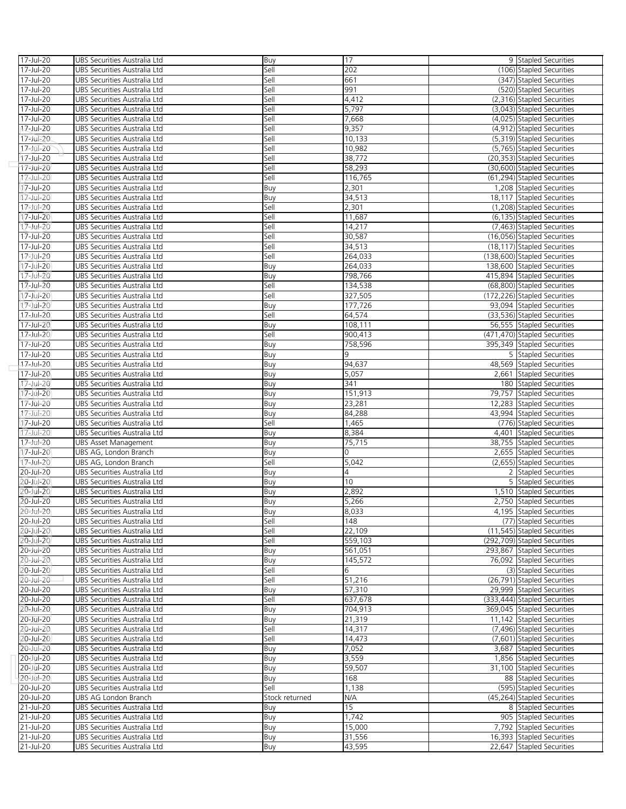| 17-Jul-20     | UBS Securities Australia Ltd | Buy            | 17      | 9 Stapled Securities         |
|---------------|------------------------------|----------------|---------|------------------------------|
| 17-Jul-20     | UBS Securities Australia Ltd | Sell           | 202     | (106) Stapled Securities     |
| 17-Jul-20     | UBS Securities Australia Ltd | Sell           | 661     | (347) Stapled Securities     |
| 17-Jul-20     | UBS Securities Australia Ltd | Sell           | 991     | (520) Stapled Securities     |
| 17-Jul-20     | UBS Securities Australia Ltd | Sell           | 4,412   | (2,316) Stapled Securities   |
| 17-Jul-20     | UBS Securities Australia Ltd | Sell           | 5,797   | (3,043) Stapled Securities   |
| 17-Jul-20     | UBS Securities Australia Ltd | Sell           | 7,668   | (4,025) Stapled Securities   |
| 17-Jul-20     | UBS Securities Australia Ltd | Sell           | 9,357   | (4,912) Stapled Securities   |
| 17-Jul-20     | UBS Securities Australia Ltd | Sell           | 10,133  | (5,319) Stapled Securities   |
| 17-Jul-20     | UBS Securities Australia Ltd | Sell           | 10,982  | (5,765) Stapled Securities   |
| 17-Jul-20     | UBS Securities Australia Ltd | Sell           | 38,772  | (20,353) Stapled Securities  |
| 17-Jul-20     | UBS Securities Australia Ltd | Sell           | 58,293  | (30,600) Stapled Securities  |
| 17-Jul-20     | UBS Securities Australia Ltd | Sell           | 116,765 | (61,294) Stapled Securities  |
| 17-Jul-20     | UBS Securities Australia Ltd | Buy            | 2,301   | 1,208 Stapled Securities     |
|               | UBS Securities Australia Ltd |                |         | 18,117 Stapled Securities    |
| 17-Jul-20     |                              | Buy            | 34,513  |                              |
| 17-Jul-20     | UBS Securities Australia Ltd | Sell           | 2,301   | (1,208) Stapled Securities   |
| 17-Jul-20     | UBS Securities Australia Ltd | Sell           | 11,687  | (6,135) Stapled Securities   |
| 17-Jul-20     | UBS Securities Australia Ltd | Sell           | 14,217  | (7,463) Stapled Securities   |
| 17-Jul-20     | UBS Securities Australia Ltd | Sell           | 30,587  | (16,056) Stapled Securities  |
| 17-Jul-20     | UBS Securities Australia Ltd | Sell           | 34,513  | (18,117) Stapled Securities  |
| 17-Jul-20     | UBS Securities Australia Ltd | Sell           | 264,033 | (138,600) Stapled Securities |
| 17-Jul-20     | UBS Securities Australia Ltd | Buy            | 264,033 | 138,600 Stapled Securities   |
| 17-Jul-20     | UBS Securities Australia Ltd | Buy            | 798,766 | 415,894 Stapled Securities   |
| 17-Jul-20     | UBS Securities Australia Ltd | Sell           | 134,538 | (68,800) Stapled Securities  |
| 17-Jul-20     | UBS Securities Australia Ltd | Sell           | 327,505 | (172,226) Stapled Securities |
| 17-Jul-20     | UBS Securities Australia Ltd | Buy            | 177,726 | 93,094 Stapled Securities    |
| 17-Jul-20     | UBS Securities Australia Ltd | Sell           | 64,574  | (33,536) Stapled Securities  |
| 17-Jul-20     | UBS Securities Australia Ltd | Buy            | 108,111 | 56,555 Stapled Securities    |
| 17-Jul-20     | UBS Securities Australia Ltd | Sell           | 900,413 | (471,470) Stapled Securities |
| 17-Jul-20     | UBS Securities Australia Ltd | Buy            | 758,596 | 395,349 Stapled Securities   |
| 17-Jul-20     | UBS Securities Australia Ltd | Buy            | 9       | 5 Stapled Securities         |
| 17-Jul-20     | UBS Securities Australia Ltd | Buy            | 94,637  | 48,569 Stapled Securities    |
| 17-Jul-20     | UBS Securities Australia Ltd | Buy            | 5,057   | 2,661 Stapled Securities     |
| 17-Jul-20     | UBS Securities Australia Ltd | Buy            | 341     | 180 Stapled Securities       |
| 17-Jul-20     | UBS Securities Australia Ltd | Buy            | 151,913 | 79,757 Stapled Securities    |
| 17-Jul-20     | UBS Securities Australia Ltd | Buy            | 23,281  | 12,283 Stapled Securities    |
| 17-Jul-20     | UBS Securities Australia Ltd |                | 84,288  | 43,994 Stapled Securities    |
|               |                              | Buy            |         |                              |
| 17-Jul-20     | UBS Securities Australia Ltd | Sell           | 1,465   | (776) Stapled Securities     |
| 17-Jul-20     | UBS Securities Australia Ltd | Buy            | 8,384   | 4,401 Stapled Securities     |
| 17-Jul-20     | UBS Asset Management         | Buy            | 75,715  | 38,755 Stapled Securities    |
| 17-Jul-20     | UBS AG, London Branch        | Buy            | 0       | 2,655 Stapled Securities     |
| 17-Jul-20     | UBS AG, London Branch        | Sell           | 5,042   | (2,655) Stapled Securities   |
| 20-Jul-20     | UBS Securities Australia Ltd | Buy            | 4       | 2 Stapled Securities         |
| 20-Jul-20     | UBS Securities Australia Ltd | Buy            | 10      | 5 Stapled Securities         |
| 20-Jul-20     | UBS Securities Australia Ltd | Buy            | 2,892   | 1.510 Stapled Securities     |
| 20-Jul-20     | UBS Securities Australia Ltd | Buy            | 5,266   | 2,750 Stapled Securities     |
| 20-Jul-20     | UBS Securities Australia Ltd | Buy            | 8,033   | 4,195 Stapled Securities     |
| 20-Jul-20     | UBS Securities Australia Ltd | Sell           | 148     | (77) Stapled Securities      |
| 20-Jul-20     | UBS Securities Australia Ltd | Sell           | 22,109  | (11,545) Stapled Securities  |
| 20-Jul-20     | UBS Securities Australia Ltd | Sell           | 559,103 | (292,709) Stapled Securities |
| 20-Jul-20     | UBS Securities Australia Ltd | Buy            | 561,051 | 293,867 Stapled Securities   |
| 20-Jul-20     | UBS Securities Australia Ltd | Buy            | 145,572 | 76,092 Stapled Securities    |
| 20-Jul-20     | UBS Securities Australia Ltd | Sell           | 6       | (3) Stapled Securities       |
| 20-Jul-20     | UBS Securities Australia Ltd | Sell           | 51,216  | (26,791) Stapled Securities  |
| 20-Jul-20     | UBS Securities Australia Ltd | Buy            | 57,310  | 29,999 Stapled Securities    |
| 20-Jul-20     | UBS Securities Australia Ltd | Sell           | 637,678 | (333,444) Stapled Securities |
| 20-Jul-20     | UBS Securities Australia Ltd | Buy            | 704,913 | 369,045 Stapled Securities   |
| 20-Jul-20     | UBS Securities Australia Ltd | Buy            | 21,319  | 11,142 Stapled Securities    |
| 20-Jul-20     | UBS Securities Australia Ltd | Sell           | 14,317  | (7,496) Stapled Securities   |
| 20-Jul-20     | UBS Securities Australia Ltd | Sell           | 14,473  | (7,601) Stapled Securities   |
| 20-Jul-20     | UBS Securities Australia Ltd | Buy            | 7,052   | 3,687 Stapled Securities     |
| 20-Jul-20     | UBS Securities Australia Ltd | Buy            | 3,559   | 1,856 Stapled Securities     |
| $20 -$ Jul-20 | UBS Securities Australia Ltd | Buy            | 59,507  | 31,100 Stapled Securities    |
| 20-Jul-20     | UBS Securities Australia Ltd | Buy            | 168     | 88 Stapled Securities        |
| 20-Jul-20     | UBS Securities Australia Ltd | Sell           | 1,138   | (595) Stapled Securities     |
| 20-Jul-20     | UBS AG London Branch         | Stock returned | N/A     | (45,264) Stapled Securities  |
| 21-Jul-20     |                              |                | 15      |                              |
|               | UBS Securities Australia Ltd | Buy            |         | 8 Stapled Securities         |
| 21-Jul-20     | UBS Securities Australia Ltd | Buy            | 1,742   | 905 Stapled Securities       |
| 21-Jul-20     | UBS Securities Australia Ltd | Buy            | 15,000  | 7,792 Stapled Securities     |
| 21-Jul-20     | UBS Securities Australia Ltd | Buy            | 31,556  | 16,393 Stapled Securities    |
| 21-Jul-20     | UBS Securities Australia Ltd | Buy            | 43,595  | 22,647 Stapled Securities    |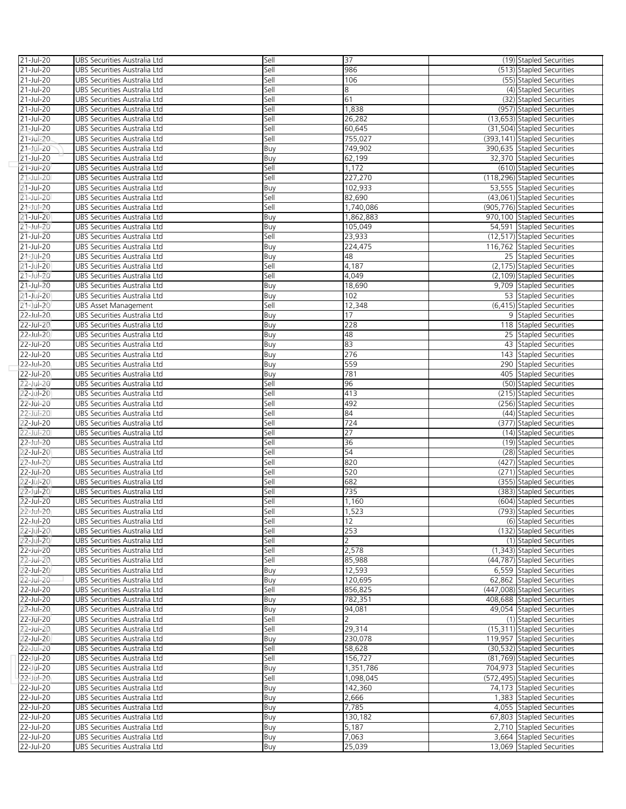| 21-Jul-20              | UBS Securities Australia Ltd | Sell        | 37             | (19) Stapled Securities      |
|------------------------|------------------------------|-------------|----------------|------------------------------|
| 21-Jul-20              | UBS Securities Australia Ltd | Sell        | 986            | (513) Stapled Securities     |
| 21-Jul-20              | UBS Securities Australia Ltd | Sell        | 106            | (55) Stapled Securities      |
| 21-Jul-20              | UBS Securities Australia Ltd | Sell        | 8              | (4) Stapled Securities       |
| 21-Jul-20              | UBS Securities Australia Ltd | Sell        | 61             | (32) Stapled Securities      |
| 21-Jul-20              | UBS Securities Australia Ltd | Sell        | 1,838          | (957) Stapled Securities     |
| 21-Jul-20              | UBS Securities Australia Ltd | Sell        | 26,282         | (13,653) Stapled Securities  |
| 21-Jul-20              | UBS Securities Australia Ltd | Sell        | 60,645         | (31,504) Stapled Securities  |
| $21 - Jul - 20$        | UBS Securities Australia Ltd | Sell        | 755,027        | (393,141) Stapled Securities |
| $21 - Ju - 20$         | UBS Securities Australia Ltd | Buy         | 749,902        | 390,635 Stapled Securities   |
| 21-Jul-20              | UBS Securities Australia Ltd | Buy         | 62,199         | 32,370 Stapled Securities    |
|                        |                              |             |                | (610) Stapled Securities     |
| 21-Jul-20              | UBS Securities Australia Ltd | Sell        | 1,172          |                              |
| 21-Jul-20              | UBS Securities Australia Ltd | Sell        | 227,270        | (118,296) Stapled Securities |
| 21-Jul-20              | UBS Securities Australia Ltd | Buy         | 102,933        | 53,555 Stapled Securities    |
| 21-Jul-20              | UBS Securities Australia Ltd | Sell        | 82,690         | (43,061) Stapled Securities  |
| 21-Jul-20              | UBS Securities Australia Ltd | Sell        | 1,740,086      | (905,776) Stapled Securities |
| 21-Jul-20              | UBS Securities Australia Ltd | Buy         | 1,862,883      | 970,100 Stapled Securities   |
| 21-Jul-20              | UBS Securities Australia Ltd | Buy         | 105,049        | 54,591 Stapled Securities    |
| 21-Jul-20              | UBS Securities Australia Ltd | Sell        | 23,933         | (12,517) Stapled Securities  |
| 21-Jul-20              | UBS Securities Australia Ltd | Buy         | 224,475        | 116,762 Stapled Securities   |
| 21-Jul-20              | UBS Securities Australia Ltd | Buy         | 48             | 25 Stapled Securities        |
| $21$ -Jul-20           | UBS Securities Australia Ltd | Sell        | 4,187          | (2,175) Stapled Securities   |
| 21-Jul-20              | UBS Securities Australia Ltd | Sell        | 4,049          | (2,109) Stapled Securities   |
| 21-Jul-20              | UBS Securities Australia Ltd | Buy         | 18,690         | 9,709 Stapled Securities     |
| 21-Jul-20              | UBS Securities Australia Ltd | Buy         | 102            | 53 Stapled Securities        |
| 21-Jul-20              | UBS Asset Management         | Sell        | 12,348         | (6,415) Stapled Securities   |
| $22$ -Jul-20           | UBS Securities Australia Ltd | Buy         | 17             | 9 Stapled Securities         |
| 22-Jul-20              | UBS Securities Australia Ltd | Buy         | 228            | 118 Stapled Securities       |
| 22-Jul-20              | UBS Securities Australia Ltd | Buy         | 48             | 25 Stapled Securities        |
| 22-Jul-20              | UBS Securities Australia Ltd | Buy         | 83             | 43 Stapled Securities        |
| 22-Jul-20              | UBS Securities Australia Ltd | Buy         | 276            | 143 Stapled Securities       |
| 22-Jul-20              | UBS Securities Australia Ltd | Buy         | 559            | 290 Stapled Securities       |
| 22-Jul-20              | UBS Securities Australia Ltd | Buy         | 781            | 405 Stapled Securities       |
| 22-Jul-20              | UBS Securities Australia Ltd | Sell        | 96             | (50) Stapled Securities      |
| 22-Jul-20              | UBS Securities Australia Ltd | Sell        | 413            | (215) Stapled Securities     |
| 22-Jul-20              | UBS Securities Australia Ltd | Sell        | 492            | (256) Stapled Securities     |
| $22 -$ Jul-20          | UBS Securities Australia Ltd | Sell        | 84             | (44) Stapled Securities      |
| 22-Jul-20              | UBS Securities Australia Ltd | Sell        | 724            | (377) Stapled Securities     |
| 22-Jul-20              | UBS Securities Australia Ltd | Sell        | 27             | (14) Stapled Securities      |
| 22-Jul-20              | UBS Securities Australia Ltd | Sell        | 36             | (19) Stapled Securities      |
| 22-Jul-20              | UBS Securities Australia Ltd | Sell        | 54             | (28) Stapled Securities      |
| 22-Jul-20              | UBS Securities Australia Ltd | Sell        | 820            | (427) Stapled Securities     |
| 22-Jul-20              | UBS Securities Australia Ltd | Sell        | 520            | (271) Stapled Securities     |
| 22-Jul-20              | UBS Securities Australia Ltd | Sell        | 682            | (355) Stapled Securities     |
| 22-Jul-20              | UBS Securities Australia Ltd | Sell        | 735            | (383) Stapled Securities     |
| 22-Jul-20              | UBS Securities Australia Ltd | Sell        | 1,160          | (604) Stapled Securities     |
| 22-Jul-20              | UBS Securities Australia Ltd | Sell        | 1,523          | (793) Stapled Securities     |
| 22-Jul-20              | UBS Securities Australia Ltd | Sell        | 12             | (6) Stapled Securities       |
| 22-Jul-20              | UBS Securities Australia Ltd | Sell        | 253            | (132) Stapled Securities     |
| 22-Jul-20              | UBS Securities Australia Ltd | Sell        | $\overline{2}$ | (1) Stapled Securities       |
| 22-Jul-20              | UBS Securities Australia Ltd | Sell        | 2,578          | (1,343) Stapled Securities   |
| 22-Jul-20              | UBS Securities Australia Ltd | Sell        | 85,988         | (44,787) Stapled Securities  |
| 22-Jul-20              | UBS Securities Australia Ltd | Buy         | 12,593         | 6,559 Stapled Securities     |
| 22-Jul-20              | UBS Securities Australia Ltd | Buy         | 120,695        | 62,862 Stapled Securities    |
| 22-Jul-20              | UBS Securities Australia Ltd | Sell        | 856,825        | (447,008) Stapled Securities |
| 22-Jul-20              | UBS Securities Australia Ltd | Buy         | 782,351        | 408,688 Stapled Securities   |
| 22-Jul-20              | UBS Securities Australia Ltd | Buy         | 94,081         | 49,054 Stapled Securities    |
| 22-Jul-20              | UBS Securities Australia Ltd | Sell        | 2              | (1) Stapled Securities       |
| $22$ -Jul-20           | UBS Securities Australia Ltd | Sell        | 29,314         | (15,311) Stapled Securities  |
| 22-Jul-20              | UBS Securities Australia Ltd | Buy         | 230.078        | 119,957 Stapled Securities   |
| 22-Jul-20              | UBS Securities Australia Ltd | Sell        | 58,628         | (30,532) Stapled Securities  |
| 22-Jul-20              | UBS Securities Australia Ltd | Sell        | 156,727        | (81,769) Stapled Securities  |
| 22-Jul-20              | UBS Securities Australia Ltd |             | 1,351,786      | 704,973 Stapled Securities   |
| 22-Jul-20              | UBS Securities Australia Ltd | Buy<br>Sell | 1,098,045      | (572,495) Stapled Securities |
| 22-Jul-20              | UBS Securities Australia Ltd | Buy         | 142,360        | 74,173 Stapled Securities    |
| 22-Jul-20              | UBS Securities Australia Ltd | Buy         | 2,666          | 1,383 Stapled Securities     |
| 22-Jul-20              | UBS Securities Australia Ltd |             | 7,785          | 4,055 Stapled Securities     |
|                        | UBS Securities Australia Ltd | Buy         | 130,182        | 67,803 Stapled Securities    |
| 22-Jul-20<br>22-Jul-20 | UBS Securities Australia Ltd | Buy<br>Buy  | 5,187          | 2,710 Stapled Securities     |
| 22-Jul-20              | UBS Securities Australia Ltd |             | 7,063          | 3,664 Stapled Securities     |
| $22$ -Jul-20           |                              | Buy         |                | 13,069 Stapled Securities    |
|                        | UBS Securities Australia Ltd | Buy         | 25,039         |                              |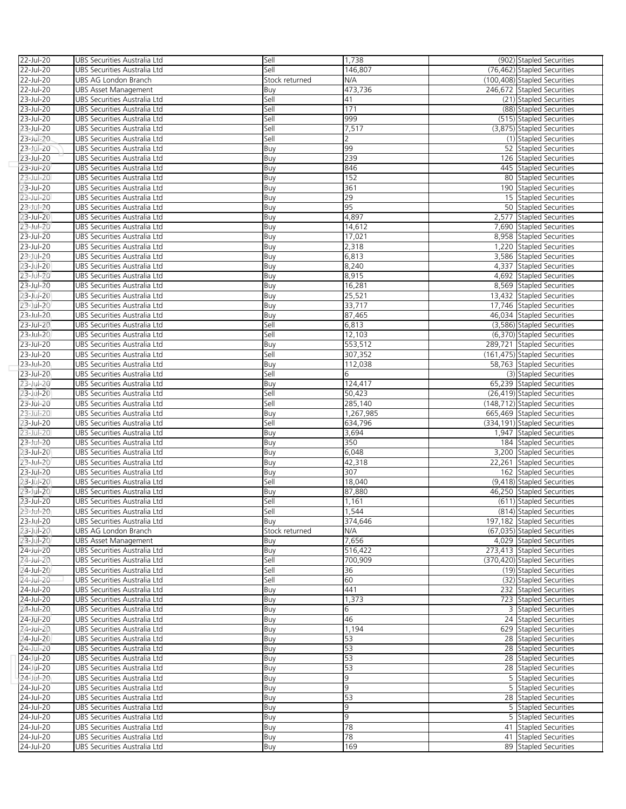| 22-Jul-20              | UBS Securities Australia Ltd                                 | Sell           | 1,738     | (902) Stapled Securities                       |
|------------------------|--------------------------------------------------------------|----------------|-----------|------------------------------------------------|
| 22-Jul-20              | UBS Securities Australia Ltd                                 | Sell           | 146,807   | (76,462) Stapled Securities                    |
| 22-Jul-20              | UBS AG London Branch                                         | Stock returned | N/A       | (100,408) Stapled Securities                   |
| 22-Jul-20              | <b>UBS Asset Management</b>                                  | Buy            | 473,736   | 246,672 Stapled Securities                     |
| 23-Jul-20              | UBS Securities Australia Ltd                                 | Sell           | 41        | (21) Stapled Securities                        |
| 23-Jul-20              | UBS Securities Australia Ltd                                 | Sell           | 171       | (88) Stapled Securities                        |
| 23-Jul-20              | UBS Securities Australia Ltd                                 | Sell           | 999       | (515) Stapled Securities                       |
| 23-Jul-20              | UBS Securities Australia Ltd                                 | Sell           | 7,517     | (3,875) Stapled Securities                     |
| 23-Jul-20              | UBS Securities Australia Ltd                                 | Sell           | 2         | (1) Stapled Securities                         |
| 23-Jul-20              | UBS Securities Australia Ltd                                 | Buy            | 99        | 52 Stapled Securities                          |
| 23-Jul-20              | UBS Securities Australia Ltd                                 | Buy            | 239       | 126 Stapled Securities                         |
| 23-Jul-20              | UBS Securities Australia Ltd                                 | Buy            | 846       | 445 Stapled Securities                         |
| 23-Jul-20              | UBS Securities Australia Ltd                                 | Buy            | 152       | 80 Stapled Securities                          |
| 23-Jul-20              | UBS Securities Australia Ltd                                 | Buy            | 361       | 190 Stapled Securities                         |
| 23-Jul-20              | UBS Securities Australia Ltd                                 | Buy            | 29        | 15 Stapled Securities                          |
| 23-Jul-20              | UBS Securities Australia Ltd                                 | Buy            | 95        | 50 Stapled Securities                          |
| 23-Jul-20              | UBS Securities Australia Ltd                                 | Buy            | 4,897     | 2,577 Stapled Securities                       |
| 23-Jul-20              | UBS Securities Australia Ltd                                 | Buy            | 14,612    | 7,690 Stapled Securities                       |
| 23-Jul-20              | UBS Securities Australia Ltd                                 | Buy            | 17,021    | 8,958 Stapled Securities                       |
| 23-Jul-20              | UBS Securities Australia Ltd                                 | Buy            | 2,318     | 1,220 Stapled Securities                       |
| 23-Jul-20              | UBS Securities Australia Ltd                                 | Buy            | 6,813     | 3,586 Stapled Securities                       |
| 23-Jul-20              | UBS Securities Australia Ltd                                 | Buy            | 8,240     | 4,337 Stapled Securities                       |
| 23-Jul-20              | UBS Securities Australia Ltd                                 | Buy            | 8,915     | 4,692 Stapled Securities                       |
| 23-Jul-20              | UBS Securities Australia Ltd                                 | Buy            | 16,281    | 8,569 Stapled Securities                       |
| 23-Jul-20              | UBS Securities Australia Ltd                                 | Buy            | 25,521    | 13,432 Stapled Securities                      |
| 23-Jul-20              | UBS Securities Australia Ltd                                 | Buy            | 33,717    | 17,746 Stapled Securities                      |
| 23-Jul-20              | UBS Securities Australia Ltd                                 | Buy            | 87,465    | 46,034 Stapled Securities                      |
| 23-Jul-20              | UBS Securities Australia Ltd                                 | Sell           | 6,813     | (3,586) Stapled Securities                     |
| 23-Jul-20              | UBS Securities Australia Ltd                                 | Sell           | 12,103    | (6,370) Stapled Securities                     |
| 23-Jul-20              | UBS Securities Australia Ltd                                 | Buy            | 553,512   | 289,721 Stapled Securities                     |
| 23-Jul-20              | UBS Securities Australia Ltd                                 | Sell           | 307,352   | (161,475) Stapled Securities                   |
| 23-Jul-20              | UBS Securities Australia Ltd                                 | Buy            | 112,038   | 58,763 Stapled Securities                      |
| 23-Jul-20              | UBS Securities Australia Ltd                                 | Sell           | 6         | (3) Stapled Securities                         |
| 23-Jul-20              | UBS Securities Australia Ltd                                 | Buy            | 124,417   | 65,239 Stapled Securities                      |
| 23-Jul-20              | UBS Securities Australia Ltd                                 | Sell           | 50,423    | (26,419) Stapled Securities                    |
|                        |                                                              |                |           |                                                |
| 23-Jul-20              | UBS Securities Australia Ltd                                 | Sell           | 285,140   | (148,712) Stapled Securities                   |
| 23-Jul-20              | UBS Securities Australia Ltd                                 | Buy            | 1,267,985 | 665,469 Stapled Securities                     |
| 23-Jul-20              | UBS Securities Australia Ltd                                 | Sell           | 634,796   | (334,191) Stapled Securities                   |
| 23-Jul-20              | UBS Securities Australia Ltd                                 | Buy            | 3,694     | 1,947 Stapled Securities                       |
| 23-Jul-20              | UBS Securities Australia Ltd                                 | Buy            | 350       | 184 Stapled Securities                         |
| 23-Jul-20              | UBS Securities Australia Ltd                                 | Buy            | 6,048     | 3,200 Stapled Securities                       |
| 23-Jul-20              | UBS Securities Australia Ltd                                 | Buy            | 42,318    | 22,261 Stapled Securities                      |
| 23-Jul-20              | UBS Securities Australia Ltd                                 | Buy            | 307       | 162 Stapled Securities                         |
| 23-Jul-20              | UBS Securities Australia Ltd                                 | Sell           | 18,040    | (9,418) Stapled Securities                     |
| 23-Jul-20              | UBS Securities Australia Ltd                                 | Buy            | 87,880    | 46,250 Stapled Securities                      |
| 23-Jul-20              | UBS Securities Australia Ltd                                 | Sell           | 1,161     | (611) Stapled Securities                       |
| 23-Jul-20              | UBS Securities Australia Ltd                                 | Sell           | 1.544     | (814) Stapled Securities                       |
| 23-Jul-20              | UBS Securities Australia Ltd                                 | Buy            | 374,646   | 197,182 Stapled Securities                     |
| 23-Jul-20              | UBS AG London Branch                                         | Stock returned | N/A       | (67.035) Stapled Securities                    |
| 23-Jul-20              | UBS Asset Management                                         | Buy            | 7,656     | 4,029 Stapled Securities                       |
| 24-Jul-20              | UBS Securities Australia Ltd                                 | Buy            | 516,422   | 273,413 Stapled Securities                     |
| 24-Jul-20              | UBS Securities Australia Ltd                                 | Sell           | 700,909   | (370,420) Stapled Securities                   |
| 24-Jul-20              | UBS Securities Australia Ltd                                 | Sell           | 36        | (19) Stapled Securities                        |
| 24-Jul-20              | UBS Securities Australia Ltd                                 | Sell           | 60        | (32) Stapled Securities                        |
| 24-Jul-20              | UBS Securities Australia Ltd                                 | Buy            | 441       | 232 Stapled Securities                         |
| 24-Jul-20              | UBS Securities Australia Ltd                                 | Buy            | 1,373     | 723 Stapled Securities                         |
| 24-Jul-20              | UBS Securities Australia Ltd                                 | Buy            | 6         | 3 Stapled Securities                           |
| 24-Jul-20              | UBS Securities Australia Ltd                                 | Buy            | 46        | 24 Stapled Securities                          |
| 24-Jul-20              | UBS Securities Australia Ltd                                 | Buy            | 1,194     | 629 Stapled Securities                         |
| 24-Jul-20              | UBS Securities Australia Ltd                                 | Buy            | 53        | 28 Stapled Securities                          |
| 24-Jul-20              | UBS Securities Australia Ltd                                 | Buy            | 53        | 28 Stapled Securities                          |
| 24-Jul-20              | UBS Securities Australia Ltd                                 | Buy            | 53        | 28 Stapled Securities                          |
| 24-Jul-20              | UBS Securities Australia Ltd                                 | Buy            | 53        | 28 Stapled Securities                          |
| 24-Jul-20              | UBS Securities Australia Ltd                                 | Buy            | 9         | 5 Stapled Securities                           |
| 24-Jul-20              | UBS Securities Australia Ltd                                 | Buy            | 9         | 5 Stapled Securities                           |
| 24-Jul-20              | UBS Securities Australia Ltd                                 | Buy            | 53        | 28 Stapled Securities                          |
| 24-Jul-20              | UBS Securities Australia Ltd                                 | Buy            | 9         | 5 Stapled Securities                           |
| 24-Jul-20              | UBS Securities Australia Ltd                                 | Buy            | 9         | 5 Stapled Securities                           |
| 24-Jul-20              | UBS Securities Australia Ltd                                 | Buy            | 78        | 41 Stapled Securities                          |
| 24-Jul-20<br>24-Jul-20 | UBS Securities Australia Ltd<br>UBS Securities Australia Ltd | Buy            | 78<br>169 | 41 Stapled Securities<br>89 Stapled Securities |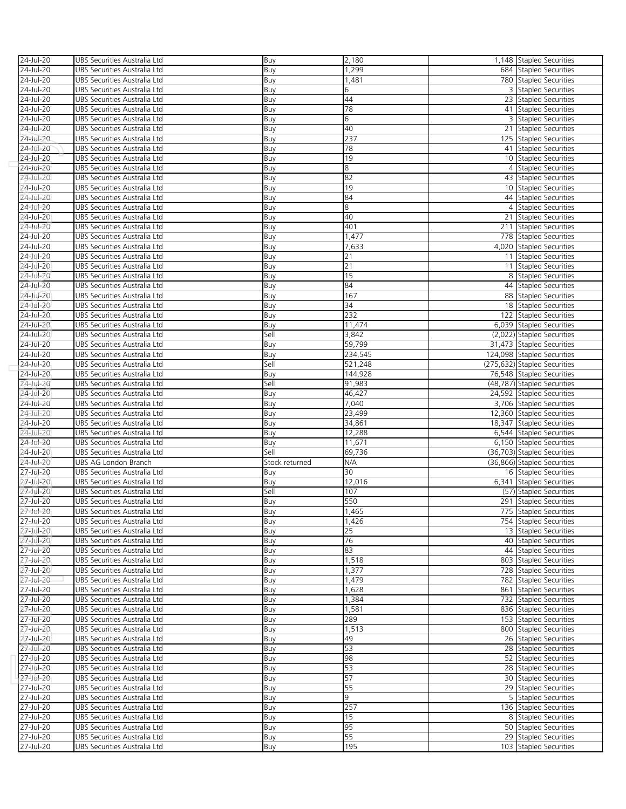| 24-Jul-20              | UBS Securities Australia Ltd                                 | Buy            | 2,180     | 1,148 Stapled Securities                        |
|------------------------|--------------------------------------------------------------|----------------|-----------|-------------------------------------------------|
| 24-Jul-20              | UBS Securities Australia Ltd                                 | Buy            | 1,299     | 684 Stapled Securities                          |
| 24-Jul-20              | UBS Securities Australia Ltd                                 | Buy            | 1,481     | 780 Stapled Securities                          |
| 24-Jul-20              | UBS Securities Australia Ltd                                 | Buy            | 6         | 3 Stapled Securities                            |
| 24-Jul-20              | UBS Securities Australia Ltd                                 | Buy            | 44        | 23 Stapled Securities                           |
| 24-Jul-20              | UBS Securities Australia Ltd                                 | Buy            | 78        | 41 Stapled Securities                           |
| 24-Jul-20              | UBS Securities Australia Ltd                                 | Buy            | 6         | 3 Stapled Securities                            |
| 24-Jul-20              | UBS Securities Australia Ltd                                 | Buy            | 40        | 21 Stapled Securities                           |
| 24-Jul-20              | UBS Securities Australia Ltd                                 | Buy            | 237       | 125 Stapled Securities                          |
| 24-Jul-20              | UBS Securities Australia Ltd                                 | Buy            | 78        | 41 Stapled Securities                           |
| 24-Jul-20              | UBS Securities Australia Ltd                                 | Buy            | 19        | 10 Stapled Securities                           |
| 24-Jul-20              | UBS Securities Australia Ltd                                 | Buy            | 8         | 4 Stapled Securities                            |
| 24-Jul-20              | UBS Securities Australia Ltd                                 | Buy            | 82        | 43 Stapled Securities                           |
| 24-Jul-20              | UBS Securities Australia Ltd                                 | Buy            | 19        | 10 Stapled Securities                           |
| 24-Jul-20              | UBS Securities Australia Ltd                                 | Buy            | 84        | 44 Stapled Securities                           |
| 24-Jul-20              | UBS Securities Australia Ltd                                 | Buy            | 8         | 4 Stapled Securities                            |
| 24-Jul-20              | UBS Securities Australia Ltd                                 | Buy            | 40        | 21 Stapled Securities                           |
| 24-Jul-20              | UBS Securities Australia Ltd                                 | Buy            | 401       | 211 Stapled Securities                          |
| 24-Jul-20              | UBS Securities Australia Ltd                                 | Buy            | 1,477     | 778 Stapled Securities                          |
| 24-Jul-20              | UBS Securities Australia Ltd                                 | Buy            | 7,633     | 4,020 Stapled Securities                        |
| 24-Jul-20              | UBS Securities Australia Ltd                                 | Buy            | 21        | 11 Stapled Securities                           |
| 24-Jul-20              | UBS Securities Australia Ltd                                 | Buy            | 21        | 11 Stapled Securities                           |
| 24-Jul-20              | UBS Securities Australia Ltd                                 | Buy            | 15        | 8 Stapled Securities                            |
| 24-Jul-20              | UBS Securities Australia Ltd                                 | Buy            | 84        | 44 Stapled Securities                           |
| 24-Jul-20              | UBS Securities Australia Ltd                                 | Buy            | 167       | 88 Stapled Securities                           |
| 24-Jul-20              | UBS Securities Australia Ltd                                 | Buy            | 34        | 18 Stapled Securities                           |
| 24-Jul-20              | UBS Securities Australia Ltd                                 | Buy            | 232       | 122 Stapled Securities                          |
| 24-Jul-20              | UBS Securities Australia Ltd                                 | Buy            | 11,474    | 6,039 Stapled Securities                        |
| 24-Jul-20              | UBS Securities Australia Ltd                                 | Sell           | 3,842     | (2,022) Stapled Securities                      |
| 24-Jul-20              | UBS Securities Australia Ltd                                 | Buy            | 59,799    | 31,473 Stapled Securities                       |
| 24-Jul-20              | UBS Securities Australia Ltd                                 | Buy            | 234,545   | 124,098 Stapled Securities                      |
| 24-Jul-20              | UBS Securities Australia Ltd                                 | Sell           | 521,248   | (275,632) Stapled Securities                    |
| 24-Jul-20              | UBS Securities Australia Ltd                                 | Buy            | 144,928   | 76,548 Stapled Securities                       |
| 24-Jul-20              | UBS Securities Australia Ltd                                 | Sell           | 91,983    | (48,787) Stapled Securities                     |
| 24-Jul-20              | UBS Securities Australia Ltd                                 | Buy            | 46,427    | 24,592 Stapled Securities                       |
| 24-Jul-20              | UBS Securities Australia Ltd                                 | Buy            | 7,040     | 3,706 Stapled Securities                        |
| 24-Jul-20              | UBS Securities Australia Ltd                                 | Buy            | 23,499    | 12,360 Stapled Securities                       |
| 24-Jul-20              | UBS Securities Australia Ltd                                 | Buy            | 34,861    | 18,347 Stapled Securities                       |
| 24-Jul-20              | UBS Securities Australia Ltd                                 | Buy            | 12,288    | 6,544 Stapled Securities                        |
| 24-Jul-20              | UBS Securities Australia Ltd                                 | Buy            | 11,671    | 6,150 Stapled Securities                        |
| 24-Jul-20              | UBS Securities Australia Ltd                                 | Sell           | 69,736    | (36,703) Stapled Securities                     |
|                        |                                                              |                |           |                                                 |
| 24-Jul-20              | UBS AG London Branch                                         | Stock returned | N/A       | (36,866) Stapled Securities                     |
| 27-Jul-20              | UBS Securities Australia Ltd                                 | Buy            | 30        | 16 Stapled Securities                           |
| 27-Jul-20              | UBS Securities Australia Ltd                                 | Buy            | 12,016    | 6,341 Stapled Securities                        |
| 27-Jul-20              | UBS Securities Australia Ltd                                 | Sell           | 107       | (57) Stapled Securities                         |
| 27-Jul-20              | UBS Securities Australia Ltd                                 | Buy            | 550       | 291 Stapled Securities                          |
| 27-Jul-20              | UBS Securities Australia Ltd                                 | Buv            | 1.465     | 775 Stapled Securities                          |
| 27-Jul-20              | UBS Securities Australia Ltd                                 | Buy            | 1,426     | 754 Stapled Securities                          |
| 27-Jul-20              | UBS Securities Australia Ltd                                 | Buy            | 25        | 13 Stapled Securities                           |
| 27-Jul-20              | UBS Securities Australia Ltd                                 | Buy            | 76        | 40 Stapled Securities                           |
| 27-Jul-20              | UBS Securities Australia Ltd                                 | Buy            | 83        | 44 Stapled Securities                           |
| 27-Jul-20              | UBS Securities Australia Ltd                                 | Buy            | 1,518     | 803 Stapled Securities                          |
| 27-Jul-20              | UBS Securities Australia Ltd                                 | Buy            | 1,377     | 728 Stapled Securities                          |
| 27-Jul-20              | UBS Securities Australia Ltd                                 | Buy            | 1,479     | 782 Stapled Securities                          |
| 27-Jul-20              | UBS Securities Australia Ltd                                 | Buy            | 1,628     | 861 Stapled Securities                          |
| 27-Jul-20              | UBS Securities Australia Ltd                                 | Buy            | 1,384     | 732 Stapled Securities                          |
| 27-Jul-20              | UBS Securities Australia Ltd                                 | Buy            | 1,581     | 836 Stapled Securities                          |
| 27-Jul-20              | UBS Securities Australia Ltd                                 | Buy            | 289       | 153 Stapled Securities                          |
| 27-Jul-20              | UBS Securities Australia Ltd                                 | Buy            | 1,513     | 800 Stapled Securities                          |
| 27-Jul-20              | UBS Securities Australia Ltd                                 | Buy            | 49        | 26 Stapled Securities                           |
| 27-Jul-20              | UBS Securities Australia Ltd                                 | Buy            | 53        | 28 Stapled Securities                           |
| 27-Jul-20              | UBS Securities Australia Ltd                                 | Buy            | 98        | 52 Stapled Securities                           |
| 27-Jul-20              | UBS Securities Australia Ltd                                 | Buy            | 53        | 28 Stapled Securities                           |
| 27-Jul-20              | UBS Securities Australia Ltd                                 | Buy            | 57        | 30 Stapled Securities                           |
| 27-Jul-20              | UBS Securities Australia Ltd                                 | Buy            | 55        | 29 Stapled Securities                           |
| 27-Jul-20              | UBS Securities Australia Ltd                                 | Buy            | 9         | 5 Stapled Securities                            |
| 27-Jul-20              | UBS Securities Australia Ltd                                 | Buy            | 257       | 136 Stapled Securities                          |
| 27-Jul-20              | UBS Securities Australia Ltd                                 | Buy            | 15        | 8 Stapled Securities                            |
| 27-Jul-20              | UBS Securities Australia Ltd                                 | Buy            | 95        | 50 Stapled Securities                           |
| 27-Jul-20<br>27-Jul-20 | UBS Securities Australia Ltd<br>UBS Securities Australia Ltd | Buy<br>Buy     | 55<br>195 | 29 Stapled Securities<br>103 Stapled Securities |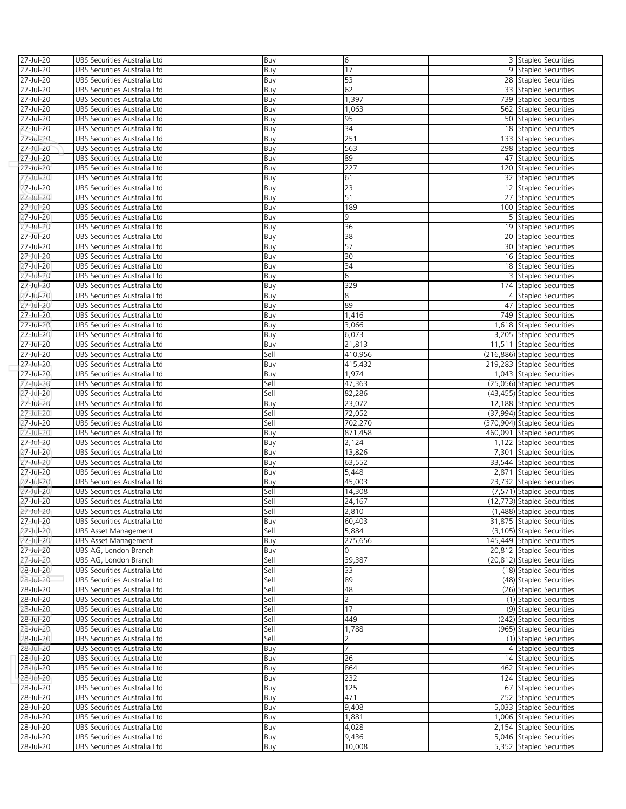| 27-Jul-20     | UBS Securities Australia Ltd | Buy  | 6               | 3 Stapled Securities         |
|---------------|------------------------------|------|-----------------|------------------------------|
| 27-Jul-20     | UBS Securities Australia Ltd | Buy  | 17              | 9 Stapled Securities         |
| 27-Jul-20     | UBS Securities Australia Ltd | Buy  | 53              | 28 Stapled Securities        |
| 27-Jul-20     | UBS Securities Australia Ltd | Buy  | 62              | 33 Stapled Securities        |
| 27-Jul-20     | UBS Securities Australia Ltd | Buy  | 1,397           | 739 Stapled Securities       |
| 27-Jul-20     | UBS Securities Australia Ltd | Buy  | 1,063           | 562 Stapled Securities       |
| 27-Jul-20     | UBS Securities Australia Ltd | Buy  | 95              | 50 Stapled Securities        |
| 27-Jul-20     | UBS Securities Australia Ltd | Buy  | 34              | 18 Stapled Securities        |
| 27-Jul-20     | UBS Securities Australia Ltd |      | 251             | 133 Stapled Securities       |
|               |                              | Buy  | 563             | 298 Stapled Securities       |
| 27-Jul-20     | UBS Securities Australia Ltd | Buy  | 89              |                              |
| 27-Jul-20     | UBS Securities Australia Ltd | Buy  |                 | 47 Stapled Securities        |
| 27-Jul-20     | UBS Securities Australia Ltd | Buy  | 227             | 120 Stapled Securities       |
| 27-Jul-20     | UBS Securities Australia Ltd | Buy  | 61              | 32 Stapled Securities        |
| 27-Jul-20     | UBS Securities Australia Ltd | Buy  | 23              | 12 Stapled Securities        |
| 27-Jul-20     | UBS Securities Australia Ltd | Buy  | 51              | 27 Stapled Securities        |
| 27-Jul-20     | UBS Securities Australia Ltd | Buy  | 189             | 100 Stapled Securities       |
| 27-Jul-20     | UBS Securities Australia Ltd | Buy  | 9               | 5 Stapled Securities         |
| 27-Jul-20     | UBS Securities Australia Ltd | Buy  | 36              | 19 Stapled Securities        |
| 27-Jul-20     | UBS Securities Australia Ltd | Buy  | 38              | 20 Stapled Securities        |
| 27-Jul-20     | UBS Securities Australia Ltd | Buy  | 57              | 30 Stapled Securities        |
| 27-Jul-20     | UBS Securities Australia Ltd | Buy  | 30              | 16 Stapled Securities        |
| 27-Jul-20     | UBS Securities Australia Ltd | Buy  | 34              | 18 Stapled Securities        |
| 27-Jul-20     | UBS Securities Australia Ltd | Buy  | 6               | 3 Stapled Securities         |
| 27-Jul-20     | UBS Securities Australia Ltd | Buy  | 329             | 174 Stapled Securities       |
| 27-Jul-20     | UBS Securities Australia Ltd | Buy  | 8               | 4 Stapled Securities         |
| 27-Jul-20     | UBS Securities Australia Ltd | Buy  | 89              | 47 Stapled Securities        |
| 27-Jul-20     | UBS Securities Australia Ltd | Buy  | 1,416           | 749 Stapled Securities       |
| 27-Jul-20     | UBS Securities Australia Ltd | Buy  | 3,066           | 1,618 Stapled Securities     |
| 27-Jul-20     | UBS Securities Australia Ltd | Buy  | 6,073           | 3,205 Stapled Securities     |
| 27-Jul-20     | UBS Securities Australia Ltd | Buy  | 21,813          | 11.511 Stapled Securities    |
| 27-Jul-20     | UBS Securities Australia Ltd | Sell | 410,956         | (216,886) Stapled Securities |
| 27-Jul-20     | UBS Securities Australia Ltd | Buy  | 415,432         | 219,283 Stapled Securities   |
| 27-Jul-20     | UBS Securities Australia Ltd | Buy  | 1,974           | 1,043 Stapled Securities     |
| 27-Jul-20     | UBS Securities Australia Ltd | Sell | 47,363          | (25,056) Stapled Securities  |
| 27-Jul-20     | UBS Securities Australia Ltd | Sell | 82,286          | (43,455) Stapled Securities  |
| 27-Jul-20     | UBS Securities Australia Ltd | Buy  | 23,072          | 12,188 Stapled Securities    |
| 27-Jul-20     | UBS Securities Australia Ltd | Sell | 72,052          | (37,994) Stapled Securities  |
| 27-Jul-20     | UBS Securities Australia Ltd | Sell | 702,270         | (370,904) Stapled Securities |
| 27-Jul-20     | UBS Securities Australia Ltd | Buy  | 871,458         | 460,091 Stapled Securities   |
|               |                              |      |                 |                              |
| 27-Jul-20     | UBS Securities Australia Ltd | Buy  | 2,124<br>13,826 | 1,122 Stapled Securities     |
| 27-Jul-20     | UBS Securities Australia Ltd | Buy  |                 | 7,301 Stapled Securities     |
| 27-Jul-20     | UBS Securities Australia Ltd | Buy  | 63,552          | 33,544 Stapled Securities    |
| 27-Jul-20     | UBS Securities Australia Ltd | Buy  | 5,448           | 2,871 Stapled Securities     |
| 27-Jul-20     | UBS Securities Australia Ltd | Buy  | 45,003          | 23,732 Stapled Securities    |
| 27-Jul-20     | UBS Securities Australia Ltd | Sell | 14,308          | (7.571) Stapled Securities   |
| 27-Jul-20     | UBS Securities Australia Ltd | Sell | 24,167          | (12,773) Stapled Securities  |
| 27-Jul-20     | UBS Securities Australia Ltd | Sell | 2,810           | (1.488) Stapled Securities   |
| 27-Jul-20     | UBS Securities Australia Ltd | Buy  | 60,403          | 31,875 Stapled Securities    |
| 27-Jul-20     | <b>UBS Asset Management</b>  | Sell | 5,884           | (3,105) Stapled Securities   |
| 27-Jul-20     | UBS Asset Management         | Buy  | 275,656         | 145,449 Stapled Securities   |
| 27-Jul-20     | UBS AG, London Branch        | Buy  | 0               | 20,812 Stapled Securities    |
| 27-Jul-20     | UBS AG, London Branch        | Sell | 39,387          | (20,812) Stapled Securities  |
| 28-Jul-20     | UBS Securities Australia Ltd | Sell | 33              | (18) Stapled Securities      |
| 28-Jul-20     | UBS Securities Australia Ltd | Sell | 89              | (48) Stapled Securities      |
| 28-Jul-20     | UBS Securities Australia Ltd | Sell | 48              | (26) Stapled Securities      |
| 28-Jul-20     | UBS Securities Australia Ltd | Sell | 2               | (1) Stapled Securities       |
| 28-Jul-20     | UBS Securities Australia Ltd | Sell | 17              | (9) Stapled Securities       |
| 28-Jul-20     | UBS Securities Australia Ltd | Sell | 449             | (242) Stapled Securities     |
| 28-Jul-20     | UBS Securities Australia Ltd | Sell | 1,788           | (965) Stapled Securities     |
| 28-Jul-20     | UBS Securities Australia Ltd | Sell | 2               | (1) Stapled Securities       |
| 28-Jul-20     | UBS Securities Australia Ltd | Buy  | 7               | 4 Stapled Securities         |
| 28-Jul-20     | UBS Securities Australia Ltd | Buy  | 26              | 14 Stapled Securities        |
| $28 -$ Jul-20 | UBS Securities Australia Ltd | Buy  | 864             | 462 Stapled Securities       |
| 28-Jul-20     | UBS Securities Australia Ltd | Buy  | 232             | 124 Stapled Securities       |
| 28-Jul-20     | UBS Securities Australia Ltd | Buy  | 125             | 67 Stapled Securities        |
| 28-Jul-20     | UBS Securities Australia Ltd | Buy  | 471             | 252 Stapled Securities       |
| 28-Jul-20     | UBS Securities Australia Ltd | Buy  | 9,408           | 5,033 Stapled Securities     |
| $28$ -Jul-20  | UBS Securities Australia Ltd | Buy  | 1,881           | 1,006 Stapled Securities     |
| 28-Jul-20     | UBS Securities Australia Ltd | Buy  | 4,028           | 2,154 Stapled Securities     |
| 28-Jul-20     | UBS Securities Australia Ltd | Buy  | 9,436           | 5,046 Stapled Securities     |
| 28-Jul-20     | UBS Securities Australia Ltd | Buy  | 10,008          | 5,352 Stapled Securities     |
|               |                              |      |                 |                              |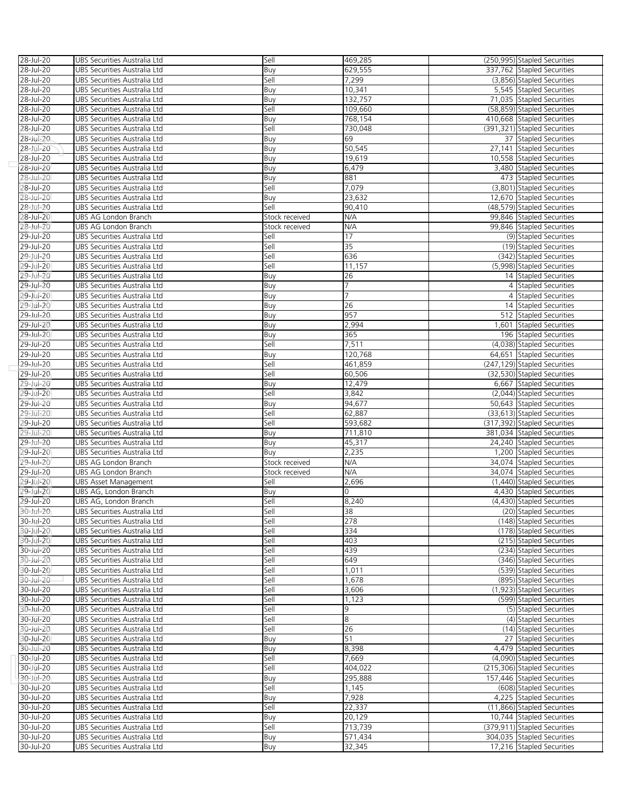| 28-Jul-20 | UBS Securities Australia Ltd | Sell           | 469,285 | (250,995) Stapled Securities |
|-----------|------------------------------|----------------|---------|------------------------------|
| 28-Jul-20 | UBS Securities Australia Ltd | Buy            | 629,555 | 337,762 Stapled Securities   |
|           |                              |                |         |                              |
| 28-Jul-20 | UBS Securities Australia Ltd | Sell           | 7,299   | (3,856) Stapled Securities   |
| 28-Jul-20 | UBS Securities Australia Ltd | Buy            | 10,341  | 5.545 Stapled Securities     |
| 28-Jul-20 | UBS Securities Australia Ltd | Buy            | 132,757 | 71,035 Stapled Securities    |
| 28-Jul-20 | UBS Securities Australia Ltd | Sell           | 109,660 | (58,859) Stapled Securities  |
| 28-Jul-20 | UBS Securities Australia Ltd | Buy            | 768,154 | 410,668 Stapled Securities   |
|           |                              |                |         |                              |
| 28-Jul-20 | UBS Securities Australia Ltd | Sell           | 730,048 | (391,321) Stapled Securities |
| 28-Jul-20 | UBS Securities Australia Ltd | Buy            | 69      | 37 Stapled Securities        |
| 28-Jul-20 | UBS Securities Australia Ltd | Buy            | 50,545  | 27,141 Stapled Securities    |
| 28-Jul-20 | UBS Securities Australia Ltd | Buy            | 19,619  | 10,558 Stapled Securities    |
| 28-Jul-20 | UBS Securities Australia Ltd | Buy            | 6,479   | 3,480 Stapled Securities     |
|           |                              |                |         |                              |
| 28-Jul-20 | UBS Securities Australia Ltd | Buy            | 881     | 473 Stapled Securities       |
| 28-Jul-20 | UBS Securities Australia Ltd | Sell           | 7,079   | (3,801) Stapled Securities   |
| 28-Jul-20 | UBS Securities Australia Ltd | Buy            | 23,632  | 12,670 Stapled Securities    |
| 28-Jul-20 | UBS Securities Australia Ltd | Sell           | 90,410  | (48,579) Stapled Securities  |
| 28-Jul-20 | UBS AG London Branch         | Stock received | N/A     | 99,846 Stapled Securities    |
|           |                              |                |         |                              |
| 28-Jul-20 | UBS AG London Branch         | Stock received | N/A     | 99,846 Stapled Securities    |
| 29-Jul-20 | UBS Securities Australia Ltd | Sell           | 17      | (9) Stapled Securities       |
| 29-Jul-20 | UBS Securities Australia Ltd | Sell           | 35      | (19) Stapled Securities      |
| 29-Jul-20 | UBS Securities Australia Ltd | Sell           | 636     | (342) Stapled Securities     |
|           |                              |                |         | (5,998) Stapled Securities   |
| 29-Jul-20 | UBS Securities Australia Ltd | Sell           | 11,157  |                              |
| 29-Jul-20 | UBS Securities Australia Ltd | Buy            | 26      | 14 Stapled Securities        |
| 29-Jul-20 | UBS Securities Australia Ltd | Buy            | 7       | 4 Stapled Securities         |
| 29-Jul-20 | UBS Securities Australia Ltd | Buy            | 7       | 4 Stapled Securities         |
| 29-Jul-20 | UBS Securities Australia Ltd |                | 26      | 14 Stapled Securities        |
|           |                              | Buy            |         |                              |
| 29-Jul-20 | UBS Securities Australia Ltd | Buy            | 957     | 512 Stapled Securities       |
| 29-Jul-20 | UBS Securities Australia Ltd | Buy            | 2,994   | 1,601 Stapled Securities     |
| 29-Jul-20 | UBS Securities Australia Ltd | Buy            | 365     | 196 Stapled Securities       |
| 29-Jul-20 | UBS Securities Australia Ltd | Sell           | 7,511   | (4,038) Stapled Securities   |
| 29-Jul-20 |                              |                | 120,768 |                              |
|           | UBS Securities Australia Ltd | Buy            |         | 64,651 Stapled Securities    |
| 29-Jul-20 | UBS Securities Australia Ltd | Sell           | 461,859 | (247,129) Stapled Securities |
| 29-Jul-20 | UBS Securities Australia Ltd | Sell           | 60,506  | (32,530) Stapled Securities  |
| 29-Jul-20 | UBS Securities Australia Ltd | Buy            | 12,479  | 6,667 Stapled Securities     |
| 29-Jul-20 | UBS Securities Australia Ltd | Sell           | 3,842   | (2,044) Stapled Securities   |
|           |                              |                |         | 50,643 Stapled Securities    |
| 29-Jul-20 | UBS Securities Australia Ltd | Buy            | 94,677  |                              |
| 29-Jul-20 | UBS Securities Australia Ltd | Sell           | 62,887  | (33,613) Stapled Securities  |
| 29-Jul-20 | UBS Securities Australia Ltd | Sell           | 593,682 | (317,392) Stapled Securities |
| 29-Jul-20 | UBS Securities Australia Ltd | Buy            | 711,810 | 381,034 Stapled Securities   |
| 29-Jul-20 | UBS Securities Australia Ltd | Buy            | 45,317  | 24,240 Stapled Securities    |
| 29-Jul-20 |                              |                | 2,235   | 1,200 Stapled Securities     |
|           | UBS Securities Australia Ltd | Buy            |         |                              |
| 29-Jul-20 | UBS AG London Branch         | Stock received | N/A     | 34,074 Stapled Securities    |
| 29-Jul-20 | UBS AG London Branch         | Stock received | N/A     | 34,074 Stapled Securities    |
| 29-Jul-20 | <b>UBS Asset Management</b>  | Sell           | 2,696   | (1,440) Stapled Securities   |
| 29-Jul-20 | UBS AG, London Branch        | Buy            | 0       | 4,430 Stapled Securities     |
| 29-Jul-20 | UBS AG, London Branch        | Sell           | 8,240   | (4,430) Stapled Securities   |
|           |                              |                |         |                              |
| 30-Jul-20 | UBS Securities Australia Ltd | Sell           | 38      | (20) Stapled Securities      |
| 30-Jul-20 | UBS Securities Australia Ltd | Sell           | 278     | (148) Stapled Securities     |
| 30-Jul-20 | UBS Securities Australia Ltd | Sell           | 334     | (178) Stapled Securities     |
| 30-Jul-20 | UBS Securities Australia Ltd | Sell           | 403     | (215) Stapled Securities     |
| 30-Jul-20 | UBS Securities Australia Ltd | Sell           | 439     | (234) Stapled Securities     |
|           |                              |                |         |                              |
| 30-Jul-20 | UBS Securities Australia Ltd | Sell           | 649     | (346) Stapled Securities     |
| 30-Jul-20 | UBS Securities Australia Ltd | Sell           | 1,011   | (539) Stapled Securities     |
| 30-Jul-20 | UBS Securities Australia Ltd | Sell           | 1,678   | (895) Stapled Securities     |
| 30-Jul-20 | UBS Securities Australia Ltd | Sell           | 3,606   | (1,923) Stapled Securities   |
| 30-Jul-20 | UBS Securities Australia Ltd | Sell           | 1,123   | (599) Stapled Securities     |
|           |                              |                |         |                              |
| 30-Jul-20 | UBS Securities Australia Ltd | Sell           | 9       | (5) Stapled Securities       |
| 30-Jul-20 | UBS Securities Australia Ltd | Sell           | 8       | (4) Stapled Securities       |
| 30-Jul-20 | UBS Securities Australia Ltd | Sell           | 26      | (14) Stapled Securities      |
| 30-Jul-20 | UBS Securities Australia Ltd | Buy            | 51      | 27 Stapled Securities        |
| 30-Jul-20 | UBS Securities Australia Ltd | Buy            | 8,398   | 4,479 Stapled Securities     |
|           |                              |                |         |                              |
| 30-Jul-20 | UBS Securities Australia Ltd | Sell           | 7,669   | (4,090) Stapled Securities   |
| 30-Jul-20 | UBS Securities Australia Ltd | Sell           | 404,022 | (215,306) Stapled Securities |
| 30-Jul-20 | UBS Securities Australia Ltd | Buy            | 295,888 | 157,446 Stapled Securities   |
| 30-Jul-20 | UBS Securities Australia Ltd | Sell           | 1,145   | (608) Stapled Securities     |
| 30-Jul-20 | UBS Securities Australia Ltd |                | 7,928   | 4,225 Stapled Securities     |
|           |                              | Buy            |         |                              |
| 30-Jul-20 | UBS Securities Australia Ltd | Sell           | 22,337  | (11,866) Stapled Securities  |
| 30-Jul-20 | UBS Securities Australia Ltd | Buy            | 20,129  | 10,744 Stapled Securities    |
| 30-Jul-20 | UBS Securities Australia Ltd | Sell           | 713,739 | (379,911) Stapled Securities |
| 30-Jul-20 | UBS Securities Australia Ltd | Buy            | 571,434 | 304,035 Stapled Securities   |
| 30-Jul-20 | UBS Securities Australia Ltd | Buy            | 32,345  | 17,216 Stapled Securities    |
|           |                              |                |         |                              |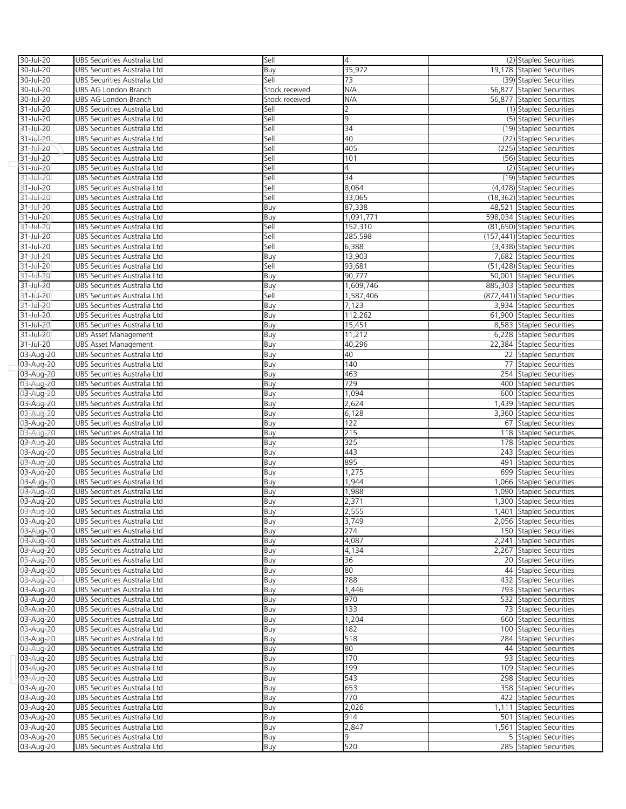| 30-Jul-20 | UBS Securities Australia Ltd | Sell           | 4         | (2) Stapled Securities       |
|-----------|------------------------------|----------------|-----------|------------------------------|
| 30-Jul-20 | UBS Securities Australia Ltd | Buy            | 35,972    | 19,178 Stapled Securities    |
| 30-Jul-20 | UBS Securities Australia Ltd | Sell           | 73        | (39) Stapled Securities      |
| 30-Jul-20 | UBS AG London Branch         | Stock received | N/A       | 56,877 Stapled Securities    |
| 30-Jul-20 | UBS AG London Branch         | Stock received | N/A       | 56,877 Stapled Securities    |
| 31-Jul-20 | UBS Securities Australia Ltd | Sell           | 2         | (1) Stapled Securities       |
| 31-Jul-20 | UBS Securities Australia Ltd | Sell           | 9         | (5) Stapled Securities       |
| 31-Jul-20 | UBS Securities Australia Ltd | Sell           | 34        | (19) Stapled Securities      |
| 31-Jul-20 |                              | Sell           | 40        | (22) Stapled Securities      |
|           | UBS Securities Australia Ltd |                |           |                              |
| 31-Jul-20 | UBS Securities Australia Ltd | Sell           | 405       | (225) Stapled Securities     |
| 31-Jul-20 | UBS Securities Australia Ltd | Sell           | 101       | (56) Stapled Securities      |
| 31-Jul-20 | UBS Securities Australia Ltd | Sell           | 4         | (2) Stapled Securities       |
| 31-Jul-20 | UBS Securities Australia Ltd | Sell           | 34        | (19) Stapled Securities      |
| 31-Jul-20 | UBS Securities Australia Ltd | Sell           | 8,064     | (4,478) Stapled Securities   |
| 31-Jul-20 | UBS Securities Australia Ltd | Sell           | 33,065    | (18,362) Stapled Securities  |
| 31-Jul-20 | UBS Securities Australia Ltd | Buy            | 87,338    | 48,521 Stapled Securities    |
| 31-Jul-20 | UBS Securities Australia Ltd | Buy            | 1,091,771 | 598,034 Stapled Securities   |
| 31-Jul-20 | UBS Securities Australia Ltd | Sell           | 152,310   | (81,650) Stapled Securities  |
| 31-Jul-20 | UBS Securities Australia Ltd | Sell           | 285,598   | (157,441) Stapled Securities |
| 31-Jul-20 | UBS Securities Australia Ltd | Sell           | 6,388     | (3,438) Stapled Securities   |
| 31-Jul-20 | UBS Securities Australia Ltd | Buy            | 13,903    | 7,682 Stapled Securities     |
| 31-Jul-20 | UBS Securities Australia Ltd | Sell           | 93,681    | (51,428) Stapled Securities  |
| 31-Jul-20 | UBS Securities Australia Ltd | Buy            | 90,777    | 50,001 Stapled Securities    |
| 31-Jul-20 | UBS Securities Australia Ltd | Buy            | 1,609,746 | 885,303 Stapled Securities   |
| 31-Jul-20 | UBS Securities Australia Ltd | Sell           | 1,587,406 | (872,441) Stapled Securities |
| 31-Jul-20 | UBS Securities Australia Ltd | Buy            | 7,123     | 3,934 Stapled Securities     |
| 31-Jul-20 | UBS Securities Australia Ltd | Buy            | 112,262   | 61,900 Stapled Securities    |
| 31-Jul-20 | UBS Securities Australia Ltd | Buy            | 15,451    | 8,583 Stapled Securities     |
| 31-Jul-20 | <b>UBS Asset Management</b>  | Buy            | 11,212    | 6,228 Stapled Securities     |
|           | <b>UBS Asset Management</b>  |                |           | 22,384 Stapled Securities    |
| 31-Jul-20 |                              | Buy            | 40,296    |                              |
| 03-Aug-20 | UBS Securities Australia Ltd | Buy            | 40        | 22 Stapled Securities        |
| 03-Aug-20 | UBS Securities Australia Ltd | Buy            | 140       | 77 Stapled Securities        |
| 03-Aug-20 | UBS Securities Australia Ltd | Buy            | 463       | 254 Stapled Securities       |
| 03-Aug-20 | UBS Securities Australia Ltd | Buy            | 729       | 400 Stapled Securities       |
| 03-Aug-20 | UBS Securities Australia Ltd | Buy            | 1,094     | 600 Stapled Securities       |
| 03-Aug-20 | UBS Securities Australia Ltd | Buy            | 2,624     | 1,439 Stapled Securities     |
| 03-Aug-20 | UBS Securities Australia Ltd | Buy            | 6,128     | 3,360 Stapled Securities     |
| 03-Aug-20 | UBS Securities Australia Ltd | Buy            | 122       | 67 Stapled Securities        |
| 03-Aug-20 | UBS Securities Australia Ltd | Buy            | 215       | 118 Stapled Securities       |
| 03-Aug-20 | UBS Securities Australia Ltd | Buy            | 325       | 178 Stapled Securities       |
| 03-Aug-20 | UBS Securities Australia Ltd | Buy            | 443       | 243 Stapled Securities       |
| 03-Aug-20 | UBS Securities Australia Ltd | Buy            | 895       | 491 Stapled Securities       |
| 03-Aug-20 | UBS Securities Australia Ltd | Buy            | 1,275     | 699 Stapled Securities       |
| 03-Aug-20 | UBS Securities Australia Ltd | Buy            | 1,944     | 1,066 Stapled Securities     |
| 03-Aug-20 | UBS Securities Australia Ltd | Buy            | 1,988     | 1,090 Stapled Securities     |
| 03-Aug-20 | UBS Securities Australia Ltd | Buy            | 2,371     | 1,300 Stapled Securities     |
| 03-Aug-20 | UBS Securities Australia Ltd | Buv            | 2.555     | 1,401 Stapled Securities     |
| 03-Aug-20 | UBS Securities Australia Ltd | Buy            | 3,749     | 2,056 Stapled Securities     |
| 03-Aug-20 | UBS Securities Australia Ltd | Buy            | 274       | 150 Stapled Securities       |
| 03-Aug-20 | UBS Securities Australia Ltd | Buy            | 4,087     | 2,241 Stapled Securities     |
| 03-Aug-20 | UBS Securities Australia Ltd | Buy            | 4,134     | 2,267 Stapled Securities     |
|           | UBS Securities Australia Ltd |                | 36        | 20 Stapled Securities        |
| 03-Aug-20 |                              | Buy            |           |                              |
| 03-Aug-20 | UBS Securities Australia Ltd | Buy            | 80        | 44 Stapled Securities        |
| 03-Aug-20 | UBS Securities Australia Ltd | Buy            | 788       | 432 Stapled Securities       |
| 03-Aug-20 | UBS Securities Australia Ltd | Buy            | 1,446     | 793 Stapled Securities       |
| 03-Aug-20 | UBS Securities Australia Ltd | Buy            | 970       | 532 Stapled Securities       |
| 03-Aug-20 | UBS Securities Australia Ltd | Buy            | 133       | 73 Stapled Securities        |
| 03-Aug-20 | UBS Securities Australia Ltd | Buy            | 1,204     | 660 Stapled Securities       |
| 03-Aug-20 | UBS Securities Australia Ltd | Buy            | 182       | 100 Stapled Securities       |
| 03-Aug-20 | UBS Securities Australia Ltd | Buy            | 518       | 284 Stapled Securities       |
| 03-Aug-20 | UBS Securities Australia Ltd | Buy            | 80        | 44 Stapled Securities        |
| 03-Aug-20 | UBS Securities Australia Ltd | Buy            | 170       | 93 Stapled Securities        |
| 03-Aug-20 | UBS Securities Australia Ltd | Buy            | 199       | 109 Stapled Securities       |
| 03-Aug-20 | UBS Securities Australia Ltd | Buy            | 543       | 298 Stapled Securities       |
| 03-Aug-20 | UBS Securities Australia Ltd | Buy            | 653       | 358 Stapled Securities       |
| 03-Aug-20 | UBS Securities Australia Ltd | Buy            | 770       | 422 Stapled Securities       |
| 03-Aug-20 | UBS Securities Australia Ltd | Buy            | 2,026     | 1,111 Stapled Securities     |
| 03-Aug-20 | UBS Securities Australia Ltd | Buy            | 914       | 501 Stapled Securities       |
| 03-Aug-20 | UBS Securities Australia Ltd | Buy            | 2,847     | 1,561 Stapled Securities     |
| 03-Aug-20 | UBS Securities Australia Ltd | Buy            | 9         | 5 Stapled Securities         |
| 03-Aug-20 | UBS Securities Australia Ltd | Buy            | 520       | 285 Stapled Securities       |
|           |                              |                |           |                              |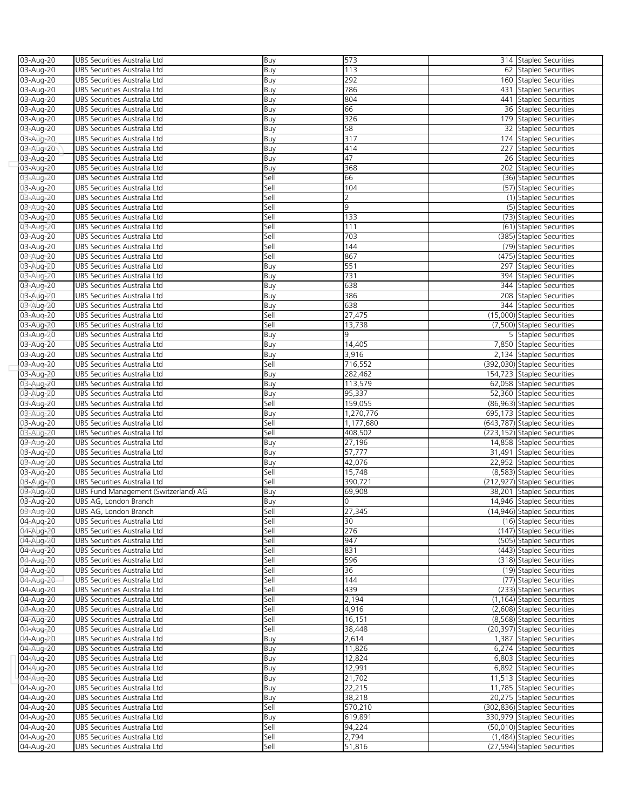| 03-Aug-20 | UBS Securities Australia Ltd         | Buy  | 573       | 314 Stapled Securities       |
|-----------|--------------------------------------|------|-----------|------------------------------|
| 03-Aug-20 | UBS Securities Australia Ltd         | Buy  | 113       | 62 Stapled Securities        |
| 03-Aug-20 | UBS Securities Australia Ltd         | Buy  | 292       | 160 Stapled Securities       |
| 03-Aug-20 | UBS Securities Australia Ltd         | Buy  | 786       | 431 Stapled Securities       |
| 03-Aug-20 | UBS Securities Australia Ltd         | Buy  | 804       | 441 Stapled Securities       |
| 03-Aug-20 | UBS Securities Australia Ltd         | Buy  | 66        | 36 Stapled Securities        |
| 03-Aug-20 | UBS Securities Australia Ltd         | Buy  | 326       | 179 Stapled Securities       |
| 03-Aug-20 | UBS Securities Australia Ltd         | Buy  | 58        | 32 Stapled Securities        |
| 03-Aug-20 | UBS Securities Australia Ltd         | Buy  | 317       | 174 Stapled Securities       |
| 03-Aug-20 | UBS Securities Australia Ltd         | Buy  | 414       | 227 Stapled Securities       |
| 03-Aug-20 | UBS Securities Australia Ltd         | Buy  | 47        | 26 Stapled Securities        |
| 03-Aug-20 | UBS Securities Australia Ltd         | Buy  | 368       | 202 Stapled Securities       |
| 03-Aug-20 | UBS Securities Australia Ltd         | Sell | 66        | (36) Stapled Securities      |
| 03-Aug-20 | UBS Securities Australia Ltd         | Sell | 104       | (57) Stapled Securities      |
| 03-Aug-20 | UBS Securities Australia Ltd         | Sell | 2         | (1) Stapled Securities       |
| 03-Aug-20 | UBS Securities Australia Ltd         | Sell | 9         | (5) Stapled Securities       |
|           |                                      | Sell | 133       | (73) Stapled Securities      |
| 03-Aug-20 | UBS Securities Australia Ltd         |      |           |                              |
| 03-Aug-20 | UBS Securities Australia Ltd         | Sell | 111       | (61) Stapled Securities      |
| 03-Aug-20 | UBS Securities Australia Ltd         | Sell | 703       | (385) Stapled Securities     |
| 03-Aug-20 | UBS Securities Australia Ltd         | Sell | 144       | (79) Stapled Securities      |
| 03-Aug-20 | UBS Securities Australia Ltd         | Sell | 867       | (475) Stapled Securities     |
| 03-Aug-20 | UBS Securities Australia Ltd         | Buy  | 551       | 297 Stapled Securities       |
| 03-Aug-20 | UBS Securities Australia Ltd         | Buy  | 731       | 394 Stapled Securities       |
| 03-Aug-20 | UBS Securities Australia Ltd         | Buy  | 638       | 344 Stapled Securities       |
| 03-Aug-20 | UBS Securities Australia Ltd         | Buy  | 386       | 208 Stapled Securities       |
| 03-Aug-20 | UBS Securities Australia Ltd         | Buy  | 638       | 344 Stapled Securities       |
| 03-Aug-20 | UBS Securities Australia Ltd         | Sell | 27,475    | (15,000) Stapled Securities  |
| 03-Aug-20 | UBS Securities Australia Ltd         | Sell | 13,738    | (7,500) Stapled Securities   |
| 03-Aug-20 | UBS Securities Australia Ltd         | Buy  | q         | 5 Stapled Securities         |
| 03-Aug-20 | UBS Securities Australia Ltd         | Buy  | 14,405    | 7,850 Stapled Securities     |
| 03-Aug-20 | UBS Securities Australia Ltd         | Buy  | 3,916     | 2,134 Stapled Securities     |
| 03-Aug-20 | UBS Securities Australia Ltd         | Sell | 716,552   | (392,030) Stapled Securities |
| 03-Aug-20 | UBS Securities Australia Ltd         | Buy  | 282,462   | 154,723 Stapled Securities   |
| 03-Aug-20 | UBS Securities Australia Ltd         | Buy  | 113,579   | 62,058 Stapled Securities    |
| 03-Aug-20 | UBS Securities Australia Ltd         | Buy  | 95,337    | 52,360 Stapled Securities    |
| 03-Aug-20 | UBS Securities Australia Ltd         | Sell | 159,055   | (86,963) Stapled Securities  |
| 03-Aug-20 | UBS Securities Australia Ltd         | Buy  | 1,270,776 | 695,173 Stapled Securities   |
| 03-Aug-20 | UBS Securities Australia Ltd         | Sell | 1,177,680 | (643,787) Stapled Securities |
|           |                                      |      |           |                              |
|           |                                      |      |           |                              |
| 03-Aug-20 | UBS Securities Australia Ltd         | Sell | 408,502   | (223,152) Stapled Securities |
| 03-Aug-20 | UBS Securities Australia Ltd         | Buy  | 27,196    | 14,858 Stapled Securities    |
| 03-Aug-20 | UBS Securities Australia Ltd         | Buy  | 57,777    | 31,491 Stapled Securities    |
| 03-Aug-20 | UBS Securities Australia Ltd         | Buy  | 42,076    | 22,952 Stapled Securities    |
| 03-Aug-20 | UBS Securities Australia Ltd         | Sell | 15,748    | (8,583) Stapled Securities   |
| 03-Aug-20 | UBS Securities Australia Ltd         | Sell | 390,721   | (212,927) Stapled Securities |
| 03-Aug-20 | UBS Fund Management (Switzerland) AG | Buy  | 69,908    | 38,201 Stapled Securities    |
| 03-Aug-20 | UBS AG, London Branch                | Buy  | 0         | 14,946 Stapled Securities    |
| 03-Aug-20 | UBS AG, London Branch                | Sell | 27,345    | (14,946) Stapled Securities  |
| 04-Aug-20 | UBS Securities Australia Ltd         | Sell | 30        | (16) Stapled Securities      |
| 04-Aug-20 | UBS Securities Australia Ltd         | Sell | 276       | (147) Stapled Securities     |
| 04-Aug-20 | UBS Securities Australia Ltd         | Sell | 947       | (505) Stapled Securities     |
| 04-Aug-20 | UBS Securities Australia Ltd         | Sell | 831       | (443) Stapled Securities     |
| 04-Aug-20 | UBS Securities Australia Ltd         | Sell | 596       | (318) Stapled Securities     |
| 04-Aug-20 | UBS Securities Australia Ltd         | Sell | 36        | (19) Stapled Securities      |
| 04-Aug-20 | UBS Securities Australia Ltd         | Sell | 144       | (77) Stapled Securities      |
| 04-Aug-20 | UBS Securities Australia Ltd         | Sell | 439       | (233) Stapled Securities     |
| 04-Aug-20 | UBS Securities Australia Ltd         | Sell | 2,194     | (1,164) Stapled Securities   |
| 04-Aug-20 | UBS Securities Australia Ltd         | Sell | 4,916     | (2,608) Stapled Securities   |
| 04-Aug-20 | UBS Securities Australia Ltd         | Sell | 16,151    | (8,568) Stapled Securities   |
| 04-Aug-20 | UBS Securities Australia Ltd         | Sell | 38,448    | (20,397) Stapled Securities  |
| 04-Aug-20 | UBS Securities Australia Ltd         | Buy  | 2,614     | 1,387 Stapled Securities     |
| 04-Aug-20 | UBS Securities Australia Ltd         | Buy  | 11,826    | 6,274 Stapled Securities     |
| 04-Aug-20 | UBS Securities Australia Ltd         | Buy  | 12,824    | 6,803 Stapled Securities     |
| 04-Aug-20 | UBS Securities Australia Ltd         | Buy  | 12,991    | 6,892 Stapled Securities     |
| 04-Aug-20 | UBS Securities Australia Ltd         | Buy  | 21,702    | 11,513 Stapled Securities    |
| 04-Aug-20 | UBS Securities Australia Ltd         | Buy  | 22,215    | 11,785 Stapled Securities    |
| 04-Aug-20 | UBS Securities Australia Ltd         | Buy  | 38,218    | 20,275 Stapled Securities    |
| 04-Aug-20 | UBS Securities Australia Ltd         | Sell | 570,210   | (302,836) Stapled Securities |
| 04-Aug-20 | UBS Securities Australia Ltd         | Buy  | 619,891   | 330,979 Stapled Securities   |
| 04-Aug-20 | UBS Securities Australia Ltd         | Sell | 94,224    | (50,010) Stapled Securities  |
| 04-Aug-20 | UBS Securities Australia Ltd         | Sell | 2,794     | (1,484) Stapled Securities   |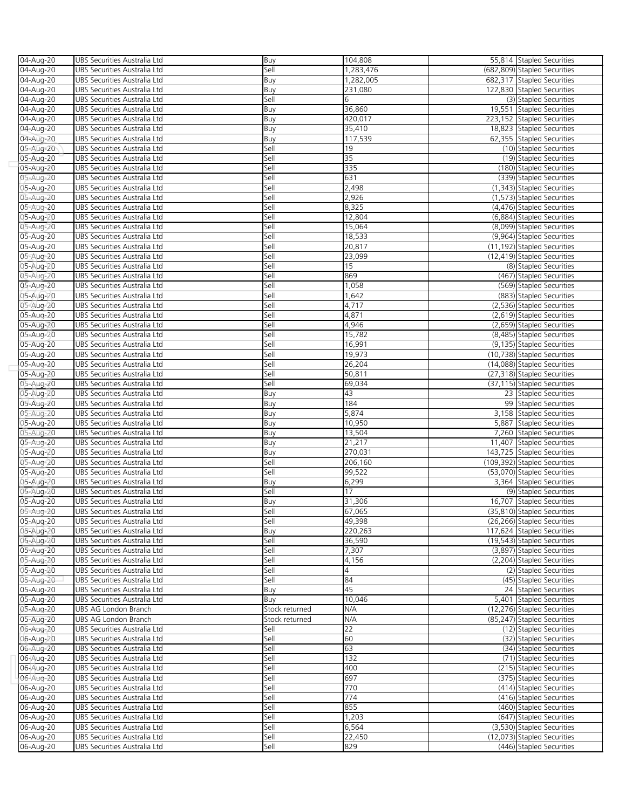| 04-Aug-20              | UBS Securities Australia Ltd                                 | Buy            | 104,808           | 55,814 Stapled Securities                               |
|------------------------|--------------------------------------------------------------|----------------|-------------------|---------------------------------------------------------|
| 04-Aug-20              | UBS Securities Australia Ltd                                 | Sell           | 1,283,476         | (682,809) Stapled Securities                            |
| 04-Aug-20              | UBS Securities Australia Ltd                                 | Buy            | 1,282,005         | 682,317 Stapled Securities                              |
| 04-Aug-20              | UBS Securities Australia Ltd                                 | Buy            | 231,080           | 122,830 Stapled Securities                              |
| 04-Aug-20              | UBS Securities Australia Ltd                                 | Sell           | 6                 | (3) Stapled Securities                                  |
| 04-Aug-20              | UBS Securities Australia Ltd                                 | Buy            | 36,860            | 19,551 Stapled Securities                               |
| 04-Aug-20              | UBS Securities Australia Ltd                                 | Buy            | 420,017           | 223,152 Stapled Securities                              |
| 04-Aug-20              | UBS Securities Australia Ltd                                 | Buy            | 35,410            | 18,823 Stapled Securities                               |
| 04-Aug-20              | UBS Securities Australia Ltd                                 | Buy            | 117,539           | 62,355 Stapled Securities                               |
| 05-Aug-20              | UBS Securities Australia Ltd                                 | Sell           | 19                | (10) Stapled Securities                                 |
| 05-Aug-20              | UBS Securities Australia Ltd                                 | Sell           | $\overline{35}$   | (19) Stapled Securities                                 |
| 05-Aug-20              | UBS Securities Australia Ltd                                 | Sell           | 335               | (180) Stapled Securities                                |
| 05-Aug-20              | UBS Securities Australia Ltd                                 | Sell           | 631               | (339) Stapled Securities                                |
| 05-Aug-20              | UBS Securities Australia Ltd                                 | Sell           | 2,498             | (1,343) Stapled Securities                              |
| 05-Aug-20              | UBS Securities Australia Ltd                                 | Sell           | 2,926             | (1,573) Stapled Securities                              |
| 05-Aug-20              | UBS Securities Australia Ltd                                 | Sell           | 8,325             | (4,476) Stapled Securities                              |
| 05-Aug-20              | UBS Securities Australia Ltd                                 | Sell           | 12,804            | (6,884) Stapled Securities                              |
| 05-Aug-20              | UBS Securities Australia Ltd                                 | Sell           | 15,064            | (8,099) Stapled Securities                              |
| 05-Aug-20              | UBS Securities Australia Ltd                                 | Sell           | 18,533            | (9,964) Stapled Securities                              |
| 05-Aug-20              | UBS Securities Australia Ltd                                 | Sell           | 20,817            | (11,192) Stapled Securities                             |
| 05-Aug-20              | UBS Securities Australia Ltd                                 | Sell           | 23,099            | (12,419) Stapled Securities                             |
| 05-Aug-20              | UBS Securities Australia Ltd                                 | Sell           | 15                | (8) Stapled Securities                                  |
| 05-Aug-20              | UBS Securities Australia Ltd                                 | Sell           | 869               | (467) Stapled Securities                                |
| 05-Aug-20              | UBS Securities Australia Ltd                                 | Sell           | 1,058             | (569) Stapled Securities                                |
| 05-Aug-20              | UBS Securities Australia Ltd                                 | Sell           | 1,642             | (883) Stapled Securities                                |
| 05-Aug-20              | UBS Securities Australia Ltd                                 | Sell           | 4,717             | (2,536) Stapled Securities                              |
| 05-Aug-20              | UBS Securities Australia Ltd                                 | Sell           | 4,871             | (2,619) Stapled Securities                              |
| 05-Aug-20              | UBS Securities Australia Ltd                                 | Sell           | 4,946             | (2,659) Stapled Securities                              |
| 05-Aug-20              | UBS Securities Australia Ltd                                 | Sell           | 15,782            | (8,485) Stapled Securities                              |
| 05-Aug-20              | UBS Securities Australia Ltd                                 | Sell           | 16,991            | (9,135) Stapled Securities                              |
| 05-Aug-20              | UBS Securities Australia Ltd                                 | Sell           | 19,973            | (10,738) Stapled Securities                             |
| 05-Aug-20              | UBS Securities Australia Ltd                                 | Sell           | 26,204            | (14,088) Stapled Securities                             |
| 05-Aug-20              | UBS Securities Australia Ltd                                 | Sell           | 50,811            | (27,318) Stapled Securities                             |
| 05-Aug-20              | UBS Securities Australia Ltd                                 | Sell           | 69,034            | (37,115) Stapled Securities                             |
| 05-Aug-20              | UBS Securities Australia Ltd                                 | Buy            | 43                | 23 Stapled Securities                                   |
| 05-Aug-20              | UBS Securities Australia Ltd                                 | Buy            | 184               | 99 Stapled Securities                                   |
| 05-Aug-20              | UBS Securities Australia Ltd                                 | Buy            | 5,874             | 3,158 Stapled Securities                                |
| 05-Aug-20              | UBS Securities Australia Ltd                                 | Buy            | 10,950            | 5,887 Stapled Securities                                |
| 05-Aug-20              | UBS Securities Australia Ltd                                 | Buy            | 13,504            | 7,260 Stapled Securities                                |
| 05-Aug-20              | UBS Securities Australia Ltd                                 | Buy            | 21,217<br>270,031 | 11,407 Stapled Securities<br>143,725 Stapled Securities |
| 05-Aug-20              | UBS Securities Australia Ltd                                 | Buy            |                   | (109,392) Stapled Securities                            |
| 05-Aug-20              | UBS Securities Australia Ltd<br>UBS Securities Australia Ltd | Sell<br>Sell   | 206,160           |                                                         |
| 05-Aug-20<br>05-Aug-20 | UBS Securities Australia Ltd                                 | Buy            | 99,522<br>6,299   | (53,070) Stapled Securities<br>3,364 Stapled Securities |
| 05-Aug-20              | UBS Securities Australia Ltd                                 | Sell           | 17                | (9) Stapled Securities                                  |
| 05-Aug-20              | UBS Securities Australia Ltd                                 | Buy            | 31,306            | 16,707 Stapled Securities                               |
| 05-Aug-20              | UBS Securities Australia Ltd                                 | Sell           | 67,065            | (35,810) Stapled Securities                             |
| 05-Aug-20              |                                                              | Sell           | 49,398            | (26,266) Stapled Securities                             |
| 05-Aug-20              | UBS Securities Australia Ltd<br>UBS Securities Australia Ltd | Buy            | 220,263           | 117,624 Stapled Securities                              |
| 05-Aug-20              | UBS Securities Australia Ltd                                 | Sell           | 36,590            | (19.543) Stapled Securities                             |
| 05-Aug-20              | UBS Securities Australia Ltd                                 | Sell           | 7,307             | (3,897) Stapled Securities                              |
| 05-Aug-20              | UBS Securities Australia Ltd                                 | Sell           | 4,156             | (2,204) Stapled Securities                              |
| 05-Aug-20              | UBS Securities Australia Ltd                                 | Sell           | $\overline{4}$    | (2) Stapled Securities                                  |
| 05-Aug-20              | UBS Securities Australia Ltd                                 | Sell           | 84                | (45) Stapled Securities                                 |
| 05-Aug-20              | UBS Securities Australia Ltd                                 | Buy            | 45                | 24 Stapled Securities                                   |
| 05-Aug-20              | UBS Securities Australia Ltd                                 | Buy            | 10,046            | 5,401 Stapled Securities                                |
| 05-Aug-20              | UBS AG London Branch                                         | Stock returned | N/A               | (12,276) Stapled Securities                             |
| 05-Aug-20              | UBS AG London Branch                                         | Stock returned | N/A               | (85,247) Stapled Securities                             |
| 06-Aug-20              | UBS Securities Australia Ltd                                 | Sell           | $\overline{22}$   | (12) Stapled Securities                                 |
| 06-Aug-20              | UBS Securities Australia Ltd                                 | Sell           | 60                | (32) Stapled Securities                                 |
| 06-Aug-20              | UBS Securities Australia Ltd                                 | Sell           | 63                | (34) Stapled Securities                                 |
| 06-Aug-20              | UBS Securities Australia Ltd                                 | Sell           | 132               | (71) Stapled Securities                                 |
| 06-Aug-20              | UBS Securities Australia Ltd                                 | Sell           | 400               | (215) Stapled Securities                                |
| 06-Aug-20              | UBS Securities Australia Ltd                                 | Sell           | 697               | (375) Stapled Securities                                |
| 06-Aug-20              | UBS Securities Australia Ltd                                 | Sell           | 770               | (414) Stapled Securities                                |
| 06-Aug-20              | UBS Securities Australia Ltd                                 | Sell           | 774               | (416) Stapled Securities                                |
| 06-Aug-20              | UBS Securities Australia Ltd                                 | Sell           | 855               | (460) Stapled Securities                                |
| 06-Aug-20              | UBS Securities Australia Ltd                                 | Sell           | 1,203             | (647) Stapled Securities                                |
| 06-Aug-20              | UBS Securities Australia Ltd                                 | Sell           | 6,564             | (3,530) Stapled Securities                              |
| 06-Aug-20              | UBS Securities Australia Ltd                                 | Sell           | 22,450            | (12,073) Stapled Securities                             |
| 06-Aug-20              | UBS Securities Australia Ltd                                 | Sell           | 829               | (446) Stapled Securities                                |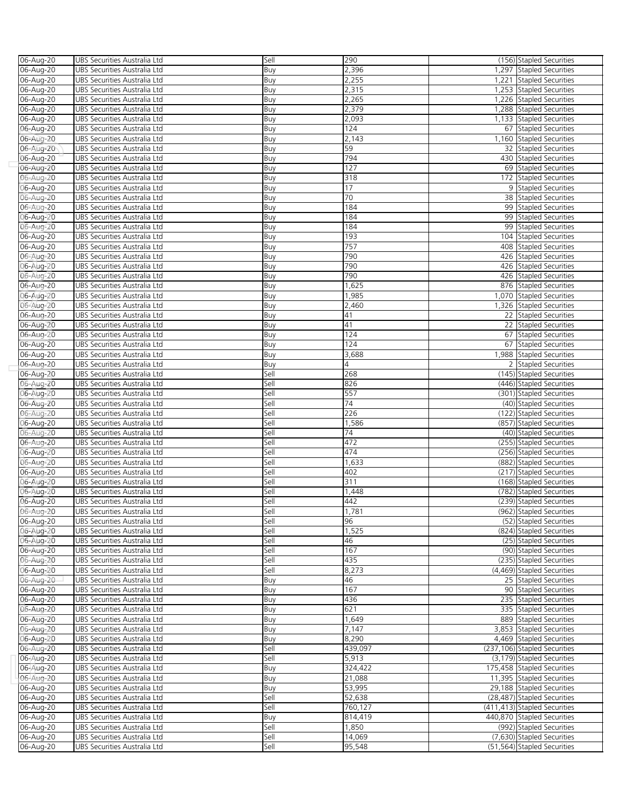| 06-Aug-20     | UBS Securities Australia Ltd | Sell | 290             | (156) Stapled Securities     |
|---------------|------------------------------|------|-----------------|------------------------------|
| $06 - Aug-20$ | UBS Securities Australia Ltd | Buy  | 2,396           | 1,297 Stapled Securities     |
|               |                              |      |                 |                              |
| 06-Aug-20     | UBS Securities Australia Ltd | Buy  | 2,255           | 1,221 Stapled Securities     |
| 06-Aug-20     | UBS Securities Australia Ltd | Buy  | 2,315           | 1,253 Stapled Securities     |
| 06-Aug-20     | UBS Securities Australia Ltd | Buy  | 2,265           | 1,226 Stapled Securities     |
| 06-Aug-20     | UBS Securities Australia Ltd | Buy  | 2,379           | 1,288 Stapled Securities     |
| 06-Aug-20     | UBS Securities Australia Ltd | Buy  | 2,093           | 1,133 Stapled Securities     |
|               |                              |      |                 |                              |
| 06-Aug-20     | UBS Securities Australia Ltd | Buy  | 124             | 67 Stapled Securities        |
| 06-Aug-20     | UBS Securities Australia Ltd | Buy  | 2,143           | 1,160 Stapled Securities     |
| 06-Aug-20     | UBS Securities Australia Ltd | Buy  | 59              | 32 Stapled Securities        |
| 06-Aug-20     | UBS Securities Australia Ltd | Buy  | 794             | 430 Stapled Securities       |
| 06-Aug-20     | UBS Securities Australia Ltd | Buy  | 127             | 69 Stapled Securities        |
|               |                              |      |                 |                              |
| 06-Aug-20     | UBS Securities Australia Ltd | Buy  | 318             | 172 Stapled Securities       |
| 06-Aug-20     | UBS Securities Australia Ltd | Buy  | 17              | 9 Stapled Securities         |
| 06-Aug-20     | UBS Securities Australia Ltd | Buy  | 70              | 38 Stapled Securities        |
| 06-Aug-20     | UBS Securities Australia Ltd | Buy  | 184             | 99 Stapled Securities        |
| 06-Aug-20     | UBS Securities Australia Ltd | Buy  | 184             | 99 Stapled Securities        |
|               |                              |      |                 |                              |
| 06-Aug-20     | UBS Securities Australia Ltd | Buy  | 184             | 99 Stapled Securities        |
| 06-Aug-20     | UBS Securities Australia Ltd | Buy  | 193             | 104 Stapled Securities       |
| 06-Aug-20     | UBS Securities Australia Ltd | Buy  | 757             | 408 Stapled Securities       |
| 06-Aug-20     | UBS Securities Australia Ltd | Buy  | 790             | 426 Stapled Securities       |
|               | UBS Securities Australia Ltd |      | 790             |                              |
| 06-Aug-20     |                              | Buy  |                 | 426 Stapled Securities       |
| 06-Aug-20     | UBS Securities Australia Ltd | Buy  | 790             | 426 Stapled Securities       |
| 06-Aug-20     | UBS Securities Australia Ltd | Buy  | 1,625           | 876 Stapled Securities       |
| 06-Aug-20     | UBS Securities Australia Ltd | Buy  | 1,985           | 1,070 Stapled Securities     |
| 06-Aug-20     | UBS Securities Australia Ltd | Buy  | 2,460           | 1,326 Stapled Securities     |
|               |                              |      |                 |                              |
| 06-Aug-20     | UBS Securities Australia Ltd | Buy  | 41              | 22 Stapled Securities        |
| 06-Aug-20     | UBS Securities Australia Ltd | Buy  | 41              | 22 Stapled Securities        |
| 06-Aug-20     | UBS Securities Australia Ltd | Buy  | 124             | 67 Stapled Securities        |
| 06-Aug-20     | UBS Securities Australia Ltd | Buy  | 124             | 67 Stapled Securities        |
|               | UBS Securities Australia Ltd |      | 3,688           | 1,988 Stapled Securities     |
| 06-Aug-20     |                              | Buy  |                 |                              |
| 06-Aug-20     | UBS Securities Australia Ltd | Buy  | 4               | 2 Stapled Securities         |
| 06-Aug-20     | UBS Securities Australia Ltd | Sell | 268             | (145) Stapled Securities     |
| 06-Aug-20     | UBS Securities Australia Ltd | Sell | 826             | (446) Stapled Securities     |
| 06-Aug-20     | UBS Securities Australia Ltd | Sell | 557             | (301) Stapled Securities     |
|               |                              |      |                 | (40) Stapled Securities      |
| 06-Aug-20     | UBS Securities Australia Ltd | Sell | $\overline{74}$ |                              |
| 06-Aug-20     | UBS Securities Australia Ltd | Sell | 226             | (122) Stapled Securities     |
| 06-Aug-20     | UBS Securities Australia Ltd | Sell | 1,586           | (857) Stapled Securities     |
| 06-Aug-20     | UBS Securities Australia Ltd | Sell | $\overline{74}$ | (40) Stapled Securities      |
| 06-Aug-20     | UBS Securities Australia Ltd | Sell | 472             | (255) Stapled Securities     |
|               |                              |      |                 | (256) Stapled Securities     |
| 06-Aug-20     | UBS Securities Australia Ltd | Sell | 474             |                              |
| 06-Aug-20     | UBS Securities Australia Ltd | Sell | 1,633           | (882) Stapled Securities     |
| 06-Aug-20     | UBS Securities Australia Ltd | Sell | 402             | (217) Stapled Securities     |
| 06-Aug-20     | UBS Securities Australia Ltd | Sell | 311             | (168) Stapled Securities     |
| 06-Aug-20     | UBS Securities Australia Ltd | Sell | 1,448           | (782) Stapled Securities     |
|               |                              |      |                 | (239) Stapled Securities     |
| 06-Aug-20     | UBS Securities Australia Ltd | Sell | 442             |                              |
| 06-Aug-20     | UBS Securities Australia Ltd | Sell | 1,781           | (962) Stapled Securities     |
| 06-Aug-20     | UBS Securities Australia Ltd | Sell | 96              | (52) Stapled Securities      |
| 06-Aug-20     | UBS Securities Australia Ltd | Sell | 1,525           | (824) Stapled Securities     |
| 06-Aug-20     | UBS Securities Australia Ltd | Sell | 46              | (25) Stapled Securities      |
|               |                              |      | 167             |                              |
| 06-Aug-20     | UBS Securities Australia Ltd | Sell |                 | (90) Stapled Securities      |
| 06-Aug-20     | UBS Securities Australia Ltd | Sell | 435             | (235) Stapled Securities     |
| 06-Aug-20     | UBS Securities Australia Ltd | Sell | 8,273           | (4,469) Stapled Securities   |
| 06-Aug-20     | UBS Securities Australia Ltd | Buy  | 46              | 25 Stapled Securities        |
| 06-Aug-20     | UBS Securities Australia Ltd | Buy  | 167             | 90 Stapled Securities        |
|               |                              |      |                 |                              |
| 06-Aug-20     | UBS Securities Australia Ltd | Buy  | 436             | 235 Stapled Securities       |
| 06-Aug-20     | UBS Securities Australia Ltd | Buy  | 621             | 335 Stapled Securities       |
| 06-Aug-20     | UBS Securities Australia Ltd | Buy  | 1,649           | 889 Stapled Securities       |
| 06-Aug-20     | UBS Securities Australia Ltd | Buy  | 7,147           | 3,853 Stapled Securities     |
| 06-Aug-20     | UBS Securities Australia Ltd | Buy  | 8,290           | 4,469 Stapled Securities     |
|               |                              |      |                 |                              |
| 06-Aug-20     | UBS Securities Australia Ltd | Sell | 439,097         | (237,106) Stapled Securities |
| 06-Aug-20     | UBS Securities Australia Ltd | Sell | 5,913           | (3,179) Stapled Securities   |
| 06-Aug-20     | UBS Securities Australia Ltd | Buy  | 324,422         | 175,458 Stapled Securities   |
| 06-Aug-20     | UBS Securities Australia Ltd | Buy  | 21,088          | 11,395 Stapled Securities    |
| 06-Aug-20     | UBS Securities Australia Ltd | Buy  | 53,995          | 29,188 Stapled Securities    |
|               |                              |      |                 |                              |
| 06-Aug-20     | UBS Securities Australia Ltd | Sell | 52,638          | (28,487) Stapled Securities  |
| 06-Aug-20     | UBS Securities Australia Ltd | Sell | 760,127         | (411,413) Stapled Securities |
| 06-Aug-20     | UBS Securities Australia Ltd | Buy  | 814,419         | 440,870 Stapled Securities   |
| 06-Aug-20     | UBS Securities Australia Ltd | Sell | 1,850           | (992) Stapled Securities     |
| 06-Aug-20     | UBS Securities Australia Ltd | Sell | 14,069          | (7,630) Stapled Securities   |
|               |                              |      |                 |                              |
| 06-Aug-20     | UBS Securities Australia Ltd | Sell | 95,548          | (51,564) Stapled Securities  |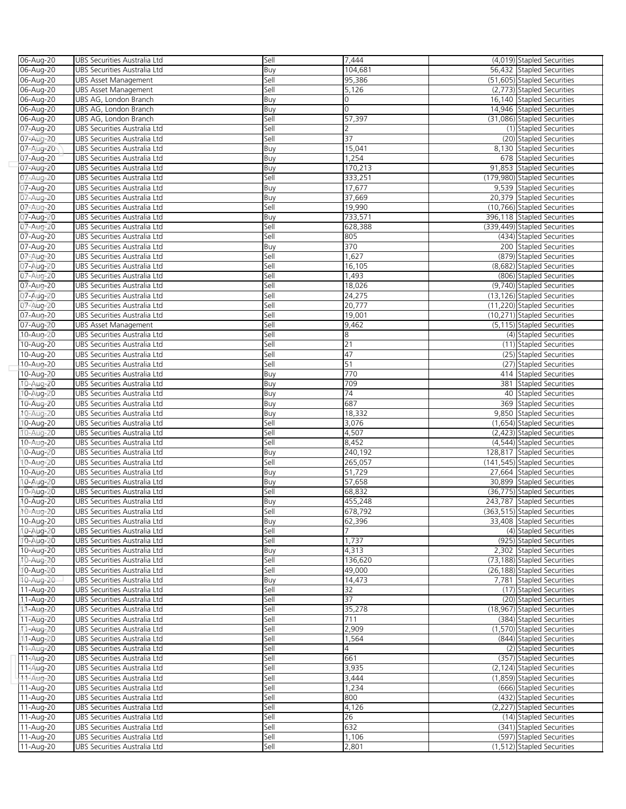| 06-Aug-20              | UBS Securities Australia Ltd                                 | Sell         | 7,444          | (4,019) Stapled Securities                               |
|------------------------|--------------------------------------------------------------|--------------|----------------|----------------------------------------------------------|
| 06-Aug-20              | UBS Securities Australia Ltd                                 | Buy          | 104.681        | 56,432 Stapled Securities                                |
| 06-Aug-20              | <b>UBS Asset Management</b>                                  | Sell         | 95,386         | (51,605) Stapled Securities                              |
| 06-Aug-20              | <b>UBS Asset Management</b>                                  | Sell         | 5,126          | (2,773) Stapled Securities                               |
| 06-Aug-20              | UBS AG, London Branch                                        | Buy          | 0              | 16,140 Stapled Securities                                |
| 06-Aug-20              | UBS AG, London Branch                                        | Buy          | 0              | 14,946 Stapled Securities                                |
| 06-Aug-20              | UBS AG, London Branch                                        | Sell         | 57,397         | (31,086) Stapled Securities                              |
| 07-Aug-20              | UBS Securities Australia Ltd                                 | Sell         | 2              | (1) Stapled Securities                                   |
| 07-Aug-20              | UBS Securities Australia Ltd                                 | Sell         | 37             | (20) Stapled Securities                                  |
| 07-Aug-20              | UBS Securities Australia Ltd                                 | Buy          | 15,041         | 8,130 Stapled Securities                                 |
| 07-Aug-20              | UBS Securities Australia Ltd                                 | Buy          | 1,254          | 678 Stapled Securities                                   |
| 07-Aug-20              | UBS Securities Australia Ltd                                 | Buy          | 170,213        | 91,853 Stapled Securities                                |
| 07-Aug-20              | UBS Securities Australia Ltd                                 | Sell         | 333,251        | (179,980) Stapled Securities                             |
| 07-Aug-20              | UBS Securities Australia Ltd                                 | Buy          | 17,677         | 9,539 Stapled Securities                                 |
| 07-Aug-20              | UBS Securities Australia Ltd                                 | Buy          | 37,669         | 20.379 Stapled Securities                                |
| 07-Aug-20              | UBS Securities Australia Ltd                                 | Sell         | 19,990         | (10,766) Stapled Securities                              |
| 07-Aug-20              | UBS Securities Australia Ltd                                 | Buy          | 733,571        | 396,118 Stapled Securities                               |
| 07-Aug-20              | UBS Securities Australia Ltd                                 | Sell         | 628,388        | (339,449) Stapled Securities                             |
| 07-Aug-20              | UBS Securities Australia Ltd                                 | Sell         | 805            | (434) Stapled Securities                                 |
| 07-Aug-20              | UBS Securities Australia Ltd                                 | Buy          | 370            | 200 Stapled Securities                                   |
| 07-Aug-20              | UBS Securities Australia Ltd                                 | Sell         | 1,627          | (879) Stapled Securities                                 |
| 07-Aug-20              | UBS Securities Australia Ltd                                 | Sell         | 16,105         | (8,682) Stapled Securities                               |
| 07-Aug-20              | UBS Securities Australia Ltd                                 | Sell         | 1,493          | (806) Stapled Securities                                 |
| 07-Aug-20              | UBS Securities Australia Ltd                                 | Sell         | 18,026         | (9,740) Stapled Securities                               |
| 07-Aug-20              | UBS Securities Australia Ltd                                 | Sell         | 24,275         | (13.126) Stapled Securities                              |
| 07-Aug-20              | UBS Securities Australia Ltd                                 | Sell         | 20,777         | (11,220) Stapled Securities                              |
| 07-Aug-20              | UBS Securities Australia Ltd                                 | Sell         | 19,001         | (10,271) Stapled Securities                              |
| 07-Aug-20              | <b>UBS Asset Management</b>                                  | Sell         | 9,462          | (5,115) Stapled Securities                               |
| 10-Aug-20              | UBS Securities Australia Ltd                                 | Sell         | 8              | (4) Stapled Securities                                   |
| 10-Aug-20              | UBS Securities Australia Ltd                                 | Sell         | 21             | (11) Stapled Securities                                  |
| 10-Aug-20              | UBS Securities Australia Ltd                                 | Sell         | 47             | (25) Stapled Securities                                  |
| 10-Aug-20              | UBS Securities Australia Ltd                                 | Sell         | 51             | (27) Stapled Securities                                  |
| 10-Aug-20              | UBS Securities Australia Ltd                                 | Buy          | 770            | 414 Stapled Securities                                   |
| 10-Aug-20              | UBS Securities Australia Ltd                                 | Buy          | 709            | 381 Stapled Securities                                   |
| 10-Aug-20              | UBS Securities Australia Ltd                                 | Buy          | 74<br>687      | 40 Stapled Securities                                    |
| 10-Aug-20<br>10-Aug-20 | UBS Securities Australia Ltd                                 | Buy          |                | 369 Stapled Securities                                   |
|                        | UBS Securities Australia Ltd                                 | Buy          | 18,332         | 9,850 Stapled Securities                                 |
| 10-Aug-20<br>10-Aug-20 | UBS Securities Australia Ltd<br>UBS Securities Australia Ltd | Sell<br>Sell | 3,076<br>4,507 | (1,654) Stapled Securities<br>(2,423) Stapled Securities |
|                        | UBS Securities Australia Ltd                                 | Sell         | 8,452          | (4,544) Stapled Securities                               |
| 10-Aug-20<br>10-Aug-20 | UBS Securities Australia Ltd                                 | Buy          | 240,192        | 128,817 Stapled Securities                               |
| 10-Aug-20              | UBS Securities Australia Ltd                                 | Sell         | 265,057        | (141,545) Stapled Securities                             |
| 10-Aug-20              | UBS Securities Australia Ltd                                 | Buy          | 51,729         | 27,664 Stapled Securities                                |
| 10-Aug-20              | UBS Securities Australia Ltd                                 | Buy          | 57,658         | 30,899 Stapled Securities                                |
| 10-Aug-20              | UBS Securities Australia Ltd                                 | Sell         | 68,832         | (36,775) Stapled Securities                              |
| 10-Aug-20              | UBS Securities Australia Ltd                                 | Buy          | 455,248        | 243,787 Stapled Securities                               |
| 10-Aug-20              | UBS Securities Australia Ltd                                 | Sell         | 678.792        | (363,515) Stapled Securities                             |
| 10-Aug-20              | UBS Securities Australia Ltd                                 | Buy          | 62,396         | 33,408 Stapled Securities                                |
| 10-Aug-20              | UBS Securities Australia Ltd                                 | Sell         |                | (4) Stapled Securities                                   |
| 10-Aug-20              | UBS Securities Australia Ltd                                 | Sell         | 1,737          | (925) Stapled Securities                                 |
| 10-Aug-20              | UBS Securities Australia Ltd                                 | Buy          | 4,313          | 2,302 Stapled Securities                                 |
| 10-Aug-20              | UBS Securities Australia Ltd                                 | Sell         | 136,620        | (73,188) Stapled Securities                              |
| 10-Aug-20              | UBS Securities Australia Ltd                                 | Sell         | 49,000         | (26,188) Stapled Securities                              |
| 10-Aug-20              | UBS Securities Australia Ltd                                 | Buy          | 14,473         | 7,781 Stapled Securities                                 |
| 11-Aug-20              | UBS Securities Australia Ltd                                 | Sell         | 32             | (17) Stapled Securities                                  |
| 11-Aug-20              | UBS Securities Australia Ltd                                 | Sell         | 37             | (20) Stapled Securities                                  |
| 11-Aug-20              | UBS Securities Australia Ltd                                 | Sell         | 35,278         | (18,967) Stapled Securities                              |
| 11-Aug-20              | UBS Securities Australia Ltd                                 | Sell         | 711            | (384) Stapled Securities                                 |
| 11-Aug-20              | UBS Securities Australia Ltd                                 | Sell         | 2,909          | (1,570) Stapled Securities                               |
| 11-Aug-20              | UBS Securities Australia Ltd                                 | Sell         | 1,564          | (844) Stapled Securities                                 |
| 11-Aug-20              | UBS Securities Australia Ltd                                 | Sell         | 4              | (2) Stapled Securities                                   |
| 11-Aug-20              | UBS Securities Australia Ltd                                 | Sell         | 661            | (357) Stapled Securities                                 |
| 11-Aug-20              | UBS Securities Australia Ltd                                 | Sell         | 3,935          | (2,124) Stapled Securities                               |
| 11-Aug-20              | UBS Securities Australia Ltd                                 | Sell         | 3,444          | (1,859) Stapled Securities                               |
| 11-Aug-20              | UBS Securities Australia Ltd                                 | Sell         | 1,234          | (666) Stapled Securities                                 |
| 11-Aug-20              | UBS Securities Australia Ltd                                 | Sell         | 800            | (432) Stapled Securities                                 |
| 11-Aug-20              | UBS Securities Australia Ltd                                 | Sell         | 4,126          | (2,227) Stapled Securities                               |
| 11-Aug-20              | UBS Securities Australia Ltd                                 | Sell         | 26             | (14) Stapled Securities                                  |
| 11-Aug-20              | UBS Securities Australia Ltd                                 | Sell         | 632            | (341) Stapled Securities                                 |
| 11-Aug-20              | UBS Securities Australia Ltd                                 | Sell         | 1,106          | (597) Stapled Securities                                 |
| 11-Aug-20              | UBS Securities Australia Ltd                                 | Sell         | 2,801          | (1,512) Stapled Securities                               |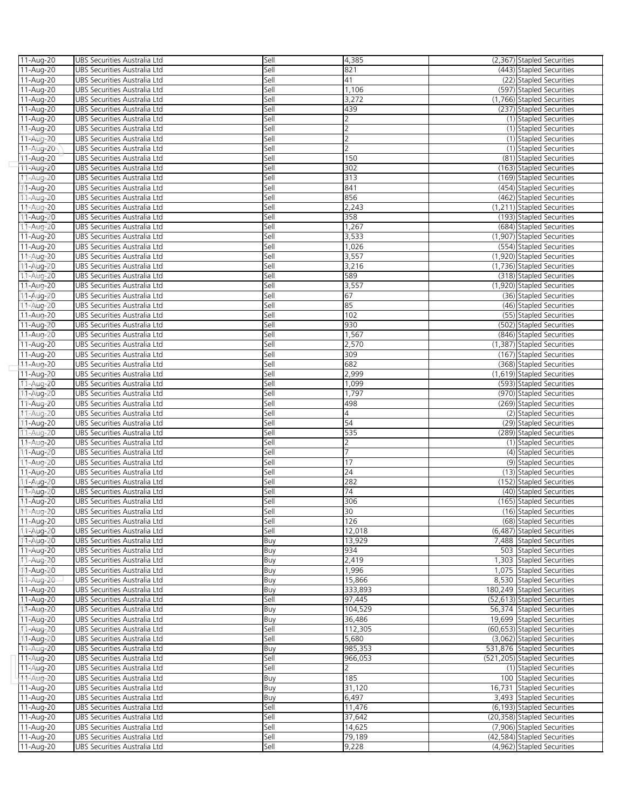| 11-Aug-20              | UBS Securities Australia Ltd                                 | Sell         | 4,385          | (2,367) Stapled Securities                         |
|------------------------|--------------------------------------------------------------|--------------|----------------|----------------------------------------------------|
| 11-Aug-20              | UBS Securities Australia Ltd                                 | Sell         | 821            | (443) Stapled Securities                           |
| 11-Aug-20              | UBS Securities Australia Ltd                                 | Sell         | 41             | (22) Stapled Securities                            |
| 11-Aug-20              | UBS Securities Australia Ltd                                 | Sell         | 1,106          | (597) Stapled Securities                           |
| 11-Aug-20              | UBS Securities Australia Ltd                                 | Sell         | 3,272          | (1,766) Stapled Securities                         |
| 11-Aug-20              | UBS Securities Australia Ltd                                 | Sell         | 439            | (237) Stapled Securities                           |
| 11-Aug-20              | UBS Securities Australia Ltd                                 | Sell         |                | (1) Stapled Securities                             |
| 11-Aug-20              | UBS Securities Australia Ltd                                 | Sell         | 2              | (1) Stapled Securities                             |
| 11-Aug-20              | UBS Securities Australia Ltd                                 | Sell         | $\overline{2}$ | (1) Stapled Securities                             |
| 11-Aug-20              | UBS Securities Australia Ltd                                 | Sell         | $\overline{2}$ | (1) Stapled Securities                             |
| 11-Aug-20              | UBS Securities Australia Ltd                                 | Sell         | 150            | (81) Stapled Securities                            |
| 11-Aug-20              | UBS Securities Australia Ltd                                 | Sell         | 302            | (163) Stapled Securities                           |
| 11-Aug-20              | UBS Securities Australia Ltd                                 | Sell         | 313            | (169) Stapled Securities                           |
| 11-Aug-20              | UBS Securities Australia Ltd                                 | Sell         | 841            | (454) Stapled Securities                           |
| 11-Aug-20              | UBS Securities Australia Ltd                                 | Sell         | 856            | (462) Stapled Securities                           |
| 11-Aug-20              | UBS Securities Australia Ltd                                 | Sell         | 2,243          | (1,211) Stapled Securities                         |
| 11-Aug-20              | UBS Securities Australia Ltd                                 | Sell         | 358            | (193) Stapled Securities                           |
| 11-Aug-20              | UBS Securities Australia Ltd                                 | Sell         | 1,267          | (684) Stapled Securities                           |
| 11-Aug-20              | UBS Securities Australia Ltd                                 | Sell         | 3,533          | (1,907) Stapled Securities                         |
| 11-Aug-20              | UBS Securities Australia Ltd                                 | Sell         | 1,026          | (554) Stapled Securities                           |
| 11-Aug-20              | UBS Securities Australia Ltd                                 | Sell         | 3,557          | (1,920) Stapled Securities                         |
| 11-Aug-20              | UBS Securities Australia Ltd                                 | Sell         | 3,216          | (1,736) Stapled Securities                         |
| 11-Aug-20              | UBS Securities Australia Ltd                                 | Sell         | 589            | (318) Stapled Securities                           |
| 11-Aug-20              | UBS Securities Australia Ltd                                 | Sell         | 3,557          | (1,920) Stapled Securities                         |
| 11-Aug-20              | UBS Securities Australia Ltd                                 | Sell         | 67             | (36) Stapled Securities                            |
| 11-Aug-20              | UBS Securities Australia Ltd                                 | Sell         | 85             | (46) Stapled Securities                            |
| 11-Aug-20              | UBS Securities Australia Ltd                                 | Sell         | 102            | (55) Stapled Securities                            |
| 11-Aug-20              | UBS Securities Australia Ltd                                 | Sell         | 930            | (502) Stapled Securities                           |
| 11-Aug-20              | UBS Securities Australia Ltd                                 | Sell         | 1,567          | (846) Stapled Securities                           |
| 11-Aug-20              | UBS Securities Australia Ltd                                 | Sell         | 2,570          | (1.387) Stapled Securities                         |
| 11-Aug-20              | UBS Securities Australia Ltd                                 | Sell         | 309            | (167) Stapled Securities                           |
| 11-Aug-20              | UBS Securities Australia Ltd                                 | Sell         | 682            | (368) Stapled Securities                           |
| 11-Aug-20              | UBS Securities Australia Ltd                                 | Sell         | 2,999          | (1,619) Stapled Securities                         |
| 11-Aug-20              | UBS Securities Australia Ltd                                 | Sell         | 1,099          | (593) Stapled Securities                           |
| 11-Aug-20              | UBS Securities Australia Ltd                                 | Sell         | 1,797          | (970) Stapled Securities                           |
| 11-Aug-20              | UBS Securities Australia Ltd<br>UBS Securities Australia Ltd | Sell<br>Sell | 498<br>4       | (269) Stapled Securities<br>(2) Stapled Securities |
| 11-Aug-20              |                                                              | Sell         | 54             | (29) Stapled Securities                            |
| 11-Aug-20<br>11-Aug-20 | UBS Securities Australia Ltd<br>UBS Securities Australia Ltd | Sell         | 535            | (289) Stapled Securities                           |
| 11-Aug-20              | UBS Securities Australia Ltd                                 | Sell         | 2              | (1) Stapled Securities                             |
| 11-Aug-20              | UBS Securities Australia Ltd                                 | Sell         | 7              | (4) Stapled Securities                             |
| 11-Aug-20              | UBS Securities Australia Ltd                                 | Sell         | 17             | (9) Stapled Securities                             |
| 11-Aug-20              | UBS Securities Australia Ltd                                 | Sell         | 24             | (13) Stapled Securities                            |
| 11-Aug-20              | UBS Securities Australia Ltd                                 | Sell         | 282            | (152) Stapled Securities                           |
| 11-Aug-20              | UBS Securities Australia Ltd                                 | Sell         | 74             | (40) Stapled Securities                            |
| 11-Aug-20              | UBS Securities Australia Ltd                                 | Sell         | 306            | (165) Stapled Securities                           |
| $11-Auq-20$            | UBS Securities Australia I td                                | Sell         | 30             | (16) Stapled Securities                            |
| 11-Aug-20              | UBS Securities Australia Ltd                                 | Sell         | 126            | (68) Stapled Securities                            |
| 11-Aug-20              | UBS Securities Australia Ltd                                 | Sell         | 12,018         | (6.487) Stapled Securities                         |
| 11-Aug-20              | UBS Securities Australia Ltd                                 | Buy          | 13,929         | 7,488 Stapled Securities                           |
| 11-Aug-20              | UBS Securities Australia Ltd                                 | Buy          | 934            | 503 Stapled Securities                             |
| 11-Aug-20              | UBS Securities Australia Ltd                                 | Buy          | 2,419          | 1,303 Stapled Securities                           |
| 11-Aug-20              | UBS Securities Australia Ltd                                 | Buy          | 1,996          | 1,075 Stapled Securities                           |
| 11-Aug-20              | UBS Securities Australia Ltd                                 | Buy          | 15,866         | 8,530 Stapled Securities                           |
| 11-Aug-20              | UBS Securities Australia Ltd                                 | Buy          | 333,893        | 180,249 Stapled Securities                         |
| 11-Aug-20              | UBS Securities Australia Ltd                                 | Sell         | 97,445         | (52,613) Stapled Securities                        |
| 11-Aug-20              | UBS Securities Australia Ltd                                 | Buy          | 104,529        | 56,374 Stapled Securities                          |
| 11-Aug-20              | UBS Securities Australia Ltd                                 | Buy          | 36,486         | 19,699 Stapled Securities                          |
| 11-Aug-20              | UBS Securities Australia Ltd                                 | Sell         | 112,305        | (60,653) Stapled Securities                        |
| 11-Aug-20              | UBS Securities Australia Ltd                                 | Sell         | 5,680          | (3,062) Stapled Securities                         |
| 11-Aug-20              | UBS Securities Australia Ltd                                 | Buy          | 985,353        | 531,876 Stapled Securities                         |
| 11-Aug-20              | UBS Securities Australia Ltd                                 | Sell         | 966,053        | (521,205) Stapled Securities                       |
| 11-Aug-20              | UBS Securities Australia Ltd                                 | Sell         | 2              | (1) Stapled Securities                             |
| 11-Aug-20              | UBS Securities Australia Ltd                                 | Buy          | 185            | 100 Stapled Securities                             |
| 11-Aug-20              | UBS Securities Australia Ltd                                 | Buy          | 31,120         | 16,731 Stapled Securities                          |
| 11-Aug-20              | UBS Securities Australia Ltd                                 | Buy          | 6,497          | 3,493 Stapled Securities                           |
| 11-Aug-20              | UBS Securities Australia Ltd                                 | Sell         | 11,476         | (6,193) Stapled Securities                         |
| 11-Aug-20              | UBS Securities Australia Ltd                                 | Sell         | 37,642         | (20,358) Stapled Securities                        |
| 11-Aug-20              | UBS Securities Australia Ltd                                 | Sell         | 14,625         | (7,906) Stapled Securities                         |
| 11-Aug-20              | UBS Securities Australia Ltd                                 | Sell         | 79,189         | (42,584) Stapled Securities                        |
| 11-Aug-20              | UBS Securities Australia Ltd                                 | Sell         | 9,228          | (4,962) Stapled Securities                         |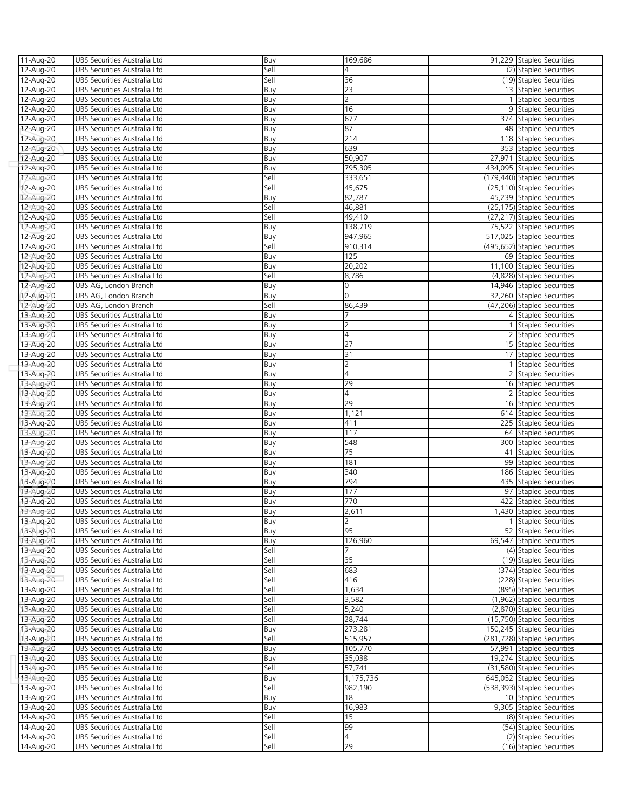| 11-Aug-20              | UBS Securities Australia Ltd                                 | Buy          | 169,686          | 91,229 Stapled Securities                                  |
|------------------------|--------------------------------------------------------------|--------------|------------------|------------------------------------------------------------|
| 12-Aug-20              | UBS Securities Australia Ltd                                 | Sell         | 4                | (2) Stapled Securities                                     |
| 12-Aug-20              | UBS Securities Australia Ltd                                 | Sell         | 36               | (19) Stapled Securities                                    |
| 12-Aug-20              | UBS Securities Australia Ltd                                 | Buy          | 23               | 13 Stapled Securities                                      |
| 12-Aug-20              | UBS Securities Australia Ltd                                 | Buy          | $\overline{2}$   | 1 Stapled Securities                                       |
| 12-Aug-20              | UBS Securities Australia Ltd                                 | Buy          | 16               | 9 Stapled Securities                                       |
| 12-Aug-20              | UBS Securities Australia Ltd                                 | Buy          | 677              | 374 Stapled Securities                                     |
| 12-Aug-20              | UBS Securities Australia Ltd                                 | Buy          | 87               | 48 Stapled Securities                                      |
| 12-Aug-20              | UBS Securities Australia Ltd                                 | Buy          | 214              | 118 Stapled Securities                                     |
| 12-Aug-20              | UBS Securities Australia Ltd                                 | Buy          | 639              | 353 Stapled Securities                                     |
| 12-Aug-20              | UBS Securities Australia Ltd                                 | Buy          | 50,907           | 27,971 Stapled Securities                                  |
| 12-Aug-20              | UBS Securities Australia Ltd                                 | Buy          | 795,305          | 434,095 Stapled Securities                                 |
| 12-Aug-20              | UBS Securities Australia Ltd                                 | Sell         | 333,651          | (179,440) Stapled Securities                               |
| 12-Aug-20              | UBS Securities Australia Ltd                                 | Sell         | 45,675           | (25,110) Stapled Securities                                |
| 12-Aug-20              | UBS Securities Australia Ltd                                 | Buy          | 82,787           | 45,239 Stapled Securities                                  |
| 12-Aug-20              | UBS Securities Australia Ltd<br>UBS Securities Australia Ltd | Sell<br>Sell | 46,881<br>49,410 | (25,175) Stapled Securities<br>(27,217) Stapled Securities |
| 12-Aug-20              | UBS Securities Australia Ltd                                 |              | 138,719          |                                                            |
| 12-Aug-20<br>12-Aug-20 | UBS Securities Australia Ltd                                 | Buy<br>Buy   | 947,965          | 75,522 Stapled Securities<br>517,025 Stapled Securities    |
| 12-Aug-20              | UBS Securities Australia Ltd                                 | Sell         | 910,314          | (495,652) Stapled Securities                               |
| 12-Aug-20              | UBS Securities Australia Ltd                                 | Buy          | 125              | 69 Stapled Securities                                      |
| 12-Aug-20              | UBS Securities Australia Ltd                                 | Buy          | 20,202           | 11,100 Stapled Securities                                  |
| 12-Aug-20              | UBS Securities Australia Ltd                                 | Sell         | 8,786            | (4,828) Stapled Securities                                 |
| 12-Aug-20              | UBS AG, London Branch                                        | Buy          | 0                | 14,946 Stapled Securities                                  |
| 12-Aug-20              | UBS AG, London Branch                                        | Buy          | $\Omega$         | 32.260 Stapled Securities                                  |
| 12-Aug-20              | UBS AG, London Branch                                        | Sell         | 86,439           | (47,206) Stapled Securities                                |
| 13-Aug-20              | UBS Securities Australia Ltd                                 | Buy          |                  | 4 Stapled Securities                                       |
| 13-Aug-20              | UBS Securities Australia Ltd                                 | Buy          | $\overline{2}$   | 1 Stapled Securities                                       |
| 13-Aug-20              | UBS Securities Australia Ltd                                 | Buy          | 4                | 2 Stapled Securities                                       |
| 13-Aug-20              | UBS Securities Australia Ltd                                 | Buy          | 27               | 15 Stapled Securities                                      |
| 13-Aug-20              | UBS Securities Australia Ltd                                 | Buy          | 31               | 17 Stapled Securities                                      |
| 13-Aug-20              | UBS Securities Australia Ltd                                 | Buy          | $\overline{2}$   | 1 Stapled Securities                                       |
| 13-Aug-20              | UBS Securities Australia Ltd                                 | Buy          | $\overline{a}$   | 2 Stapled Securities                                       |
| 13-Aug-20              | UBS Securities Australia Ltd                                 | Buy          | 29               | 16 Stapled Securities                                      |
| 13-Aug-20<br>13-Aug-20 | UBS Securities Australia Ltd<br>UBS Securities Australia Ltd | Buy          | 4<br>29          | 2 Stapled Securities<br>16 Stapled Securities              |
| 13-Aug-20              | UBS Securities Australia Ltd                                 | Buy<br>Buy   | 1,121            | 614 Stapled Securities                                     |
| 13-Aug-20              | UBS Securities Australia Ltd                                 | Buy          | 411              | 225 Stapled Securities                                     |
| 13-Aug-20              | UBS Securities Australia Ltd                                 | Buy          | 117              | 64 Stapled Securities                                      |
| 13-Aug-20              | UBS Securities Australia Ltd                                 | Buy          | 548              | 300 Stapled Securities                                     |
| 13-Aug-20              | UBS Securities Australia Ltd                                 | Buy          | 75               | 41 Stapled Securities                                      |
| 13-Aug-20              | UBS Securities Australia Ltd                                 | Buy          | 181              | 99 Stapled Securities                                      |
| 13-Aug-20              | UBS Securities Australia Ltd                                 | Buy          | 340              | 186 Stapled Securities                                     |
| 13-Aug-20              | UBS Securities Australia Ltd                                 | Buy          | 794              | 435 Stapled Securities                                     |
| 13-Aug-20              | UBS Securities Australia Ltd                                 | Buy          | 177              | 97 Stapled Securities                                      |
| 13-Aug-20              | UBS Securities Australia Ltd                                 | Buy          | 770              | 422 Stapled Securities                                     |
| 13-Aug-20              | UBS Securities Australia Ltd                                 | Buv          | 2.611            | ,430 Stapled Securities                                    |
| 13-Aug-20              | UBS Securities Australia Ltd                                 | Buy          | $\overline{2}$   | 1 Stapled Securities                                       |
| 13-Aug-20              | UBS Securities Australia Ltd                                 | Buy          | 95               | 52 Stapled Securities                                      |
| 13-Aug-20              | UBS Securities Australia Ltd<br>UBS Securities Australia Ltd | Buy<br>Sell  | 126,960          | 69,547 Stapled Securities<br>(4) Stapled Securities        |
| 13-Aug-20<br>13-Aug-20 | UBS Securities Australia Ltd                                 | Sell         | 35               | (19) Stapled Securities                                    |
| 13-Aug-20              | UBS Securities Australia Ltd                                 | Sell         | 683              | (374) Stapled Securities                                   |
| 13-Aug-20              | UBS Securities Australia Ltd                                 | Sell         | 416              | (228) Stapled Securities                                   |
| 13-Aug-20              | UBS Securities Australia Ltd                                 | Sell         | 1,634            | (895) Stapled Securities                                   |
| 13-Aug-20              | UBS Securities Australia Ltd                                 | Sell         | 3,582            | (1,962) Stapled Securities                                 |
| 13-Aug-20              | UBS Securities Australia Ltd                                 | Sell         | 5,240            | (2,870) Stapled Securities                                 |
| 13-Aug-20              | UBS Securities Australia Ltd                                 | Sell         | 28,744           | (15,750) Stapled Securities                                |
| 13-Aug-20              | UBS Securities Australia Ltd                                 | Buy          | 273,281          | 150,245 Stapled Securities                                 |
| 13-Aug-20              | UBS Securities Australia Ltd                                 | Sell         | 515,957          | (281,728) Stapled Securities                               |
| 13-Aug-20              | UBS Securities Australia Ltd                                 | Buy          | 105,770          | 57,991 Stapled Securities                                  |
| 13-Aug-20              | UBS Securities Australia Ltd                                 | Buy          | 35,038           | 19,274 Stapled Securities                                  |
| 13-Aug-20              | UBS Securities Australia Ltd                                 | Sell         | 57,741           | (31,580) Stapled Securities                                |
| 13-Aug-20              | UBS Securities Australia Ltd                                 | Buy          | 1,175,736        | 645,052 Stapled Securities                                 |
| 13-Aug-20<br>13-Aug-20 | UBS Securities Australia Ltd<br>UBS Securities Australia Ltd | Sell         | 982,190<br>18    | (538,393) Stapled Securities<br>10 Stapled Securities      |
| 13-Aug-20              | UBS Securities Australia Ltd                                 | Buy<br>Buy   | 16,983           | 9,305 Stapled Securities                                   |
| 14-Aug-20              | UBS Securities Australia Ltd                                 | Sell         | 15               | (8) Stapled Securities                                     |
| 14-Aug-20              | UBS Securities Australia Ltd                                 | Sell         | 99               | (54) Stapled Securities                                    |
| 14-Aug-20              | UBS Securities Australia Ltd                                 | Sell         | $\overline{a}$   | (2) Stapled Securities                                     |
| 14-Aug-20              | UBS Securities Australia Ltd                                 | Sell         | 29               | (16) Stapled Securities                                    |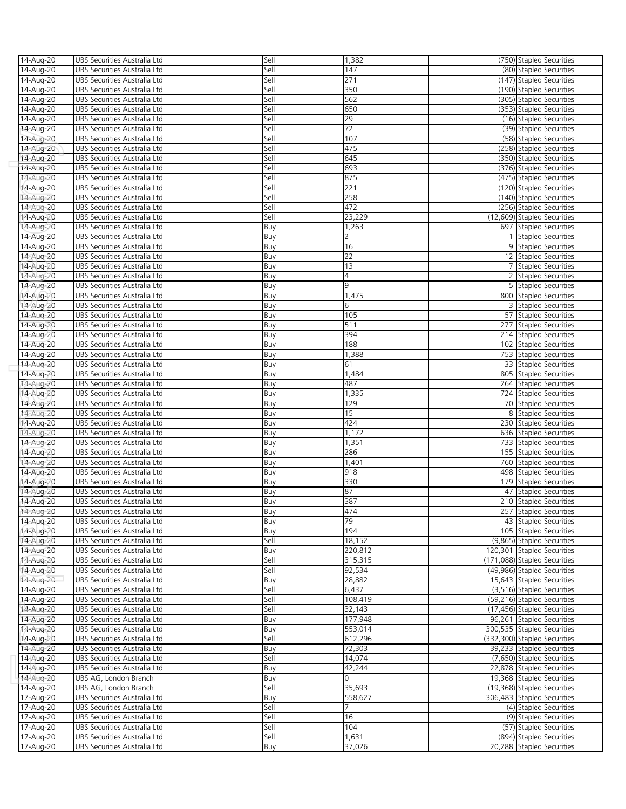| 14-Aug-20              | UBS Securities Australia Ltd                                 | Sell       | 1,382           | (750) Stapled Securities                         |
|------------------------|--------------------------------------------------------------|------------|-----------------|--------------------------------------------------|
| 14-Aug-20              | UBS Securities Australia Ltd                                 | Sell       | 147             | (80) Stapled Securities                          |
| 14-Aug-20              | UBS Securities Australia Ltd                                 | Sell       | 271             | (147) Stapled Securities                         |
| 14-Aug-20              | UBS Securities Australia Ltd                                 | Sell       | 350             | (190) Stapled Securities                         |
| 14-Aug-20              | UBS Securities Australia Ltd                                 | Sell       | 562             | (305) Stapled Securities                         |
| 14-Aug-20              | UBS Securities Australia Ltd                                 | Sell       | 650             | (353) Stapled Securities                         |
| 14-Aug-20              | UBS Securities Australia Ltd                                 | Sell       | 29              | (16) Stapled Securities                          |
| 14-Aug-20              | UBS Securities Australia Ltd                                 | Sell       | 72              | (39) Stapled Securities                          |
| 14-Aug-20              | UBS Securities Australia Ltd                                 | Sell       | 107             | (58) Stapled Securities                          |
| 14-Aug-20              | UBS Securities Australia Ltd                                 | Sell       | 475             | (258) Stapled Securities                         |
| 14-Aug-20              | UBS Securities Australia Ltd                                 | Sell       | 645             | (350) Stapled Securities                         |
| 14-Aug-20              | UBS Securities Australia Ltd                                 | Sell       | 693             | (376) Stapled Securities                         |
| 14-Aug-20              | UBS Securities Australia Ltd                                 | Sell       | 875             | (475) Stapled Securities                         |
| 14-Aug-20              | UBS Securities Australia Ltd                                 | Sell       | 221             | (120) Stapled Securities                         |
| 14-Aug-20              | UBS Securities Australia Ltd                                 | Sell       | 258             | (140) Stapled Securities                         |
| 14-Aug-20              | UBS Securities Australia Ltd                                 | Sell       | 472             | (256) Stapled Securities                         |
| 14-Aug-20              | UBS Securities Australia Ltd                                 | Sell       | 23,229          | (12,609) Stapled Securities                      |
| 14-Aug-20              | UBS Securities Australia Ltd                                 | Buy        | 1,263           | 697 Stapled Securities                           |
| 14-Aug-20              | UBS Securities Australia Ltd                                 | Buy        | 2               | <b>Stapled Securities</b>                        |
| 14-Aug-20              | UBS Securities Australia Ltd                                 | Buy        | 16              | 9 Stapled Securities                             |
| 14-Aug-20              | UBS Securities Australia Ltd                                 | Buy        | $\overline{22}$ | 12 Stapled Securities                            |
| 14-Aug-20              | UBS Securities Australia Ltd                                 | Buy        | 13              | 7 Stapled Securities                             |
| 14-Aug-20              | UBS Securities Australia Ltd                                 | Buy        | 4               | 2 Stapled Securities                             |
| 14-Aug-20              | UBS Securities Australia Ltd                                 | Buy        | 9               | 5 Stapled Securities                             |
| 14-Aug-20              | UBS Securities Australia Ltd                                 | Buy        | 1,475           | 800 Stapled Securities                           |
| 14-Aug-20              | UBS Securities Australia Ltd                                 | Buy        | 6               | 3 Stapled Securities                             |
| 14-Aug-20              | UBS Securities Australia Ltd                                 | Buy        | 105             | 57 Stapled Securities                            |
| 14-Aug-20              | UBS Securities Australia Ltd                                 | Buy        | 511             | 277 Stapled Securities                           |
| 14-Aug-20              | UBS Securities Australia Ltd                                 | Buy        | 394             | 214 Stapled Securities                           |
| 14-Aug-20              | UBS Securities Australia Ltd                                 | Buy        | 188             | 102 Stapled Securities                           |
| 14-Aug-20              | UBS Securities Australia Ltd                                 | Buy        | 1,388           | 753 Stapled Securities                           |
| 14-Aug-20              | UBS Securities Australia Ltd                                 | Buy        | 61              | 33 Stapled Securities                            |
| 14-Aug-20              | UBS Securities Australia Ltd                                 | Buy        | 1,484           | 805 Stapled Securities                           |
| 14-Aug-20              | UBS Securities Australia Ltd                                 | Buy        | 487             | 264 Stapled Securities                           |
| 14-Aug-20              | UBS Securities Australia Ltd                                 | Buy        | 1,335           | 724 Stapled Securities                           |
| 14-Aug-20              | UBS Securities Australia Ltd<br>UBS Securities Australia Ltd | Buy        | 129<br>15       | 70 Stapled Securities<br>8 Stapled Securities    |
| 14-Aug-20              |                                                              | Buy        | 424             |                                                  |
| 14-Aug-20<br>14-Aug-20 | UBS Securities Australia Ltd<br>UBS Securities Australia Ltd | Buy<br>Buy | 1,172           | 230 Stapled Securities<br>636 Stapled Securities |
| 14-Aug-20              | UBS Securities Australia Ltd                                 | Buy        | 1,351           | 733 Stapled Securities                           |
| 14-Aug-20              | UBS Securities Australia Ltd                                 | Buy        | 286             | 155 Stapled Securities                           |
| 14-Aug-20              | UBS Securities Australia Ltd                                 | Buy        | 1,401           | 760 Stapled Securities                           |
| 14-Aug-20              | UBS Securities Australia Ltd                                 | Buy        | 918             | 498 Stapled Securities                           |
| 14-Aug-20              | UBS Securities Australia Ltd                                 | Buy        | 330             | 179 Stapled Securities                           |
| 14-Aug-20              | UBS Securities Australia Ltd                                 | Buy        | 87              | 47 Stapled Securities                            |
| 14-Aug-20              | UBS Securities Australia Ltd                                 | Buy        | 387             | 210 Stapled Securities                           |
| 14-Aug-20              | UBS Securities Australia Ltd                                 | Buv        | 474             | 257 Stapled Securities                           |
| 14-Aug-20              | UBS Securities Australia Ltd                                 | Buy        | 79              | 43 Stapled Securities                            |
| 14-Aug-20              | UBS Securities Australia Ltd                                 | Buy        | 194             | 105 Stapled Securities                           |
| 14-Aug-20              | UBS Securities Australia Ltd                                 | Sell       | 18,152          | (9.865) Stapled Securities                       |
| 14-Aug-20              | UBS Securities Australia Ltd                                 | Buy        | 220,812         | 120,301 Stapled Securities                       |
| 14-Aug-20              | UBS Securities Australia Ltd                                 | Sell       | 315,315         | (171,088) Stapled Securities                     |
| 14-Aug-20              | UBS Securities Australia Ltd                                 | Sell       | 92,534          | (49,986) Stapled Securities                      |
| 14-Aug-20              | UBS Securities Australia Ltd                                 | Buy        | 28,882          | 15,643 Stapled Securities                        |
| 14-Aug-20              | UBS Securities Australia Ltd                                 | Sell       | 6,437           | (3,516) Stapled Securities                       |
| 14-Aug-20              | UBS Securities Australia Ltd                                 | Sell       | 108,419         | (59,216) Stapled Securities                      |
| 14-Aug-20              | UBS Securities Australia Ltd                                 | Sell       | 32,143          | (17,456) Stapled Securities                      |
| 14-Aug-20              | UBS Securities Australia Ltd                                 | Buy        | 177,948         | 96,261 Stapled Securities                        |
| 14-Aug-20              | UBS Securities Australia Ltd                                 | Buy        | 553,014         | 300,535 Stapled Securities                       |
| 14-Aug-20              | UBS Securities Australia Ltd                                 | Sell       | 612,296         | (332,300) Stapled Securities                     |
| 14-Aug-20              | UBS Securities Australia Ltd                                 | Buy        | 72,303          | 39,233 Stapled Securities                        |
| 14-Aug-20              | UBS Securities Australia Ltd                                 | Sell       | 14,074          | (7,650) Stapled Securities                       |
| 14-Aug-20              | UBS Securities Australia Ltd                                 | Buy        | 42,244          | 22,878 Stapled Securities                        |
| 14-Aug-20              | UBS AG, London Branch                                        | Buy        | $\Omega$        | 19,368 Stapled Securities                        |
| 14-Aug-20              | UBS AG, London Branch                                        | Sell       | 35,693          | (19,368) Stapled Securities                      |
| 17-Aug-20              | UBS Securities Australia Ltd                                 | Buy        | 558,627         | 306,483 Stapled Securities                       |
| 17-Aug-20              | UBS Securities Australia Ltd                                 | Sell       |                 | (4) Stapled Securities                           |
| 17-Aug-20              | UBS Securities Australia Ltd                                 | Sell       | 16              | (9) Stapled Securities                           |
| 17-Aug-20              | UBS Securities Australia Ltd                                 | Sell       | 104             | (57) Stapled Securities                          |
| 17-Aug-20              | UBS Securities Australia Ltd                                 | Sell       | 1,631           | (894) Stapled Securities                         |
| 17-Aug-20              | UBS Securities Australia Ltd                                 | Buy        | 37,026          | 20,288 Stapled Securities                        |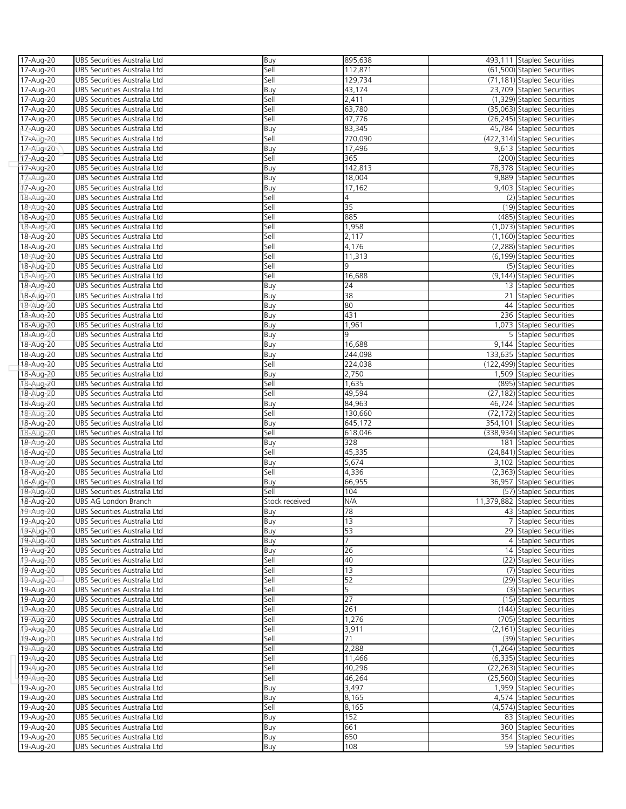| 17-Aug-20 | UBS Securities Australia Ltd  | Buy            | 895,638 | 493,111 Stapled Securities    |
|-----------|-------------------------------|----------------|---------|-------------------------------|
| 17-Aug-20 | UBS Securities Australia Ltd  | Sell           | 112,871 | (61,500) Stapled Securities   |
| 17-Aug-20 | UBS Securities Australia Ltd  | Sell           | 129,734 | (71,181) Stapled Securities   |
| 17-Aug-20 | UBS Securities Australia Ltd  | Buy            | 43,174  | 23,709 Stapled Securities     |
| 17-Aug-20 | UBS Securities Australia Ltd  | Sell           | 2,411   | (1,329) Stapled Securities    |
| 17-Aug-20 | UBS Securities Australia Ltd  | Sell           | 63,780  | (35,063) Stapled Securities   |
| 17-Aug-20 | UBS Securities Australia Ltd  | Sell           | 47,776  | (26,245) Stapled Securities   |
| 17-Aug-20 | UBS Securities Australia Ltd  | Buy            | 83,345  | 45,784 Stapled Securities     |
| 17-Aug-20 | UBS Securities Australia Ltd  | Sell           | 770,090 | (422,314) Stapled Securities  |
| 17-Aug-20 | UBS Securities Australia Ltd  | Buy            | 17,496  | 9,613 Stapled Securities      |
| 17-Aug-20 | UBS Securities Australia Ltd  | Sell           | 365     | (200) Stapled Securities      |
| 17-Aug-20 | UBS Securities Australia Ltd  | Buy            | 142,813 | 78,378 Stapled Securities     |
|           | UBS Securities Australia Ltd  |                | 18,004  | 9,889 Stapled Securities      |
| 17-Aug-20 | UBS Securities Australia Ltd  | Buy            | 17,162  |                               |
| 17-Aug-20 |                               | Buy            |         | 9,403 Stapled Securities      |
| 18-Aug-20 | UBS Securities Australia Ltd  | Sell           | 4       | (2) Stapled Securities        |
| 18-Aug-20 | UBS Securities Australia Ltd  | Sell           | 35      | (19) Stapled Securities       |
| 18-Aug-20 | UBS Securities Australia Ltd  | Sell           | 885     | (485) Stapled Securities      |
| 18-Aug-20 | UBS Securities Australia Ltd  | Sell           | 1,958   | (1,073) Stapled Securities    |
| 18-Aug-20 | UBS Securities Australia Ltd  | Sell           | 2,117   | (1,160) Stapled Securities    |
| 18-Aug-20 | UBS Securities Australia Ltd  | Sell           | 4,176   | (2,288) Stapled Securities    |
| 18-Aug-20 | UBS Securities Australia Ltd  | Sell           | 11,313  | (6,199) Stapled Securities    |
| 18-Aug-20 | UBS Securities Australia Ltd  | Sell           | 9       | (5) Stapled Securities        |
| 18-Aug-20 | UBS Securities Australia Ltd  | Sell           | 16,688  | (9,144) Stapled Securities    |
| 18-Aug-20 | UBS Securities Australia Ltd  | Buy            | 24      | 13 Stapled Securities         |
| 18-Aug-20 | UBS Securities Australia Ltd  | Buy            | 38      | 21 Stapled Securities         |
| 18-Aug-20 | UBS Securities Australia Ltd  | Buy            | 80      | 44 Stapled Securities         |
| 18-Aug-20 | UBS Securities Australia Ltd  | Buy            | 431     | 236 Stapled Securities        |
| 18-Aug-20 | UBS Securities Australia Ltd  | Buy            | 1,961   | 1,073 Stapled Securities      |
| 18-Aug-20 | UBS Securities Australia Ltd  | Buy            | 9       | 5 Stapled Securities          |
| 18-Aug-20 | UBS Securities Australia Ltd  | Buy            | 16,688  | 9.144 Stapled Securities      |
| 18-Aug-20 | UBS Securities Australia Ltd  | Buy            | 244,098 | 133,635 Stapled Securities    |
| 18-Aug-20 | UBS Securities Australia Ltd  | Sell           | 224,038 | (122,499) Stapled Securities  |
| 18-Aug-20 | UBS Securities Australia Ltd  | Buy            | 2,750   | 1,509 Stapled Securities      |
| 18-Aug-20 | UBS Securities Australia Ltd  | Sell           | 1,635   | (895) Stapled Securities      |
|           | UBS Securities Australia Ltd  | Sell           | 49,594  | (27,182) Stapled Securities   |
| 18-Aug-20 |                               |                |         |                               |
| 18-Aug-20 | UBS Securities Australia Ltd  | Buy            | 84,963  | 46,724 Stapled Securities     |
| 18-Aug-20 | UBS Securities Australia Ltd  | Sell           | 130,660 | (72,172) Stapled Securities   |
| 18-Aug-20 | UBS Securities Australia Ltd  | Buy            | 645,172 | 354,101 Stapled Securities    |
| 18-Aug-20 | UBS Securities Australia Ltd  | Sell           | 618,046 | (338,934) Stapled Securities  |
| 18-Aug-20 | UBS Securities Australia Ltd  | Buy            | 328     | 181 Stapled Securities        |
| 18-Aug-20 | UBS Securities Australia Ltd  | Sell           | 45,335  | (24,841) Stapled Securities   |
| 18-Aug-20 | UBS Securities Australia Ltd  | Buy            | 5,674   | 3,102 Stapled Securities      |
| 18-Aug-20 | UBS Securities Australia Ltd  | Sell           | 4,336   | (2,363) Stapled Securities    |
| 18-Aug-20 | UBS Securities Australia Ltd  | Buy            | 66,955  | 36,957 Stapled Securities     |
| 18-Aug-20 | UBS Securities Australia Ltd  | Sell           | 104     | (57) Stapled Securities       |
| 18-Aug-20 | UBS AG London Branch          | Stock received | N/A     | 11,379,882 Stapled Securities |
| 19-Aug-20 | UBS Securities Australia I td | Buv            | 78      | 43 Stapled Securities         |
| 19-Aug-20 | UBS Securities Australia Ltd  | Buy            | 13      | 7 Stapled Securities          |
| 19-Aug-20 | UBS Securities Australia Ltd  | Buy            | 53      | 29 Stapled Securities         |
| 19-Aug-20 | UBS Securities Australia Ltd  | Buy            | 7       | 4 Stapled Securities          |
| 19-Aug-20 | UBS Securities Australia Ltd  | Buy            | 26      | 14 Stapled Securities         |
| 19-Aug-20 | UBS Securities Australia Ltd  | Sell           | 40      | (22) Stapled Securities       |
| 19-Aug-20 | UBS Securities Australia Ltd  | Sell           | 13      | (7) Stapled Securities        |
| 19-Aug-20 | UBS Securities Australia Ltd  | Sell           | 52      | (29) Stapled Securities       |
| 19-Aug-20 | UBS Securities Australia Ltd  | Sell           | 5       | (3) Stapled Securities        |
| 19-Aug-20 | UBS Securities Australia Ltd  | Sell           | 27      | (15) Stapled Securities       |
| 19-Aug-20 | UBS Securities Australia Ltd  | Sell           | 261     | (144) Stapled Securities      |
| 19-Aug-20 | UBS Securities Australia Ltd  | Sell           | 1,276   | (705) Stapled Securities      |
| 19-Aug-20 | UBS Securities Australia Ltd  | Sell           | 3,911   | (2,161) Stapled Securities    |
| 19-Aug-20 | UBS Securities Australia Ltd  | Sell           | 71      | (39) Stapled Securities       |
| 19-Aug-20 | UBS Securities Australia Ltd  | Sell           | 2,288   | (1,264) Stapled Securities    |
|           |                               |                | 11,466  |                               |
| 19-Aug-20 | UBS Securities Australia Ltd  | Sell           |         | (6,335) Stapled Securities    |
| 19-Aug-20 | UBS Securities Australia Ltd  | Sell           | 40,296  | (22,263) Stapled Securities   |
| 19-Aug-20 | UBS Securities Australia Ltd  | Sell           | 46,264  | (25,560) Stapled Securities   |
| 19-Aug-20 | UBS Securities Australia Ltd  | Buy            | 3,497   | 1,959 Stapled Securities      |
| 19-Aug-20 | UBS Securities Australia Ltd  | Buy            | 8,165   | 4,574 Stapled Securities      |
| 19-Aug-20 | UBS Securities Australia Ltd  | Sell           | 8,165   | (4,574) Stapled Securities    |
| 19-Aug-20 | UBS Securities Australia Ltd  | Buy            | 152     | 83 Stapled Securities         |
| 19-Aug-20 | UBS Securities Australia Ltd  | Buy            | 661     | 360 Stapled Securities        |
| 19-Aug-20 | UBS Securities Australia Ltd  | Buy            | 650     | 354 Stapled Securities        |
| 19-Aug-20 | UBS Securities Australia Ltd  | Buy            | 108     | 59 Stapled Securities         |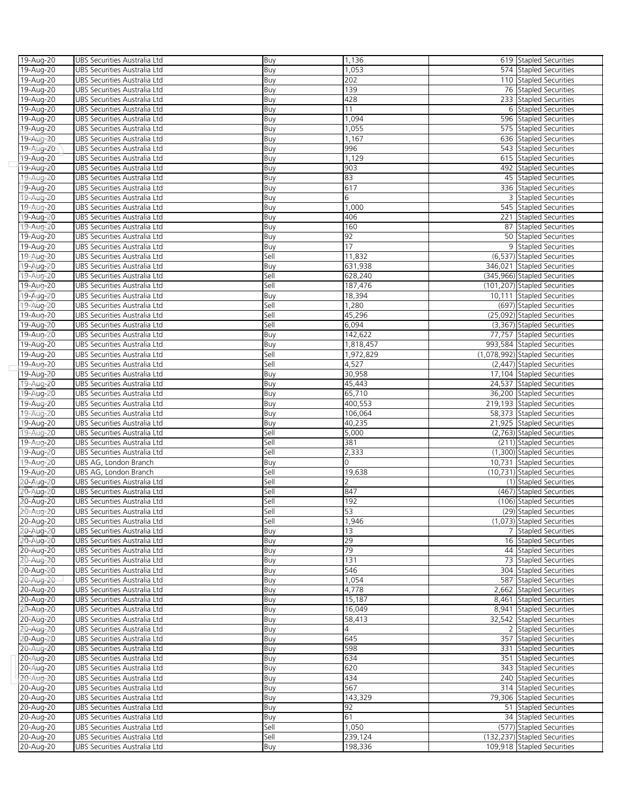| 19-Aug-20              | UBS Securities Australia Ltd                                 | Buy         | 1,136              | 619 Stapled Securities                                     |
|------------------------|--------------------------------------------------------------|-------------|--------------------|------------------------------------------------------------|
|                        | UBS Securities Australia Ltd                                 |             |                    |                                                            |
| 19-Aug-20              |                                                              | Buy         | 1,053              | 574 Stapled Securities                                     |
| 19-Aug-20              | UBS Securities Australia Ltd                                 | Buy         | 202                | 110 Stapled Securities                                     |
| 19-Aug-20              | UBS Securities Australia Ltd                                 | Buy         | 139                | 76 Stapled Securities                                      |
| 19-Aug-20              | UBS Securities Australia Ltd                                 | Buy         | 428                | 233 Stapled Securities                                     |
|                        |                                                              |             |                    |                                                            |
| 19-Aug-20              | UBS Securities Australia Ltd                                 | Buy         | 11                 | 6 Stapled Securities                                       |
| 19-Aug-20              | UBS Securities Australia Ltd                                 | Buy         | 1,094              | 596 Stapled Securities                                     |
| 19-Aug-20              | UBS Securities Australia Ltd                                 | Buy         | 1,055              | 575 Stapled Securities                                     |
| 19-Aug-20              | UBS Securities Australia Ltd                                 | Buy         | 1,167              | 636 Stapled Securities                                     |
|                        |                                                              |             |                    |                                                            |
| 19-Aug-20              | UBS Securities Australia Ltd                                 | Buy         | 996                | 543 Stapled Securities                                     |
| 19-Aug-20              | UBS Securities Australia Ltd                                 | Buy         | 1,129              | 615 Stapled Securities                                     |
| 19-Aug-20              | UBS Securities Australia Ltd                                 | Buy         | 903                | 492 Stapled Securities                                     |
|                        |                                                              |             |                    |                                                            |
| 19-Aug-20              | UBS Securities Australia Ltd                                 | Buy         | 83                 | 45 Stapled Securities                                      |
| 19-Aug-20              | UBS Securities Australia Ltd                                 | Buy         | 617                | 336 Stapled Securities                                     |
| 19-Aug-20              | UBS Securities Australia Ltd                                 | Buy         | 6                  | 3 Stapled Securities                                       |
| 19-Aug-20              | UBS Securities Australia Ltd                                 | Buy         | 1,000              | 545 Stapled Securities                                     |
|                        |                                                              |             |                    |                                                            |
| 19-Aug-20              | UBS Securities Australia Ltd                                 | Buy         | 406                | 221 Stapled Securities                                     |
| 19-Aug-20              | UBS Securities Australia Ltd                                 | Buy         | 160                | 87 Stapled Securities                                      |
| 19-Aug-20              | UBS Securities Australia Ltd                                 | Buy         | 92                 | 50 Stapled Securities                                      |
|                        |                                                              |             |                    |                                                            |
| 19-Aug-20              | UBS Securities Australia Ltd                                 | Buy         | 17                 | 9 Stapled Securities                                       |
| 19-Aug-20              | UBS Securities Australia Ltd                                 | Sell        | 11,832             | (6,537) Stapled Securities                                 |
| 19-Aug-20              | UBS Securities Australia Ltd                                 | Buy         | 631,938            | 346,021 Stapled Securities                                 |
| 19-Aug-20              |                                                              | Sell        |                    | (345,966) Stapled Securities                               |
|                        | UBS Securities Australia Ltd                                 |             | 628,240            |                                                            |
| 19-Aug-20              | UBS Securities Australia Ltd                                 | Sell        | 187,476            | (101,207) Stapled Securities                               |
| 19-Aug-20              | UBS Securities Australia Ltd                                 | Buy         | 18,394             | 10,111 Stapled Securities                                  |
| 19-Aug-20              | UBS Securities Australia Ltd                                 | Sell        | 1,280              | (697) Stapled Securities                                   |
|                        |                                                              |             |                    |                                                            |
| 19-Aug-20              | UBS Securities Australia Ltd                                 | Sell        | 45,296             | (25,092) Stapled Securities                                |
| 19-Aug-20              | UBS Securities Australia Ltd                                 | Sell        | 6,094              | (3,367) Stapled Securities                                 |
| 19-Aug-20              | UBS Securities Australia Ltd                                 | Buy         | 142,622            | 77,757 Stapled Securities                                  |
|                        |                                                              |             |                    |                                                            |
| 19-Aug-20              | UBS Securities Australia Ltd                                 | Buy         | 1,818,457          | 993,584 Stapled Securities                                 |
| 19-Aug-20              | UBS Securities Australia Ltd                                 | Sell        | 1,972,829          | (1,078,992) Stapled Securities                             |
| 19-Aug-20              | UBS Securities Australia Ltd                                 | Sell        | 4,527              | (2,447) Stapled Securities                                 |
|                        |                                                              |             |                    |                                                            |
| 19-Aug-20              | UBS Securities Australia Ltd                                 | Buy         | 30,958             | 17,104 Stapled Securities                                  |
| 19-Aug-20              | UBS Securities Australia Ltd                                 | Buy         | 45,443             | 24,537 Stapled Securities                                  |
| 19-Aug-20              | UBS Securities Australia Ltd                                 | Buy         | 65,710             | 36,200 Stapled Securities                                  |
| 19-Aug-20              | UBS Securities Australia Ltd                                 | Buy         | 400,553            | 219,193 Stapled Securities                                 |
|                        |                                                              |             |                    |                                                            |
| 19-Aug-20              | UBS Securities Australia Ltd                                 | Buy         | 106,064            | 58,373 Stapled Securities                                  |
| 19-Aug-20              | UBS Securities Australia Ltd                                 | Buy         | 40,235             | 21,925 Stapled Securities                                  |
|                        |                                                              | Sell        | 5,000              | (2,763) Stapled Securities                                 |
|                        |                                                              |             |                    |                                                            |
| 19-Aug-20              | UBS Securities Australia Ltd                                 |             |                    |                                                            |
| 19-Aug-20              | UBS Securities Australia Ltd                                 | Sell        | 381                | (211) Stapled Securities                                   |
| 19-Aug-20              | UBS Securities Australia Ltd                                 | Sell        | 2,333              | (1,300) Stapled Securities                                 |
|                        |                                                              |             | $\Omega$           |                                                            |
| 19-Aug-20              | UBS AG, London Branch                                        | Buy         |                    | 10,731 Stapled Securities                                  |
| 19-Aug-20              | UBS AG, London Branch                                        | Sell        | 19,638             | (10,731) Stapled Securities                                |
| 20-Aug-20              | UBS Securities Australia Ltd                                 | Sell        | $\overline{2}$     | (1) Stapled Securities                                     |
| 20-Aug-20              | UBS Securities Australia Ltd                                 | Sell        | 847                | (467) Stapled Securities                                   |
|                        |                                                              |             |                    |                                                            |
| 20-Aug-20              | UBS Securities Australia Ltd                                 | Sell        | 192                | (106) Stapled Securities                                   |
| 20-Aug-20              | UBS Securities Australia Ltd                                 | Sell        | 53                 | (29) Stapled Securities                                    |
| 20-Aug-20              | UBS Securities Australia Ltd                                 | Sell        | 1,946              | (1,073) Stapled Securities                                 |
|                        |                                                              |             |                    |                                                            |
| 20-Aug-20              | UBS Securities Australia Ltd                                 | Buy         | 13                 | 7 Stapled Securities                                       |
| 20-Aug-20              | UBS Securities Australia Ltd                                 | Buy         | 29                 | 16 Stapled Securities                                      |
| 20-Aug-20              | UBS Securities Australia Ltd                                 | Buy         | 79                 | 44 Stapled Securities                                      |
| 20-Aug-20              | UBS Securities Australia Ltd                                 | Buy         | 131                | 73 Stapled Securities                                      |
|                        |                                                              |             |                    |                                                            |
| 20-Aug-20              | UBS Securities Australia Ltd                                 | Buy         | 546                | 304 Stapled Securities                                     |
| 20-Aug-20              | UBS Securities Australia Ltd                                 | Buy         | 1,054              | 587 Stapled Securities                                     |
| 20-Aug-20              | UBS Securities Australia Ltd                                 | Buy         | 4,778              | 2,662 Stapled Securities                                   |
|                        |                                                              |             |                    |                                                            |
| 20-Aug-20              | UBS Securities Australia Ltd                                 | Buy         | 15,187             | 8,461 Stapled Securities                                   |
| 20-Aug-20              | UBS Securities Australia Ltd                                 | Buy         | 16,049             | 8,941 Stapled Securities                                   |
| 20-Aug-20              | UBS Securities Australia Ltd                                 | Buy         | 58,413             | 32,542 Stapled Securities                                  |
|                        | UBS Securities Australia Ltd                                 |             | 4                  | 2 Stapled Securities                                       |
| 20-Aug-20              |                                                              | Buy         |                    |                                                            |
| 20-Aug-20              | UBS Securities Australia Ltd                                 | Buy         | 645                | 357 Stapled Securities                                     |
| 20-Aug-20              | UBS Securities Australia Ltd                                 | Buy         | 598                | 331 Stapled Securities                                     |
| 20-Aug-20              | UBS Securities Australia Ltd                                 | Buy         | 634                | 351 Stapled Securities                                     |
|                        |                                                              |             |                    |                                                            |
| 20-Aug-20              | UBS Securities Australia Ltd                                 | Buy         | 620                | 343 Stapled Securities                                     |
| 20-Aug-20              | UBS Securities Australia Ltd                                 | Buy         | 434                | 240 Stapled Securities                                     |
| 20-Aug-20              | UBS Securities Australia Ltd                                 | Buy         | 567                | 314 Stapled Securities                                     |
|                        | UBS Securities Australia Ltd                                 |             | 143,329            |                                                            |
| 20-Aug-20              |                                                              | Buy         |                    | 79,306 Stapled Securities                                  |
| 20-Aug-20              | UBS Securities Australia Ltd                                 | Buy         | 92                 | 51 Stapled Securities                                      |
| 20-Aug-20              | UBS Securities Australia Ltd                                 | Buy         | 61                 | 34 Stapled Securities                                      |
| 20-Aug-20              | UBS Securities Australia Ltd                                 | Sell        | 1,050              | (577) Stapled Securities                                   |
|                        |                                                              |             |                    |                                                            |
| 20-Aug-20<br>20-Aug-20 | UBS Securities Australia Ltd<br>UBS Securities Australia Ltd | Sell<br>Buy | 239,124<br>198,336 | (132,237) Stapled Securities<br>109,918 Stapled Securities |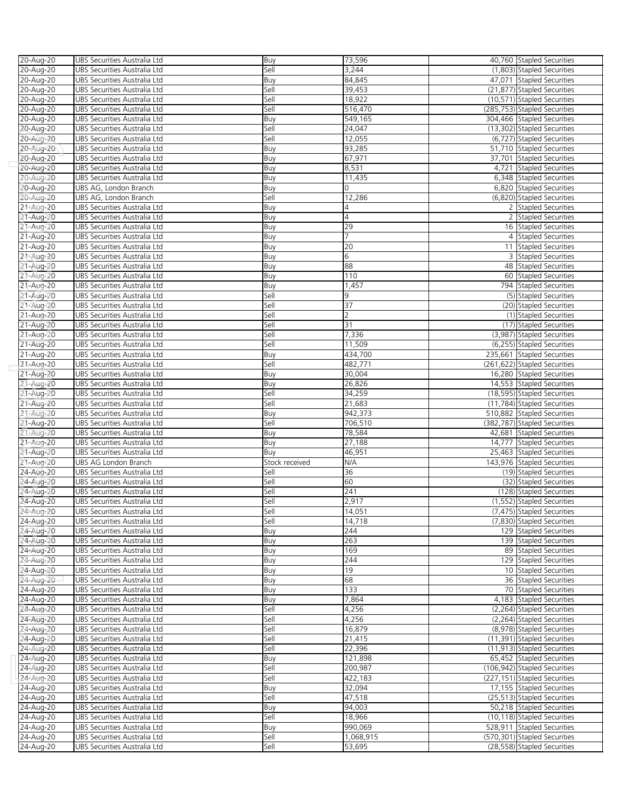| 20-Aug-20 | UBS Securities Australia Ltd | Buy            | 73,596         | 40,760 Stapled Securities    |
|-----------|------------------------------|----------------|----------------|------------------------------|
| 20-Aug-20 | UBS Securities Australia Ltd | Sell           | 3,244          | (1,803) Stapled Securities   |
|           |                              |                |                |                              |
| 20-Aug-20 | UBS Securities Australia Ltd | Buy            | 84,845         | 47,071 Stapled Securities    |
| 20-Aug-20 | UBS Securities Australia Ltd | Sell           | 39,453         | (21,877) Stapled Securities  |
| 20-Aug-20 | UBS Securities Australia Ltd | Sell           | 18,922         | (10,571) Stapled Securities  |
| 20-Aug-20 | UBS Securities Australia Ltd | Sell           | 516,470        | (285,753) Stapled Securities |
| 20-Aug-20 | UBS Securities Australia Ltd | Buy            | 549,165        | 304,466 Stapled Securities   |
| 20-Aug-20 | UBS Securities Australia Ltd | Sell           | 24,047         | (13,302) Stapled Securities  |
| 20-Aug-20 | UBS Securities Australia Ltd | Sell           | 12,055         | (6,727) Stapled Securities   |
| 20-Aug-20 | UBS Securities Australia Ltd | Buy            | 93,285         | 51,710 Stapled Securities    |
|           |                              |                |                |                              |
| 20-Aug-20 | UBS Securities Australia Ltd | Buy            | 67,971         | 37,701 Stapled Securities    |
| 20-Aug-20 | UBS Securities Australia Ltd | Buy            | 8,531          | 4,721 Stapled Securities     |
| 20-Aug-20 | UBS Securities Australia Ltd | Buy            | 11,435         | 6,348 Stapled Securities     |
| 20-Aug-20 | UBS AG, London Branch        | Buy            | 0              | 6,820 Stapled Securities     |
| 20-Aug-20 | UBS AG, London Branch        | Sell           | 12,286         | (6,820) Stapled Securities   |
| 21-Aug-20 | UBS Securities Australia Ltd | Buy            | 4              | 2 Stapled Securities         |
| 21-Aug-20 | UBS Securities Australia Ltd | Buy            | $\overline{4}$ | 2 Stapled Securities         |
| 21-Aug-20 | UBS Securities Australia Ltd | Buy            | 29             | 16 Stapled Securities        |
|           |                              |                | $\overline{7}$ | 4 Stapled Securities         |
| 21-Aug-20 | UBS Securities Australia Ltd | Buy            |                |                              |
| 21-Aug-20 | UBS Securities Australia Ltd | Buy            | 20             | 11 Stapled Securities        |
| 21-Aug-20 | UBS Securities Australia Ltd | Buy            | 6              | 3 Stapled Securities         |
| 21-Aug-20 | UBS Securities Australia Ltd | Buy            | 88             | 48 Stapled Securities        |
| 21-Aug-20 | UBS Securities Australia Ltd | Buy            | 110            | 60 Stapled Securities        |
| 21-Aug-20 | UBS Securities Australia Ltd | Buy            | 1,457          | 794 Stapled Securities       |
| 21-Aug-20 | UBS Securities Australia Ltd | Sell           | 9              | (5) Stapled Securities       |
| 21-Aug-20 | UBS Securities Australia Ltd | Sell           | 37             | (20) Stapled Securities      |
| 21-Aug-20 | UBS Securities Australia Ltd | Sell           | $\overline{2}$ | (1) Stapled Securities       |
|           |                              |                | 31             |                              |
| 21-Aug-20 | UBS Securities Australia Ltd | Sell           |                | (17) Stapled Securities      |
| 21-Aug-20 | UBS Securities Australia Ltd | Sell           | 7,336          | (3,987) Stapled Securities   |
| 21-Aug-20 | UBS Securities Australia Ltd | Sell           | 11,509         | (6,255) Stapled Securities   |
| 21-Aug-20 | UBS Securities Australia Ltd | Buy            | 434,700        | 235,661 Stapled Securities   |
| 21-Aug-20 | UBS Securities Australia Ltd | Sell           | 482,771        | (261,622) Stapled Securities |
| 21-Aug-20 | UBS Securities Australia Ltd | Buy            | 30,004         | 16,280 Stapled Securities    |
| 21-Aug-20 | UBS Securities Australia Ltd | Buy            | 26,826         | 14,553 Stapled Securities    |
| 21-Aug-20 | UBS Securities Australia Ltd | Sell           | 34,259         | (18,595) Stapled Securities  |
| 21-Aug-20 | UBS Securities Australia Ltd | Sell           | 21,683         | (11,784) Stapled Securities  |
|           |                              |                |                | 510,882 Stapled Securities   |
| 21-Aug-20 | UBS Securities Australia Ltd | Buy            | 942,373        |                              |
| 21-Aug-20 | UBS Securities Australia Ltd | Sell           | 706,510        | (382,787) Stapled Securities |
| 21-Aug-20 | UBS Securities Australia Ltd | Buy            | 78,584         | 42,681 Stapled Securities    |
| 21-Aug-20 | UBS Securities Australia Ltd | Buy            | 27,188         | 14,777 Stapled Securities    |
| 21-Aug-20 | UBS Securities Australia Ltd | Buy            | 46,951         | 25,463 Stapled Securities    |
| 21-Aug-20 | UBS AG London Branch         | Stock received | N/A            | 143,976 Stapled Securities   |
| 24-Aug-20 | UBS Securities Australia Ltd | Sell           | 36             | (19) Stapled Securities      |
| 24-Aug-20 | UBS Securities Australia Ltd | Sell           | 60             | (32) Stapled Securities      |
| 24-Aug-20 | UBS Securities Australia Ltd | Sell           | 241            | (128) Stapled Securities     |
|           | UBS Securities Australia Ltd | Sell           | 2,917          | (1,552) Stapled Securities   |
| 24-Aug-20 |                              |                |                |                              |
| 24-Aug-20 | UBS Securities Australia Ltd | Sell           | 14,051         | (7,475) Stapled Securities   |
| 24-Aug-20 | UBS Securities Australia Ltd | Sell           | 14,718         | (7,830) Stapled Securities   |
| 24-Aug-20 | UBS Securities Australia Ltd | Buy            | 244            | 129 Stapled Securities       |
| 24-Aug-20 | UBS Securities Australia Ltd | Buy            | 263            | 139 Stapled Securities       |
| 24-Aug-20 | UBS Securities Australia Ltd | Buy            | 169            | 89 Stapled Securities        |
| 24-Aug-20 | UBS Securities Australia Ltd | Buy            | 244            | 129 Stapled Securities       |
| 24-Aug-20 | UBS Securities Australia Ltd | Buy            | 19             | 10 Stapled Securities        |
| 24-Aug-20 | UBS Securities Australia Ltd | Buy            | 68             | 36 Stapled Securities        |
| 24-Aug-20 | UBS Securities Australia Ltd | Buy            | 133            | 70 Stapled Securities        |
|           |                              |                |                |                              |
| 24-Aug-20 | UBS Securities Australia Ltd | Buy            | 7,864          | 4,183 Stapled Securities     |
| 24-Aug-20 | UBS Securities Australia Ltd | Sell           | 4,256          | (2,264) Stapled Securities   |
|           |                              |                |                |                              |
| 24-Aug-20 | UBS Securities Australia Ltd | Sell           | 4,256          | (2,264) Stapled Securities   |
| 24-Aug-20 | UBS Securities Australia Ltd | Sell           | 16,879         | (8,978) Stapled Securities   |
| 24-Aug-20 | UBS Securities Australia Ltd | Sell           | 21,415         | (11,391) Stapled Securities  |
| 24-Aug-20 | UBS Securities Australia Ltd | Sell           | 22,396         | (11,913) Stapled Securities  |
| 24-Aug-20 | UBS Securities Australia Ltd | Buy            | 121,898        | 65,452 Stapled Securities    |
|           |                              |                |                |                              |
| 24-Aug-20 | UBS Securities Australia Ltd | Sell           | 200,987        | (106,942) Stapled Securities |
| 24-Aug-20 | UBS Securities Australia Ltd | Sell           | 422,183        | (227,151) Stapled Securities |
| 24-Aug-20 | UBS Securities Australia Ltd | Buy            | 32,094         | 17,155 Stapled Securities    |
| 24-Aug-20 | UBS Securities Australia Ltd | Sell           | 47,518         | (25,513) Stapled Securities  |
| 24-Aug-20 | UBS Securities Australia Ltd | Buy            | 94,003         | 50,218 Stapled Securities    |
| 24-Aug-20 | UBS Securities Australia Ltd | Sell           | 18,966         | (10,118) Stapled Securities  |
| 24-Aug-20 | UBS Securities Australia Ltd | Buy            | 990,069        | 528,911 Stapled Securities   |
| 24-Aug-20 | UBS Securities Australia Ltd | Sell           | 1,068,915      | (570,301) Stapled Securities |
| 24-Aug-20 | UBS Securities Australia Ltd | Sell           | 53,695         | (28,558) Stapled Securities  |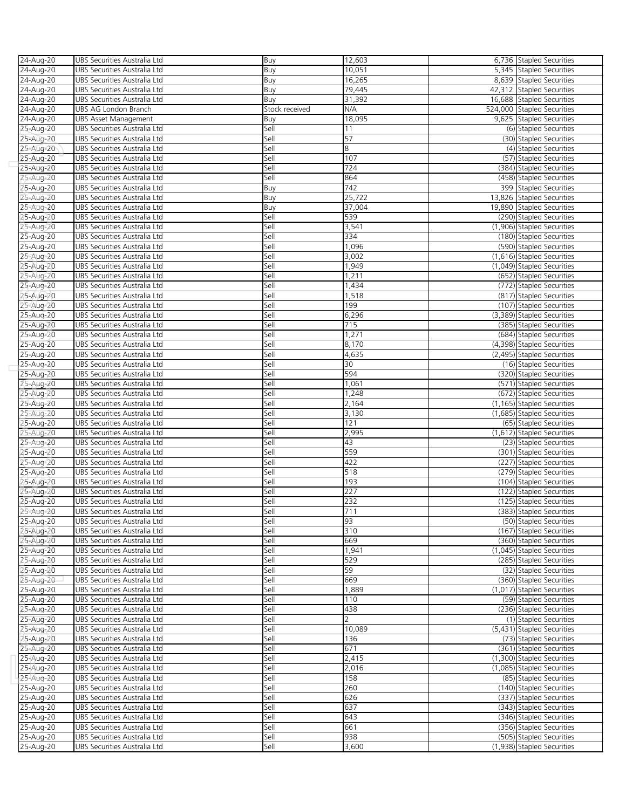| 24-Aug-20 | UBS Securities Australia Ltd | Buy            | 12,603         | 6,736 Stapled Securities                               |
|-----------|------------------------------|----------------|----------------|--------------------------------------------------------|
| 24-Aug-20 | UBS Securities Australia Ltd | Buy            | 10,051         | 5,345 Stapled Securities                               |
| 24-Aug-20 | UBS Securities Australia Ltd | Buy            | 16,265         | 8,639 Stapled Securities                               |
| 24-Aug-20 | UBS Securities Australia Ltd | Buy            | 79,445         | 42,312 Stapled Securities                              |
| 24-Aug-20 | UBS Securities Australia Ltd | Buy            | 31,392         | 16,688 Stapled Securities                              |
| 24-Aug-20 | UBS AG London Branch         | Stock received | N/A            | 524,000 Stapled Securities                             |
| 24-Aug-20 | <b>UBS Asset Management</b>  | Buy            | 18,095         | 9,625 Stapled Securities                               |
| 25-Aug-20 | UBS Securities Australia Ltd | Sell           | 11             | (6) Stapled Securities                                 |
| 25-Aug-20 | UBS Securities Australia Ltd | Sell           | 57             | (30) Stapled Securities                                |
| 25-Aug-20 | UBS Securities Australia Ltd | Sell           | 8              | (4) Stapled Securities                                 |
| 25-Aug-20 | UBS Securities Australia Ltd | Sell           | 107            | (57) Stapled Securities                                |
| 25-Aug-20 | UBS Securities Australia Ltd | Sell           | 724            | (384) Stapled Securities                               |
| 25-Aug-20 | UBS Securities Australia Ltd | Sell           | 864            | (458) Stapled Securities                               |
|           |                              |                | 742            |                                                        |
| 25-Aug-20 | UBS Securities Australia Ltd | Buy            |                | 399 Stapled Securities                                 |
| 25-Aug-20 | UBS Securities Australia Ltd | Buy            | 25,722         | 13.826 Stapled Securities                              |
| 25-Aug-20 | UBS Securities Australia Ltd | Buy            | 37,004         | 19,890 Stapled Securities                              |
| 25-Aug-20 | UBS Securities Australia Ltd | Sell           | 539            | (290) Stapled Securities                               |
| 25-Aug-20 | UBS Securities Australia Ltd | Sell           | 3,541          | (1,906) Stapled Securities                             |
| 25-Aug-20 | UBS Securities Australia Ltd | Sell           | 334            | (180) Stapled Securities                               |
| 25-Aug-20 | UBS Securities Australia Ltd | Sell           | 1,096          | (590) Stapled Securities                               |
| 25-Aug-20 | UBS Securities Australia Ltd | Sell           | 3,002          | (1,616) Stapled Securities                             |
| 25-Aug-20 | UBS Securities Australia Ltd | Sell           | 1,949          | (1,049) Stapled Securities                             |
| 25-Aug-20 | UBS Securities Australia Ltd | Sell           | 1,211          | (652) Stapled Securities                               |
| 25-Aug-20 | UBS Securities Australia Ltd | Sell           | 1,434          | (772) Stapled Securities                               |
| 25-Aug-20 | UBS Securities Australia Ltd | Sell           | 1,518          | (817) Stapled Securities                               |
| 25-Aug-20 | UBS Securities Australia Ltd | Sell           | 199            | (107) Stapled Securities                               |
| 25-Aug-20 | UBS Securities Australia Ltd | Sell           | 6,296          | (3,389) Stapled Securities                             |
| 25-Aug-20 | UBS Securities Australia Ltd | Sell           | 715            | (385) Stapled Securities                               |
| 25-Aug-20 | UBS Securities Australia Ltd | Sell           | 1,271          | (684) Stapled Securities                               |
| 25-Aug-20 | UBS Securities Australia Ltd | Sell           | 8,170          | (4,398) Stapled Securities                             |
| 25-Aug-20 | UBS Securities Australia Ltd | Sell           | 4,635          | (2,495) Stapled Securities                             |
| 25-Aug-20 | UBS Securities Australia Ltd | Sell           | 30             | (16) Stapled Securities                                |
| 25-Aug-20 | UBS Securities Australia Ltd | Sell           | 594            | (320) Stapled Securities                               |
| 25-Aug-20 | UBS Securities Australia Ltd | Sell           | 1,061          | (571) Stapled Securities                               |
|           |                              |                |                |                                                        |
| 25-Aug-20 | UBS Securities Australia Ltd | Sell<br>Sell   | 1,248<br>2,164 | (672) Stapled Securities<br>(1,165) Stapled Securities |
| 25-Aug-20 | UBS Securities Australia Ltd |                |                |                                                        |
| 25-Aug-20 | UBS Securities Australia Ltd | Sell           | 3,130          | (1,685) Stapled Securities                             |
| 25-Aug-20 | UBS Securities Australia Ltd | Sell           | 121            | (65) Stapled Securities                                |
| 25-Aug-20 | UBS Securities Australia Ltd | Sell           | 2,995          | (1,612) Stapled Securities                             |
| 25-Aug-20 | UBS Securities Australia Ltd | Sell           | 43             | (23) Stapled Securities                                |
| 25-Aug-20 | UBS Securities Australia Ltd | Sell           | 559            | (301) Stapled Securities                               |
| 25-Aug-20 | UBS Securities Australia Ltd | Sell           | 422            | (227) Stapled Securities                               |
| 25-Aug-20 | UBS Securities Australia Ltd | Sell           | 518            | (279) Stapled Securities                               |
| 25-Aug-20 | UBS Securities Australia Ltd | Sell           | 193            | (104) Stapled Securities                               |
| 25-Aug-20 | UBS Securities Australia Ltd | Sell           | 227            | (122) Stapled Securities                               |
| 25-Aug-20 | UBS Securities Australia Ltd | Sell           | 232            | (125) Stapled Securities                               |
| 25-Aug-20 | UBS Securities Australia Ltd | Sell           | 711            | (383) Stapled Securities                               |
| 25-Aug-20 | UBS Securities Australia Ltd | Sell           | 93             | (50) Stapled Securities                                |
| 25-Aug-20 | UBS Securities Australia Ltd | Sell           | 310            | (167) Stapled Securities                               |
| 25-Aug-20 | UBS Securities Australia Ltd | Sell           | 669            | (360) Stapled Securities                               |
| 25-Aug-20 | UBS Securities Australia Ltd | Sell           | 1,941          | (1,045) Stapled Securities                             |
| 25-Aug-20 | UBS Securities Australia Ltd | Sell           | 529            | (285) Stapled Securities                               |
| 25-Aug-20 | UBS Securities Australia Ltd | Sell           | 59             | (32) Stapled Securities                                |
| 25-Aug-20 | UBS Securities Australia Ltd | Sell           | 669            | (360) Stapled Securities                               |
| 25-Aug-20 | UBS Securities Australia Ltd | Sell           | 1,889          | (1,017) Stapled Securities                             |
| 25-Aug-20 | UBS Securities Australia Ltd | Sell           | 110            | (59) Stapled Securities                                |
| 25-Aug-20 | UBS Securities Australia Ltd | Sell           | 438            | (236) Stapled Securities                               |
| 25-Aug-20 | UBS Securities Australia Ltd | Sell           | $\overline{2}$ | (1) Stapled Securities                                 |
| 25-Aug-20 | UBS Securities Australia Ltd | Sell           | 10,089         | (5,431) Stapled Securities                             |
| 25-Aug-20 | UBS Securities Australia Ltd | Sell           | 136            | (73) Stapled Securities                                |
| 25-Aug-20 | UBS Securities Australia Ltd | Sell           | 671            | (361) Stapled Securities                               |
| 25-Aug-20 | UBS Securities Australia Ltd | Sell           | 2,415          | (1,300) Stapled Securities                             |
| 25-Aug-20 | UBS Securities Australia Ltd | Sell           | 2,016          | (1,085) Stapled Securities                             |
| 25-Aug-20 |                              | Sell           | 158            | (85) Stapled Securities                                |
|           | UBS Securities Australia Ltd |                |                |                                                        |
| 25-Aug-20 | UBS Securities Australia Ltd | Sell           | 260<br>626     | (140) Stapled Securities                               |
| 25-Aug-20 | UBS Securities Australia Ltd | Sell           |                | (337) Stapled Securities                               |
| 25-Aug-20 | UBS Securities Australia Ltd | Sell           | 637            | (343) Stapled Securities                               |
| 25-Aug-20 | UBS Securities Australia Ltd | Sell           | 643            | (346) Stapled Securities                               |
| 25-Aug-20 | UBS Securities Australia Ltd | Sell           | 661            | (356) Stapled Securities                               |
| 25-Aug-20 | UBS Securities Australia Ltd | Sell           | 938            | (505) Stapled Securities                               |
| 25-Aug-20 | UBS Securities Australia Ltd | Sell           | 3,600          | (1,938) Stapled Securities                             |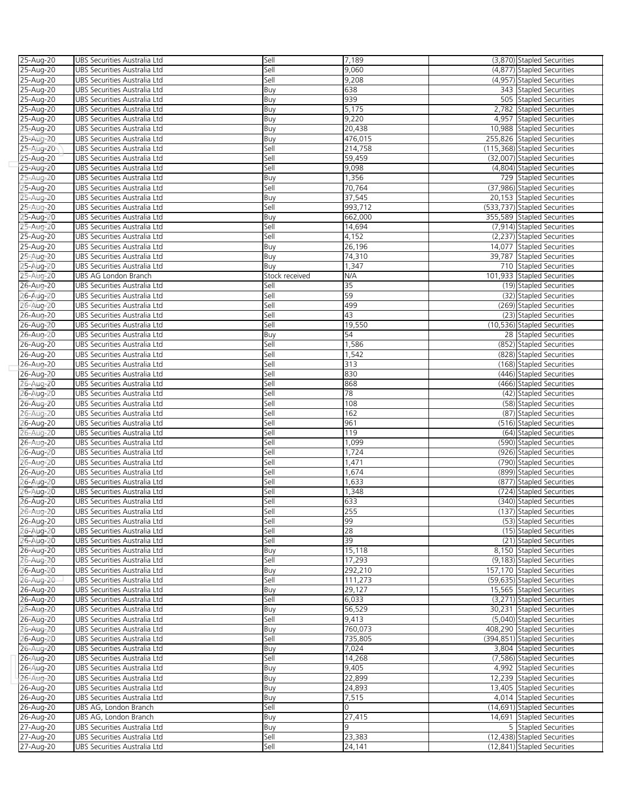| 25-Aug-20 | UBS Securities Australia Ltd | Sell           | 7,189           | (3,870) Stapled Securities   |
|-----------|------------------------------|----------------|-----------------|------------------------------|
| 25-Aug-20 | UBS Securities Australia Ltd | Sell           | 9,060           | (4,877) Stapled Securities   |
|           |                              |                |                 |                              |
| 25-Aug-20 | UBS Securities Australia Ltd | Sell           | 9,208           | (4,957) Stapled Securities   |
| 25-Aug-20 | UBS Securities Australia Ltd | Buy            | 638             | 343 Stapled Securities       |
| 25-Aug-20 | UBS Securities Australia Ltd | Buy            | 939             | 505 Stapled Securities       |
| 25-Aug-20 | UBS Securities Australia Ltd | Buy            | 5,175           | 2,782 Stapled Securities     |
| 25-Aug-20 | UBS Securities Australia Ltd | Buy            | 9,220           | 4,957 Stapled Securities     |
|           |                              |                |                 |                              |
| 25-Aug-20 | UBS Securities Australia Ltd | Buy            | 20,438          | 10,988 Stapled Securities    |
| 25-Aug-20 | UBS Securities Australia Ltd | Buy            | 476,015         | 255,826 Stapled Securities   |
| 25-Aug-20 | UBS Securities Australia Ltd | Sell           | 214,758         | (115,368) Stapled Securities |
| 25-Aug-20 | UBS Securities Australia Ltd | Sell           | 59,459          | (32,007) Stapled Securities  |
| 25-Aug-20 | UBS Securities Australia Ltd | Sell           | 9,098           | (4,804) Stapled Securities   |
| 25-Aug-20 | UBS Securities Australia Ltd | Buy            | 1,356           | 729 Stapled Securities       |
|           |                              |                |                 |                              |
| 25-Aug-20 | UBS Securities Australia Ltd | Sell           | 70,764          | (37,986) Stapled Securities  |
| 25-Aug-20 | UBS Securities Australia Ltd | Buy            | 37,545          | 20,153 Stapled Securities    |
| 25-Aug-20 | UBS Securities Australia Ltd | Sell           | 993,712         | (533,737) Stapled Securities |
| 25-Aug-20 | UBS Securities Australia Ltd | Buy            | 662,000         | 355,589 Stapled Securities   |
| 25-Aug-20 | UBS Securities Australia Ltd | Sell           | 14,694          | (7,914) Stapled Securities   |
|           |                              | Sell           | 4,152           |                              |
| 25-Aug-20 | UBS Securities Australia Ltd |                |                 | (2,237) Stapled Securities   |
| 25-Aug-20 | UBS Securities Australia Ltd | Buy            | 26,196          | 14,077 Stapled Securities    |
| 25-Aug-20 | UBS Securities Australia Ltd | Buy            | 74,310          | 39,787 Stapled Securities    |
| 25-Aug-20 | UBS Securities Australia Ltd | Buy            | 1,347           | 710 Stapled Securities       |
| 25-Aug-20 | UBS AG London Branch         | Stock received | N/A             | 101,933 Stapled Securities   |
|           |                              |                | $\overline{35}$ |                              |
| 26-Aug-20 | UBS Securities Australia Ltd | Sell           |                 | (19) Stapled Securities      |
| 26-Aug-20 | UBS Securities Australia Ltd | Sell           | 59              | (32) Stapled Securities      |
| 26-Aug-20 | UBS Securities Australia Ltd | Sell           | 499             | (269) Stapled Securities     |
| 26-Aug-20 | UBS Securities Australia Ltd | Sell           | 43              | (23) Stapled Securities      |
| 26-Aug-20 | UBS Securities Australia Ltd | Sell           | 19,550          | (10,536) Stapled Securities  |
|           |                              |                | 54              | 28 Stapled Securities        |
| 26-Aug-20 | UBS Securities Australia Ltd | Buy            |                 |                              |
| 26-Aug-20 | UBS Securities Australia Ltd | Sell           | 1,586           | (852) Stapled Securities     |
| 26-Aug-20 | UBS Securities Australia Ltd | Sell           | 1,542           | (828) Stapled Securities     |
| 26-Aug-20 | UBS Securities Australia Ltd | Sell           | 313             | (168) Stapled Securities     |
| 26-Aug-20 | UBS Securities Australia Ltd | Sell           | 830             | (446) Stapled Securities     |
| 26-Aug-20 | UBS Securities Australia Ltd | Sell           | 868             | (466) Stapled Securities     |
|           |                              |                |                 |                              |
| 26-Aug-20 | UBS Securities Australia Ltd | Sell           | 78              | (42) Stapled Securities      |
| 26-Aug-20 | UBS Securities Australia Ltd | Sell           | 108             | (58) Stapled Securities      |
| 26-Aug-20 | UBS Securities Australia Ltd | Sell           | 162             | (87) Stapled Securities      |
| 26-Aug-20 | UBS Securities Australia Ltd | Sell           | 961             | (516) Stapled Securities     |
| 26-Aug-20 | UBS Securities Australia Ltd | Sell           | 119             | (64) Stapled Securities      |
|           |                              |                |                 |                              |
| 26-Aug-20 | UBS Securities Australia Ltd | Sell           | 1,099           | (590) Stapled Securities     |
| 26-Aug-20 | UBS Securities Australia Ltd | Sell           | 1,724           | (926) Stapled Securities     |
| 26-Aug-20 | UBS Securities Australia Ltd | Sell           | 1,471           | (790) Stapled Securities     |
| 26-Aug-20 | UBS Securities Australia Ltd | Sell           | 1,674           | (899) Stapled Securities     |
| 26-Aug-20 | UBS Securities Australia Ltd | Sell           | 1,633           | (877) Stapled Securities     |
|           |                              |                |                 |                              |
| 26-Aug-20 | UBS Securities Australia Ltd | Sell           | 1,348           | (724) Stapled Securities     |
| 26-Aug-20 | UBS Securities Australia Ltd | Sell           | 633             | (340) Stapled Securities     |
| 26-Aug-20 | UBS Securities Australia Ltd | Sell           | 255             | (137) Stapled Securities     |
| 26-Aug-20 | UBS Securities Australia Ltd | Sell           | 99              | (53) Stapled Securities      |
| 26-Aug-20 | UBS Securities Australia Ltd | Sell           | 28              | (15) Stapled Securities      |
|           |                              |                |                 |                              |
| 26-Aug-20 | UBS Securities Australia Ltd | Sell           | 39              | (21) Stapled Securities      |
| 26-Aug-20 | UBS Securities Australia Ltd | Buy            | 15,118          | 8,150 Stapled Securities     |
| 26-Aug-20 | UBS Securities Australia Ltd | Sell           | 17,293          | (9,183) Stapled Securities   |
| 26-Aug-20 | UBS Securities Australia Ltd | Buy            | 292,210         | 157,170 Stapled Securities   |
| 26-Aug-20 | UBS Securities Australia Ltd | Sell           | 111,273         | (59,635) Stapled Securities  |
|           |                              |                | 29,127          | 15,565 Stapled Securities    |
| 26-Aug-20 | UBS Securities Australia Ltd | Buy            |                 |                              |
| 26-Aug-20 | UBS Securities Australia Ltd | Sell           | 6,033           | (3,271) Stapled Securities   |
| 26-Aug-20 | UBS Securities Australia Ltd | Buy            | 56,529          | 30,231 Stapled Securities    |
| 26-Aug-20 | UBS Securities Australia Ltd | Sell           | 9,413           | (5,040) Stapled Securities   |
| 26-Aug-20 | UBS Securities Australia Ltd | Buy            | 760,073         | 408,290 Stapled Securities   |
| 26-Aug-20 | UBS Securities Australia Ltd | Sell           | 735,805         | (394,851) Stapled Securities |
|           |                              |                |                 |                              |
| 26-Aug-20 | UBS Securities Australia Ltd | Buy            | 7,024           | 3,804 Stapled Securities     |
| 26-Aug-20 | UBS Securities Australia Ltd | Sell           | 14,268          | (7,586) Stapled Securities   |
| 26-Aug-20 | UBS Securities Australia Ltd | Buy            | 9,405           | 4,992 Stapled Securities     |
| 26-Aug-20 | UBS Securities Australia Ltd | Buy            | 22,899          | 12,239 Stapled Securities    |
| 26-Aug-20 | UBS Securities Australia Ltd | Buy            | 24,893          | 13,405 Stapled Securities    |
|           |                              |                |                 |                              |
| 26-Aug-20 | UBS Securities Australia Ltd | Buy            | 7,515           | 4,014 Stapled Securities     |
| 26-Aug-20 | UBS AG, London Branch        | Sell           | 0               | (14,691) Stapled Securities  |
| 26-Aug-20 | UBS AG, London Branch        | Buy            | 27,415          | 14,691 Stapled Securities    |
| 27-Aug-20 | UBS Securities Australia Ltd | Buy            | 9               | 5 Stapled Securities         |
| 27-Aug-20 | UBS Securities Australia Ltd | Sell           | 23,383          | (12,438) Stapled Securities  |
|           |                              |                |                 |                              |
| 27-Aug-20 | UBS Securities Australia Ltd | Sell           | 24,141          | (12,841) Stapled Securities  |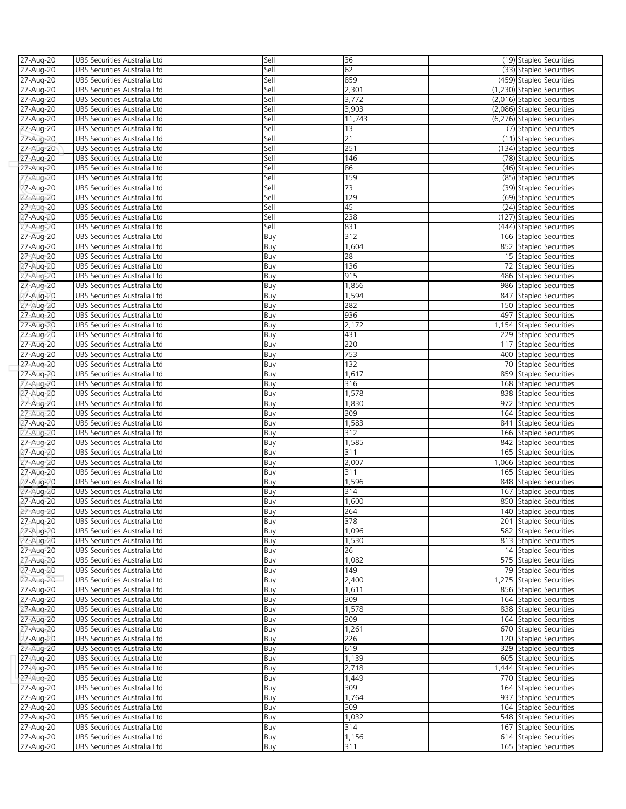| 27-Aug-20                          | UBS Securities Australia Ltd                                 | Sell       | 36              |     | (19) Stapled Securities    |
|------------------------------------|--------------------------------------------------------------|------------|-----------------|-----|----------------------------|
| 27-Aug-20                          | UBS Securities Australia Ltd                                 | Sell       | 62              |     | (33) Stapled Securities    |
| 27-Aug-20                          | UBS Securities Australia Ltd                                 | Sell       | 859             |     | (459) Stapled Securities   |
| 27-Aug-20                          | UBS Securities Australia Ltd                                 | Sell       | 2,301           |     | (1,230) Stapled Securities |
| 27-Aug-20                          | UBS Securities Australia Ltd                                 | Sell       | 3,772           |     | (2,016) Stapled Securities |
| 27-Aug-20                          | UBS Securities Australia Ltd                                 | Sell       | 3,903           |     | (2,086) Stapled Securities |
| $27 - Aug-20$                      | UBS Securities Australia Ltd                                 | Sell       | 11,743          |     | (6,276) Stapled Securities |
| 27-Aug-20                          | UBS Securities Australia Ltd                                 | Sell       | 13              |     | (7) Stapled Securities     |
| 27-Aug-20                          | UBS Securities Australia Ltd                                 | Sell       | 21              |     | (11) Stapled Securities    |
| 27-Aug-20                          | UBS Securities Australia Ltd                                 | Sell       | 251             |     | (134) Stapled Securities   |
| 27-Aug-20                          | UBS Securities Australia Ltd                                 | Sell       | 146             |     | (78) Stapled Securities    |
| 27-Aug-20                          | UBS Securities Australia Ltd                                 | Sell       | 86              |     | (46) Stapled Securities    |
| 27-Aug-20                          | UBS Securities Australia Ltd                                 | Sell       | 159             |     | (85) Stapled Securities    |
| 27-Aug-20                          | UBS Securities Australia Ltd                                 | Sell       | $\overline{73}$ |     | (39) Stapled Securities    |
| 27-Aug-20                          | UBS Securities Australia Ltd                                 | Sell       | 129             |     | (69) Stapled Securities    |
|                                    |                                                              | Sell       | 45              |     |                            |
| 27-Aug-20                          | UBS Securities Australia Ltd                                 |            |                 |     | (24) Stapled Securities    |
| 27-Aug-20                          | UBS Securities Australia Ltd                                 | Sell       | 238             |     | (127) Stapled Securities   |
| 27-Aug-20                          | UBS Securities Australia Ltd                                 | Sell       | 831             |     | (444) Stapled Securities   |
| 27-Aug-20                          | UBS Securities Australia Ltd                                 | Buy        | 312             |     | 166 Stapled Securities     |
| 27-Aug-20                          | UBS Securities Australia Ltd                                 | Buy        | 1,604           |     | 852 Stapled Securities     |
| 27-Aug-20                          | UBS Securities Australia Ltd                                 | Buy        | 28              |     | 15 Stapled Securities      |
| 27-Aug-20                          | UBS Securities Australia Ltd                                 | Buy        | 136             |     | 72 Stapled Securities      |
| 27-Aug-20                          | UBS Securities Australia Ltd                                 | Buy        | 915             |     | 486 Stapled Securities     |
| 27-Aug-20                          | UBS Securities Australia Ltd                                 | Buy        | 1,856           |     | 986 Stapled Securities     |
| 27-Aug-20                          | UBS Securities Australia Ltd                                 | Buy        | 1,594           | 847 | <b>Stapled Securities</b>  |
| 27-Aug-20                          | UBS Securities Australia Ltd                                 | Buy        | 282             | 150 | Stapled Securities         |
| 27-Aug-20                          | UBS Securities Australia Ltd                                 | Buy        | 936             |     | 497 Stapled Securities     |
| 27-Aug-20                          | UBS Securities Australia Ltd                                 | Buy        | 2,172           |     | 1,154 Stapled Securities   |
| 27-Aug-20                          | UBS Securities Australia Ltd                                 | Buy        | 431             |     | 229 Stapled Securities     |
| 27-Aug-20                          | UBS Securities Australia Ltd                                 | Buy        | 220             |     | 117 Stapled Securities     |
| 27-Aug-20                          | UBS Securities Australia Ltd                                 | Buy        | 753             |     | 400 Stapled Securities     |
| 27-Aug-20                          | UBS Securities Australia Ltd                                 | Buy        | 132             |     | 70 Stapled Securities      |
| 27-Aug-20                          | UBS Securities Australia Ltd                                 | Buy        | 1,617           |     | 859 Stapled Securities     |
| 27-Aug-20                          | UBS Securities Australia Ltd                                 | Buy        | 316             |     | 168 Stapled Securities     |
| 27-Aug-20                          | UBS Securities Australia Ltd                                 | Buy        | 1,578           |     | 838 Stapled Securities     |
| 27-Aug-20                          | UBS Securities Australia Ltd                                 | Buy        | 1,830           |     | 972 Stapled Securities     |
| 27-Aug-20                          | UBS Securities Australia Ltd                                 | Buy        | 309             |     | 164 Stapled Securities     |
| 27-Aug-20                          | UBS Securities Australia Ltd                                 | Buy        | 1,583           |     | 841 Stapled Securities     |
| 27-Aug-20                          | UBS Securities Australia Ltd                                 | Buy        | 312             |     | 166 Stapled Securities     |
| 27-Aug-20                          | UBS Securities Australia Ltd                                 | Buy        | 1,585           |     | 842 Stapled Securities     |
| 27-Aug-20                          | UBS Securities Australia Ltd                                 | Buy        | 311             |     | 165 Stapled Securities     |
| 27-Aug-20                          | UBS Securities Australia Ltd                                 | Buy        | 2,007           |     | 1,066 Stapled Securities   |
| 27-Aug-20                          | UBS Securities Australia Ltd                                 | Buy        | 311             |     | 165 Stapled Securities     |
| 27-Aug-20                          | UBS Securities Australia Ltd                                 | Buy        | 1,596           |     | 848 Stapled Securities     |
| 27-Aug-20                          | UBS Securities Australia Ltd                                 | Buy        | 314             |     | 167 Stapled Securities     |
|                                    |                                                              |            | 1,600           |     | 850 Stapled Securities     |
| 27-Aug-20<br>$27 - \text{A}$ ug-20 | UBS Securities Australia Ltd<br>UBS Securities Australia Ltd | Buy<br>Buv | 264             |     |                            |
|                                    |                                                              |            |                 |     | 140 Stapled Securities     |
| 27-Aug-20                          | UBS Securities Australia Ltd                                 | Buy        | 378             |     | 201 Stapled Securities     |
| 27-Aug-20                          | UBS Securities Australia Ltd                                 | Buy        | 1,096           |     | 582 Stapled Securities     |
| 27-Aug-20                          | UBS Securities Australia Ltd                                 | Buy        | 1,530           |     | 813 Stapled Securities     |
| 27-Aug-20                          | UBS Securities Australia Ltd                                 | Buy        | 26              |     | 14 Stapled Securities      |
| 27-Aug-20                          | UBS Securities Australia Ltd                                 | Buy        | 1,082           |     | 575 Stapled Securities     |
| 27-Aug-20                          | UBS Securities Australia Ltd                                 | Buy        | 149             |     | 79 Stapled Securities      |
| 27-Aug-20                          | UBS Securities Australia Ltd                                 | Buy        | 2,400           |     | 1,275 Stapled Securities   |
|                                    |                                                              |            |                 |     |                            |
| 27-Aug-20                          | UBS Securities Australia Ltd                                 | Buy        | 1,611           |     | 856 Stapled Securities     |
| 27-Aug-20                          | UBS Securities Australia Ltd                                 | Buy        | 309             |     | 164 Stapled Securities     |
| 27-Aug-20                          | UBS Securities Australia Ltd                                 | Buy        | 1,578           |     | 838 Stapled Securities     |
| 27-Aug-20                          | UBS Securities Australia Ltd                                 | Buy        | 309             |     | 164 Stapled Securities     |
| 27-Aug-20                          | UBS Securities Australia Ltd                                 | Buy        | 1,261           |     | 670 Stapled Securities     |
| 27-Aug-20                          | UBS Securities Australia Ltd                                 | Buy        | 226             |     | 120 Stapled Securities     |
| 27-Aug-20                          | UBS Securities Australia Ltd                                 | Buy        | 619             |     | 329 Stapled Securities     |
| 27-Aug-20                          | UBS Securities Australia Ltd                                 | Buy        | 1,139           |     | 605 Stapled Securities     |
| 27-Aug-20                          | UBS Securities Australia Ltd                                 | Buy        | 2,718           |     | 1,444 Stapled Securities   |
| 27-Aug-20                          | UBS Securities Australia Ltd                                 | Buy        | 1,449           |     | 770 Stapled Securities     |
| 27-Aug-20                          | UBS Securities Australia Ltd                                 | Buy        | 309             |     | 164 Stapled Securities     |
| 27-Aug-20                          | UBS Securities Australia Ltd                                 | Buy        | 1,764           |     | 937 Stapled Securities     |
| 27-Aug-20                          | UBS Securities Australia Ltd                                 | Buy        | 309             |     | 164 Stapled Securities     |
| 27-Aug-20                          | UBS Securities Australia Ltd                                 | Buy        | 1,032           |     | 548 Stapled Securities     |
| 27-Aug-20                          | UBS Securities Australia Ltd                                 | Buy        | 314             |     | 167 Stapled Securities     |
| 27-Aug-20                          | UBS Securities Australia Ltd                                 | Buy        | 1,156           |     | 614 Stapled Securities     |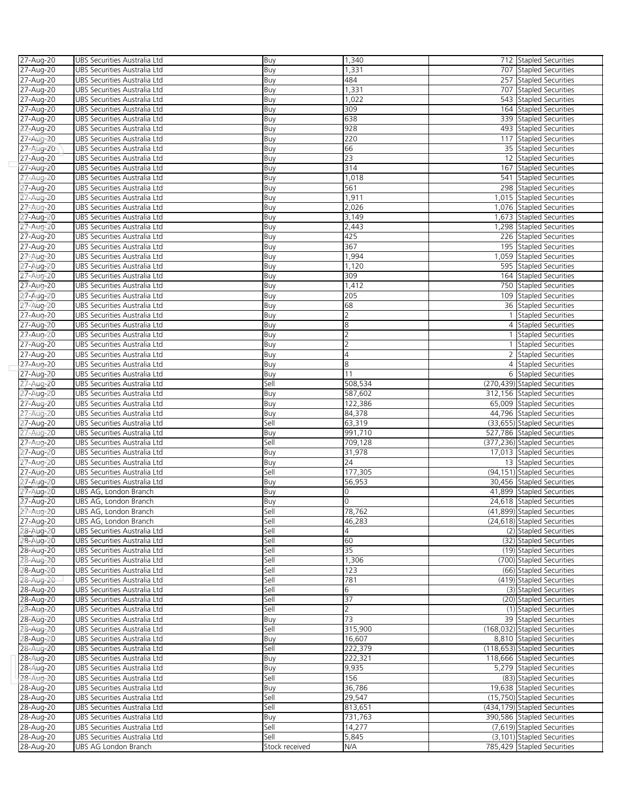| 27-Aug-20              | UBS Securities Australia Ltd                                 | Buy            | 1,340                    | 712 Stapled Securities                                    |
|------------------------|--------------------------------------------------------------|----------------|--------------------------|-----------------------------------------------------------|
| 27-Aug-20              | UBS Securities Australia Ltd                                 | Buy            | 1,331                    | 707 Stapled Securities                                    |
| 27-Aug-20              | UBS Securities Australia Ltd                                 | Buy            | 484                      | 257 Stapled Securities                                    |
| 27-Aug-20              | UBS Securities Australia Ltd                                 | Buy            | 1,331                    | 707 Stapled Securities                                    |
| 27-Aug-20              | UBS Securities Australia Ltd                                 | Buy            | 1,022                    | 543 Stapled Securities                                    |
| 27-Aug-20              | UBS Securities Australia Ltd                                 | Buy            | 309                      | 164 Stapled Securities                                    |
| 27-Aug-20              | UBS Securities Australia Ltd                                 | Buy            | 638                      | 339 Stapled Securities                                    |
| 27-Aug-20              | UBS Securities Australia Ltd                                 | Buy            | 928                      | 493 Stapled Securities                                    |
| 27-Aug-20              | UBS Securities Australia Ltd                                 | Buy            | 220                      | 117 Stapled Securities                                    |
| 27-Aug-20              | UBS Securities Australia Ltd                                 | Buy            | 66                       | 35 Stapled Securities                                     |
| 27-Aug-20              | UBS Securities Australia Ltd                                 | Buy            | $\overline{23}$          | 12 Stapled Securities                                     |
| 27-Aug-20              | UBS Securities Australia Ltd                                 | Buy            | 314                      | 167 Stapled Securities                                    |
| 27-Aug-20              | UBS Securities Australia Ltd                                 | Buy            | 1,018                    | 541 Stapled Securities                                    |
| 27-Aug-20              | UBS Securities Australia Ltd                                 | Buy            | 561                      | 298 Stapled Securities                                    |
| 27-Aug-20              | UBS Securities Australia Ltd                                 | Buy            | 1,911                    | 1,015 Stapled Securities                                  |
| 27-Aug-20              | UBS Securities Australia Ltd                                 | Buy            | 2,026                    | 1,076 Stapled Securities                                  |
| 27-Aug-20              | UBS Securities Australia Ltd                                 | Buy            | 3,149                    | 1,673 Stapled Securities                                  |
| 27-Aug-20              | UBS Securities Australia Ltd                                 | Buy            | 2,443                    | 1,298 Stapled Securities                                  |
| 27-Aug-20              | UBS Securities Australia Ltd                                 | Buy            | 425                      | 226 Stapled Securities                                    |
| 27-Aug-20              | UBS Securities Australia Ltd                                 | Buy            | 367                      | 195 Stapled Securities                                    |
| 27-Aug-20              | UBS Securities Australia Ltd                                 | Buy            | 1,994                    | 1,059 Stapled Securities                                  |
| 27-Aug-20              | UBS Securities Australia Ltd                                 | Buy            | 1,120                    | 595 Stapled Securities                                    |
| 27-Aug-20              | UBS Securities Australia Ltd                                 | Buy            | 309                      | 164 Stapled Securities                                    |
| 27-Aug-20              | UBS Securities Australia Ltd                                 | Buy            | 1,412                    | 750 Stapled Securities                                    |
| 27-Aug-20              | UBS Securities Australia Ltd                                 | Buy            | 205                      | 109 Stapled Securities                                    |
| 27-Aug-20              | UBS Securities Australia Ltd                                 | Buy            | 68                       | 36 Stapled Securities                                     |
| 27-Aug-20              | UBS Securities Australia Ltd                                 | Buy            | $\overline{\mathcal{L}}$ | 1 Stapled Securities                                      |
| 27-Aug-20              | UBS Securities Australia Ltd                                 | Buy            | 8                        | 4 Stapled Securities                                      |
| 27-Aug-20              | UBS Securities Australia Ltd                                 | Buy            | $\overline{2}$           | 1 Stapled Securities                                      |
| 27-Aug-20              | UBS Securities Australia Ltd                                 | Buy            | $\overline{2}$           | 1 Stapled Securities                                      |
| 27-Aug-20              | UBS Securities Australia Ltd                                 | Buy            | 4                        | 2 Stapled Securities                                      |
| 27-Aug-20              | UBS Securities Australia Ltd                                 | Buy            | 8                        | 4 Stapled Securities                                      |
| 27-Aug-20              | UBS Securities Australia Ltd                                 | Buy            | 11                       | 6 Stapled Securities                                      |
| 27-Aug-20              | UBS Securities Australia Ltd                                 | Sell           | 508,534                  | (270,439) Stapled Securities                              |
| 27-Aug-20              | UBS Securities Australia Ltd                                 | Buy            | 587,602                  | 312,156 Stapled Securities                                |
| 27-Aug-20              | UBS Securities Australia Ltd                                 | Buy            | 122,386                  | 65,009 Stapled Securities                                 |
| 27-Aug-20              | UBS Securities Australia Ltd                                 | Buy            | 84,378                   | 44,796 Stapled Securities                                 |
| 27-Aug-20              | UBS Securities Australia Ltd                                 | Sell           | 63,319                   | (33,655) Stapled Securities                               |
| 27-Aug-20              | UBS Securities Australia Ltd                                 | Buy            | 991,710                  | 527,786 Stapled Securities                                |
| 27-Aug-20<br>27-Aug-20 | UBS Securities Australia Ltd                                 | Sell           | 709,128                  | (377,236) Stapled Securities<br>17,013 Stapled Securities |
| 27-Aug-20              | UBS Securities Australia Ltd<br>UBS Securities Australia Ltd | Buy            | 31,978<br>24             | 13 Stapled Securities                                     |
| 27-Aug-20              | UBS Securities Australia Ltd                                 | Buy<br>Sell    | 177,305                  | (94,151) Stapled Securities                               |
| 27-Aug-20              | UBS Securities Australia Ltd                                 | Buy            | 56,953                   | 30,456 Stapled Securities                                 |
| 27-Aug-20              | UBS AG, London Branch                                        | Buy            | 0                        | 41,899 Stapled Securities                                 |
| 27-Aug-20              | UBS AG, London Branch                                        | Buy            | 0                        | 24,618 Stapled Securities                                 |
| $27 - \text{A}$ ug-20  | UBS AG, London Branch                                        | Sell           | 78,762                   | (41,899) Stapled Securities                               |
| 27-Aug-20              | UBS AG, London Branch                                        | Sell           | 46,283                   | (24,618) Stapled Securities                               |
| 28-Aug-20              | UBS Securities Australia Ltd                                 | Sell           |                          | (2) Stapled Securities                                    |
| 28-Aug-20              | UBS Securities Australia Ltd                                 | Sell           | 60                       | (32) Stapled Securities                                   |
| 28-Aug-20              | UBS Securities Australia Ltd                                 | Sell           | 35                       | (19) Stapled Securities                                   |
| 28-Aug-20              | UBS Securities Australia Ltd                                 | Sell           | 1,306                    | (700) Stapled Securities                                  |
| 28-Aug-20              | UBS Securities Australia Ltd                                 | Sell           | 123                      | (66) Stapled Securities                                   |
| 28-Aug-20              | UBS Securities Australia Ltd                                 | Sell           | 781                      | (419) Stapled Securities                                  |
| 28-Aug-20              | UBS Securities Australia Ltd                                 | Sell           | 6                        | (3) Stapled Securities                                    |
| 28-Aug-20              | UBS Securities Australia Ltd                                 | Sell           | 37                       | (20) Stapled Securities                                   |
| 28-Aug-20              | UBS Securities Australia Ltd                                 | Sell           | $\overline{2}$           | (1) Stapled Securities                                    |
| 28-Aug-20              | UBS Securities Australia Ltd                                 | Buy            | 73                       | 39 Stapled Securities                                     |
| 28-Aug-20              | UBS Securities Australia Ltd                                 | Sell           | 315,900                  | (168,032) Stapled Securities                              |
| 28-Aug-20              | UBS Securities Australia Ltd                                 | Buy            | 16,607                   | 8,810 Stapled Securities                                  |
| 28-Aug-20              | UBS Securities Australia Ltd                                 | Sell           | 222,379                  | (118,653) Stapled Securities                              |
| 28-Aug-20              | UBS Securities Australia Ltd                                 | Buy            | 222,321                  | 118,666 Stapled Securities                                |
| 28-Aug-20              | UBS Securities Australia Ltd                                 | Buy            | 9,935                    | 5,279 Stapled Securities                                  |
| 28-Aug-20              | UBS Securities Australia Ltd                                 | Sell           | 156                      | (83) Stapled Securities                                   |
| 28-Aug-20              | UBS Securities Australia Ltd                                 | Buy            | 36,786                   | 19,638 Stapled Securities                                 |
| 28-Aug-20              | UBS Securities Australia Ltd                                 | Sell           | 29,547                   | (15,750) Stapled Securities                               |
| 28-Aug-20              | UBS Securities Australia Ltd                                 | Sell           | 813,651                  | (434,179) Stapled Securities                              |
| 28-Aug-20              | UBS Securities Australia Ltd                                 | Buy            | 731,763                  | 390,586 Stapled Securities                                |
| 28-Aug-20              | UBS Securities Australia Ltd                                 | Sell           | 14,277                   | (7,619) Stapled Securities                                |
| 28-Aug-20              | UBS Securities Australia Ltd                                 | Sell           | 5,845                    | (3,101) Stapled Securities                                |
| 28-Aug-20              | UBS AG London Branch                                         | Stock received | N/A                      | 785,429 Stapled Securities                                |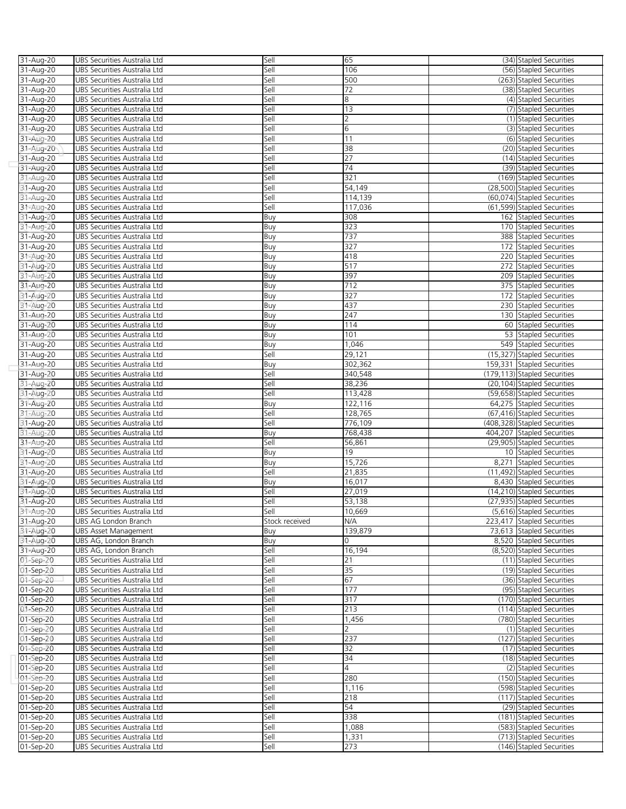| 31-Aug-20              | UBS Securities Australia Ltd                                 | Sell           | 65                 | (34) Stapled Securities                                    |
|------------------------|--------------------------------------------------------------|----------------|--------------------|------------------------------------------------------------|
| 31-Aug-20              | UBS Securities Australia Ltd                                 | Sell           | 106                | (56) Stapled Securities                                    |
| 31-Aug-20              | UBS Securities Australia Ltd                                 | Sell           | 500                | (263) Stapled Securities                                   |
| 31-Aug-20              | UBS Securities Australia Ltd                                 | Sell           | 72                 | (38) Stapled Securities                                    |
| 31-Aug-20              | UBS Securities Australia Ltd                                 | Sell           | 8                  | (4) Stapled Securities                                     |
| 31-Aug-20              | UBS Securities Australia Ltd                                 | Sell           | 13                 | (7) Stapled Securities                                     |
| 31-Aug-20              | UBS Securities Australia Ltd                                 | Sell           | $\overline{2}$     | (1) Stapled Securities                                     |
| 31-Aug-20              | UBS Securities Australia Ltd                                 | Sell           | 6                  | (3) Stapled Securities                                     |
| 31-Aug-20              | UBS Securities Australia Ltd                                 | Sell           | 11                 | (6) Stapled Securities                                     |
| 31-Aug-20              | UBS Securities Australia Ltd                                 | Sell           | 38                 | (20) Stapled Securities                                    |
| 31-Aug-20              | UBS Securities Australia Ltd                                 | Sell           | 27                 | (14) Stapled Securities                                    |
| 31-Aug-20              | UBS Securities Australia Ltd                                 | Sell           | $\overline{74}$    | (39) Stapled Securities                                    |
| 31-Aug-20              | UBS Securities Australia Ltd                                 | Sell           | 321                | (169) Stapled Securities                                   |
| 31-Aug-20              | UBS Securities Australia Ltd                                 | Sell           | 54,149             | (28,500) Stapled Securities                                |
| 31-Aug-20              | UBS Securities Australia Ltd                                 | Sell           | 114,139            | (60,074) Stapled Securities                                |
| 31-Aug-20              | UBS Securities Australia Ltd                                 | Sell           | 117,036            | (61,599) Stapled Securities                                |
| 31-Aug-20              | UBS Securities Australia Ltd                                 | Buy            | 308                | 162 Stapled Securities                                     |
| 31-Aug-20              | UBS Securities Australia Ltd                                 | Buy            | 323                | 170 Stapled Securities                                     |
| 31-Aug-20              | UBS Securities Australia Ltd                                 | Buy            | 737                | 388 Stapled Securities                                     |
| 31-Aug-20              | UBS Securities Australia Ltd                                 | Buy            | 327                | 172 Stapled Securities                                     |
| 31-Aug-20              | UBS Securities Australia Ltd                                 | Buy            | 418                | 220 Stapled Securities                                     |
| 31-Aug-20              | UBS Securities Australia Ltd                                 | Buy            | 517                | 272 Stapled Securities                                     |
| 31-Aug-20              | UBS Securities Australia Ltd                                 | Buy            | 397                | 209 Stapled Securities                                     |
| 31-Aug-20              | UBS Securities Australia Ltd                                 | Buy            | 712                | 375 Stapled Securities                                     |
| 31-Aug-20              | UBS Securities Australia Ltd                                 | Buy            | 327                | 172 Stapled Securities                                     |
| 31-Aug-20              | UBS Securities Australia Ltd                                 | Buy            | 437                | 230 Stapled Securities                                     |
| 31-Aug-20              | UBS Securities Australia Ltd                                 | Buy            | 247                | 130 Stapled Securities                                     |
| 31-Aug-20              | UBS Securities Australia Ltd                                 | Buy            | 114                | 60 Stapled Securities                                      |
| 31-Aug-20              | UBS Securities Australia Ltd                                 | Buy            | 101                | 53 Stapled Securities                                      |
| 31-Aug-20              | UBS Securities Australia Ltd                                 | Buy            | 1,046              | 549 Stapled Securities                                     |
| 31-Aug-20              | UBS Securities Australia Ltd                                 | Sell           | 29,121             | (15,327) Stapled Securities                                |
| 31-Aug-20              | UBS Securities Australia Ltd                                 | Buy            | 302,362            | 159,331 Stapled Securities                                 |
| 31-Aug-20              | UBS Securities Australia Ltd                                 | Sell           | 340,548            | (179,113) Stapled Securities                               |
| 31-Aug-20              | UBS Securities Australia Ltd                                 | Sell           | 38,236             | (20,104) Stapled Securities                                |
| 31-Aug-20              | UBS Securities Australia Ltd                                 | Sell           | 113,428            | (59,658) Stapled Securities                                |
| 31-Aug-20              | UBS Securities Australia Ltd                                 | Buy            | 122,116            | 64,275 Stapled Securities                                  |
| 31-Aug-20              | UBS Securities Australia Ltd                                 | Sell           | 128,765            | (67,416) Stapled Securities                                |
| 31-Aug-20<br>31-Aug-20 | UBS Securities Australia Ltd<br>UBS Securities Australia Ltd | Sell<br>Buy    | 776,109<br>768,438 | (408,328) Stapled Securities<br>404,207 Stapled Securities |
|                        | UBS Securities Australia Ltd                                 | Sell           |                    | (29,905) Stapled Securities                                |
| 31-Aug-20<br>31-Aug-20 | UBS Securities Australia Ltd                                 | Buy            | 56,861<br>19       | 10 Stapled Securities                                      |
| 31-Aug-20              | UBS Securities Australia Ltd                                 | Buy            | 15,726             | 8,271 Stapled Securities                                   |
| 31-Aug-20              | UBS Securities Australia Ltd                                 | Sell           | 21,835             | (11,492) Stapled Securities                                |
| 31-Aug-20              | UBS Securities Australia Ltd                                 | Buy            | 16,017             | 8,430 Stapled Securities                                   |
| 31-Aug-20              | UBS Securities Australia Ltd                                 | Sell           | 27,019             | (14,210) Stapled Securities                                |
| 31-Aug-20              | UBS Securities Australia Ltd                                 | Sell           | 53,138             | (27,935) Stapled Securities                                |
| 31-Aug-20              | UBS Securities Australia Ltd                                 | Sell           | 10,669             | (5,616) Stapled Securities                                 |
| 31-Aug-20              | UBS AG London Branch                                         | Stock received | N/A                | 223,417 Stapled Securities                                 |
| 31-Aug-20              | <b>UBS Asset Management</b>                                  | Buy            | 139,879            | 73,613 Stapled Securities                                  |
| 31-Aug-20              | UBS AG. London Branch                                        | Buy            | $\Omega$           | 8,520 Stapled Securities                                   |
| 31-Aug-20              | UBS AG, London Branch                                        | Sell           | 16,194             | (8,520) Stapled Securities                                 |
| 01-Sep-20              | UBS Securities Australia Ltd                                 | Sell           | 21                 | (11) Stapled Securities                                    |
| 01-Sep-20              | UBS Securities Australia Ltd                                 | Sell           | 35                 | (19) Stapled Securities                                    |
| 01-Sep-20              | UBS Securities Australia Ltd                                 | Sell           | 67                 | (36) Stapled Securities                                    |
| 01-Sep-20              | UBS Securities Australia Ltd                                 | Sell           | 177                | (95) Stapled Securities                                    |
| 01-Sep-20              | UBS Securities Australia Ltd                                 | Sell           | 317                | (170) Stapled Securities                                   |
| 01-Sep-20              | UBS Securities Australia Ltd                                 | Sell           | 213                | (114) Stapled Securities                                   |
| 01-Sep-20              | UBS Securities Australia Ltd                                 | Sell           | 1,456              | (780) Stapled Securities                                   |
| 01-Sep-20              | UBS Securities Australia Ltd                                 | Sell           | $\mathcal{P}$      | (1) Stapled Securities                                     |
| 01-Sep-20              | UBS Securities Australia Ltd                                 | Sell           | 237                | (127) Stapled Securities                                   |
| 01-Sep-20              | UBS Securities Australia Ltd                                 | Sell           | 32                 | (17) Stapled Securities                                    |
| 01-Sep-20              | UBS Securities Australia Ltd                                 | Sell           | 34                 | (18) Stapled Securities                                    |
| 01-Sep-20              | UBS Securities Australia Ltd                                 | Sell           | $\overline{4}$     | (2) Stapled Securities                                     |
| 01-Sep-20              | UBS Securities Australia Ltd                                 | Sell           | 280                | (150) Stapled Securities                                   |
| 01-Sep-20              | UBS Securities Australia Ltd                                 | Sell           | 1,116              | (598) Stapled Securities                                   |
| 01-Sep-20              | UBS Securities Australia Ltd                                 | Sell           | 218                | (117) Stapled Securities                                   |
| 01-Sep-20              | UBS Securities Australia Ltd                                 | Sell           | 54                 | (29) Stapled Securities                                    |
| 01-Sep-20              | UBS Securities Australia Ltd                                 | Sell           | 338                | (181) Stapled Securities                                   |
| 01-Sep-20              | UBS Securities Australia Ltd                                 | Sell           | 1,088              | (583) Stapled Securities                                   |
| 01-Sep-20              | UBS Securities Australia Ltd                                 | Sell           | 1,331              | (713) Stapled Securities                                   |
| 01-Sep-20              | UBS Securities Australia Ltd                                 | Sell           | 273                | (146) Stapled Securities                                   |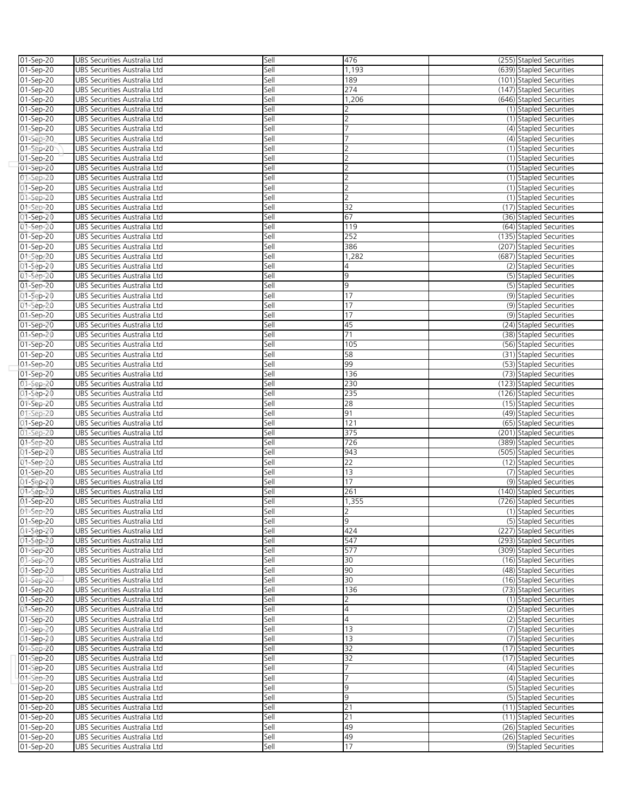| 01-Sep-20     | UBS Securities Australia Ltd                                 | Sell | 476             | (255) Stapled Securities |
|---------------|--------------------------------------------------------------|------|-----------------|--------------------------|
| 01-Sep-20     | UBS Securities Australia Ltd                                 | Sell | 1,193           | (639) Stapled Securities |
| 01-Sep-20     | UBS Securities Australia Ltd                                 | Sell | 189             | (101) Stapled Securities |
| 01-Sep-20     | UBS Securities Australia Ltd                                 | Sell | 274             | (147) Stapled Securities |
| 01-Sep-20     | UBS Securities Australia Ltd                                 | Sell | 1,206           | (646) Stapled Securities |
| 01-Sep-20     | UBS Securities Australia Ltd                                 | Sell |                 | (1) Stapled Securities   |
| $01 - Sep-20$ | UBS Securities Australia Ltd                                 | Sell | 2               | (1) Stapled Securities   |
| 01-Sep-20     | UBS Securities Australia Ltd                                 | Sell | 7               | (4) Stapled Securities   |
|               |                                                              | Sell |                 |                          |
| 01-Sep-20     | UBS Securities Australia Ltd                                 |      | フ               | (4) Stapled Securities   |
| 01-Sep-20     | UBS Securities Australia Ltd                                 | Sell |                 | (1) Stapled Securities   |
| 01-Sep-20     | UBS Securities Australia Ltd                                 | Sell | 2               | (1) Stapled Securities   |
| $01-Sep-20$   | UBS Securities Australia Ltd                                 | Sell | $\overline{2}$  | (1) Stapled Securities   |
| 01-Sep-20     | UBS Securities Australia Ltd                                 | Sell | 2               | (1) Stapled Securities   |
| 01-Sep-20     | UBS Securities Australia Ltd                                 | Sell | 2               | (1) Stapled Securities   |
| 01-Sep-20     | UBS Securities Australia Ltd                                 | Sell | $\overline{2}$  | (1) Stapled Securities   |
| 01-Sep-20     | UBS Securities Australia Ltd                                 | Sell | 32              | (17) Stapled Securities  |
| 01-Sep-20     | UBS Securities Australia Ltd                                 | Sell | 67              | (36) Stapled Securities  |
| 01-Sep-20     | UBS Securities Australia Ltd                                 | Sell | 119             | (64) Stapled Securities  |
| 01-Sep-20     | UBS Securities Australia Ltd                                 | Sell | 252             | (135) Stapled Securities |
| 01-Sep-20     | UBS Securities Australia Ltd                                 | Sell | 386             | (207) Stapled Securities |
| 01-Sep-20     | UBS Securities Australia Ltd                                 | Sell | 1,282           | (687) Stapled Securities |
| 01-Sep-20     | UBS Securities Australia Ltd                                 | Sell | 4               | (2) Stapled Securities   |
| 01-Sep-20     | UBS Securities Australia Ltd                                 | Sell | 9               | (5) Stapled Securities   |
| 01-Sep-20     | UBS Securities Australia Ltd                                 | Sell | 9               | (5) Stapled Securities   |
| 01-Sep-20     | UBS Securities Australia Ltd                                 | Sell | 17              | (9) Stapled Securities   |
| 01-Sep-20     | UBS Securities Australia Ltd                                 | Sell | 17              | (9) Stapled Securities   |
| 01-Sep-20     | UBS Securities Australia Ltd                                 | Sell | 17              | (9) Stapled Securities   |
|               |                                                              | Sell | 45              | (24) Stapled Securities  |
| 01-Sep-20     | UBS Securities Australia Ltd                                 |      | 71              |                          |
| 01-Sep-20     | UBS Securities Australia Ltd                                 | Sell |                 | (38) Stapled Securities  |
| 01-Sep-20     | UBS Securities Australia Ltd                                 | Sell | 105             | (56) Stapled Securities  |
| 01-Sep-20     | UBS Securities Australia Ltd                                 | Sell | 58              | (31) Stapled Securities  |
| 01-Sep-20     | UBS Securities Australia Ltd                                 | Sell | 99              | (53) Stapled Securities  |
| 01-Sep-20     | UBS Securities Australia Ltd                                 | Sell | 136             | (73) Stapled Securities  |
| 01-Sep-20     | UBS Securities Australia Ltd                                 | Sell | 230             | (123) Stapled Securities |
| 01-Sep-20     | UBS Securities Australia Ltd                                 | Sell | 235             | (126) Stapled Securities |
| 01-Sep-20     | UBS Securities Australia Ltd                                 | Sell | 28              | (15) Stapled Securities  |
| 01-Sep-20     | UBS Securities Australia Ltd                                 | Sell | 91              | (49) Stapled Securities  |
| 01-Sep-20     | UBS Securities Australia Ltd                                 | Sell | 121             | (65) Stapled Securities  |
| 01-Sep-20     | UBS Securities Australia Ltd                                 | Sell | 375             | (201) Stapled Securities |
| 01-Sep-20     | UBS Securities Australia Ltd                                 | Sell | 726             | (389) Stapled Securities |
| 01-Sep-20     | UBS Securities Australia Ltd                                 | Sell | 943             | (505) Stapled Securities |
| 01-Sep-20     | UBS Securities Australia Ltd                                 | Sell | $\overline{22}$ | (12) Stapled Securities  |
| 01-Sep-20     | UBS Securities Australia Ltd                                 | Sell | 13              | (7) Stapled Securities   |
| 01-Sep-20     | UBS Securities Australia Ltd                                 | Sell | 17              | (9) Stapled Securities   |
| 01-Sep-20     | UBS Securities Australia Ltd                                 | Sell | 261             | (140) Stapled Securities |
| 01-Sep-20     | UBS Securities Australia Ltd                                 | Sell | 1,355           | (726) Stapled Securities |
| 01-Sep-20     | UBS Securities Australia Ltd                                 | Sell | $\overline{2}$  | (1) Stapled Securities   |
|               |                                                              | Sell | 9               |                          |
| 01-Sep-20     | UBS Securities Australia Ltd<br>UBS Securities Australia Ltd | Sell | 424             | (5) Stapled Securities   |
| 01-Sep-20     |                                                              |      |                 | (227) Stapled Securities |
| 01-Sep-20     | UBS Securities Australia Ltd                                 | Sell | 547             | (293) Stapled Securities |
| 01-Sep-20     | UBS Securities Australia Ltd                                 | Sell | 577             | (309) Stapled Securities |
| 01-Sep-20     | UBS Securities Australia Ltd                                 | Sell | 30              | (16) Stapled Securities  |
| 01-Sep-20     | UBS Securities Australia Ltd                                 | Sell | 90              | (48) Stapled Securities  |
| 01-Sep-20     | UBS Securities Australia Ltd                                 | Sell | 30              | (16) Stapled Securities  |
| 01-Sep-20     | UBS Securities Australia Ltd                                 | Sell | 136             | (73) Stapled Securities  |
| 01-Sep-20     | UBS Securities Australia Ltd                                 | Sell | 2               | (1) Stapled Securities   |
| 01-Sep-20     | UBS Securities Australia Ltd                                 | Sell | $\overline{4}$  | (2) Stapled Securities   |
| 01-Sep-20     | UBS Securities Australia Ltd                                 | Sell | $\overline{4}$  | (2) Stapled Securities   |
| 01-Sep-20     | UBS Securities Australia Ltd                                 | Sell | 13              | (7) Stapled Securities   |
| 01-Sep-20     | UBS Securities Australia Ltd                                 | Sell | 13              | (7) Stapled Securities   |
| 01-Sep-20     | UBS Securities Australia Ltd                                 | Sell | 32              | (17) Stapled Securities  |
| 01-Sep-20     | UBS Securities Australia Ltd                                 | Sell | 32              | (17) Stapled Securities  |
| 01-Sep-20     | UBS Securities Australia Ltd                                 | Sell | 7               | (4) Stapled Securities   |
| 01-Sep-20     | UBS Securities Australia Ltd                                 | Sell | $\overline{7}$  | (4) Stapled Securities   |
| 01-Sep-20     | UBS Securities Australia Ltd                                 | Sell | 9               | (5) Stapled Securities   |
| 01-Sep-20     | UBS Securities Australia Ltd                                 | Sell | 9               | (5) Stapled Securities   |
| 01-Sep-20     | UBS Securities Australia Ltd                                 | Sell | 21              | (11) Stapled Securities  |
|               |                                                              |      |                 |                          |
| 01-Sep-20     | UBS Securities Australia Ltd                                 | Sell | 21              | (11) Stapled Securities  |
| 01-Sep-20     | UBS Securities Australia Ltd                                 | Sell | 49              | (26) Stapled Securities  |
| 01-Sep-20     | UBS Securities Australia Ltd                                 | Sell | 49              | (26) Stapled Securities  |
| 01-Sep-20     | UBS Securities Australia Ltd                                 | Sell | 17              | (9) Stapled Securities   |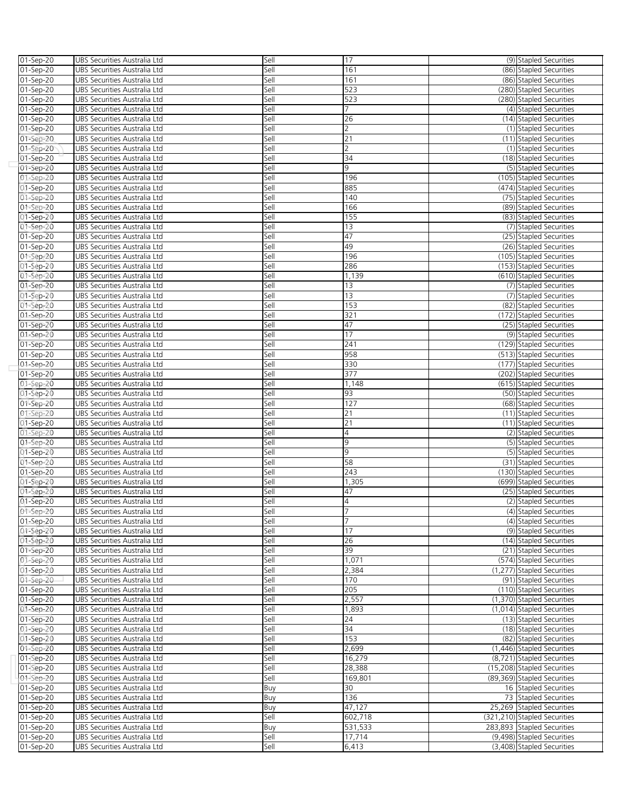| 01-Sep-20              | UBS Securities Australia Ltd                                 | Sell         | 17                  | (9) Stapled Securities                            |
|------------------------|--------------------------------------------------------------|--------------|---------------------|---------------------------------------------------|
| 01-Sep-20              | UBS Securities Australia Ltd                                 | Sell         | 161                 | (86) Stapled Securities                           |
| $01-Sep-20$            | UBS Securities Australia Ltd                                 | Sell         | 161                 | (86) Stapled Securities                           |
| 01-Sep-20              | UBS Securities Australia Ltd                                 | Sell         | 523                 | (280) Stapled Securities                          |
| 01-Sep-20              | UBS Securities Australia Ltd                                 | Sell         | 523                 | (280) Stapled Securities                          |
| 01-Sep-20              | UBS Securities Australia Ltd                                 | Sell         | 7                   | (4) Stapled Securities                            |
| $01 - Sep-20$          | UBS Securities Australia Ltd                                 | Sell         | 26                  | (14) Stapled Securities                           |
| 01-Sep-20              | UBS Securities Australia Ltd                                 | Sell         | $\overline{2}$      | (1) Stapled Securities                            |
| 01-Sep-20              | UBS Securities Australia Ltd                                 | Sell         | 21                  | (11) Stapled Securities                           |
| 01-Sep-20              | UBS Securities Australia Ltd                                 | Sell         | $\overline{2}$      | (1) Stapled Securities                            |
| 01-Sep-20              | UBS Securities Australia Ltd                                 | Sell         | 34                  | (18) Stapled Securities                           |
| $01-Sep-20$            | UBS Securities Australia Ltd                                 | Sell         | 9                   | (5) Stapled Securities                            |
| 01-Sep-20              | UBS Securities Australia Ltd                                 | Sell         | 196                 | (105) Stapled Securities                          |
| 01-Sep-20              | UBS Securities Australia Ltd                                 | Sell         | 885                 | (474) Stapled Securities                          |
| 01-Sep-20              | UBS Securities Australia Ltd                                 | Sell         | 140                 | (75) Stapled Securities                           |
| 01-Sep-20              | UBS Securities Australia Ltd                                 | Sell         | 166                 | (89) Stapled Securities                           |
| 01-Sep-20              | UBS Securities Australia Ltd                                 | Sell         | 155                 | (83) Stapled Securities                           |
| 01-Sep-20              | UBS Securities Australia Ltd                                 | Sell         | 13                  | (7) Stapled Securities                            |
| 01-Sep-20              | UBS Securities Australia Ltd                                 | Sell         | 47                  | (25) Stapled Securities                           |
| 01-Sep-20              | UBS Securities Australia Ltd                                 | Sell         | 49                  | (26) Stapled Securities                           |
| 01-Sep-20              | UBS Securities Australia Ltd                                 | Sell         | 196                 | (105) Stapled Securities                          |
| 01-Sep-20              | UBS Securities Australia Ltd                                 | Sell         | 286                 | (153) Stapled Securities                          |
| 01-Sep-20              | UBS Securities Australia Ltd                                 | Sell         | 1,139               | (610) Stapled Securities                          |
| 01-Sep-20              | UBS Securities Australia Ltd                                 | Sell         | 13                  | (7) Stapled Securities                            |
| 01-Sep-20              | UBS Securities Australia Ltd                                 | Sell         | 13                  | (7) Stapled Securities                            |
| 01-Sep-20              | UBS Securities Australia Ltd                                 | Sell         | 153                 | (82) Stapled Securities                           |
| 01-Sep-20              | UBS Securities Australia Ltd                                 | Sell         | 321                 | (172) Stapled Securities                          |
| 01-Sep-20              | UBS Securities Australia Ltd                                 | Sell         | 47                  | (25) Stapled Securities                           |
| 01-Sep-20              | UBS Securities Australia Ltd                                 | Sell         | 17                  | (9) Stapled Securities                            |
| 01-Sep-20              | UBS Securities Australia Ltd                                 | Sell         | 241                 | (129) Stapled Securities                          |
| 01-Sep-20              | UBS Securities Australia Ltd                                 | Sell         | 958                 | (513) Stapled Securities                          |
| 01-Sep-20              | UBS Securities Australia Ltd                                 | Sell         | 330                 | (177) Stapled Securities                          |
| 01-Sep-20              | UBS Securities Australia Ltd                                 | Sell         | 377                 | (202) Stapled Securities                          |
| 01-Sep-20              | UBS Securities Australia Ltd                                 | Sell         | 1,148               | (615) Stapled Securities                          |
| 01-Sep-20              | UBS Securities Australia Ltd                                 | Sell         | 93                  | (50) Stapled Securities                           |
| 01-Sep-20              | UBS Securities Australia Ltd                                 | Sell         | 127                 | (68) Stapled Securities                           |
| 01-Sep-20              | UBS Securities Australia Ltd                                 | Sell         | 21                  | (11) Stapled Securities                           |
| 01-Sep-20              | UBS Securities Australia Ltd                                 | Sell         | 21                  | (11) Stapled Securities                           |
| 01-Sep-20              | UBS Securities Australia Ltd                                 | Sell         | 4                   | (2) Stapled Securities                            |
| 01-Sep-20              | UBS Securities Australia Ltd                                 | Sell         | 9                   | (5) Stapled Securities                            |
| 01-Sep-20              | UBS Securities Australia Ltd                                 | Sell         | 9                   | (5) Stapled Securities                            |
| 01-Sep-20              | UBS Securities Australia Ltd                                 | Sell         | 58                  | (31) Stapled Securities                           |
| 01-Sep-20              | UBS Securities Australia Ltd                                 | Sell         | 243                 | (130) Stapled Securities                          |
| 01-Sep-20              | UBS Securities Australia Ltd                                 | Sell         | 1,305               | (699) Stapled Securities                          |
| 01-Sep-20              | UBS Securities Australia Ltd                                 | Sell<br>Sell | 47                  | (25) Stapled Securities                           |
| 01-Sep-20              | UBS Securities Australia Ltd                                 |              | 4<br>$\overline{7}$ | (2) Stapled Securities                            |
| 01-Sep-20              | UBS Securities Australia Ltd                                 | Sell<br>Sell | $\overline{7}$      | (4) Stapled Securities                            |
| 01-Sep-20              | UBS Securities Australia Ltd                                 |              | 17                  | (4) Stapled Securities                            |
| 01-Sep-20              | UBS Securities Australia Ltd<br>UBS Securities Australia Ltd | Sell<br>Sell | 26                  | (9) Stapled Securities<br>(14) Stapled Securities |
| 01-Sep-20<br>01-Sep-20 | UBS Securities Australia Ltd                                 | Sell         | 39                  | (21) Stapled Securities                           |
| 01-Sep-20              | UBS Securities Australia Ltd                                 | Sell         | 1,071               | (574) Stapled Securities                          |
| 01-Sep-20              | UBS Securities Australia Ltd                                 | Sell         | 2,384               | (1,277) Stapled Securities                        |
| 01-Sep-20              | UBS Securities Australia Ltd                                 | Sell         | 170                 | (91) Stapled Securities                           |
| 01-Sep-20              | UBS Securities Australia Ltd                                 | Sell         | 205                 | (110) Stapled Securities                          |
| 01-Sep-20              | UBS Securities Australia Ltd                                 | Sell         | 2,557               | (1,370) Stapled Securities                        |
| 01-Sep-20              | UBS Securities Australia Ltd                                 | Sell         | 1,893               | (1,014) Stapled Securities                        |
| 01-Sep-20              | UBS Securities Australia Ltd                                 | Sell         | 24                  | (13) Stapled Securities                           |
| 01-Sep-20              | UBS Securities Australia Ltd                                 | Sell         | 34                  | (18) Stapled Securities                           |
| 01-Sep-20              | UBS Securities Australia Ltd                                 | Sell         | 153                 | (82) Stapled Securities                           |
| 01-Sep-20              | UBS Securities Australia Ltd                                 | Sell         | 2,699               | (1,446) Stapled Securities                        |
| 01-Sep-20              | UBS Securities Australia Ltd                                 | Sell         | 16,279              | (8,721) Stapled Securities                        |
| 01-Sep-20              | UBS Securities Australia Ltd                                 | Sell         | 28,388              | (15,208) Stapled Securities                       |
| 01-Sep-20              | UBS Securities Australia Ltd                                 | Sell         | 169,801             | (89,369) Stapled Securities                       |
| 01-Sep-20              | UBS Securities Australia Ltd                                 | Buy          | 30                  | 16 Stapled Securities                             |
| 01-Sep-20              | UBS Securities Australia Ltd                                 | Buy          | 136                 | 73 Stapled Securities                             |
| 01-Sep-20              | UBS Securities Australia Ltd                                 | Buy          | 47,127              | 25,269 Stapled Securities                         |
| 01-Sep-20              | UBS Securities Australia Ltd                                 | Sell         | 602,718             | (321,210) Stapled Securities                      |
| 01-Sep-20              | UBS Securities Australia Ltd                                 | Buy          | 531,533             | 283,893 Stapled Securities                        |
| 01-Sep-20              | UBS Securities Australia Ltd                                 | Sell         | 17,714              | (9,498) Stapled Securities                        |
| 01-Sep-20              | UBS Securities Australia Ltd                                 | Sell         | 6,413               | (3,408) Stapled Securities                        |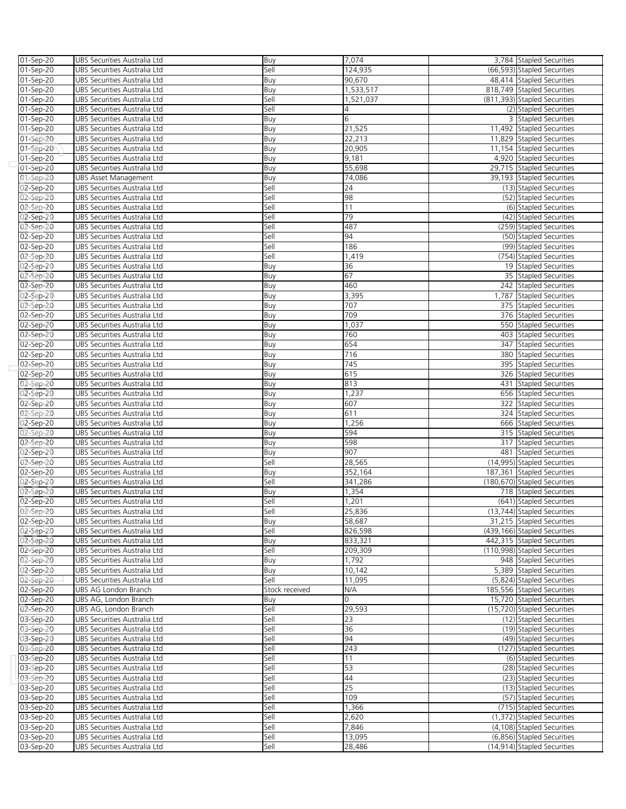| 01-Sep-20 | UBS Securities Australia Ltd        | Buy            | 7,074     |     | 3,784 Stapled Securities     |
|-----------|-------------------------------------|----------------|-----------|-----|------------------------------|
| 01-Sep-20 | UBS Securities Australia Ltd        | Sell           | 124,935   |     | (66,593) Stapled Securities  |
|           |                                     |                |           |     |                              |
| 01-Sep-20 | UBS Securities Australia Ltd        | Buy            | 90,670    |     | 48,414 Stapled Securities    |
| 01-Sep-20 | UBS Securities Australia Ltd        | Buy            | 1,533,517 |     | 818.749 Stapled Securities   |
| 01-Sep-20 | UBS Securities Australia Ltd        | Sell           | 1,521,037 |     | (811,393) Stapled Securities |
| 01-Sep-20 | UBS Securities Australia Ltd        | Sell           | 4         |     | (2) Stapled Securities       |
| 01-Sep-20 | UBS Securities Australia Ltd        | Buy            | 6         |     | 3 Stapled Securities         |
| 01-Sep-20 | UBS Securities Australia Ltd        | Buy            | 21,525    |     | 11,492 Stapled Securities    |
| 01-Sep-20 | UBS Securities Australia Ltd        | Buy            | 22,213    |     | 11,829 Stapled Securities    |
|           |                                     |                |           |     |                              |
| 01-Sep-20 | UBS Securities Australia Ltd        | Buy            | 20,905    |     | 11,154 Stapled Securities    |
| 01-Sep-20 | UBS Securities Australia Ltd        | Buy            | 9,181     |     | 4,920 Stapled Securities     |
| 01-Sep-20 | UBS Securities Australia Ltd        | Buy            | 55,698    |     | 29,715 Stapled Securities    |
| 01-Sep-20 | UBS Asset Management                | Buy            | 74,086    |     | 39,193 Stapled Securities    |
| 02-Sep-20 | UBS Securities Australia Ltd        | Sell           | 24        |     | (13) Stapled Securities      |
| 02-Sep-20 | UBS Securities Australia Ltd        | Sell           | 98        |     | (52) Stapled Securities      |
| 02-Sep-20 | UBS Securities Australia Ltd        | Sell           | 11        |     | (6) Stapled Securities       |
| 02-Sep-20 | <b>UBS Securities Australia Ltd</b> | Sell           | 79        |     | (42) Stapled Securities      |
|           |                                     |                |           |     |                              |
| 02-Sep-20 | UBS Securities Australia Ltd        | Sell           | 487       |     | (259) Stapled Securities     |
| 02-Sep-20 | UBS Securities Australia Ltd        | Sell           | 94        |     | (50) Stapled Securities      |
| 02-Sep-20 | UBS Securities Australia Ltd        | Sell           | 186       |     | (99) Stapled Securities      |
| 02-Sep-20 | UBS Securities Australia Ltd        | Sell           | 1,419     |     | (754) Stapled Securities     |
| 02-Sep-20 | UBS Securities Australia Ltd        | Buy            | 36        |     | 19 Stapled Securities        |
| 02-Sep-20 | UBS Securities Australia Ltd        | Buy            | 67        |     | 35 Stapled Securities        |
| 02-Sep-20 | UBS Securities Australia Ltd        | Buy            | 460       |     | 242 Stapled Securities       |
|           |                                     |                |           |     |                              |
| 02-Sep-20 | UBS Securities Australia Ltd        | Buy            | 3,395     |     | 1,787 Stapled Securities     |
| 02-Sep-20 | UBS Securities Australia Ltd        | Buy            | 707       |     | 375 Stapled Securities       |
| 02-Sep-20 | UBS Securities Australia Ltd        | Buy            | 709       |     | 376 Stapled Securities       |
| 02-Sep-20 | UBS Securities Australia Ltd        | Buy            | 1,037     |     | 550 Stapled Securities       |
| 02-Sep-20 | UBS Securities Australia Ltd        | Buy            | 760       |     | 403 Stapled Securities       |
| 02-Sep-20 | UBS Securities Australia Ltd        | Buy            | 654       | 347 | <b>Stapled Securities</b>    |
| 02-Sep-20 | UBS Securities Australia Ltd        | Buy            | 716       | 380 | <b>Stapled Securities</b>    |
| 02-Sep-20 | UBS Securities Australia Ltd        | Buy            | 745       |     | 395 Stapled Securities       |
|           |                                     |                |           |     |                              |
| 02-Sep-20 | UBS Securities Australia Ltd        | Buy            | 615       |     | 326 Stapled Securities       |
| 02-Sep-20 | UBS Securities Australia Ltd        | Buy            | 813       |     | 431 Stapled Securities       |
| 02-Sep-20 | UBS Securities Australia Ltd        | Buy            | 1,237     |     | 656 Stapled Securities       |
| 02-Sep-20 | UBS Securities Australia Ltd        | Buy            | 607       | 322 | <b>Stapled Securities</b>    |
| 02-Sep-20 | UBS Securities Australia Ltd        | Buy            | 611       |     | 324 Stapled Securities       |
| 02-Sep-20 | UBS Securities Australia Ltd        | Buy            | 1,256     |     | 666 Stapled Securities       |
| 02-Sep-20 | UBS Securities Australia Ltd        | Buy            | 594       |     | 315 Stapled Securities       |
|           |                                     |                |           |     |                              |
| 02-Sep-20 | UBS Securities Australia Ltd        | Buy            | 598       | 317 | <b>Stapled Securities</b>    |
| 02-Sep-20 | UBS Securities Australia Ltd        | Buy            | 907       |     | 481 Stapled Securities       |
| 02-Sep-20 | UBS Securities Australia Ltd        | Sell           | 28,565    |     | (14,995) Stapled Securities  |
| 02-Sep-20 | UBS Securities Australia Ltd        | Buy            | 352,164   |     | 187,361 Stapled Securities   |
| 02-Sep-20 | UBS Securities Australia Ltd        | Sell           | 341,286   |     | (180,670) Stapled Securities |
| 02-Sep-20 | UBS Securities Australia Ltd        | Buy            | 1,354     |     | 718 Stapled Securities       |
| 02-Sep-20 | UBS Securities Australia Ltd        | Sell           | 1,201     |     | (641) Stapled Securities     |
| 02-Sep-20 | UBS Securities Australia Ltd        | Sell           | 25,836    |     | (13,744) Stapled Securities  |
|           |                                     |                |           |     |                              |
| 02-Sep-20 | UBS Securities Australia Ltd        | Buy            | 58,687    |     | 31,215 Stapled Securities    |
| 02-Sep-20 | UBS Securities Australia Ltd        | Sell           | 826,598   |     | (439,166) Stapled Securities |
| 02-Sep-20 | UBS Securities Australia Ltd        | Buy            | 833,321   |     | 442,315 Stapled Securities   |
| 02-Sep-20 | UBS Securities Australia Ltd        | Sell           | 209,309   |     | (110,998) Stapled Securities |
| 02-Sep-20 | UBS Securities Australia Ltd        | Buy            | 1,792     |     | 948 Stapled Securities       |
| 02-Sep-20 | UBS Securities Australia Ltd        | Buy            | 10,142    |     | 5,389 Stapled Securities     |
| 02-Sep-20 | UBS Securities Australia Ltd        | Sell           | 11,095    |     | (5,824) Stapled Securities   |
|           |                                     |                |           |     | 185,556 Stapled Securities   |
| 02-Sep-20 | UBS AG London Branch                | Stock received | N/A       |     |                              |
| 02-Sep-20 | UBS AG, London Branch               | Buy            | 0         |     | 15,720 Stapled Securities    |
| 02-Sep-20 | UBS AG, London Branch               | Sell           | 29,593    |     | (15,720) Stapled Securities  |
| 03-Sep-20 | UBS Securities Australia Ltd        | Sell           | 23        |     | (12) Stapled Securities      |
| 03-Sep-20 | UBS Securities Australia Ltd        | Sell           | 36        |     | (19) Stapled Securities      |
| 03-Sep-20 | UBS Securities Australia Ltd        | Sell           | 94        |     | (49) Stapled Securities      |
| 03-Sep-20 | UBS Securities Australia Ltd        | Sell           | 243       |     | (127) Stapled Securities     |
| 03-Sep-20 | UBS Securities Australia Ltd        | Sell           | 11        |     | (6) Stapled Securities       |
|           |                                     |                |           |     |                              |
| 03-Sep-20 | UBS Securities Australia Ltd        | Sell           | 53        |     | (28) Stapled Securities      |
| 03-Sep-20 | UBS Securities Australia Ltd        | Sell           | 44        |     | (23) Stapled Securities      |
| 03-Sep-20 | UBS Securities Australia Ltd        | Sell           | 25        |     | (13) Stapled Securities      |
| 03-Sep-20 | UBS Securities Australia Ltd        | Sell           | 109       |     | (57) Stapled Securities      |
| 03-Sep-20 | UBS Securities Australia Ltd        | Sell           | 1,366     |     | (715) Stapled Securities     |
| 03-Sep-20 | UBS Securities Australia Ltd        | Sell           | 2,620     |     | (1,372) Stapled Securities   |
| 03-Sep-20 | UBS Securities Australia Ltd        | Sell           | 7,846     |     | (4,108) Stapled Securities   |
|           |                                     |                |           |     |                              |
| 03-Sep-20 | UBS Securities Australia Ltd        | Sell           | 13,095    |     | (6,856) Stapled Securities   |
| 03-Sep-20 | UBS Securities Australia Ltd        | Sell           | 28,486    |     | (14,914) Stapled Securities  |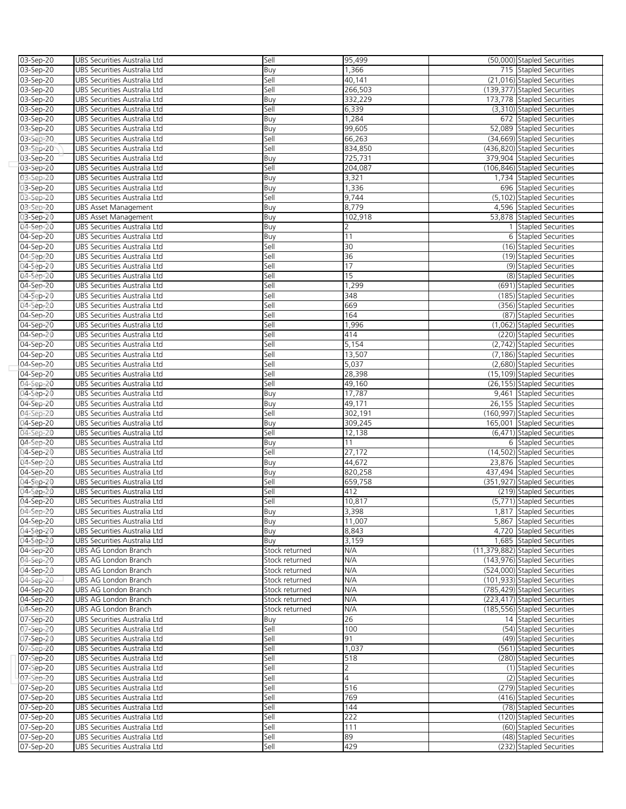| 03-Sep-20 | UBS Securities Australia Ltd | Sell           | 95,499         | (50,000) Stapled Securities     |
|-----------|------------------------------|----------------|----------------|---------------------------------|
| 03-Sep-20 | UBS Securities Australia Ltd | Buy            | 1,366          | 715 Stapled Securities          |
| 03-Sep-20 | UBS Securities Australia Ltd | Sell           | 40,141         | (21,016) Stapled Securities     |
| 03-Sep-20 | UBS Securities Australia Ltd | Sell           | 266,503        | (139,377) Stapled Securities    |
| 03-Sep-20 | UBS Securities Australia Ltd | Buy            | 332,229        | 173,778 Stapled Securities      |
| 03-Sep-20 | UBS Securities Australia Ltd | Sell           | 6,339          | (3,310) Stapled Securities      |
| 03-Sep-20 | UBS Securities Australia Ltd | Buy            | 1,284          | 672 Stapled Securities          |
| 03-Sep-20 | UBS Securities Australia Ltd | Buy            | 99,605         | 52,089 Stapled Securities       |
| 03-Sep-20 | UBS Securities Australia Ltd | Sell           | 66,263         | (34,669) Stapled Securities     |
| 03-Sep-20 | UBS Securities Australia Ltd | Sell           | 834,850        | (436,820) Stapled Securities    |
| 03-Sep-20 | UBS Securities Australia Ltd | Buy            | 725,731        | 379,904 Stapled Securities      |
| 03-Sep-20 | UBS Securities Australia Ltd | Sell           | 204,087        | (106,846) Stapled Securities    |
| 03-Sep-20 | UBS Securities Australia Ltd | Buy            | 3,321          | 1,734 Stapled Securities        |
| 03-Sep-20 | UBS Securities Australia Ltd | Buy            | 1,336          | 696 Stapled Securities          |
| 03-Sep-20 | UBS Securities Australia Ltd | Sell           | 9,744          | (5,102) Stapled Securities      |
| 03-Sep-20 | UBS Asset Management         | Buy            | 8,779          | 4,596 Stapled Securities        |
| 03-Sep-20 | <b>UBS Asset Management</b>  | Buy            | 102,918        | 53,878 Stapled Securities       |
| 04-Sep-20 | UBS Securities Australia Ltd | Buy            | 2              | 1 Stapled Securities            |
| 04-Sep-20 | UBS Securities Australia Ltd | Buy            | 11             | 6 Stapled Securities            |
| 04-Sep-20 | UBS Securities Australia Ltd | Sell           | 30             | (16) Stapled Securities         |
| 04-Sep-20 | UBS Securities Australia Ltd | Sell           | 36             | (19) Stapled Securities         |
| 04-Sep-20 | UBS Securities Australia Ltd | Sell           | 17             | (9) Stapled Securities          |
| 04-Sep-20 | UBS Securities Australia Ltd | Sell           | 15             | (8) Stapled Securities          |
| 04-Sep-20 | UBS Securities Australia Ltd | Sell           | 1,299          | (691) Stapled Securities        |
| 04-Sep-20 | UBS Securities Australia Ltd | Sell           | 348            | (185) Stapled Securities        |
| 04-Sep-20 | UBS Securities Australia Ltd | Sell           | 669            | (356) Stapled Securities        |
| 04-Sep-20 | UBS Securities Australia Ltd | Sell           | 164            | (87) Stapled Securities         |
| 04-Sep-20 | UBS Securities Australia Ltd | Sell           | 1,996          | (1,062) Stapled Securities      |
| 04-Sep-20 | UBS Securities Australia Ltd | Sell           | 414            | (220) Stapled Securities        |
| 04-Sep-20 | UBS Securities Australia Ltd | Sell           | 5,154          | (2,742) Stapled Securities      |
| 04-Sep-20 | UBS Securities Australia Ltd | Sell           | 13,507         | (7,186) Stapled Securities      |
| 04-Sep-20 | UBS Securities Australia Ltd | Sell           | 5,037          | (2,680) Stapled Securities      |
| 04-Sep-20 | UBS Securities Australia Ltd | Sell           | 28,398         | (15,109) Stapled Securities     |
| 04-Sep-20 | UBS Securities Australia Ltd | Sell           | 49,160         | (26,155) Stapled Securities     |
| 04-Sep-20 | UBS Securities Australia Ltd | Buy            | 17,787         | 9,461 Stapled Securities        |
| 04-Sep-20 | UBS Securities Australia Ltd | Buy            | 49,171         | 26,155 Stapled Securities       |
| 04-Sep-20 | UBS Securities Australia Ltd | Sell           | 302,191        | (160,997) Stapled Securities    |
| 04-Sep-20 | UBS Securities Australia Ltd | Buy            | 309,245        | 165,001 Stapled Securities      |
| 04-Sep-20 | UBS Securities Australia Ltd | Sell           | 12,138         | (6,471) Stapled Securities      |
| 04-Sep-20 | UBS Securities Australia Ltd | Buy            | 11             | 6 Stapled Securities            |
| 04-Sep-20 | UBS Securities Australia Ltd | Sell           | 27,172         | (14,502) Stapled Securities     |
| 04-Sep-20 | UBS Securities Australia Ltd | Buy            | 44,672         | 23,876 Stapled Securities       |
| 04-Sep-20 | UBS Securities Australia Ltd | Buy            | 820,258        | 437,494 Stapled Securities      |
| 04-Sep-20 | UBS Securities Australia Ltd | Sell           | 659,758        | (351,927) Stapled Securities    |
| 04-Sep-20 | UBS Securities Australia Ltd | Sell           | 412            | (219) Stapled Securities        |
| 04-Sep-20 | UBS Securities Australia Ltd | Sell           | 10,817         | (5,771) Stapled Securities      |
| 04-Sep-20 | UBS Securities Australia Ltd | Buv            | 3,398          | 1,817 Stapled Securities        |
| 04-Sep-20 | UBS Securities Australia Ltd | Buy            | 11,007         | 5,867 Stapled Securities        |
| 04-Sep-20 | UBS Securities Australia Ltd | Buy            | 8,843          | 4,720 Stapled Securities        |
| 04-Sep-20 | UBS Securities Australia Ltd | Buy            | 3,159          | 1,685 Stapled Securities        |
| 04-Sep-20 | UBS AG London Branch         | Stock returned | N/A            | (11,379,882) Stapled Securities |
| 04-Sep-20 | UBS AG London Branch         | Stock returned | N/A            | (143,976) Stapled Securities    |
| 04-Sep-20 | UBS AG London Branch         | Stock returned | N/A            | (524,000) Stapled Securities    |
| 04-Sep-20 | UBS AG London Branch         | Stock returned | N/A            | (101,933) Stapled Securities    |
| 04-Sep-20 | UBS AG London Branch         | Stock returned | N/A            | (785.429) Stapled Securities    |
| 04-Sep-20 | UBS AG London Branch         | Stock returned | N/A            | (223,417) Stapled Securities    |
| 04-Sep-20 | UBS AG London Branch         | Stock returned | N/A            | (185,556) Stapled Securities    |
| 07-Sep-20 | UBS Securities Australia Ltd | Buy            | 26             | 14 Stapled Securities           |
| 07-Sep-20 | UBS Securities Australia Ltd | Sell           | 100            | (54) Stapled Securities         |
| 07-Sep-20 | UBS Securities Australia Ltd | Sell           | 91             | (49) Stapled Securities         |
| 07-Sep-20 | UBS Securities Australia Ltd | Sell           | 1,037          | (561) Stapled Securities        |
| 07-Sep-20 | UBS Securities Australia Ltd | Sell           | 518            | (280) Stapled Securities        |
| 07-Sep-20 | UBS Securities Australia Ltd | Sell           | 2              | (1) Stapled Securities          |
| 07-Sep-20 | UBS Securities Australia Ltd | Sell           | $\overline{4}$ | (2) Stapled Securities          |
| 07-Sep-20 | UBS Securities Australia Ltd | Sell           | 516            | (279) Stapled Securities        |
| 07-Sep-20 | UBS Securities Australia Ltd | Sell           | 769            | (416) Stapled Securities        |
| 07-Sep-20 | UBS Securities Australia Ltd | Sell           | 144            | (78) Stapled Securities         |
| 07-Sep-20 | UBS Securities Australia Ltd | Sell           | 222            | (120) Stapled Securities        |
| 07-Sep-20 | UBS Securities Australia Ltd | Sell           | 111            | (60) Stapled Securities         |
| 07-Sep-20 | UBS Securities Australia Ltd | Sell           | 89             | (48) Stapled Securities         |
| 07-Sep-20 | UBS Securities Australia Ltd | Sell           | 429            | (232) Stapled Securities        |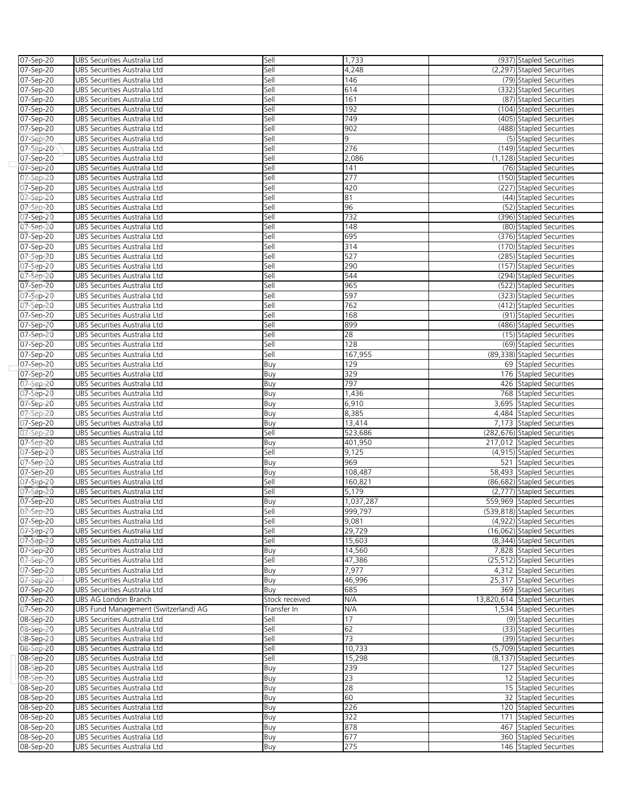| 07-Sep-20 | UBS Securities Australia Ltd         | Sell           | 1,733     | (937) Stapled Securities      |
|-----------|--------------------------------------|----------------|-----------|-------------------------------|
| 07-Sep-20 | UBS Securities Australia Ltd         | Sell           | 4,248     | (2,297) Stapled Securities    |
| 07-Sep-20 | UBS Securities Australia Ltd         | Sell           | 146       | (79) Stapled Securities       |
| 07-Sep-20 | UBS Securities Australia Ltd         | Sell           | 614       | (332) Stapled Securities      |
| 07-Sep-20 | UBS Securities Australia Ltd         | Sell           | 161       | (87) Stapled Securities       |
| 07-Sep-20 | UBS Securities Australia Ltd         | Sell           | 192       | (104) Stapled Securities      |
| 07-Sep-20 | UBS Securities Australia Ltd         | Sell           | 749       | (405) Stapled Securities      |
| 07-Sep-20 | UBS Securities Australia Ltd         | Sell           | 902       | (488) Stapled Securities      |
| 07-Sep-20 | UBS Securities Australia Ltd         | Sell           | 9         | (5) Stapled Securities        |
| 07-Sep-20 | UBS Securities Australia Ltd         | Sell           | 276       | (149) Stapled Securities      |
| 07-Sep-20 | UBS Securities Australia Ltd         | Sell           | 2,086     | (1,128) Stapled Securities    |
| 07-Sep-20 | UBS Securities Australia Ltd         | Sell           | 141       | (76) Stapled Securities       |
| 07-Sep-20 | UBS Securities Australia Ltd         | Sell           | 277       | (150) Stapled Securities      |
| 07-Sep-20 | UBS Securities Australia Ltd         | Sell           | 420       | (227) Stapled Securities      |
| 07-Sep-20 | UBS Securities Australia Ltd         | Sell           | 81        | (44) Stapled Securities       |
| 07-Sep-20 | UBS Securities Australia Ltd         | Sell           | 96        | (52) Stapled Securities       |
| 07-Sep-20 | UBS Securities Australia Ltd         | Sell           | 732       | (396) Stapled Securities      |
| 07-Sep-20 | UBS Securities Australia Ltd         | Sell           | 148       | (80) Stapled Securities       |
| 07-Sep-20 | UBS Securities Australia Ltd         | Sell           | 695       | (376) Stapled Securities      |
| 07-Sep-20 | UBS Securities Australia Ltd         | Sell           | 314       | (170) Stapled Securities      |
| 07-Sep-20 | UBS Securities Australia Ltd         | Sell           | 527       | (285) Stapled Securities      |
| 07-Sep-20 | UBS Securities Australia Ltd         | Sell           | 290       | (157) Stapled Securities      |
| 07-Sep-20 | UBS Securities Australia Ltd         | Sell           | 544       | (294) Stapled Securities      |
| 07-Sep-20 | UBS Securities Australia Ltd         | Sell           | 965       | (522) Stapled Securities      |
| 07-Sep-20 | UBS Securities Australia Ltd         | Sell           | 597       | (323) Stapled Securities      |
| 07-Sep-20 | UBS Securities Australia Ltd         | Sell           | 762       | (412) Stapled Securities      |
| 07-Sep-20 | UBS Securities Australia Ltd         | Sell           | 168       | (91) Stapled Securities       |
| 07-Sep-20 | UBS Securities Australia Ltd         | Sell           | 899       | (486) Stapled Securities      |
| 07-Sep-20 | UBS Securities Australia Ltd         | Sell           | 28        | (15) Stapled Securities       |
| 07-Sep-20 | UBS Securities Australia Ltd         | Sell           | 128       | (69) Stapled Securities       |
| 07-Sep-20 | UBS Securities Australia Ltd         | Sell           | 167,955   | (89,338) Stapled Securities   |
| 07-Sep-20 | UBS Securities Australia Ltd         | Buy            | 129       | 69 Stapled Securities         |
| 07-Sep-20 | UBS Securities Australia Ltd         | Buy            | 329       | 176 Stapled Securities        |
| 07-Sep-20 | UBS Securities Australia Ltd         | Buy            | 797       | 426 Stapled Securities        |
| 07-Sep-20 | UBS Securities Australia Ltd         | Buy            | 1,436     | 768 Stapled Securities        |
| 07-Sep-20 | UBS Securities Australia Ltd         | Buy            | 6,910     | 3,695 Stapled Securities      |
| 07-Sep-20 | UBS Securities Australia Ltd         | Buy            | 8,385     | 4,484 Stapled Securities      |
| 07-Sep-20 | UBS Securities Australia Ltd         | Buy            | 13,414    | 7,173 Stapled Securities      |
| 07-Sep-20 | UBS Securities Australia Ltd         | Sell           | 523,686   | (282,676) Stapled Securities  |
| 07-Sep-20 | UBS Securities Australia Ltd         | Buy            | 401,950   | 217,012 Stapled Securities    |
| 07-Sep-20 | UBS Securities Australia Ltd         | Sell           | 9,125     | (4,915) Stapled Securities    |
| 07-Sep-20 | UBS Securities Australia Ltd         | Buy            | 969       | 521 Stapled Securities        |
| 07-Sep-20 | UBS Securities Australia Ltd         | Buy            | 108,487   | 58,493 Stapled Securities     |
| 07-Sep-20 | UBS Securities Australia Ltd         | Sell           | 160,821   | (86,682) Stapled Securities   |
| 07-Sep-20 | UBS Securities Australia Ltd         | Sell           | 5,179     | (2,777) Stapled Securities    |
| 07-Sep-20 | UBS Securities Australia Ltd         | Buy            | 1,037,287 | 559,969 Stapled Securities    |
| 07-Sep-20 | UBS Securities Australia Ltd         | Sell           | 999,797   | (539,818) Stapled Securities  |
| 07-Sep-20 | UBS Securities Australia Ltd         | Sell           | 9,081     | (4,922) Stapled Securities    |
| 07-Sep-20 | UBS Securities Australia Ltd         | Sell           | 29,729    | (16,062) Stapled Securities   |
| 07-Sep-20 | UBS Securities Australia Ltd         | Sell           | 15,603    | (8,344) Stapled Securities    |
| 07-Sep-20 | UBS Securities Australia Ltd         | Buy            | 14,560    | 7,828 Stapled Securities      |
| 07-Sep-20 | UBS Securities Australia Ltd         | Sell           | 47,386    | (25,512) Stapled Securities   |
| 07-Sep-20 | UBS Securities Australia Ltd         | Buy            | 7,977     | 4,312 Stapled Securities      |
| 07-Sep-20 | UBS Securities Australia Ltd         | Buy            | 46,996    | 25,317 Stapled Securities     |
| 07-Sep-20 | UBS Securities Australia Ltd         | Buy            | 685       | 369 Stapled Securities        |
| 07-Sep-20 | UBS AG London Branch                 | Stock received | N/A       | 13,820,614 Stapled Securities |
| 07-Sep-20 | UBS Fund Management (Switzerland) AG | Transfer In    | N/A       | 1,534 Stapled Securities      |
| 08-Sep-20 | UBS Securities Australia Ltd         | Sell           | $17\,$    | (9) Stapled Securities        |
| 08-Sep-20 | UBS Securities Australia Ltd         | Sell           | 62        | (33) Stapled Securities       |
| 08-Sep-20 | UBS Securities Australia Ltd         | Sell           | 73        | (39) Stapled Securities       |
| 08-Sep-20 | UBS Securities Australia Ltd         | Sell           | 10,733    | (5,709) Stapled Securities    |
| 08-Sep-20 | UBS Securities Australia Ltd         | Sell           | 15,298    | (8,137) Stapled Securities    |
| 08-Sep-20 | UBS Securities Australia Ltd         | Buy            | 239       | 127 Stapled Securities        |
| 08-Sep-20 | UBS Securities Australia Ltd         | Buy            | 23        | 12 Stapled Securities         |
| 08-Sep-20 | UBS Securities Australia Ltd         | Buy            | 28        | 15 Stapled Securities         |
| 08-Sep-20 | UBS Securities Australia Ltd         | Buy            | 60        | 32 Stapled Securities         |
| 08-Sep-20 | UBS Securities Australia Ltd         | Buy            | 226       | 120 Stapled Securities        |
| 08-Sep-20 | UBS Securities Australia Ltd         | Buy            | 322       | 171 Stapled Securities        |
| 08-Sep-20 | UBS Securities Australia Ltd         | Buy            | 878       | 467 Stapled Securities        |
| 08-Sep-20 | UBS Securities Australia Ltd         | Buy            | 677       | 360 Stapled Securities        |
| 08-Sep-20 | UBS Securities Australia Ltd         | Buy            | 275       | 146 Stapled Securities        |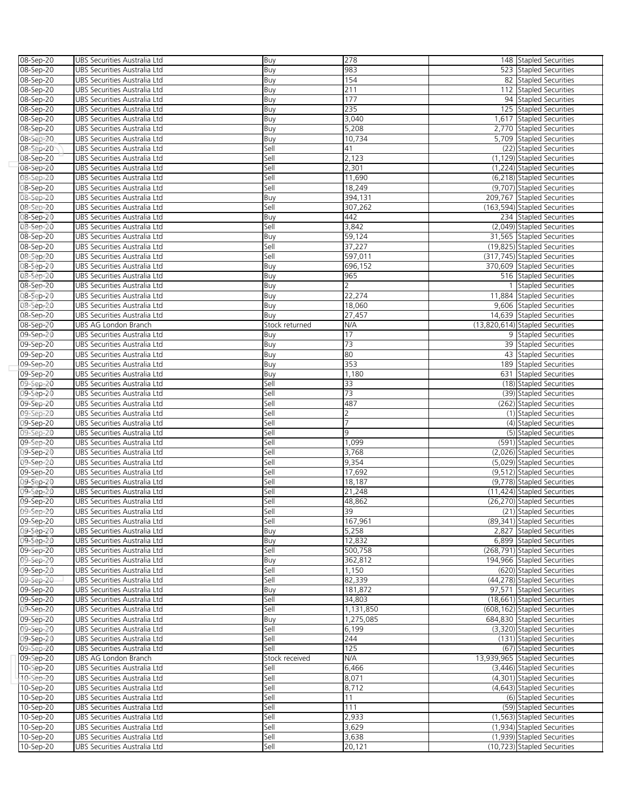| 08-Sep-20              | UBS Securities Australia Ltd                                 | Buy            | 278             | 148 Stapled Securities                                    |
|------------------------|--------------------------------------------------------------|----------------|-----------------|-----------------------------------------------------------|
| 08-Sep-20              | UBS Securities Australia Ltd                                 | Buy            | 983             | 523 Stapled Securities                                    |
| $08 - Sep - 20$        | UBS Securities Australia Ltd                                 | Buy            | 154             | 82 Stapled Securities                                     |
| 08-Sep-20              | UBS Securities Australia Ltd                                 | Buy            | 211             | 112 Stapled Securities                                    |
| 08-Sep-20              | UBS Securities Australia Ltd                                 | Buy            | 177             | 94 Stapled Securities                                     |
| 08-Sep-20              | UBS Securities Australia Ltd                                 | Buy            | 235             | 125 Stapled Securities                                    |
| 08-Sep-20              | UBS Securities Australia Ltd                                 | Buy            | 3,040           | 1,617 Stapled Securities                                  |
| 08-Sep-20              | UBS Securities Australia Ltd                                 | Buy            | 5,208           | 2,770 Stapled Securities                                  |
|                        |                                                              |                | 10,734          | 5,709 Stapled Securities                                  |
| 08-Sep-20              | UBS Securities Australia Ltd                                 | Buy            |                 |                                                           |
| 08-Sep-20              | UBS Securities Australia Ltd                                 | Sell           | 41              | (22) Stapled Securities                                   |
| 08-Sep-20              | UBS Securities Australia Ltd                                 | Sell           | 2,123           | (1,129) Stapled Securities                                |
| 08-Sep-20              | UBS Securities Australia Ltd                                 | Sell           | 2,301           | (1,224) Stapled Securities                                |
| 08-Sep-20              | UBS Securities Australia Ltd                                 | Sell           | 11,690          | (6,218) Stapled Securities                                |
| 08-Sep-20              | UBS Securities Australia Ltd                                 | Sell           | 18,249          | (9,707) Stapled Securities                                |
| 08-Sep-20              | UBS Securities Australia Ltd                                 | Buy            | 394,131         | 209.767 Stapled Securities                                |
| 08-Sep-20              | UBS Securities Australia Ltd                                 | Sell           | 307,262         | (163,594) Stapled Securities                              |
| 0 <b>8-Sep-20</b>      | UBS Securities Australia Ltd                                 | Buy            | 442             | 234 Stapled Securities                                    |
| 08-Sep-20              | UBS Securities Australia Ltd                                 | Sell           | 3,842           | (2,049) Stapled Securities                                |
| 08-Sep-20              | UBS Securities Australia Ltd                                 | Buy            | 59,124          | 31,565 Stapled Securities                                 |
| 08-Sep-20              | UBS Securities Australia Ltd                                 | Sell           | 37,227          | (19,825) Stapled Securities                               |
| 08-Sep-20              | UBS Securities Australia Ltd                                 | Sell           | 597,011         | (317,745) Stapled Securities                              |
| 08-Sep-20              | UBS Securities Australia Ltd                                 | Buy            | 696,152         | 370,609 Stapled Securities                                |
| 08-Sep-20              | UBS Securities Australia Ltd                                 | Buy            | 965             | 516 Stapled Securities                                    |
| 08-Sep-20              | UBS Securities Australia Ltd                                 | Buy            |                 | 1 Stapled Securities                                      |
| 08-Sep-20              | UBS Securities Australia Ltd                                 | Buy            | 22,274          | 11,884 Stapled Securities                                 |
| 08-Sep-20              | UBS Securities Australia Ltd                                 | Buy            | 18,060          | 9,606 Stapled Securities                                  |
| 08-Sep-20              | UBS Securities Australia Ltd                                 | Buy            | 27,457          | 14,639 Stapled Securities                                 |
| 08-Sep-20              | UBS AG London Branch                                         | Stock returned | N/A             | (13,820,614) Stapled Securities                           |
| 09-Sep-20              | UBS Securities Australia Ltd                                 | Buy            | 17              | 9 Stapled Securities                                      |
| 09-Sep-20              | UBS Securities Australia Ltd                                 | Buy            | 73              | 39 Stapled Securities                                     |
| 09-Sep-20              | UBS Securities Australia Ltd                                 | Buy            | 80              | 43 Stapled Securities                                     |
| 09-Sep-20              | UBS Securities Australia Ltd                                 | Buy            | 353             | 189 Stapled Securities                                    |
| 09-Sep-20              | UBS Securities Australia Ltd                                 | Buy            | 1,180           | 631 Stapled Securities                                    |
| 09-Sep-20              | UBS Securities Australia Ltd                                 | Sell           | 33              | (18) Stapled Securities                                   |
| 09-Sep-20              | UBS Securities Australia Ltd                                 | Sell           | 73              | (39) Stapled Securities                                   |
|                        | UBS Securities Australia Ltd                                 | Sell           | 487             | (262) Stapled Securities                                  |
| 09-Sep-20<br>09-Sep-20 |                                                              |                | 2               |                                                           |
|                        | UBS Securities Australia Ltd                                 | Sell           | $\overline{7}$  | (1) Stapled Securities                                    |
| 09-Sep-20              | UBS Securities Australia Ltd                                 | Sell           | 9               | (4) Stapled Securities                                    |
| 09-Sep-20              | UBS Securities Australia Ltd                                 | Sell           |                 | (5) Stapled Securities                                    |
| 09-Sep-20              | UBS Securities Australia Ltd                                 | Sell           | 1,099           | (591) Stapled Securities                                  |
| 09-Sep-20              | UBS Securities Australia Ltd                                 | Sell           | 3,768           | (2,026) Stapled Securities                                |
| 09-Sep-20              | UBS Securities Australia Ltd                                 | Sell           | 9,354           | (5,029) Stapled Securities                                |
| 09-Sep-20              | UBS Securities Australia Ltd                                 | Sell           | 17,692          | (9,512) Stapled Securities                                |
| 09-Sep-20              | UBS Securities Australia Ltd                                 | Sell           | 18,187          | (9,778) Stapled Securities                                |
| 09-Sep-20              | UBS Securities Australia Ltd                                 | Sell           | 21,248          | (11,424) Stapled Securities                               |
| 09-Sep-20              | UBS Securities Australia Ltd                                 | Sell           | 48,862          | (26,270) Stapled Securities                               |
| 09-Sep-20              | UBS Securities Australia Ltd                                 | Sell           | 39              | (21) Stapled Securities                                   |
| 09-Sep-20              | UBS Securities Australia Ltd                                 | Sell           | 167,961         | (89,341) Stapled Securities                               |
| 09-Sep-20              | UBS Securities Australia Ltd                                 | Buy            | 5,258           | 2,827 Stapled Securities                                  |
| 09-Sep-20              | UBS Securities Australia Ltd                                 | Buy            | 12,832          | 6.899 Stapled Securities                                  |
| 09-Sep-20              | UBS Securities Australia Ltd                                 | Sell           | 500,758         | (268,791) Stapled Securities                              |
| 09-Sep-20              | UBS Securities Australia Ltd                                 | Buy            | 362,812         | 194,966 Stapled Securities                                |
| 09-Sep-20              | UBS Securities Australia Ltd                                 | Sell           | 1,150           | (620) Stapled Securities                                  |
| 09-Sep-20              | UBS Securities Australia Ltd                                 | Sell           | 82,339          | (44,278) Stapled Securities                               |
| 09-Sep-20              | UBS Securities Australia Ltd                                 | Buy            | 181.872         | 97,571 Stapled Securities                                 |
| 09-Sep-20              | UBS Securities Australia Ltd                                 | Sell           | 34,803          | (18,661) Stapled Securities                               |
| 09-Sep-20              | UBS Securities Australia Ltd                                 | Sell           | 1,131,850       | (608,162) Stapled Securities                              |
| 09-Sep-20              | UBS Securities Australia Ltd                                 | Buy            | 1,275,085       | 684,830 Stapled Securities                                |
| 09-Sep-20              | UBS Securities Australia Ltd                                 | Sell           | 6,199           | (3,320) Stapled Securities                                |
| 09-Sep-20              | UBS Securities Australia Ltd                                 | Sell           | 244             | (131) Stapled Securities                                  |
| 09-Sep-20              | UBS Securities Australia Ltd                                 | Sell           | 125             | (67) Stapled Securities                                   |
| 09-Sep-20              | UBS AG London Branch                                         | Stock received | N/A             | 13,939,965 Stapled Securities                             |
| 10-Sep-20              | UBS Securities Australia Ltd                                 | Sell           | 6,466           | (3,446) Stapled Securities                                |
| 10-Sep-20              | UBS Securities Australia Ltd                                 | Sell           | 8,071           | (4,301) Stapled Securities                                |
| 10-Sep-20              | UBS Securities Australia Ltd                                 | Sell           | 8,712           | (4,643) Stapled Securities                                |
| 10-Sep-20              | UBS Securities Australia Ltd                                 | Sell           | 11              | (6) Stapled Securities                                    |
|                        |                                                              |                |                 | (59) Stapled Securities                                   |
|                        |                                                              |                |                 |                                                           |
| 10-Sep-20              | UBS Securities Australia Ltd                                 | Sell           | 111             |                                                           |
| 10-Sep-20              | UBS Securities Australia Ltd                                 | Sell           | 2,933           | (1,563) Stapled Securities                                |
| 10-Sep-20              | UBS Securities Australia Ltd                                 | Sell           | 3,629           | (1,934) Stapled Securities                                |
| 10-Sep-20<br>10-Sep-20 | UBS Securities Australia Ltd<br>UBS Securities Australia Ltd | Sell<br>Sell   | 3,638<br>20,121 | (1,939) Stapled Securities<br>(10,723) Stapled Securities |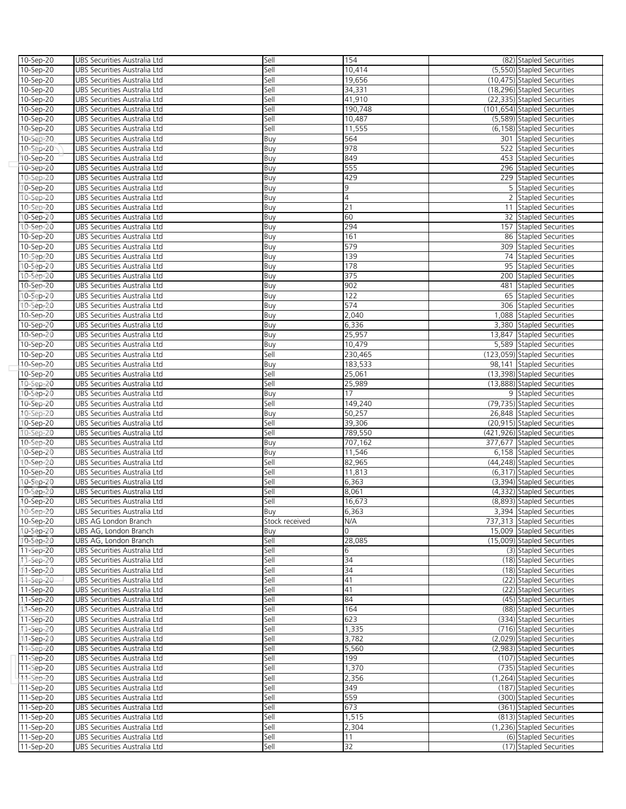| 10-Sep-20              | UBS Securities Australia Ltd                                 | Sell           | 154            | (82) Stapled Securities                              |
|------------------------|--------------------------------------------------------------|----------------|----------------|------------------------------------------------------|
| 10-Sep-20              | UBS Securities Australia Ltd                                 | Sell           | 10,414         | (5,550) Stapled Securities                           |
| 10-Sep-20              | UBS Securities Australia Ltd                                 | Sell           | 19,656         | (10,475) Stapled Securities                          |
| 10-Sep-20              | UBS Securities Australia Ltd                                 | Sell           | 34,331         | (18,296) Stapled Securities                          |
| 10-Sep-20              | UBS Securities Australia Ltd                                 | Sell           | 41,910         | (22,335) Stapled Securities                          |
| 10-Sep-20              | UBS Securities Australia Ltd                                 | Sell           | 190,748        | (101,654) Stapled Securities                         |
| 10-Sep-20              | UBS Securities Australia Ltd                                 | Sell           | 10,487         | (5,589) Stapled Securities                           |
| 10-Sep-20              | UBS Securities Australia Ltd                                 | Sell           | 11,555         | (6,158) Stapled Securities                           |
| 10-Sep-20              | UBS Securities Australia Ltd                                 | Buy            | 564            | 301 Stapled Securities                               |
| 10-Sep-20              | UBS Securities Australia Ltd                                 | Buy            | 978            | 522 Stapled Securities                               |
| 10-Sep-20              | UBS Securities Australia Ltd                                 | Buy            | 849            | 453 Stapled Securities                               |
| 10-Sep-20              | UBS Securities Australia Ltd                                 | Buy            | 555            | 296 Stapled Securities                               |
| 10-Sep-20              | UBS Securities Australia Ltd                                 | Buy            | 429            | 229 Stapled Securities                               |
| 10-Sep-20              | UBS Securities Australia Ltd                                 | Buy            | 9              | 5 Stapled Securities                                 |
| 10-Sep-20              | UBS Securities Australia Ltd                                 | Buy            | $\overline{4}$ | 2 Stapled Securities                                 |
| 10-Sep-20              | UBS Securities Australia Ltd                                 | Buy            | 21             | 11 Stapled Securities                                |
| 10-Sep-20              | UBS Securities Australia Ltd                                 | Buy            | 60             | 32 Stapled Securities                                |
| 10-Sep-20              | UBS Securities Australia Ltd                                 | Buy            | 294            | 157 Stapled Securities                               |
| 10-Sep-20              | UBS Securities Australia Ltd                                 | Buy            | 161            | 86 Stapled Securities                                |
| 10-Sep-20              | UBS Securities Australia Ltd                                 | Buy            | 579            | 309 Stapled Securities                               |
| 10-Sep-20              | UBS Securities Australia Ltd                                 | Buy            | 139            | 74 Stapled Securities                                |
| 10-Sep-20              | UBS Securities Australia Ltd                                 | Buy            | 178            | 95 Stapled Securities                                |
| 10-Sep-20              | UBS Securities Australia Ltd                                 | Buy            | 375            | 200 Stapled Securities                               |
| 10-Sep-20              | UBS Securities Australia Ltd                                 | Buy            | 902            | 481 Stapled Securities                               |
| 10-Sep-20              | UBS Securities Australia Ltd                                 | Buy            | 122            | 65 Stapled Securities                                |
| 10-Sep-20              | UBS Securities Australia Ltd                                 | Buy            | 574            | 306 Stapled Securities                               |
| 10-Sep-20              | UBS Securities Australia Ltd                                 | Buy            | 2,040          | 1,088 Stapled Securities                             |
| 10-Sep-20              | UBS Securities Australia Ltd                                 | Buy            | 6,336          | 3,380 Stapled Securities                             |
| 10-Sep-20              | UBS Securities Australia Ltd                                 | Buy            | 25,957         | 13,847 Stapled Securities                            |
| 10-Sep-20              | UBS Securities Australia Ltd                                 | Buy            | 10,479         | 5,589 Stapled Securities                             |
| 10-Sep-20              | UBS Securities Australia Ltd                                 | Sell           | 230,465        | (123,059) Stapled Securities                         |
| 10-Sep-20              | UBS Securities Australia Ltd                                 | Buy            | 183,533        | 98,141 Stapled Securities                            |
| 10-Sep-20              | UBS Securities Australia Ltd                                 | Sell           | 25,061         | (13,398) Stapled Securities                          |
| 10-Sep-20              | UBS Securities Australia Ltd                                 | Sell           | 25,989         | (13,888) Stapled Securities                          |
| 10-Sep-20              | UBS Securities Australia Ltd                                 | Buy            | 17             | 9 Stapled Securities                                 |
| 10-Sep-20              | UBS Securities Australia Ltd                                 | Sell           | 149,240        | (79,735) Stapled Securities                          |
| 10-Sep-20              | UBS Securities Australia Ltd                                 | Buy            | 50,257         | 26,848 Stapled Securities                            |
| 10-Sep-20              | UBS Securities Australia Ltd                                 | Sell           | 39,306         | (20,915) Stapled Securities                          |
| 10-Sep-20              | UBS Securities Australia Ltd                                 | Sell           | 789,550        | (421,926) Stapled Securities                         |
| 10-Sep-20              | UBS Securities Australia Ltd                                 | Buy            | 707,162        | 377,677 Stapled Securities                           |
| 10-Sep-20              | UBS Securities Australia Ltd                                 | Buy            | 11,546         | 6,158 Stapled Securities                             |
| 10-Sep-20              | UBS Securities Australia Ltd                                 | Sell           | 82,965         | (44,248) Stapled Securities                          |
| 10-Sep-20              | UBS Securities Australia Ltd                                 | Sell           | 11,813         | (6,317) Stapled Securities                           |
| 10-Sep-20              | UBS Securities Australia Ltd                                 | Sell           | 6,363          | (3,394) Stapled Securities                           |
| 10-Sep-20              | UBS Securities Australia Ltd                                 | Sell           | 8,061          | (4,332) Stapled Securities                           |
| 10-Sep-20              | UBS Securities Australia Ltd                                 | Sell           | 16,673         | (8,893) Stapled Securities                           |
| 10-Sep-20              | UBS Securities Australia Ltd                                 | Buv            | 6,363          | 3,394 Stapled Securities                             |
| 10-Sep-20              | UBS AG London Branch                                         | Stock received | N/A            | 737,313 Stapled Securities                           |
| 10-Sep-20              | UBS AG, London Branch                                        | Buy            | $\Omega$       | 15,009 Stapled Securities                            |
| 10-Sep-20              | UBS AG, London Branch                                        | Sell           | 28,085         | (15,009) Stapled Securities                          |
| 11-Sep-20              | UBS Securities Australia Ltd                                 | Sell           | 6              | (3) Stapled Securities                               |
| 11-Sep-20              | UBS Securities Australia Ltd                                 | Sell           | 34             | (18) Stapled Securities                              |
| 11-Sep-20              | UBS Securities Australia Ltd                                 | Sell           | 34             | (18) Stapled Securities                              |
| 11-Sep-20              | UBS Securities Australia Ltd                                 | Sell           | 41             | (22) Stapled Securities                              |
| 11-Sep-20              | UBS Securities Australia Ltd                                 | Sell           | 41             | (22) Stapled Securities                              |
| 11-Sep-20              | UBS Securities Australia Ltd                                 | Sell           | 84             | (45) Stapled Securities                              |
| 11-Sep-20              | UBS Securities Australia Ltd                                 | Sell           | 164            | (88) Stapled Securities                              |
| 11-Sep-20              | UBS Securities Australia Ltd                                 | Sell           | 623            | (334) Stapled Securities                             |
| 11-Sep-20              | UBS Securities Australia Ltd                                 | Sell           | 1,335          | (716) Stapled Securities                             |
| 11-Sep-20              | UBS Securities Australia Ltd                                 | Sell           | 3,782          | (2.029) Stapled Securities                           |
| 11-Sep-20              | UBS Securities Australia Ltd                                 | Sell           | 5,560          | (2,983) Stapled Securities                           |
| 11-Sep-20              | UBS Securities Australia Ltd                                 | Sell           | 199            | (107) Stapled Securities                             |
| 11-Sep-20              | UBS Securities Australia Ltd                                 | Sell           | 1,370          | (735) Stapled Securities                             |
| 11-Sep-20              | UBS Securities Australia Ltd                                 | Sell           | 2,356          | (1,264) Stapled Securities                           |
| 11-Sep-20              | UBS Securities Australia Ltd                                 | Sell           | 349<br>559     | (187) Stapled Securities                             |
| 11-Sep-20              | UBS Securities Australia Ltd                                 | Sell           |                | (300) Stapled Securities                             |
| 11-Sep-20              | UBS Securities Australia Ltd                                 | Sell           | 673            | (361) Stapled Securities                             |
| 11-Sep-20              | UBS Securities Australia Ltd                                 | Sell           | 1,515<br>2,304 | (813) Stapled Securities                             |
| 11-Sep-20              | UBS Securities Australia Ltd<br>UBS Securities Australia Ltd | Sell           | 11             | (1,236) Stapled Securities<br>(6) Stapled Securities |
| 11-Sep-20<br>11-Sep-20 | UBS Securities Australia Ltd                                 | Sell<br>Sell   | 32             | (17) Stapled Securities                              |
|                        |                                                              |                |                |                                                      |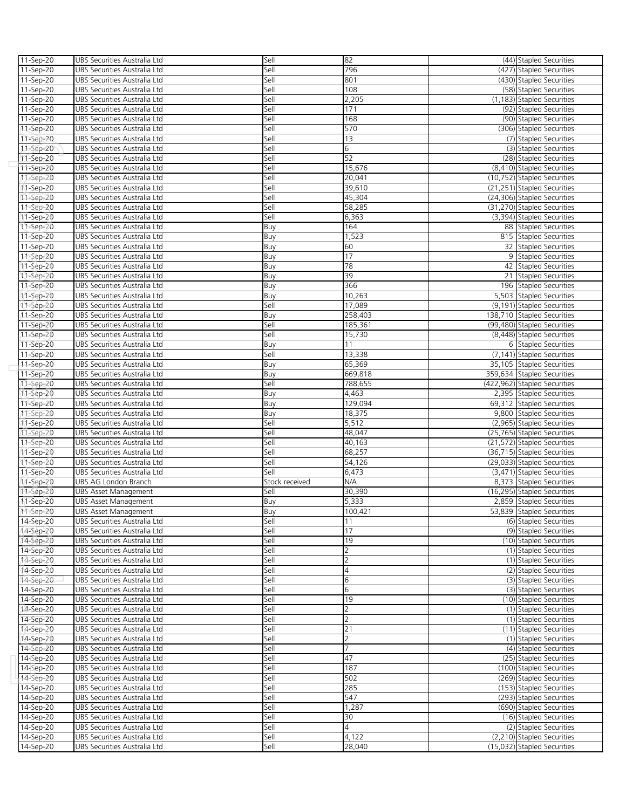| 11-Sep-20              | UBS Securities Australia Ltd                                 | Sell           | 82              | (44) Stapled Securities                                   |
|------------------------|--------------------------------------------------------------|----------------|-----------------|-----------------------------------------------------------|
| 11-Sep-20              | UBS Securities Australia Ltd                                 | Sell           | 796             | (427) Stapled Securities                                  |
| 11-Sep-20              | UBS Securities Australia Ltd                                 | Sell           | 801             | (430) Stapled Securities                                  |
| 11-Sep-20              | UBS Securities Australia Ltd                                 | Sell           | 108             | (58) Stapled Securities                                   |
|                        | UBS Securities Australia Ltd                                 | Sell           | 2,205           | (1,183) Stapled Securities                                |
| 11-Sep-20              |                                                              |                |                 |                                                           |
| 11-Sep-20              | UBS Securities Australia Ltd                                 | Sell           | 171             | (92) Stapled Securities                                   |
| 11-Sep-20              | UBS Securities Australia Ltd                                 | Sell           | 168             | (90) Stapled Securities                                   |
| 11-Sep-20              | UBS Securities Australia Ltd                                 | Sell           | 570             | (306) Stapled Securities                                  |
| 11-Sep-20              | UBS Securities Australia Ltd                                 | Sell           | 13              | (7) Stapled Securities                                    |
| 11-Sep-20              | UBS Securities Australia Ltd                                 | Sell           | 6               | (3) Stapled Securities                                    |
| 11-Sep-20              | UBS Securities Australia Ltd                                 | Sell           | 52              | (28) Stapled Securities                                   |
| 11-Sep-20              | UBS Securities Australia Ltd                                 | Sell           | 15,676          | (8,410) Stapled Securities                                |
|                        |                                                              |                | 20,041          | (10,752) Stapled Securities                               |
| 11-Sep-20              | UBS Securities Australia Ltd                                 | Sell           |                 |                                                           |
| 11-Sep-20              | UBS Securities Australia Ltd                                 | Sell           | 39,610          | (21,251) Stapled Securities                               |
| 11-Sep-20              | UBS Securities Australia Ltd                                 | Sell           | 45,304          | (24,306) Stapled Securities                               |
| 11-Sep-20              | UBS Securities Australia Ltd                                 | Sell           | 58,285          | (31,270) Stapled Securities                               |
| 11-Sep-20              | UBS Securities Australia Ltd                                 | Sell           | 6,363           | (3,394) Stapled Securities                                |
| 11-Sep-20              | UBS Securities Australia Ltd                                 | Buy            | 164             | 88 Stapled Securities                                     |
| 11-Sep-20              | UBS Securities Australia Ltd                                 | Buy            | 1,523           | 815 Stapled Securities                                    |
| 11-Sep-20              | UBS Securities Australia Ltd                                 | Buy            | 60              | 32 Stapled Securities                                     |
|                        |                                                              |                |                 |                                                           |
| 11-Sep-20              | UBS Securities Australia Ltd                                 | Buy            | 17              | 9 Stapled Securities                                      |
| 11-Sep-20              | UBS Securities Australia Ltd                                 | Buy            | 78              | 42 Stapled Securities                                     |
| 11-Sep-20              | UBS Securities Australia Ltd                                 | Buy            | 39              | 21 Stapled Securities                                     |
| 11-Sep-20              | UBS Securities Australia Ltd                                 | Buy            | 366             | 196 Stapled Securities                                    |
| 11-Sep-20              | UBS Securities Australia Ltd                                 | Buy            | 10,263          | 5,503 Stapled Securities                                  |
| 11-Sep-20              | UBS Securities Australia Ltd                                 | Sell           | 17,089          | (9,191) Stapled Securities                                |
| 11-Sep-20              | UBS Securities Australia Ltd                                 | Buy            | 258,403         | 138,710 Stapled Securities                                |
| 11-Sep-20              | UBS Securities Australia Ltd                                 |                |                 | (99,480) Stapled Securities                               |
|                        |                                                              | Sell           | 185,361         |                                                           |
| 11-Sep-20              | UBS Securities Australia Ltd                                 | Sell           | 15,730          | (8,448) Stapled Securities                                |
| 11-Sep-20              | UBS Securities Australia Ltd                                 | Buy            | 11              | 6 Stapled Securities                                      |
| 11-Sep-20              | UBS Securities Australia Ltd                                 | Sell           | 13,338          | (7,141) Stapled Securities                                |
| 11-Sep-20              | UBS Securities Australia Ltd                                 | Buy            | 65,369          | 35,105 Stapled Securities                                 |
| 11-Sep-20              | UBS Securities Australia Ltd                                 | Buy            | 669,818         | 359,634 Stapled Securities                                |
| 11-Sep-20              | UBS Securities Australia Ltd                                 | Sell           | 788,655         | (422,962) Stapled Securities                              |
| 11-Sep-20              | UBS Securities Australia Ltd                                 | Buy            | 4,463           | 2,395 Stapled Securities                                  |
|                        |                                                              |                |                 |                                                           |
| 11-Sep-20              | UBS Securities Australia Ltd                                 | Buy            | 129,094         | 69,312 Stapled Securities                                 |
| 11-Sep-20              | UBS Securities Australia Ltd                                 | Buy            | 18,375          | 9,800 Stapled Securities                                  |
| 11-Sep-20              | UBS Securities Australia Ltd                                 | Sell           | 5,512           | (2,965) Stapled Securities                                |
| 11-Sep-20              | UBS Securities Australia Ltd                                 | Sell           | 48,047          | (25,765) Stapled Securities                               |
| $11 -$ Sep $-20$       | UBS Securities Australia Ltd                                 | Sell           | 40,163          | (21,572) Stapled Securities                               |
| 11-Sep-20              | UBS Securities Australia Ltd                                 | Sell           | 68,257          | (36,715) Stapled Securities                               |
| 11-Sep-20              | UBS Securities Australia Ltd                                 | Sell           | 54,126          | (29,033) Stapled Securities                               |
| 11-Sep-20              | UBS Securities Australia Ltd                                 | Sell           | 6,473           | (3,471) Stapled Securities                                |
|                        |                                                              |                |                 |                                                           |
| 11-Sep-20              | UBS AG London Branch                                         | Stock received | N/A             | 8,373 Stapled Securities                                  |
| 11-Sep-20              | <b>UBS Asset Management</b>                                  | Sell           | 30,390          | (16,295) Stapled Securities                               |
| 11-Sep-20              | <b>UBS Asset Management</b>                                  | Buy            | 5,333           | 2,859 Stapled Securities                                  |
| 11-Sep-20              | <b>UBS Asset Management</b>                                  | Buy            | 100,421         | 53,839 Stapled Securities                                 |
| 14-Sep-20              | UBS Securities Australia Ltd                                 | Sell           | 11              | (6) Stapled Securities                                    |
| 14-Sep-20              | UBS Securities Australia Ltd                                 | Sell           | 17              | (9) Stapled Securities                                    |
| 14-Sep-20              | UBS Securities Australia Ltd                                 | Sell           | 19              | (10) Stapled Securities                                   |
| 14-Sep-20              | UBS Securities Australia Ltd                                 | Sell           | 2               | (1) Stapled Securities                                    |
|                        |                                                              |                |                 |                                                           |
| 14-Sep-20              | UBS Securities Australia Ltd                                 | Sell           | $\overline{2}$  | (1) Stapled Securities                                    |
| 14-Sep-20              | UBS Securities Australia Ltd                                 | Sell           | $\overline{4}$  | (2) Stapled Securities                                    |
| 14-Sep-20              | UBS Securities Australia Ltd                                 | Sell           | 6               | (3) Stapled Securities                                    |
| 14-Sep-20              | UBS Securities Australia Ltd                                 | Sell           | 6               | (3) Stapled Securities                                    |
| 14-Sep-20              | UBS Securities Australia Ltd                                 | Sell           | 19              | (10) Stapled Securities                                   |
| 14-Sep-20              | UBS Securities Australia Ltd                                 | Sell           | $\overline{2}$  | (1) Stapled Securities                                    |
| 14-Sep-20              | UBS Securities Australia Ltd                                 | Sell           | 2               | (1) Stapled Securities                                    |
| 14-Sep-20              | UBS Securities Australia Ltd                                 | Sell           | 21              | (11) Stapled Securities                                   |
|                        |                                                              |                |                 |                                                           |
|                        | UBS Securities Australia Ltd                                 | Sell           | $\overline{2}$  | (1) Stapled Securities                                    |
| 14-Sep-20              |                                                              |                |                 |                                                           |
| 14-Sep-20              | UBS Securities Australia Ltd                                 | Sell           | 7               | (4) Stapled Securities                                    |
| 14-Sep-20              | UBS Securities Australia Ltd                                 | Sell           | 47              | (25) Stapled Securities                                   |
| 14-Sep-20              | UBS Securities Australia Ltd                                 | Sell           | 187             | (100) Stapled Securities                                  |
| 14-Sep-20              | UBS Securities Australia Ltd                                 | Sell           | 502             | (269) Stapled Securities                                  |
|                        |                                                              |                |                 |                                                           |
| 14-Sep-20              | UBS Securities Australia Ltd                                 | Sell           | 285             | (153) Stapled Securities                                  |
| 14-Sep-20              | UBS Securities Australia Ltd                                 | Sell           | 547             | (293) Stapled Securities                                  |
| 14-Sep-20              | UBS Securities Australia Ltd                                 | Sell           | 1,287           | (690) Stapled Securities                                  |
| 14-Sep-20              | UBS Securities Australia Ltd                                 | Sell           | 30              | (16) Stapled Securities                                   |
| 14-Sep-20              | UBS Securities Australia Ltd                                 | Sell           | 4               | (2) Stapled Securities                                    |
| 14-Sep-20<br>14-Sep-20 | UBS Securities Australia Ltd<br>UBS Securities Australia Ltd | Sell<br>Sell   | 4,122<br>28,040 | (2,210) Stapled Securities<br>(15,032) Stapled Securities |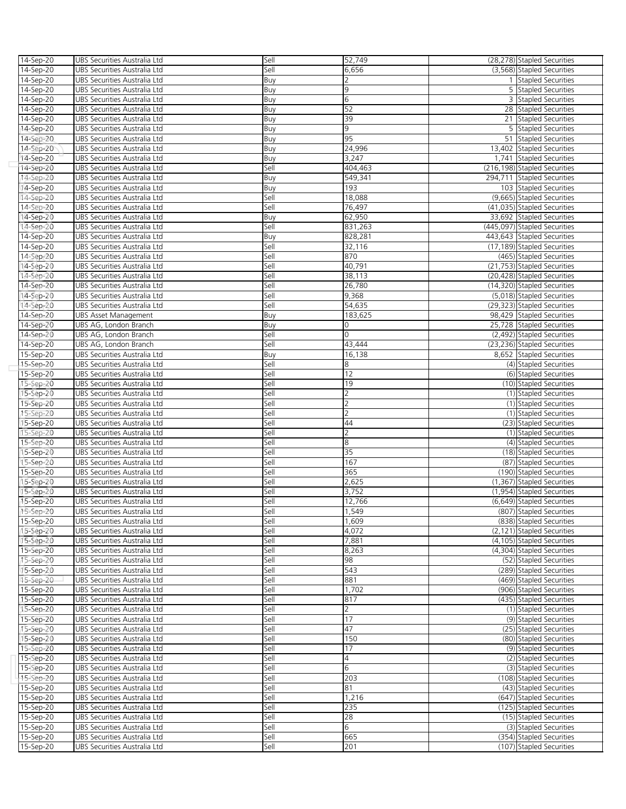| 14-Sep-20 | UBS Securities Australia Ltd | Sell | 52,749         | (28,278) Stapled Securities  |
|-----------|------------------------------|------|----------------|------------------------------|
| 14-Sep-20 | UBS Securities Australia Ltd | Sell | 6,656          | (3,568) Stapled Securities   |
| 14-Sep-20 | UBS Securities Australia Ltd | Buy  | 2              | 1 Stapled Securities         |
| 14-Sep-20 | UBS Securities Australia Ltd | Buy  | 9              | 5 Stapled Securities         |
| 14-Sep-20 | UBS Securities Australia Ltd | Buy  | 6              | 3 Stapled Securities         |
| 14-Sep-20 | UBS Securities Australia Ltd | Buy  | 52             | 28 Stapled Securities        |
| 14-Sep-20 | UBS Securities Australia Ltd | Buy  | 39             | 21 Stapled Securities        |
| 14-Sep-20 | UBS Securities Australia Ltd | Buy  | 9              | 5 Stapled Securities         |
|           |                              |      | 95             | 51 Stapled Securities        |
| 14-Sep-20 | UBS Securities Australia Ltd | Buy  |                |                              |
| 14-Sep-20 | UBS Securities Australia Ltd | Buy  | 24,996         | 13,402 Stapled Securities    |
| 14-Sep-20 | UBS Securities Australia Ltd | Buy  | 3,247          | 1,741 Stapled Securities     |
| 14-Sep-20 | UBS Securities Australia Ltd | Sell | 404,463        | (216,198) Stapled Securities |
| 14-Sep-20 | UBS Securities Australia Ltd | Buy  | 549,341        | 294,711 Stapled Securities   |
| 14-Sep-20 | UBS Securities Australia Ltd | Buy  | 193            | 103 Stapled Securities       |
| 14-Sep-20 | UBS Securities Australia Ltd | Sell | 18,088         | (9,665) Stapled Securities   |
| 14-Sep-20 | UBS Securities Australia Ltd | Sell | 76,497         | (41,035) Stapled Securities  |
| 14-Sep-20 | UBS Securities Australia Ltd | Buy  | 62,950         | 33,692 Stapled Securities    |
| 14-Sep-20 | UBS Securities Australia Ltd | Sell | 831,263        | (445,097) Stapled Securities |
| 14-Sep-20 | UBS Securities Australia Ltd | Buy  | 828,281        | 443,643 Stapled Securities   |
| 14-Sep-20 | UBS Securities Australia Ltd | Sell | 32,116         | (17,189) Stapled Securities  |
| 14-Sep-20 | UBS Securities Australia Ltd | Sell | 870            | (465) Stapled Securities     |
| 14-Sep-20 | UBS Securities Australia Ltd | Sell | 40,791         | (21,753) Stapled Securities  |
| 14-Sep-20 | UBS Securities Australia Ltd | Sell | 38,113         | (20,428) Stapled Securities  |
| 14-Sep-20 | UBS Securities Australia Ltd | Sell | 26,780         | (14,320) Stapled Securities  |
| 14-Sep-20 | UBS Securities Australia Ltd | Sell | 9,368          | (5,018) Stapled Securities   |
| 14-Sep-20 | UBS Securities Australia Ltd | Sell | 54,635         | (29,323) Stapled Securities  |
| 14-Sep-20 | <b>UBS Asset Management</b>  | Buy  | 183,625        | 98,429 Stapled Securities    |
| 14-Sep-20 | UBS AG, London Branch        | Buy  | 0              | 25,728 Stapled Securities    |
| 14-Sep-20 | UBS AG, London Branch        | Sell | $\circ$        | (2,492) Stapled Securities   |
| 14-Sep-20 | UBS AG, London Branch        | Sell | 43,444         | (23,236) Stapled Securities  |
| 15-Sep-20 | UBS Securities Australia Ltd | Buy  | 16,138         | 8,652 Stapled Securities     |
| 15-Sep-20 | UBS Securities Australia Ltd | Sell | 8              | (4) Stapled Securities       |
| 15-Sep-20 | UBS Securities Australia Ltd | Sell | 12             | (6) Stapled Securities       |
| 15-Sep-20 | UBS Securities Australia Ltd | Sell | 19             | (10) Stapled Securities      |
| 15-Sep-20 | UBS Securities Australia Ltd | Sell | 2              | (1) Stapled Securities       |
| 15-Sep-20 | UBS Securities Australia Ltd | Sell | 2              | (1) Stapled Securities       |
| 15-Sep-20 | UBS Securities Australia Ltd | Sell | $\overline{2}$ | (1) Stapled Securities       |
| 15-Sep-20 | UBS Securities Australia Ltd | Sell | 44             | (23) Stapled Securities      |
| 15-Sep-20 | UBS Securities Australia Ltd | Sell | $\overline{2}$ | (1) Stapled Securities       |
|           |                              |      | 8              | (4) Stapled Securities       |
| 15-Sep-20 | UBS Securities Australia Ltd | Sell | 35             |                              |
| 15-Sep-20 | UBS Securities Australia Ltd | Sell |                | (18) Stapled Securities      |
| 15-Sep-20 | UBS Securities Australia Ltd | Sell | 167            | (87) Stapled Securities      |
| 15-Sep-20 | UBS Securities Australia Ltd | Sell | 365            | (190) Stapled Securities     |
| 15-Sep-20 | UBS Securities Australia Ltd | Sell | 2,625          | (1,367) Stapled Securities   |
| 15-Sep-20 | UBS Securities Australia Ltd | Sell | 3,752          | (1,954) Stapled Securities   |
| 15-Sep-20 | UBS Securities Australia Ltd | Sell | 12,766         | (6,649) Stapled Securities   |
| 15-Sep-20 | UBS Securities Australia Ltd | Sell | 1.549          | (807) Stapled Securities     |
| 15-Sep-20 | UBS Securities Australia Ltd | Sell | 1,609          | (838) Stapled Securities     |
| 15-Sep-20 | UBS Securities Australia Ltd | Sell | 4,072          | (2,121) Stapled Securities   |
| 15-Sep-20 | UBS Securities Australia Ltd | Sell | 7,881          | (4.105) Stapled Securities   |
| 15-Sep-20 | UBS Securities Australia Ltd | Sell | 8,263          | (4,304) Stapled Securities   |
| 15-Sep-20 | UBS Securities Australia Ltd | Sell | 98             | (52) Stapled Securities      |
| 15-Sep-20 | UBS Securities Australia Ltd | Sell | 543            | (289) Stapled Securities     |
| 15-Sep-20 | UBS Securities Australia Ltd | Sell | 881            | (469) Stapled Securities     |
| 15-Sep-20 | UBS Securities Australia Ltd | Sell | 1,702          | (906) Stapled Securities     |
| 15-Sep-20 | UBS Securities Australia Ltd | Sell | 817            | (435) Stapled Securities     |
| 15-Sep-20 | UBS Securities Australia Ltd | Sell | $\overline{2}$ | (1) Stapled Securities       |
| 15-Sep-20 | UBS Securities Australia Ltd | Sell | 17             | (9) Stapled Securities       |
| 15-Sep-20 | UBS Securities Australia Ltd | Sell | 47             | (25) Stapled Securities      |
| 15-Sep-20 | UBS Securities Australia Ltd | Sell | 150            | (80) Stapled Securities      |
| 15-Sep-20 | UBS Securities Australia Ltd | Sell | 17             | (9) Stapled Securities       |
| 15-Sep-20 | UBS Securities Australia Ltd | Sell | 4              | (2) Stapled Securities       |
| 15-Sep-20 | UBS Securities Australia Ltd | Sell | 6              | (3) Stapled Securities       |
| 15-Sep-20 | UBS Securities Australia Ltd | Sell | 203            | (108) Stapled Securities     |
| 15-Sep-20 | UBS Securities Australia Ltd | Sell | 81             | (43) Stapled Securities      |
| 15-Sep-20 | UBS Securities Australia Ltd | Sell | 1,216          | (647) Stapled Securities     |
| 15-Sep-20 | UBS Securities Australia Ltd | Sell | 235            | (125) Stapled Securities     |
| 15-Sep-20 | UBS Securities Australia Ltd | Sell | 28             | (15) Stapled Securities      |
| 15-Sep-20 | UBS Securities Australia Ltd | Sell | 6              | (3) Stapled Securities       |
| 15-Sep-20 | UBS Securities Australia Ltd | Sell | 665            | (354) Stapled Securities     |
| 15-Sep-20 | UBS Securities Australia Ltd | Sell | 201            | (107) Stapled Securities     |
|           |                              |      |                |                              |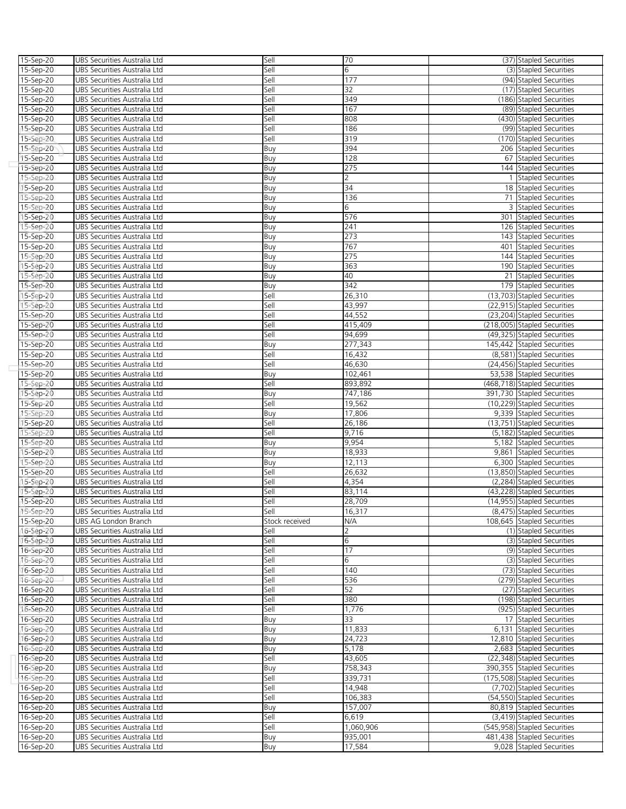| 15-Sep-20 | UBS Securities Australia Ltd | Sell           | 70             | (37) Stapled Securities      |
|-----------|------------------------------|----------------|----------------|------------------------------|
| 15-Sep-20 | UBS Securities Australia Ltd | Sell           | 6              | (3) Stapled Securities       |
| 15-Sep-20 | UBS Securities Australia Ltd | Sell           | 177            | (94) Stapled Securities      |
|           |                              |                | 32             |                              |
| 15-Sep-20 | UBS Securities Australia Ltd | Sell           |                | (17) Stapled Securities      |
| 15-Sep-20 | UBS Securities Australia Ltd | Sell           | 349            | (186) Stapled Securities     |
| 15-Sep-20 | UBS Securities Australia Ltd | Sell           | 167            | (89) Stapled Securities      |
| 15-Sep-20 | UBS Securities Australia Ltd | Sell           | 808            | (430) Stapled Securities     |
| 15-Sep-20 | UBS Securities Australia Ltd | Sell           | 186            | (99) Stapled Securities      |
| 15-Sep-20 | UBS Securities Australia Ltd | Sell           | 319            | (170) Stapled Securities     |
| 15-Sep-20 | UBS Securities Australia Ltd | Buy            | 394            | 206 Stapled Securities       |
| 15-Sep-20 | UBS Securities Australia Ltd | Buy            | 128            | 67 Stapled Securities        |
|           |                              |                |                |                              |
| 15-Sep-20 | UBS Securities Australia Ltd | Buy            | 275            | 144 Stapled Securities       |
| 15-Sep-20 | UBS Securities Australia Ltd | Buy            | $\overline{2}$ | 1 Stapled Securities         |
| 15-Sep-20 | UBS Securities Australia Ltd | Buy            | 34             | 18 Stapled Securities        |
| 15-Sep-20 | UBS Securities Australia Ltd | Buy            | 136            | 71 Stapled Securities        |
| 15-Sep-20 | UBS Securities Australia Ltd | Buy            | 6              | 3 Stapled Securities         |
| 15-Sep-20 | UBS Securities Australia Ltd | Buy            | 576            | 301 Stapled Securities       |
| 15-Sep-20 | UBS Securities Australia Ltd | Buy            | 241            | 126 Stapled Securities       |
| 15-Sep-20 | UBS Securities Australia Ltd | Buy            | 273            | 143 Stapled Securities       |
| 15-Sep-20 | UBS Securities Australia Ltd | Buy            | 767            | 401 Stapled Securities       |
|           |                              |                |                |                              |
| 15-Sep-20 | UBS Securities Australia Ltd | Buy            | 275            | 144 Stapled Securities       |
| 15-Sep-20 | UBS Securities Australia Ltd | Buy            | 363            | 190 Stapled Securities       |
| 15-Sep-20 | UBS Securities Australia Ltd | Buy            | 40             | 21 Stapled Securities        |
| 15-Sep-20 | UBS Securities Australia Ltd | Buy            | 342            | 179 Stapled Securities       |
| 15-Sep-20 | UBS Securities Australia Ltd | Sell           | 26,310         | (13,703) Stapled Securities  |
| 15-Sep-20 | UBS Securities Australia Ltd | Sell           | 43,997         | (22,915) Stapled Securities  |
| 15-Sep-20 | UBS Securities Australia Ltd | Sell           | 44,552         | (23,204) Stapled Securities  |
| 15-Sep-20 | UBS Securities Australia Ltd | Sell           | 415,409        | (218,005) Stapled Securities |
|           |                              | Sell           |                |                              |
| 15-Sep-20 | UBS Securities Australia Ltd |                | 94,699         | (49,325) Stapled Securities  |
| 15-Sep-20 | UBS Securities Australia Ltd | Buy            | 277,343        | 145,442 Stapled Securities   |
| 15-Sep-20 | UBS Securities Australia Ltd | Sell           | 16,432         | (8,581) Stapled Securities   |
| 15-Sep-20 | UBS Securities Australia Ltd | Sell           | 46,630         | (24,456) Stapled Securities  |
| 15-Sep-20 | UBS Securities Australia Ltd | Buy            | 102,461        | 53,538 Stapled Securities    |
| 15-Sep-20 | UBS Securities Australia Ltd | Sell           | 893,892        | (468,718) Stapled Securities |
| 15-Sep-20 | UBS Securities Australia Ltd | Buy            | 747,186        | 391,730 Stapled Securities   |
| 15-Sep-20 | UBS Securities Australia Ltd | Sell           | 19,562         | (10,229) Stapled Securities  |
| 15-Sep-20 | UBS Securities Australia Ltd | Buy            | 17,806         | 9,339 Stapled Securities     |
| 15-Sep-20 | UBS Securities Australia Ltd | Sell           | 26,186         | (13,751) Stapled Securities  |
| 15-Sep-20 | UBS Securities Australia Ltd | Sell           | 9,716          | (5,182) Stapled Securities   |
| 15-Sep-20 | UBS Securities Australia Ltd | Buy            | 9,954          | 5,182 Stapled Securities     |
|           | UBS Securities Australia Ltd |                | 18,933         |                              |
| 15-Sep-20 |                              | Buy            |                | 9,861 Stapled Securities     |
| 15-Sep-20 | UBS Securities Australia Ltd | Buy            | 12,113         | 6,300 Stapled Securities     |
| 15-Sep-20 | UBS Securities Australia Ltd | Sell           | 26,632         | (13,850) Stapled Securities  |
| 15-Sep-20 | UBS Securities Australia Ltd | Sell           | 4,354          | (2,284) Stapled Securities   |
| 15-Sep-20 | UBS Securities Australia Ltd | Sell           | 83,114         | (43,228) Stapled Securities  |
| 15-Sep-20 | UBS Securities Australia Ltd | Sell           | 28.709         | (14,955) Stapled Securities  |
| 15-Sep-20 | UBS Securities Australia Ltd | Sell           | 16,317         | (8.475) Stapled Securities   |
| 15-Sep-20 | UBS AG London Branch         | Stock received | N/A            | 108,645 Stapled Securities   |
| 16-Sep-20 | UBS Securities Australia Ltd | Sell           |                | (1) Stapled Securities       |
| 16-Sep-20 | UBS Securities Australia Ltd | Sell           | 6              | (3) Stapled Securities       |
| 16-Sep-20 | UBS Securities Australia Ltd | Sell           | 17             | (9) Stapled Securities       |
|           |                              |                |                |                              |
| 16-Sep-20 | UBS Securities Australia Ltd | Sell           | 6              | (3) Stapled Securities       |
| 16-Sep-20 | UBS Securities Australia Ltd | Sell           | 140            | (73) Stapled Securities      |
| 16-Sep-20 | UBS Securities Australia Ltd | Sell           | 536            | (279) Stapled Securities     |
| 16-Sep-20 | UBS Securities Australia Ltd | Sell           | 52             | (27) Stapled Securities      |
| 16-Sep-20 | UBS Securities Australia Ltd | Sell           | 380            | (198) Stapled Securities     |
| 16-Sep-20 | UBS Securities Australia Ltd | Sell           | 1,776          | (925) Stapled Securities     |
| 16-Sep-20 | UBS Securities Australia Ltd | Buy            | 33             | 17 Stapled Securities        |
| 16-Sep-20 | UBS Securities Australia Ltd | Buy            | 11,833         | 6,131 Stapled Securities     |
| 16-Sep-20 | UBS Securities Australia Ltd | Buy            | 24,723         | 12,810 Stapled Securities    |
| 16-Sep-20 | UBS Securities Australia Ltd | Buy            | 5,178          | 2,683 Stapled Securities     |
| 16-Sep-20 | UBS Securities Australia Ltd | Sell           | 43,605         | (22,348) Stapled Securities  |
| 16-Sep-20 |                              |                | 758,343        |                              |
|           | UBS Securities Australia Ltd | Buy            |                | 390,355 Stapled Securities   |
| 16-Sep-20 | UBS Securities Australia Ltd | Sell           | 339,731        | (175,508) Stapled Securities |
| 16-Sep-20 | UBS Securities Australia Ltd | Sell           | 14,948         | (7,702) Stapled Securities   |
| 16-Sep-20 | UBS Securities Australia Ltd | Sell           | 106,383        | (54,550) Stapled Securities  |
| 16-Sep-20 | UBS Securities Australia Ltd | Buy            | 157,007        | 80,819 Stapled Securities    |
| 16-Sep-20 | UBS Securities Australia Ltd | Sell           | 6,619          | (3,419) Stapled Securities   |
| 16-Sep-20 | UBS Securities Australia Ltd | Sell           | 1,060,906      | (545,958) Stapled Securities |
| 16-Sep-20 | UBS Securities Australia Ltd | Buy            | 935,001        | 481,438 Stapled Securities   |
| 16-Sep-20 | UBS Securities Australia Ltd | Buy            | 17,584         | 9,028 Stapled Securities     |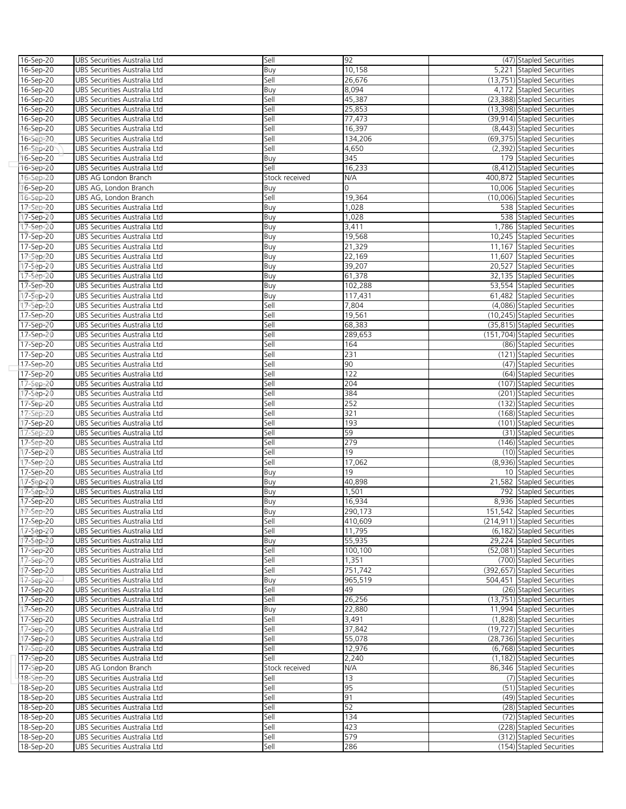| 16-Sep-20     | UBS Securities Australia Ltd                                 | Sell           | 92       | (47) Stapled Securities      |
|---------------|--------------------------------------------------------------|----------------|----------|------------------------------|
| 16-Sep-20     | UBS Securities Australia Ltd                                 | Buy            | 10,158   | 5,221 Stapled Securities     |
| $16 - Sep-20$ | UBS Securities Australia Ltd                                 | Sell           | 26,676   | (13,751) Stapled Securities  |
| 16-Sep-20     | UBS Securities Australia Ltd                                 | Buy            | 8,094    | 4,172 Stapled Securities     |
| 16-Sep-20     | UBS Securities Australia Ltd                                 | Sell           | 45,387   | (23,388) Stapled Securities  |
| 16-Sep-20     | UBS Securities Australia Ltd                                 | Sell           | 25,853   | (13,398) Stapled Securities  |
| 16-Sep-20     | UBS Securities Australia Ltd                                 | Sell           | 77,473   | (39,914) Stapled Securities  |
| 16-Sep-20     | UBS Securities Australia Ltd                                 | Sell           | 16,397   | (8,443) Stapled Securities   |
|               |                                                              | Sell           | 134,206  | (69,375) Stapled Securities  |
| 16-Sep-20     | UBS Securities Australia Ltd                                 |                |          |                              |
| 16-Sep-20     | UBS Securities Australia Ltd                                 | Sell           | 4,650    | (2,392) Stapled Securities   |
| 16-Sep-20     | UBS Securities Australia Ltd                                 | Buy            | 345      | 179 Stapled Securities       |
| 16-Sep-20     | UBS Securities Australia Ltd                                 | Sell           | 16,233   | (8,412) Stapled Securities   |
| 16-Sep-20     | UBS AG London Branch                                         | Stock received | N/A      | 400,872 Stapled Securities   |
| 16-Sep-20     | UBS AG, London Branch                                        | Buy            | $\Omega$ | 10,006 Stapled Securities    |
| 16-Sep-20     | UBS AG, London Branch                                        | Sell           | 19,364   | (10,006) Stapled Securities  |
| 17-Sep-20     | UBS Securities Australia Ltd                                 | Buy            | 1,028    | 538 Stapled Securities       |
| 17-Sep-20     | UBS Securities Australia Ltd                                 | Buy            | 1,028    | 538 Stapled Securities       |
| 17-Sep-20     | UBS Securities Australia Ltd                                 | Buy            | 3,411    | 1,786 Stapled Securities     |
| 17-Sep-20     | UBS Securities Australia Ltd                                 | Buy            | 19,568   | 10,245 Stapled Securities    |
| 17-Sep-20     | UBS Securities Australia Ltd                                 | Buy            | 21,329   | 11,167 Stapled Securities    |
| 17-Sep-20     | UBS Securities Australia Ltd                                 | Buy            | 22,169   | 11,607 Stapled Securities    |
| 17-Sep-20     | UBS Securities Australia Ltd                                 | Buy            | 39,207   | 20,527 Stapled Securities    |
| 17-Sep-20     | UBS Securities Australia Ltd                                 | Buy            | 61,378   | 32,135 Stapled Securities    |
| 17-Sep-20     | UBS Securities Australia Ltd                                 | Buy            | 102,288  | 53,554 Stapled Securities    |
| 17-Sep-20     | UBS Securities Australia Ltd                                 | Buy            | 117,431  | 61,482 Stapled Securities    |
| 17-Sep-20     | UBS Securities Australia Ltd                                 | Sell           | 7,804    | (4,086) Stapled Securities   |
| 17-Sep-20     | UBS Securities Australia Ltd                                 | Sell           | 19,561   | (10,245) Stapled Securities  |
| 17-Sep-20     | UBS Securities Australia Ltd                                 | Sell           | 68,383   | (35,815) Stapled Securities  |
|               |                                                              |                | 289,653  | (151,704) Stapled Securities |
| 17-Sep-20     | UBS Securities Australia Ltd                                 | Sell           |          |                              |
| 17-Sep-20     | UBS Securities Australia Ltd                                 | Sell           | 164      | (86) Stapled Securities      |
| 17-Sep-20     | UBS Securities Australia Ltd                                 | Sell           | 231      | (121) Stapled Securities     |
| 17-Sep-20     | UBS Securities Australia Ltd                                 | Sell           | 90       | (47) Stapled Securities      |
| 17-Sep-20     | UBS Securities Australia Ltd                                 | Sell           | 122      | (64) Stapled Securities      |
| 17-Sep-20     | UBS Securities Australia Ltd                                 | Sell           | 204      | (107) Stapled Securities     |
| 17-Sep-20     | UBS Securities Australia Ltd                                 | Sell           | 384      | (201) Stapled Securities     |
| 17-Sep-20     | UBS Securities Australia Ltd                                 | Sell           | 252      | (132) Stapled Securities     |
| 17-Sep-20     | UBS Securities Australia Ltd                                 | Sell           | 321      | (168) Stapled Securities     |
| 17-Sep-20     | UBS Securities Australia Ltd                                 | Sell           | 193      | (101) Stapled Securities     |
| 17-Sep-20     | UBS Securities Australia Ltd                                 | Sell           | 59       | (31) Stapled Securities      |
| 17-Sep-20     | UBS Securities Australia Ltd                                 | Sell           | 279      | (146) Stapled Securities     |
| 17-Sep-20     | UBS Securities Australia Ltd                                 | Sell           | 19       | (10) Stapled Securities      |
| 17-Sep-20     | UBS Securities Australia Ltd                                 | Sell           | 17,062   | (8,936) Stapled Securities   |
| 17-Sep-20     | UBS Securities Australia Ltd                                 | Buy            | 19       | 10 Stapled Securities        |
| 17-Sep-20     | UBS Securities Australia Ltd                                 | Buy            | 40,898   | 21,582 Stapled Securities    |
| 17-Sep-20     | UBS Securities Australia Ltd                                 | Buy            | 1,501    | 792 Stapled Securities       |
| 17-Sep-20     | UBS Securities Australia Ltd                                 | Buy            | 16,934   | 8,936 Stapled Securities     |
| 17-Sep-20     | UBS Securities Australia Ltd                                 | Buv            | 290,173  | 151,542 Stapled Securities   |
| 17-Sep-20     | UBS Securities Australia Ltd                                 | Sell           | 410,609  | (214,911) Stapled Securities |
|               |                                                              | Sell           | 11,795   | (6,182) Stapled Securities   |
| 17-Sep-20     | UBS Securities Australia Ltd<br>UBS Securities Australia Ltd |                | 55,935   | 29.224 Stapled Securities    |
| 17-Sep-20     |                                                              | Buy            | 100,100  | (52,081) Stapled Securities  |
| 17-Sep-20     | UBS Securities Australia Ltd                                 | Sell           |          |                              |
| 17-Sep-20     | UBS Securities Australia Ltd                                 | Sell           | 1,351    | (700) Stapled Securities     |
| 17-Sep-20     | UBS Securities Australia Ltd                                 | Sell           | 751,742  | (392,657) Stapled Securities |
| 17-Sep-20     | UBS Securities Australia Ltd                                 | Buy            | 965,519  | 504,451 Stapled Securities   |
| 17-Sep-20     | UBS Securities Australia Ltd                                 | Sell           | 49       | (26) Stapled Securities      |
| 17-Sep-20     | UBS Securities Australia Ltd                                 | Sell           | 26,256   | (13,751) Stapled Securities  |
| 17-Sep-20     | UBS Securities Australia Ltd                                 | Buy            | 22,880   | 11,994 Stapled Securities    |
| 17-Sep-20     | UBS Securities Australia Ltd                                 | Sell           | 3,491    | (1,828) Stapled Securities   |
| 17-Sep-20     | UBS Securities Australia Ltd                                 | Sell           | 37,842   | (19,727) Stapled Securities  |
| 17-Sep-20     | UBS Securities Australia Ltd                                 | Sell           | 55,078   | (28,736) Stapled Securities  |
| 17-Sep-20     | UBS Securities Australia Ltd                                 | Sell           | 12,976   | (6,768) Stapled Securities   |
| 17-Sep-20     | UBS Securities Australia Ltd                                 | Sell           | 2,240    | (1,182) Stapled Securities   |
| 17-Sep-20     | UBS AG London Branch                                         | Stock received | N/A      | 86,346 Stapled Securities    |
| 18-Sep-20     | UBS Securities Australia Ltd                                 | Sell           | 13       | (7) Stapled Securities       |
| 18-Sep-20     | UBS Securities Australia Ltd                                 | Sell           | 95       | (51) Stapled Securities      |
| 18-Sep-20     | UBS Securities Australia Ltd                                 | Sell           | 91       | (49) Stapled Securities      |
| 18-Sep-20     | UBS Securities Australia Ltd                                 | Sell           | 52       | (28) Stapled Securities      |
| 18-Sep-20     | UBS Securities Australia Ltd                                 | Sell           | 134      | (72) Stapled Securities      |
| 18-Sep-20     | UBS Securities Australia Ltd                                 | Sell           | 423      | (228) Stapled Securities     |
| 18-Sep-20     | UBS Securities Australia Ltd                                 | Sell           | 579      | (312) Stapled Securities     |
| 18-Sep-20     | UBS Securities Australia Ltd                                 | Sell           | 286      | (154) Stapled Securities     |
|               |                                                              |                |          |                              |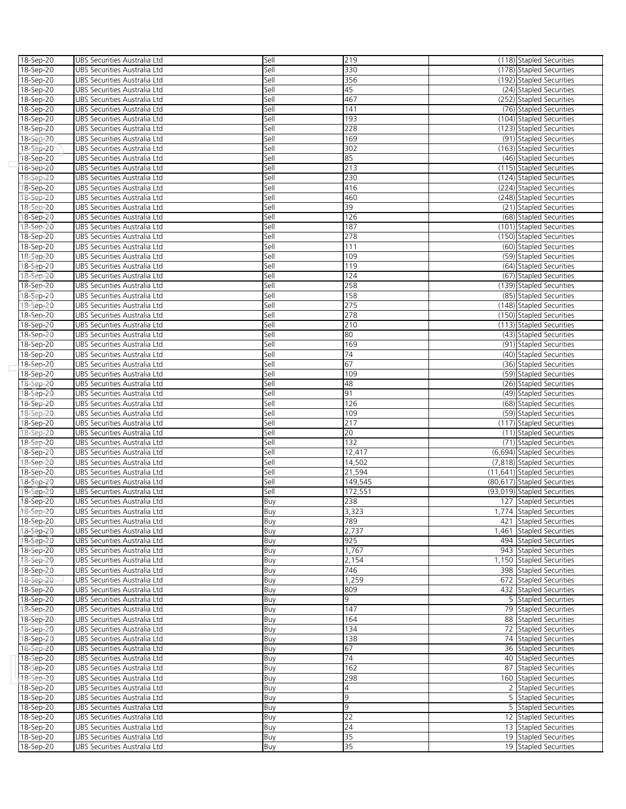| 18-Sep-20 | UBS Securities Australia Ltd | Sell | 219             | (118) Stapled Securities    |
|-----------|------------------------------|------|-----------------|-----------------------------|
| 18-Sep-20 | UBS Securities Australia Ltd | Sell | 330             | (178) Stapled Securities    |
| 18-Sep-20 | UBS Securities Australia Ltd | Sell | 356             | (192) Stapled Securities    |
| 18-Sep-20 | UBS Securities Australia Ltd | Sell | 45              | (24) Stapled Securities     |
| 18-Sep-20 | UBS Securities Australia Ltd | Sell | 467             | (252) Stapled Securities    |
| 18-Sep-20 | UBS Securities Australia Ltd | Sell | 141             | (76) Stapled Securities     |
|           |                              | Sell | 193             |                             |
| 18-Sep-20 | UBS Securities Australia Ltd |      |                 | (104) Stapled Securities    |
| 18-Sep-20 | UBS Securities Australia Ltd | Sell | 228             | (123) Stapled Securities    |
| 18-Sep-20 | UBS Securities Australia Ltd | Sell | 169             | (91) Stapled Securities     |
| 18-Sep-20 | UBS Securities Australia Ltd | Sell | 302             | (163) Stapled Securities    |
| 18-Sep-20 | UBS Securities Australia Ltd | Sell | 85              | (46) Stapled Securities     |
| 18-Sep-20 | UBS Securities Australia Ltd | Sell | 213             | (115) Stapled Securities    |
| 18-Sep-20 | UBS Securities Australia Ltd | Sell | 230             | (124) Stapled Securities    |
| 18-Sep-20 | UBS Securities Australia Ltd | Sell | 416             | (224) Stapled Securities    |
| 18-Sep-20 | UBS Securities Australia Ltd | Sell | 460             | (248) Stapled Securities    |
| 18-Sep-20 | UBS Securities Australia Ltd | Sell | 39              | (21) Stapled Securities     |
| 18-Sep-20 | UBS Securities Australia Ltd | Sell | 126             | (68) Stapled Securities     |
| 18-Sep-20 | UBS Securities Australia Ltd | Sell | 187             | (101) Stapled Securities    |
| 18-Sep-20 | UBS Securities Australia Ltd | Sell | 278             | (150) Stapled Securities    |
| 18-Sep-20 | UBS Securities Australia Ltd | Sell | 111             | (60) Stapled Securities     |
|           | UBS Securities Australia Ltd | Sell | 109             | (59) Stapled Securities     |
| 18-Sep-20 |                              |      |                 |                             |
| 18-Sep-20 | UBS Securities Australia Ltd | Sell | 119             | (64) Stapled Securities     |
| 18-Sep-20 | UBS Securities Australia Ltd | Sell | 124             | (67) Stapled Securities     |
| 18-Sep-20 | UBS Securities Australia Ltd | Sell | 258             | (139) Stapled Securities    |
| 18-Sep-20 | UBS Securities Australia Ltd | Sell | 158             | (85) Stapled Securities     |
| 18-Sep-20 | UBS Securities Australia Ltd | Sell | 275             | (148) Stapled Securities    |
| 18-Sep-20 | UBS Securities Australia Ltd | Sell | 278             | (150) Stapled Securities    |
| 18-Sep-20 | UBS Securities Australia Ltd | Sell | 210             | (113) Stapled Securities    |
| 18-Sep-20 | UBS Securities Australia Ltd | Sell | 80              | (43) Stapled Securities     |
| 18-Sep-20 | UBS Securities Australia Ltd | Sell | 169             | (91) Stapled Securities     |
| 18-Sep-20 | UBS Securities Australia Ltd | Sell | 74              | (40) Stapled Securities     |
| 18-Sep-20 | UBS Securities Australia Ltd | Sell | 67              | (36) Stapled Securities     |
| 18-Sep-20 | UBS Securities Australia Ltd | Sell | 109             | (59) Stapled Securities     |
| 18-Sep-20 | UBS Securities Australia Ltd | Sell | 48              | (26) Stapled Securities     |
| 18-Sep-20 | UBS Securities Australia Ltd | Sell | 91              | (49) Stapled Securities     |
| 18-Sep-20 | UBS Securities Australia Ltd | Sell | 126             | (68) Stapled Securities     |
|           |                              | Sell | 109             |                             |
| 18-Sep-20 | UBS Securities Australia Ltd |      |                 | (59) Stapled Securities     |
| 18-Sep-20 | UBS Securities Australia Ltd | Sell | 217             | (117) Stapled Securities    |
| 18-Sep-20 | UBS Securities Australia Ltd | Sell | 20              | (11) Stapled Securities     |
| 18-Sep-20 | UBS Securities Australia Ltd | Sell | 132             | (71) Stapled Securities     |
| 18-Sep-20 | UBS Securities Australia Ltd | Sell | 12,417          | (6,694) Stapled Securities  |
| 18-Sep-20 | UBS Securities Australia Ltd | Sell | 14,502          | (7,818) Stapled Securities  |
| 18-Sep-20 | UBS Securities Australia Ltd | Sell | 21,594          | (11,641) Stapled Securities |
| 18-Sep-20 | UBS Securities Australia Ltd | Sell | 149,545         | (80,617) Stapled Securities |
| 18-Sep-20 | UBS Securities Australia Ltd | Sell | 172,551         | (93,019) Stapled Securities |
| 18-Sep-20 | UBS Securities Australia Ltd | Buy  | 238             | 127 Stapled Securities      |
| 18-Sep-20 | UBS Securities Australia Ltd | Buy  | 3,323           | 1,774 Stapled Securities    |
| 18-Sep-20 | UBS Securities Australia Ltd | Buy  | 789             | 421 Stapled Securities      |
| 18-Sep-20 | UBS Securities Australia Ltd | Buy  | 2,737           | 1,461 Stapled Securities    |
| 18-Sep-20 | UBS Securities Australia Ltd | Buy  | 925             | 494 Stapled Securities      |
| 18-Sep-20 | UBS Securities Australia Ltd | Buy  | 1,767           | 943 Stapled Securities      |
| 18-Sep-20 | UBS Securities Australia Ltd |      | 2,154           | 1,150 Stapled Securities    |
|           |                              | Buy  |                 |                             |
| 18-Sep-20 | UBS Securities Australia Ltd | Buy  | 746             | 398 Stapled Securities      |
| 18-Sep-20 | UBS Securities Australia Ltd | Buy  | 1,259           | 672 Stapled Securities      |
| 18-Sep-20 | UBS Securities Australia Ltd | Buy  | 809             | 432 Stapled Securities      |
| 18-Sep-20 | UBS Securities Australia Ltd | Buy  | 9               | 5 Stapled Securities        |
| 18-Sep-20 | UBS Securities Australia Ltd | Buy  | 147             | 79 Stapled Securities       |
| 18-Sep-20 | UBS Securities Australia Ltd | Buy  | 164             | 88 Stapled Securities       |
| 18-Sep-20 | UBS Securities Australia Ltd | Buy  | 134             | 72 Stapled Securities       |
| 18-Sep-20 | UBS Securities Australia Ltd | Buy  | 138             | 74 Stapled Securities       |
| 18-Sep-20 | UBS Securities Australia Ltd | Buy  | 67              | 36 Stapled Securities       |
| 18-Sep-20 | UBS Securities Australia Ltd | Buy  | 74              | 40 Stapled Securities       |
| 18-Sep-20 | UBS Securities Australia Ltd | Buy  | 162             | 87 Stapled Securities       |
| 18-Sep-20 | UBS Securities Australia Ltd | Buy  | 298             | 160 Stapled Securities      |
| 18-Sep-20 | UBS Securities Australia Ltd | Buy  | 4               | 2 Stapled Securities        |
| 18-Sep-20 | UBS Securities Australia Ltd | Buy  | 9               | 5 Stapled Securities        |
| 18-Sep-20 | UBS Securities Australia Ltd | Buy  | 9               | 5 Stapled Securities        |
|           |                              |      |                 |                             |
| 18-Sep-20 | UBS Securities Australia Ltd | Buy  | 22              | 12 Stapled Securities       |
| 18-Sep-20 | UBS Securities Australia Ltd | Buy  | $\overline{24}$ | 13 Stapled Securities       |
| 18-Sep-20 | UBS Securities Australia Ltd | Buy  | 35              | 19 Stapled Securities       |
| 18-Sep-20 | UBS Securities Australia Ltd | Buy  | 35              | 19 Stapled Securities       |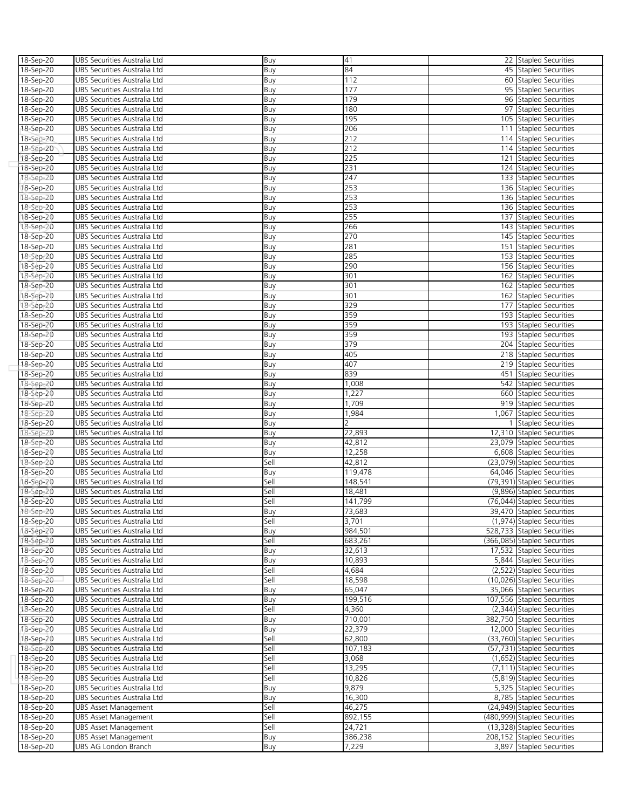| 18-Sep-20 | UBS Securities Australia Ltd | Buy  | 41      | 22 Stapled Securities                                   |
|-----------|------------------------------|------|---------|---------------------------------------------------------|
| 18-Sep-20 | UBS Securities Australia Ltd | Buy  | 84      | 45 Stapled Securities                                   |
| 18-Sep-20 | UBS Securities Australia Ltd | Buy  | 112     | 60 Stapled Securities                                   |
|           |                              |      | 177     |                                                         |
| 18-Sep-20 | UBS Securities Australia Ltd | Buy  |         | 95 Stapled Securities                                   |
| 18-Sep-20 | UBS Securities Australia Ltd | Buy  | 179     | 96 Stapled Securities                                   |
| 18-Sep-20 | UBS Securities Australia Ltd | Buy  | 180     | 97 Stapled Securities                                   |
| 18-Sep-20 | UBS Securities Australia Ltd | Buy  | 195     | 105 Stapled Securities                                  |
| 18-Sep-20 | UBS Securities Australia Ltd | Buy  | 206     | 111 Stapled Securities                                  |
| 18-Sep-20 | UBS Securities Australia Ltd | Buy  | 212     | 114 Stapled Securities                                  |
| 18-Sep-20 | UBS Securities Australia Ltd | Buy  | 212     | 114 Stapled Securities                                  |
| 18-Sep-20 | UBS Securities Australia Ltd | Buy  | 225     | 121 Stapled Securities                                  |
|           |                              |      |         |                                                         |
| 18-Sep-20 | UBS Securities Australia Ltd | Buy  | 231     | 124 Stapled Securities                                  |
| 18-Sep-20 | UBS Securities Australia Ltd | Buy  | 247     | 133 Stapled Securities                                  |
| 18-Sep-20 | UBS Securities Australia Ltd | Buy  | 253     | 136 Stapled Securities                                  |
| 18-Sep-20 | UBS Securities Australia Ltd | Buy  | 253     | 136 Stapled Securities                                  |
| 18-Sep-20 | UBS Securities Australia Ltd | Buy  | 253     | 136 Stapled Securities                                  |
| 18-Sep-20 | UBS Securities Australia Ltd | Buy  | 255     | 137 Stapled Securities                                  |
| 18-Sep-20 | UBS Securities Australia Ltd | Buy  | 266     | 143 Stapled Securities                                  |
| 18-Sep-20 | UBS Securities Australia Ltd | Buy  | 270     | 145 Stapled Securities                                  |
|           |                              |      | 281     |                                                         |
| 18-Sep-20 | UBS Securities Australia Ltd | Buy  |         | 151 Stapled Securities                                  |
| 18-Sep-20 | UBS Securities Australia Ltd | Buy  | 285     | 153 Stapled Securities                                  |
| 18-Sep-20 | UBS Securities Australia Ltd | Buy  | 290     | 156 Stapled Securities                                  |
| 18-Sep-20 | UBS Securities Australia Ltd | Buy  | 301     | 162 Stapled Securities                                  |
| 18-Sep-20 | UBS Securities Australia Ltd | Buy  | 301     | 162 Stapled Securities                                  |
| 18-Sep-20 | UBS Securities Australia Ltd | Buy  | 301     | 162 Stapled Securities                                  |
| 18-Sep-20 | UBS Securities Australia Ltd | Buy  | 329     | 177 Stapled Securities                                  |
| 18-Sep-20 | UBS Securities Australia Ltd | Buy  | 359     | 193 Stapled Securities                                  |
| 18-Sep-20 |                              |      | 359     | 193 Stapled Securities                                  |
|           | UBS Securities Australia Ltd | Buy  |         |                                                         |
| 18-Sep-20 | UBS Securities Australia Ltd | Buy  | 359     | 193 Stapled Securities                                  |
| 18-Sep-20 | UBS Securities Australia Ltd | Buy  | 379     | 204 Stapled Securities                                  |
| 18-Sep-20 | UBS Securities Australia Ltd | Buy  | 405     | 218 Stapled Securities                                  |
| 18-Sep-20 | UBS Securities Australia Ltd | Buy  | 407     | 219 Stapled Securities                                  |
| 18-Sep-20 | UBS Securities Australia Ltd | Buy  | 839     | 451 Stapled Securities                                  |
| 18-Sep-20 | UBS Securities Australia Ltd | Buy  | 1,008   | 542 Stapled Securities                                  |
| 18-Sep-20 | UBS Securities Australia Ltd | Buy  | 1,227   | 660 Stapled Securities                                  |
| 18-Sep-20 | UBS Securities Australia Ltd | Buy  | 1,709   | 919 Stapled Securities                                  |
| 18-Sep-20 | UBS Securities Australia Ltd | Buy  | 1,984   | 1,067 Stapled Securities                                |
| 18-Sep-20 | UBS Securities Australia Ltd | Buy  | 2       | 1 Stapled Securities                                    |
| 18-Sep-20 | UBS Securities Australia Ltd | Buy  | 22,893  | 12,310 Stapled Securities                               |
| 18-Sep-20 | UBS Securities Australia Ltd | Buy  | 42,812  | 23,079 Stapled Securities                               |
|           | UBS Securities Australia Ltd |      | 12,258  |                                                         |
| 18-Sep-20 |                              | Buy  |         | 6,608 Stapled Securities<br>(23,079) Stapled Securities |
| 18-Sep-20 | UBS Securities Australia Ltd | Sell | 42,812  |                                                         |
| 18-Sep-20 | UBS Securities Australia Ltd | Buy  | 119,478 | 64,046 Stapled Securities                               |
| 18-Sep-20 | UBS Securities Australia Ltd | Sell | 148,541 | (79,391) Stapled Securities                             |
| 18-Sep-20 | UBS Securities Australia Ltd | Sell | 18,481  | (9,896) Stapled Securities                              |
| 18-Sep-20 | UBS Securities Australia Ltd | Sell | 141,799 | (76,044) Stapled Securities                             |
| 18-Sep-20 | UBS Securities Australia Ltd | Buy  | 73.683  | 39,470 Stapled Securities                               |
| 18-Sep-20 | UBS Securities Australia Ltd | Sell | 3,701   | (1,974) Stapled Securities                              |
| 18-Sep-20 | UBS Securities Australia Ltd | Buy  | 984,501 | 528,733 Stapled Securities                              |
| 18-Sep-20 | UBS Securities Australia Ltd | Sell | 683,261 | (366,085) Stapled Securities                            |
|           |                              |      |         |                                                         |
| 18-Sep-20 | UBS Securities Australia Ltd | Buy  | 32,613  | 17,532 Stapled Securities                               |
| 18-Sep-20 | UBS Securities Australia Ltd | Buy  | 10,893  | 5,844 Stapled Securities                                |
| 18-Sep-20 | UBS Securities Australia Ltd | Sell | 4,684   | (2,522) Stapled Securities                              |
| 18-Sep-20 | UBS Securities Australia Ltd | Sell | 18,598  | (10,026) Stapled Securities                             |
| 18-Sep-20 | UBS Securities Australia Ltd | Buy  | 65,047  | 35,066 Stapled Securities                               |
| 18-Sep-20 | UBS Securities Australia Ltd | Buy  | 199,516 | 107,556 Stapled Securities                              |
| 18-Sep-20 | UBS Securities Australia Ltd | Sell | 4,360   | (2,344) Stapled Securities                              |
| 18-Sep-20 | UBS Securities Australia Ltd | Buy  | 710,001 | 382,750 Stapled Securities                              |
| 18-Sep-20 | UBS Securities Australia Ltd | Buy  | 22,379  | 12,000 Stapled Securities                               |
| 18-Sep-20 | UBS Securities Australia Ltd | Sell | 62,800  | (33,760) Stapled Securities                             |
| 18-Sep-20 | UBS Securities Australia Ltd | Sell | 107,183 | (57,731) Stapled Securities                             |
|           |                              |      |         |                                                         |
| 18-Sep-20 | UBS Securities Australia Ltd | Sell | 3,068   | (1,652) Stapled Securities                              |
| 18-Sep-20 | UBS Securities Australia Ltd | Sell | 13,295  | (7,111) Stapled Securities                              |
| 18-Sep-20 | UBS Securities Australia Ltd | Sell | 10,826  | (5,819) Stapled Securities                              |
| 18-Sep-20 | UBS Securities Australia Ltd | Buy  | 9,879   | 5,325 Stapled Securities                                |
| 18-Sep-20 | UBS Securities Australia Ltd | Buy  | 16,300  | 8,785 Stapled Securities                                |
| 18-Sep-20 | UBS Asset Management         | Sell | 46,275  | (24,949) Stapled Securities                             |
| 18-Sep-20 | UBS Asset Management         | Sell | 892,155 | (480,999) Stapled Securities                            |
| 18-Sep-20 | <b>UBS Asset Management</b>  | Sell | 24,721  | (13,328) Stapled Securities                             |
| 18-Sep-20 | <b>UBS Asset Management</b>  | Buy  | 386,238 | 208,152 Stapled Securities                              |
| 18-Sep-20 | UBS AG London Branch         | Buy  | 7,229   | 3,897 Stapled Securities                                |
|           |                              |      |         |                                                         |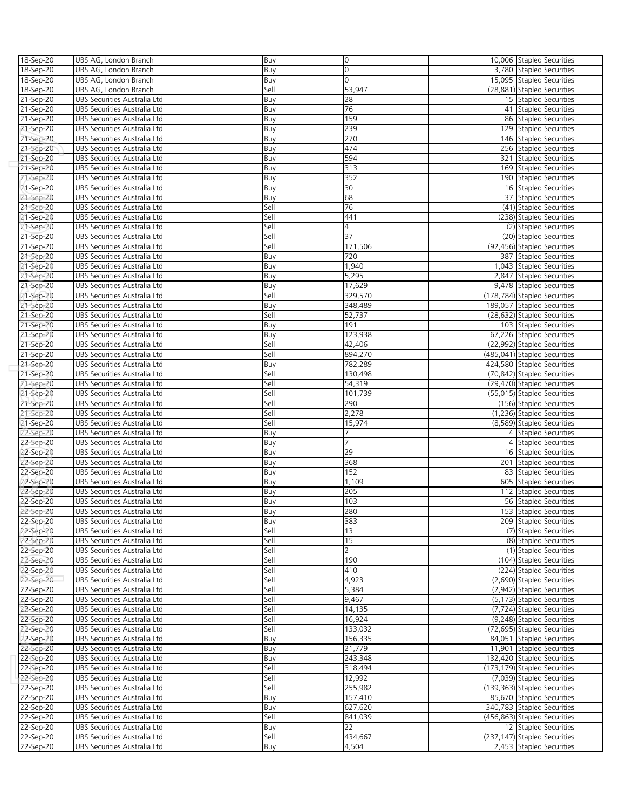| 18-Sep-20              | UBS AG, London Branch                                        | Buy         | 0                | 10,006 Stapled Securities                                |
|------------------------|--------------------------------------------------------------|-------------|------------------|----------------------------------------------------------|
| 18-Sep-20              | UBS AG, London Branch                                        | Buy         | $\circ$          | 3,780 Stapled Securities                                 |
| 18-Sep-20              | UBS AG, London Branch                                        | Buy         | $\Omega$         | 15,095 Stapled Securities                                |
| 18-Sep-20              | UBS AG, London Branch                                        | Sell        | 53,947           | (28,881) Stapled Securities                              |
| 21-Sep-20              | UBS Securities Australia Ltd                                 | Buy         | 28               | 15 Stapled Securities                                    |
| 21-Sep-20              | UBS Securities Australia Ltd                                 | Buy         | 76               | 41 Stapled Securities                                    |
| 21-Sep-20              | UBS Securities Australia Ltd                                 | Buy         | 159              | 86 Stapled Securities                                    |
| 21-Sep-20              | UBS Securities Australia Ltd                                 | Buy         | 239              | 129 Stapled Securities                                   |
|                        |                                                              |             | 270              |                                                          |
| 21-Sep-20              | UBS Securities Australia Ltd                                 | Buy         |                  | 146 Stapled Securities                                   |
| 21-Sep-20              | UBS Securities Australia Ltd                                 | Buy         | 474              | 256 Stapled Securities                                   |
| 21-Sep-20              | UBS Securities Australia Ltd                                 | Buy         | 594              | 321 Stapled Securities                                   |
| 21-Sep-20              | UBS Securities Australia Ltd                                 | Buy         | 313              | 169 Stapled Securities                                   |
| 21-Sep-20              | UBS Securities Australia Ltd                                 | Buy         | 352              | 190 Stapled Securities                                   |
| 21-Sep-20              | UBS Securities Australia Ltd                                 | Buy         | 30               | 16 Stapled Securities                                    |
| 21-Sep-20              | UBS Securities Australia Ltd                                 | Buy         | 68               | 37 Stapled Securities                                    |
| 21-Sep-20              | UBS Securities Australia Ltd                                 | Sell        | 76               | (41) Stapled Securities                                  |
| 21-Sep-20              | UBS Securities Australia Ltd                                 | Sell        | 441              | (238) Stapled Securities                                 |
| 21-Sep-20              | UBS Securities Australia Ltd                                 | Sell        | $\overline{4}$   | (2) Stapled Securities                                   |
| 21-Sep-20              | UBS Securities Australia Ltd                                 | Sell        | 37               | (20) Stapled Securities                                  |
| 21-Sep-20              | UBS Securities Australia Ltd                                 | Sell        | 171,506          | (92,456) Stapled Securities                              |
| 21-Sep-20              | UBS Securities Australia Ltd                                 | Buy         | 720              | 387 Stapled Securities                                   |
| 21-Sep-20              | UBS Securities Australia Ltd                                 | Buy         | 1,940            | 1,043 Stapled Securities                                 |
| 21-Sep-20              | UBS Securities Australia Ltd                                 | Buy         | 5,295            | 2,847 Stapled Securities                                 |
| 21-Sep-20              | UBS Securities Australia Ltd                                 | Buy         | 17,629           | 9,478 Stapled Securities                                 |
| 21-Sep-20              | UBS Securities Australia Ltd                                 | Sell        | 329,570          | (178,784) Stapled Securities                             |
| 21-Sep-20              | UBS Securities Australia Ltd                                 | Buy         | 348,489          | 189,057 Stapled Securities                               |
| 21-Sep-20              | UBS Securities Australia Ltd                                 | Sell        | 52,737           | (28,632) Stapled Securities                              |
| 21-Sep-20              | UBS Securities Australia Ltd                                 | Buy         | 191              | 103 Stapled Securities                                   |
| 21-Sep-20              | UBS Securities Australia Ltd                                 | Buy         | 123,938          | 67,226 Stapled Securities                                |
| 21-Sep-20              | UBS Securities Australia Ltd                                 | Sell        | 42,406           | (22,992) Stapled Securities                              |
| 21-Sep-20              | UBS Securities Australia Ltd                                 | Sell        | 894,270          | (485,041) Stapled Securities                             |
| 21-Sep-20              | UBS Securities Australia Ltd                                 | Buy         | 782,289          | 424,580 Stapled Securities                               |
| 21-Sep-20              | UBS Securities Australia Ltd                                 | Sell        | 130,498          | (70,842) Stapled Securities                              |
| 21-Sep-20              | UBS Securities Australia Ltd                                 | Sell        | 54,319           | (29,470) Stapled Securities                              |
| 21-Sep-20              | UBS Securities Australia Ltd                                 | Sell        | 101,739          | (55,015) Stapled Securities                              |
| 21-Sep-20              | UBS Securities Australia Ltd                                 | Sell        | 290              | (156) Stapled Securities                                 |
| 21-Sep-20              | UBS Securities Australia Ltd                                 | Sell        | 2,278            | (1,236) Stapled Securities                               |
| 21-Sep-20              | UBS Securities Australia Ltd                                 | Sell        | 15,974           | (8,589) Stapled Securities                               |
|                        | UBS Securities Australia Ltd                                 | Buy         | 7                | 4 Stapled Securities                                     |
| 22-Sep-20              |                                                              |             | 7                |                                                          |
| 22-Sep-20              | UBS Securities Australia Ltd                                 | Buy         | 29               | 4 Stapled Securities                                     |
| 2 <b>2-Sep-20</b>      | UBS Securities Australia Ltd                                 | Buy         |                  | 16 Stapled Securities                                    |
| 22-Sep-20              | UBS Securities Australia Ltd                                 | Buy         | 368              | 201 Stapled Securities                                   |
| 22-Sep-20              | UBS Securities Australia Ltd                                 | Buy         | 152              | 83 Stapled Securities                                    |
| 22-Sep-20              | UBS Securities Australia Ltd                                 | Buy         | 1,109            | 605 Stapled Securities                                   |
| 22-Sep-20              | UBS Securities Australia Ltd                                 | Buy         | 205              | 112 Stapled Securities                                   |
| 22-Sep-20              | UBS Securities Australia Ltd                                 | Buy         | 103              | 56 Stapled Securities                                    |
| 22-Sep-20              | UBS Securities Australia Ltd                                 | Buv         | 280              | 153 Stapled Securities                                   |
| 22-Sep-20              | UBS Securities Australia Ltd                                 | Buy         | 383              | 209 Stapled Securities                                   |
| 22-Sep-20              | UBS Securities Australia Ltd                                 | Sell        | 13               | (7) Stapled Securities                                   |
| 22-Sep-20              | UBS Securities Australia Ltd                                 | Sell        | 15               | (8) Stapled Securities                                   |
| 22-Sep-20              | UBS Securities Australia Ltd                                 | Sell        | $\overline{2}$   | (1) Stapled Securities                                   |
| 22-Sep-20              | UBS Securities Australia Ltd                                 | Sell        | 190              | (104) Stapled Securities                                 |
| 22-Sep-20              | UBS Securities Australia Ltd                                 | Sell        | 410              | (224) Stapled Securities                                 |
| 22-Sep-20              | UBS Securities Australia Ltd                                 | Sell        | 4,923            | (2,690) Stapled Securities                               |
| 22-Sep-20              | UBS Securities Australia Ltd                                 | Sell        | 5,384            | (2,942) Stapled Securities                               |
| 22-Sep-20              | UBS Securities Australia Ltd                                 | Sell        | 9,467            | (5,173) Stapled Securities                               |
| 22-Sep-20              | UBS Securities Australia Ltd                                 | Sell        | 14,135           | (7,724) Stapled Securities                               |
| 22-Sep-20              | UBS Securities Australia Ltd                                 | Sell        | 16,924           | (9,248) Stapled Securities                               |
| 22-Sep-20              | UBS Securities Australia Ltd                                 | Sell        | 133,032          | (72,695) Stapled Securities                              |
| 22-Sep-20              | UBS Securities Australia Ltd                                 | Buy         | 156,335          | 84.051 Stapled Securities                                |
| 22-Sep-20              | UBS Securities Australia Ltd                                 | Buy         | 21,779           | 11,901 Stapled Securities                                |
| 22-Sep-20              | UBS Securities Australia Ltd                                 | Buy         | 243,348          | 132,420 Stapled Securities                               |
| 22-Sep-20              | UBS Securities Australia Ltd                                 | Sell        | 318,494          | (173,179) Stapled Securities                             |
| 22-Sep-20              | UBS Securities Australia Ltd                                 | Sell        | 12,992           | (7,039) Stapled Securities                               |
| 22-Sep-20              | UBS Securities Australia Ltd                                 | Sell        | 255,982          | (139,363) Stapled Securities                             |
| 22-Sep-20              | UBS Securities Australia Ltd                                 | Buy         | 157,410          | 85,670 Stapled Securities                                |
| 22-Sep-20              | UBS Securities Australia Ltd                                 | Buy         | 627,620          | 340,783 Stapled Securities                               |
| 22-Sep-20              | UBS Securities Australia Ltd                                 | Sell        | 841,039          | (456,863) Stapled Securities                             |
| 22-Sep-20              | UBS Securities Australia Ltd                                 | Buy         | 22               | 12 Stapled Securities                                    |
|                        |                                                              |             |                  |                                                          |
|                        |                                                              |             |                  |                                                          |
| 22-Sep-20<br>22-Sep-20 | UBS Securities Australia Ltd<br>UBS Securities Australia Ltd | Sell<br>Buy | 434,667<br>4,504 | (237,147) Stapled Securities<br>2,453 Stapled Securities |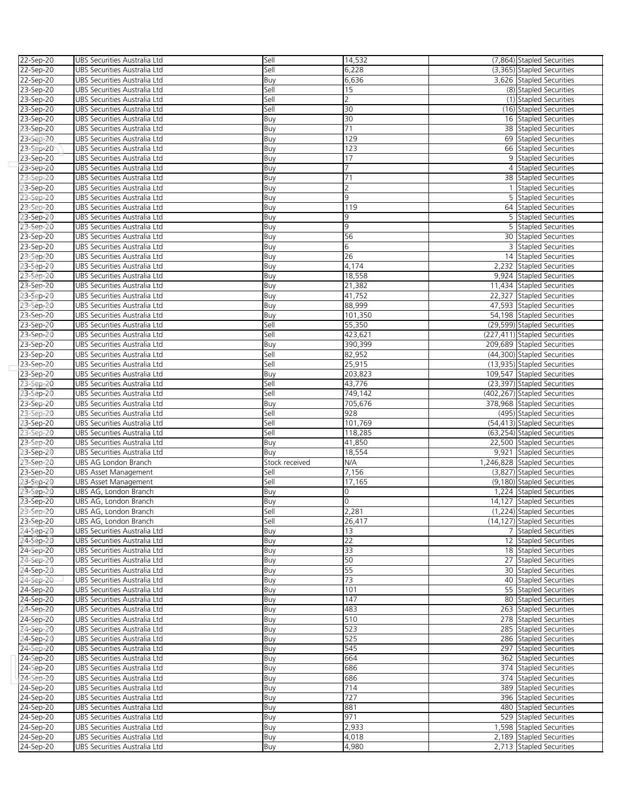| 22-Sep-20         | UBS Securities Australia Ltd | Sell           | 14,532         | (7,864) Stapled Securities   |
|-------------------|------------------------------|----------------|----------------|------------------------------|
| 22-Sep-20         | UBS Securities Australia Ltd | Sell           | 6,228          | (3,365) Stapled Securities   |
| 22-Sep-20         | UBS Securities Australia Ltd | Buy            | 6,636          | 3,626 Stapled Securities     |
| 23-Sep-20         | UBS Securities Australia Ltd | Sell           | 15             | (8) Stapled Securities       |
| 23-Sep-20         | UBS Securities Australia Ltd | Sell           | $\overline{2}$ | (1) Stapled Securities       |
| 23-Sep-20         | UBS Securities Australia Ltd | Sell           | 30             | (16) Stapled Securities      |
| 23-Sep-20         | UBS Securities Australia Ltd | Buy            | 30             | 16 Stapled Securities        |
| 23-Sep-20         | UBS Securities Australia Ltd | Buy            | 71             | 38 Stapled Securities        |
| 23-Sep-20         | UBS Securities Australia Ltd | Buy            | 129            | 69 Stapled Securities        |
| 23-Sep-20         | UBS Securities Australia Ltd | Buy            | 123            | 66 Stapled Securities        |
| 23-Sep-20         | UBS Securities Australia Ltd | Buy            | 17             | 9 Stapled Securities         |
| 23-Sep-20         | UBS Securities Australia Ltd | Buy            | 7              | 4 Stapled Securities         |
|                   |                              |                | 71             | 38 Stapled Securities        |
| 23-Sep-20         | UBS Securities Australia Ltd | Buy            | $\overline{2}$ | 1 Stapled Securities         |
| 23-Sep-20         | UBS Securities Australia Ltd | Buy            | 9              |                              |
| 23-Sep-20         | UBS Securities Australia Ltd | Buy            |                | 5 Stapled Securities         |
| 23-Sep-20         | UBS Securities Australia Ltd | Buy            | 119            | 64 Stapled Securities        |
| 2 <b>3-Sep-20</b> | UBS Securities Australia Ltd | Buy            | 9              | 5 Stapled Securities         |
| 23-Sep-20         | UBS Securities Australia Ltd | Buy            | 9              | 5 Stapled Securities         |
| 23-Sep-20         | UBS Securities Australia Ltd | Buy            | 56             | 30 Stapled Securities        |
| 23-Sep-20         | UBS Securities Australia Ltd | Buy            | 6              | 3 Stapled Securities         |
| 23-Sep-20         | UBS Securities Australia Ltd | Buy            | 26             | 14 Stapled Securities        |
| 23-Sep-20         | UBS Securities Australia Ltd | Buy            | 4,174          | 2,232 Stapled Securities     |
| 23-Sep-20         | UBS Securities Australia Ltd | Buy            | 18,558         | 9,924 Stapled Securities     |
| 23-Sep-20         | UBS Securities Australia Ltd | Buy            | 21,382         | 11,434 Stapled Securities    |
| 23-Sep-20         | UBS Securities Australia Ltd | Buy            | 41,752         | 22.327 Stapled Securities    |
| 23-Sep-20         | UBS Securities Australia Ltd | Buy            | 88,999         | 47,593 Stapled Securities    |
| 23-Sep-20         | UBS Securities Australia Ltd | Buy            | 101,350        | 54,198 Stapled Securities    |
| 23-Sep-20         | UBS Securities Australia Ltd | Sell           | 55,350         | (29,599) Stapled Securities  |
| 23-Sep-20         | UBS Securities Australia Ltd | Sell           | 423,621        | (227,411) Stapled Securities |
| 23-Sep-20         | UBS Securities Australia Ltd | Buy            | 390,399        | 209,689 Stapled Securities   |
| 23-Sep-20         | UBS Securities Australia Ltd | Sell           | 82,952         | (44,300) Stapled Securities  |
| 23-Sep-20         | UBS Securities Australia Ltd | Sell           | 25,915         | (13,935) Stapled Securities  |
| 23-Sep-20         | UBS Securities Australia Ltd | Buy            | 203,823        | 109,547 Stapled Securities   |
| 23-Sep-20         | UBS Securities Australia Ltd | Sell           | 43,776         | (23,397) Stapled Securities  |
| 23-Sep-20         | UBS Securities Australia Ltd | Sell           | 749,142        | (402,267) Stapled Securities |
|                   | UBS Securities Australia Ltd |                | 705,676        | 378,968 Stapled Securities   |
| 23-Sep-20         |                              | Buy            | 928            |                              |
| 23-Sep-20         | UBS Securities Australia Ltd | Sell           |                | (495) Stapled Securities     |
| 23-Sep-20         | UBS Securities Australia Ltd | Sell           | 101,769        | (54,413) Stapled Securities  |
| 23-Sep-20         | UBS Securities Australia Ltd | Sell           | 118,285        | (63,254) Stapled Securities  |
| 23-Sep-20         | UBS Securities Australia Ltd | Buy            | 41,850         | 22,500 Stapled Securities    |
| 2 <b>3-Sep-20</b> | UBS Securities Australia Ltd | Buy            | 18,554         | 9,921 Stapled Securities     |
| 23-Sep-20         | UBS AG London Branch         | Stock received | N/A            | 1,246,828 Stapled Securities |
| 23-Sep-20         | <b>UBS Asset Management</b>  | Sell           | 7,156          | (3,827) Stapled Securities   |
| 23-Sep-20         | <b>UBS Asset Management</b>  | Sell           | 17,165         | (9,180) Stapled Securities   |
| 23-Sep-20         | UBS AG, London Branch        | Buy            | 0              | 1,224 Stapled Securities     |
| 23-Sep-20         | UBS AG, London Branch        | Buy            | 0              | 14,127 Stapled Securities    |
| 23-Sep-20         | UBS AG, London Branch        | Sell           | 2.281          | (1,224) Stapled Securities   |
| 23-Sep-20         | UBS AG, London Branch        | Sell           | 26,417         | (14,127) Stapled Securities  |
| 24-Sep-20         | UBS Securities Australia Ltd | Buy            | 13             | 7 Stapled Securities         |
| 24-Sep-20         | UBS Securities Australia Ltd | Buy            | 22             | 12 Stapled Securities        |
| 24-Sep-20         | UBS Securities Australia Ltd | Buy            | 33             | 18 Stapled Securities        |
| 24-Sep-20         | UBS Securities Australia Ltd | Buy            | 50             | 27 Stapled Securities        |
| 24-Sep-20         | UBS Securities Australia Ltd | Buy            | 55             | 30 Stapled Securities        |
| 24-Sep-20         | UBS Securities Australia Ltd | Buy            | 73             | 40 Stapled Securities        |
| 24-Sep-20         | UBS Securities Australia Ltd | Buy            | 101            | 55 Stapled Securities        |
| 24-Sep-20         | UBS Securities Australia Ltd | Buy            | 147            | 80 Stapled Securities        |
| 24-Sep-20         | UBS Securities Australia Ltd | Buy            | 483            | 263 Stapled Securities       |
| 24-Sep-20         | UBS Securities Australia Ltd | Buy            | 510            | 278 Stapled Securities       |
| 24-Sep-20         | UBS Securities Australia Ltd | Buy            | 523            | 285 Stapled Securities       |
| 24-Sep-20         | UBS Securities Australia Ltd | Buy            | 525            | 286 Stapled Securities       |
| 24-Sep-20         | UBS Securities Australia Ltd | Buy            | 545            | 297 Stapled Securities       |
| 24-Sep-20         | UBS Securities Australia Ltd | Buy            | 664            | 362 Stapled Securities       |
| 24-Sep-20         | UBS Securities Australia Ltd |                | 686            | 374 Stapled Securities       |
|                   |                              | Buy            | 686            | 374 Stapled Securities       |
| 24-Sep-20         | UBS Securities Australia Ltd | Buy            |                |                              |
| 24-Sep-20         | UBS Securities Australia Ltd | Buy            | 714<br>727     | 389 Stapled Securities       |
| 24-Sep-20         | UBS Securities Australia Ltd | Buy            |                | 396 Stapled Securities       |
| 24-Sep-20         | UBS Securities Australia Ltd | Buy            | 881            | 480 Stapled Securities       |
| 24-Sep-20         | UBS Securities Australia Ltd | Buy            | 971            | 529 Stapled Securities       |
| 24-Sep-20         | UBS Securities Australia Ltd | Buy            | 2,933          | 1,598 Stapled Securities     |
| 24-Sep-20         | UBS Securities Australia Ltd | Buy            | 4,018          | 2,189 Stapled Securities     |
| 24-Sep-20         | UBS Securities Australia Ltd | Buy            | 4,980          | 2,713 Stapled Securities     |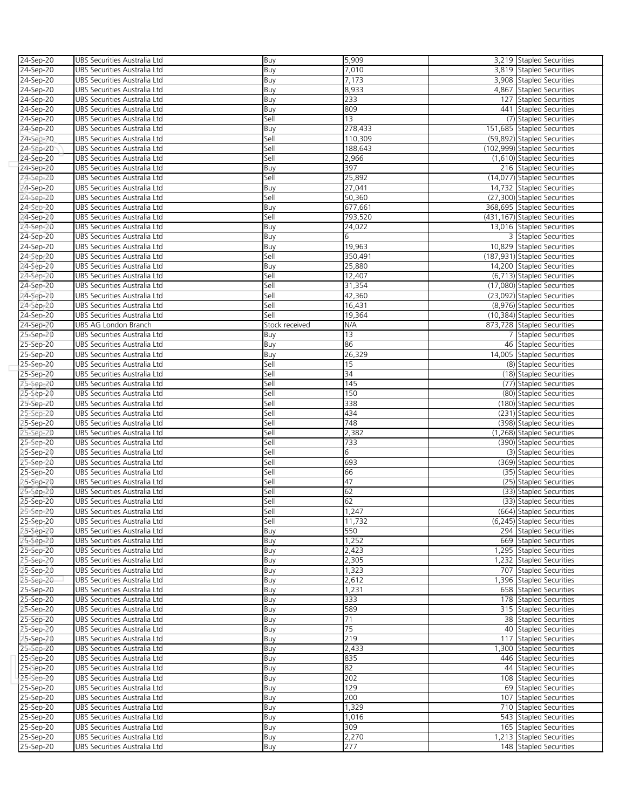| 24-Sep-20         | UBS Securities Australia Ltd | Buy            | 5,909            | 3,219 Stapled Securities                           |
|-------------------|------------------------------|----------------|------------------|----------------------------------------------------|
| 24-Sep-20         | UBS Securities Australia Ltd | Buy            | 7,010            | 3,819 Stapled Securities                           |
|                   |                              |                |                  |                                                    |
| 24-Sep-20         | UBS Securities Australia Ltd | Buy            | 7,173            | 3,908 Stapled Securities                           |
| 24-Sep-20         | UBS Securities Australia Ltd | Buy            | 8,933            | 4,867 Stapled Securities                           |
| 24-Sep-20         | UBS Securities Australia Ltd | Buy            | 233              | 127 Stapled Securities                             |
| 24-Sep-20         | UBS Securities Australia Ltd | Buy            | 809              | 441 Stapled Securities                             |
| 24-Sep-20         | UBS Securities Australia Ltd | Sell           | 13               | (7) Stapled Securities                             |
|                   |                              |                |                  |                                                    |
| 24-Sep-20         | UBS Securities Australia Ltd | Buy            | 278,433          | 151,685 Stapled Securities                         |
| 24-Sep-20         | UBS Securities Australia Ltd | Sell           | 110,309          | (59,892) Stapled Securities                        |
| 24-Sep-20         | UBS Securities Australia Ltd | Sell           | 188,643          | (102,999) Stapled Securities                       |
| 24-Sep-20         | UBS Securities Australia Ltd | Sell           | 2,966            | (1,610) Stapled Securities                         |
| 24-Sep-20         | UBS Securities Australia Ltd | Buy            | 397              | 216 Stapled Securities                             |
|                   |                              |                |                  |                                                    |
| 24-Sep-20         | UBS Securities Australia Ltd | Sell           | 25,892           | (14,077) Stapled Securities                        |
| 24-Sep-20         | UBS Securities Australia Ltd | Buy            | 27,041           | 14,732 Stapled Securities                          |
| 24-Sep-20         | UBS Securities Australia Ltd | Sell           | 50,360           | (27,300) Stapled Securities                        |
| 24-Sep-20         | UBS Securities Australia Ltd | Buy            | 677,661          | 368,695 Stapled Securities                         |
|                   |                              | Sell           | 793,520          | (431,167) Stapled Securities                       |
| 24-Sep-20         | UBS Securities Australia Ltd |                |                  |                                                    |
| 24-Sep-20         | UBS Securities Australia Ltd | Buy            | 24,022           | 13,016 Stapled Securities                          |
| 24-Sep-20         | UBS Securities Australia Ltd | Buy            | 6                | 3 Stapled Securities                               |
| 24-Sep-20         | UBS Securities Australia Ltd | Buy            | 19,963           | 10,829 Stapled Securities                          |
| 24-Sep-20         | UBS Securities Australia Ltd | Sell           | 350,491          | (187,931) Stapled Securities                       |
| 24-Sep-20         | UBS Securities Australia Ltd |                | 25,880           | 14,200 Stapled Securities                          |
|                   |                              | Buy            |                  |                                                    |
| 24-Sep-20         | UBS Securities Australia Ltd | Sell           | 12,407           | (6,713) Stapled Securities                         |
| 24-Sep-20         | UBS Securities Australia Ltd | Sell           | 31,354           | (17,080) Stapled Securities                        |
| 24-Sep-20         | UBS Securities Australia Ltd | Sell           | 42,360           | (23,092) Stapled Securities                        |
| 24-Sep-20         | UBS Securities Australia Ltd | Sell           | 16,431           | (8,976) Stapled Securities                         |
| 24-Sep-20         | UBS Securities Australia Ltd | Sell           | 19,364           | (10,384) Stapled Securities                        |
|                   |                              |                |                  |                                                    |
| 24-Sep-20         | UBS AG London Branch         | Stock received | N/A              | 873,728 Stapled Securities                         |
| 25-Sep-20         | UBS Securities Australia Ltd | Buy            | 13               | 7 Stapled Securities                               |
| 25-Sep-20         | UBS Securities Australia Ltd | Buy            | 86               | 46 Stapled Securities                              |
| 25-Sep-20         | UBS Securities Australia Ltd | Buy            | 26,329           | 14,005 Stapled Securities                          |
| 25-Sep-20         | UBS Securities Australia Ltd | Sell           | 15               | (8) Stapled Securities                             |
|                   |                              |                |                  |                                                    |
| 25-Sep-20         | UBS Securities Australia Ltd | Sell           | 34               | (18) Stapled Securities                            |
| 25-Sep-20         | UBS Securities Australia Ltd | Sell           | $\overline{145}$ | (77) Stapled Securities                            |
| 25-Sep-20         | UBS Securities Australia Ltd | Sell           | 150              | (80) Stapled Securities                            |
| 25-Sep-20         | UBS Securities Australia Ltd | Sell           | 338              | (180) Stapled Securities                           |
| 25-Sep-20         | UBS Securities Australia Ltd | Sell           | 434              | (231) Stapled Securities                           |
|                   |                              |                |                  |                                                    |
| 25-Sep-20         | UBS Securities Australia Ltd | Sell           | 748              | (398) Stapled Securities                           |
| 25-Sep-20         | UBS Securities Australia Ltd | Sell           | 2,382            | (1,268) Stapled Securities                         |
| 25-Sep-20         | UBS Securities Australia Ltd | Sell           | 733              | (390) Stapled Securities                           |
| 2 <b>5-Sep-20</b> | UBS Securities Australia Ltd | Sell           | 6                | (3) Stapled Securities                             |
| 25-Sep-20         | UBS Securities Australia Ltd | Sell           | 693              | (369) Stapled Securities                           |
|                   |                              |                |                  |                                                    |
| 25-Sep-20         | UBS Securities Australia Ltd | Sell           | 66               | (35) Stapled Securities                            |
| 25-Sep-20         | UBS Securities Australia Ltd | Sell           | 47               | (25) Stapled Securities                            |
| 25-Sep-20         | UBS Securities Australia Ltd | Sell           | 62               | (33) Stapled Securities                            |
| 25-Sep-20         | UBS Securities Australia Ltd | Sell           | 62               |                                                    |
| 25-Sep-20         | UBS Securities Australia Ltd |                |                  | (33) Stapled Securities                            |
|                   |                              |                |                  |                                                    |
| 25-Sep-20         |                              | Sell           | 1,247            | (664) Stapled Securities                           |
|                   | UBS Securities Australia Ltd | Sell           | 11,732           | (6,245) Stapled Securities                         |
| 25-Sep-20         | UBS Securities Australia Ltd | Buy            | 550              | 294 Stapled Securities                             |
| 25-Sep-20         | UBS Securities Australia Ltd | Buy            | 1,252            | 669 Stapled Securities                             |
|                   |                              |                |                  |                                                    |
| 25-Sep-20         | UBS Securities Australia Ltd | Buy            | 2,423            | 1,295 Stapled Securities                           |
| 25-Sep-20         | UBS Securities Australia Ltd | Buy            | 2,305            | 1,232 Stapled Securities                           |
| 25-Sep-20         | UBS Securities Australia Ltd | Buy            | 1,323            | 707 Stapled Securities                             |
| 25-Sep-20         | UBS Securities Australia Ltd | Buy            | 2,612            | 1,396 Stapled Securities                           |
| 25-Sep-20         | UBS Securities Australia Ltd | Buy            | 1,231            | 658 Stapled Securities                             |
| 25-Sep-20         | UBS Securities Australia Ltd | Buy            | 333              | 178 Stapled Securities                             |
|                   |                              |                |                  |                                                    |
| 25-Sep-20         | UBS Securities Australia Ltd | Buy            | 589              | 315 Stapled Securities                             |
| 25-Sep-20         | UBS Securities Australia Ltd | Buy            | 71               | 38 Stapled Securities                              |
| 25-Sep-20         | UBS Securities Australia Ltd | Buy            | 75               | 40 Stapled Securities                              |
| 25-Sep-20         | UBS Securities Australia Ltd | Buy            | 219              | 117 Stapled Securities                             |
|                   | UBS Securities Australia Ltd |                | 2,433            | 1,300 Stapled Securities                           |
| 25-Sep-20         |                              | Buy            |                  |                                                    |
| 25-Sep-20         | UBS Securities Australia Ltd | Buy            | 835              | 446 Stapled Securities                             |
| 25-Sep-20         | UBS Securities Australia Ltd | Buy            | 82               | 44 Stapled Securities                              |
| 25-Sep-20         | UBS Securities Australia Ltd | Buy            | 202              | 108 Stapled Securities                             |
| 25-Sep-20         | UBS Securities Australia Ltd | Buy            | 129              | 69 Stapled Securities                              |
| 25-Sep-20         | UBS Securities Australia Ltd | Buy            | 200              | 107 Stapled Securities                             |
|                   |                              |                |                  |                                                    |
| 25-Sep-20         | UBS Securities Australia Ltd | Buy            | 1,329            | 710 Stapled Securities                             |
| 25-Sep-20         | UBS Securities Australia Ltd | Buy            | 1,016            | 543 Stapled Securities                             |
| 25-Sep-20         | UBS Securities Australia Ltd | Buy            | 309              | 165 Stapled Securities                             |
| 25-Sep-20         | UBS Securities Australia Ltd | Buy            | 2,270<br>277     | 1,213 Stapled Securities<br>148 Stapled Securities |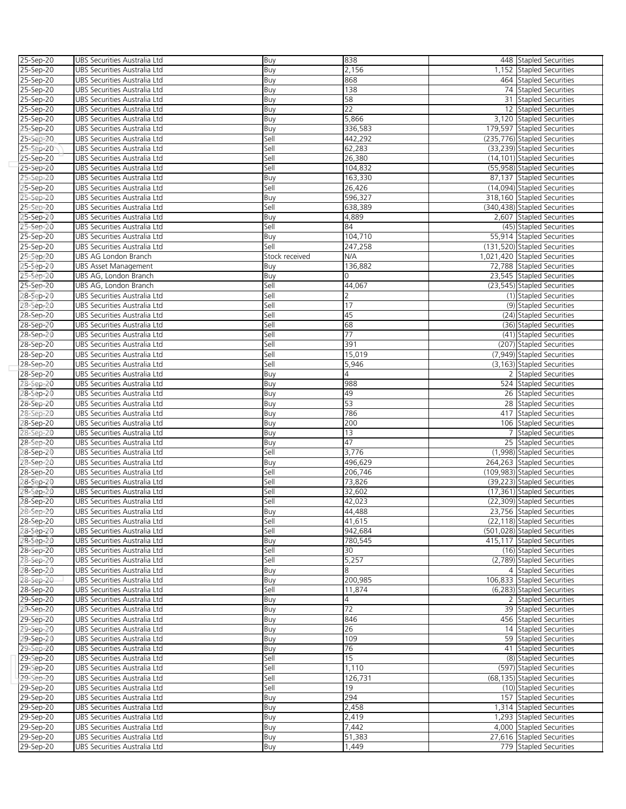| 25-Sep-20              | UBS Securities Australia Ltd                                 | Buy            | 838             | 448 Stapled Securities       |
|------------------------|--------------------------------------------------------------|----------------|-----------------|------------------------------|
| 25-Sep-20              | UBS Securities Australia Ltd                                 | Buy            | 2,156           | 1,152 Stapled Securities     |
| 25-Sep-20              | UBS Securities Australia Ltd                                 | Buy            | 868             | 464 Stapled Securities       |
| 25-Sep-20              | UBS Securities Australia Ltd                                 | Buy            | 138             | 74 Stapled Securities        |
| 25-Sep-20              | UBS Securities Australia Ltd                                 | Buy            | 58              | 31 Stapled Securities        |
| 25-Sep-20              | UBS Securities Australia Ltd                                 | Buy            | $\overline{22}$ | 12 Stapled Securities        |
| 25-Sep-20              | UBS Securities Australia Ltd                                 | Buy            | 5,866           | 3,120 Stapled Securities     |
| 25-Sep-20              | UBS Securities Australia Ltd                                 | Buy            | 336,583         | 179,597 Stapled Securities   |
|                        | UBS Securities Australia Ltd                                 | Sell           | 442,292         | (235,776) Stapled Securities |
| 25-Sep-20              |                                                              |                |                 |                              |
| 25-Sep-20              | UBS Securities Australia Ltd                                 | Sell           | 62,283          | (33,239) Stapled Securities  |
| 25-Sep-20              | UBS Securities Australia Ltd                                 | Sell           | 26,380          | (14,101) Stapled Securities  |
| 25-Sep-20              | UBS Securities Australia Ltd                                 | Sell           | 104,832         | (55,958) Stapled Securities  |
| 25-Sep-20              | UBS Securities Australia Ltd                                 | Buy            | 163,330         | 87,137 Stapled Securities    |
| 25-Sep-20              | UBS Securities Australia Ltd                                 | Sell           | 26,426          | (14,094) Stapled Securities  |
| 25-Sep-20              | UBS Securities Australia Ltd                                 | Buy            | 596,327         | 318,160 Stapled Securities   |
| 25-Sep-20              | UBS Securities Australia Ltd                                 | Sell           | 638,389         | (340,438) Stapled Securities |
| 2 <b>5-Sep-20</b>      | UBS Securities Australia Ltd                                 | Buy            | 4,889           | 2,607 Stapled Securities     |
| 25-Sep-20              | UBS Securities Australia Ltd                                 | Sell           | 84              | (45) Stapled Securities      |
| 25-Sep-20              | UBS Securities Australia Ltd                                 | Buy            | 104,710         | 55,914 Stapled Securities    |
| 25-Sep-20              | UBS Securities Australia Ltd                                 | Sell           | 247,258         | (131,520) Stapled Securities |
| 25-Sep-20              | UBS AG London Branch                                         | Stock received | N/A             | 1,021,420 Stapled Securities |
| 25-Sep-20              | <b>UBS Asset Management</b>                                  | Buy            | 136,882         | 72,788 Stapled Securities    |
| 25-Sep-20              | UBS AG, London Branch                                        | Buy            | 0               | 23,545 Stapled Securities    |
| 25-Sep-20              | UBS AG, London Branch                                        | Sell           | 44,067          | (23,545) Stapled Securities  |
| 28-Sep-20              | UBS Securities Australia Ltd                                 | Sell           | 2               | (1) Stapled Securities       |
| 28-Sep-20              | UBS Securities Australia Ltd                                 | Sell           | 17              | (9) Stapled Securities       |
| 28-Sep-20              | UBS Securities Australia Ltd                                 | Sell           | 45              | (24) Stapled Securities      |
| 28-Sep-20              | UBS Securities Australia Ltd                                 | Sell           | 68              | (36) Stapled Securities      |
| 28-Sep-20              | UBS Securities Australia Ltd                                 | Sell           | 77              | (41) Stapled Securities      |
| 28-Sep-20              | UBS Securities Australia Ltd                                 | Sell           | 391             | (207) Stapled Securities     |
| 28-Sep-20              | UBS Securities Australia Ltd                                 | Sell           | 15,019          | (7,949) Stapled Securities   |
| 28-Sep-20              | UBS Securities Australia Ltd                                 | Sell           | 5,946           | (3,163) Stapled Securities   |
| 28-Sep-20              | UBS Securities Australia Ltd                                 | Buy            | 4               | 2 Stapled Securities         |
| 28-Sep-20              | UBS Securities Australia Ltd                                 | Buy            | 988             | 524 Stapled Securities       |
| 28-Sep-20              | UBS Securities Australia Ltd                                 | Buy            | 49              | 26 Stapled Securities        |
| 28-Sep-20              | UBS Securities Australia Ltd                                 | Buy            | 53              | 28 Stapled Securities        |
| 28-Sep-20              | UBS Securities Australia Ltd                                 | Buy            | 786             | 417 Stapled Securities       |
| 28-Sep-20              | UBS Securities Australia Ltd                                 | Buy            | 200             | 106 Stapled Securities       |
| 28-Sep-20              | UBS Securities Australia Ltd                                 | Buy            | 13              | 7 Stapled Securities         |
| 28-Sep-20              | UBS Securities Australia Ltd                                 | Buy            | 47              | 25 Stapled Securities        |
| 2 <b>8-Sep-20</b>      | UBS Securities Australia Ltd                                 | Sell           | 3,776           | (1,998) Stapled Securities   |
| 28-Sep-20              | UBS Securities Australia Ltd                                 | Buy            | 496,629         | 264,263 Stapled Securities   |
| 28-Sep-20              | UBS Securities Australia Ltd                                 | Sell           | 206,746         | (109,983) Stapled Securities |
| 28-Sep-20              | UBS Securities Australia Ltd                                 | Sell           | 73,826          | (39,223) Stapled Securities  |
| 28-Sep-20              | UBS Securities Australia Ltd                                 | Sell           | 32,602          | (17,361) Stapled Securities  |
| 28-Sep-20              | UBS Securities Australia Ltd                                 | Sell           | 42,023          | (22,309) Stapled Securities  |
| 28-Sep-20              | UBS Securities Australia Ltd                                 | Buv            | 44,488          | 23,756 Stapled Securities    |
| 28-Sep-20              | UBS Securities Australia Ltd                                 | Sell           | 41,615          | (22,118) Stapled Securities  |
| 28-Sep-20              | UBS Securities Australia Ltd                                 | Sell           | 942,684         | (501,028) Stapled Securities |
| 28-Sep-20              | UBS Securities Australia Ltd                                 | Buy            | 780,545         | 415,117 Stapled Securities   |
| 28-Sep-20              | UBS Securities Australia Ltd                                 | Sell           | 30              | (16) Stapled Securities      |
| 28-Sep-20              | UBS Securities Australia Ltd                                 | Sell           | 5,257           | (2,789) Stapled Securities   |
| 28-Sep-20              | UBS Securities Australia Ltd                                 |                | 8               | 4 Stapled Securities         |
|                        |                                                              | Buy            | 200,985         | 106,833 Stapled Securities   |
| 28-Sep-20              | UBS Securities Australia Ltd<br>UBS Securities Australia Ltd | Buy<br>Sell    | 11.874          | (6,283) Stapled Securities   |
| 28-Sep-20<br>29-Sep-20 | UBS Securities Australia Ltd                                 |                | 4               | 2 Stapled Securities         |
|                        |                                                              | Buy            | 72              |                              |
| 29-Sep-20              | UBS Securities Australia Ltd                                 | Buy            |                 | 39 Stapled Securities        |
| 29-Sep-20              | UBS Securities Australia Ltd                                 | Buy            | 846             | 456 Stapled Securities       |
| 29-Sep-20              | UBS Securities Australia Ltd                                 | Buy            | 26              | 14 Stapled Securities        |
| 29-Sep-20              | UBS Securities Australia Ltd                                 | Buy            | 109             | 59 Stapled Securities        |
| 29-Sep-20              | UBS Securities Australia Ltd                                 | Buy            | 76              | 41 Stapled Securities        |
| 29-Sep-20              | UBS Securities Australia Ltd                                 | Sell           | 15              | (8) Stapled Securities       |
| 29-Sep-20              | UBS Securities Australia Ltd                                 | Sell           | 1,110           | (597) Stapled Securities     |
| 29-Sep-20              | UBS Securities Australia Ltd                                 | Sell           | 126,731         | (68,135) Stapled Securities  |
| 29-Sep-20              | UBS Securities Australia Ltd                                 | Sell           | 19              | (10) Stapled Securities      |
| 29-Sep-20              | UBS Securities Australia Ltd                                 | Buy            | 294             | 157 Stapled Securities       |
| 29-Sep-20              | UBS Securities Australia Ltd                                 | Buy            | 2,458           | 1,314 Stapled Securities     |
| 29-Sep-20              | UBS Securities Australia Ltd                                 | Buy            | 2,419           | 1,293 Stapled Securities     |
| 29-Sep-20              | UBS Securities Australia Ltd                                 | Buy            | 7,442           | 4,000 Stapled Securities     |
| 29-Sep-20              | UBS Securities Australia Ltd                                 | Buy            | 51,383          | 27,616 Stapled Securities    |
| 29-Sep-20              | UBS Securities Australia Ltd                                 | Buy            | 1,449           | 779 Stapled Securities       |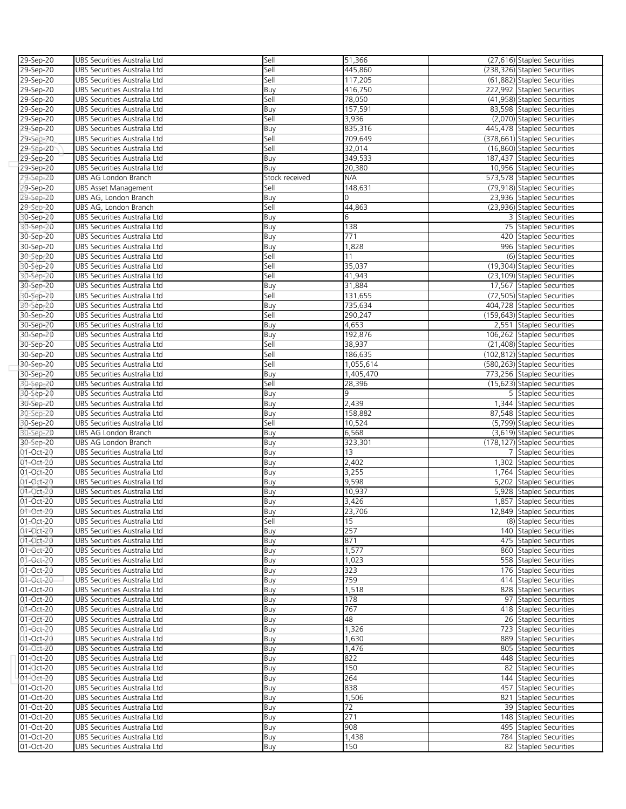| 29-Sep-20              | UBS Securities Australia Ltd | Sell           | 51,366    | (27,616) Stapled Securities  |
|------------------------|------------------------------|----------------|-----------|------------------------------|
| 29-Sep-20              | UBS Securities Australia Ltd | Sell           | 445,860   | (238,326) Stapled Securities |
| 29-Sep-20              | UBS Securities Australia Ltd | Sell           | 117,205   | (61,882) Stapled Securities  |
| 29-Sep-20              | UBS Securities Australia Ltd | Buy            | 416,750   | 222,992 Stapled Securities   |
| 29-Sep-20              | UBS Securities Australia Ltd | Sell           | 78,050    | (41,958) Stapled Securities  |
| 29-Sep-20              | UBS Securities Australia Ltd | Buy            | 157,591   | 83,598 Stapled Securities    |
| 29-Sep-20              | UBS Securities Australia Ltd | Sell           | 3,936     | (2,070) Stapled Securities   |
| 29-Sep-20              | UBS Securities Australia Ltd | Buy            | 835,316   | 445,478 Stapled Securities   |
| 29-Sep-20              | UBS Securities Australia Ltd | Sell           | 709,649   | (378,661) Stapled Securities |
| 29-Sep-20              | UBS Securities Australia Ltd | Sell           | 32,014    | (16,860) Stapled Securities  |
| 29-Sep-20              | UBS Securities Australia Ltd | Buy            | 349,533   | 187,437 Stapled Securities   |
| 29-Sep-20              | UBS Securities Australia Ltd | Buy            | 20,380    | 10,956 Stapled Securities    |
|                        | UBS AG London Branch         | Stock received | N/A       | 573,578 Stapled Securities   |
| 29-Sep-20              |                              |                | 148,631   |                              |
| 29-Sep-20              | UBS Asset Management         | Sell           |           | (79,918) Stapled Securities  |
| 29-Sep-20              | UBS AG, London Branch        | Buy            | $\Omega$  | 23,936 Stapled Securities    |
| 29-Sep-20              | UBS AG, London Branch        | Sell           | 44,863    | (23,936) Stapled Securities  |
| 30-Sep-20              | UBS Securities Australia Ltd | Buy            | 6         | 3 Stapled Securities         |
| 30-Sep-20              | UBS Securities Australia Ltd | Buy            | 138       | 75 Stapled Securities        |
| 30-Sep-20              | UBS Securities Australia Ltd | Buy            | 771       | 420 Stapled Securities       |
| 30-Sep-20              | UBS Securities Australia Ltd | Buy            | 1,828     | 996 Stapled Securities       |
| 30-Sep-20              | UBS Securities Australia Ltd | Sell           | 11        | (6) Stapled Securities       |
| 30-Sep-20              | UBS Securities Australia Ltd | Sell           | 35,037    | (19,304) Stapled Securities  |
| 30-Sep-20              | UBS Securities Australia Ltd | Sell           | 41,943    | (23,109) Stapled Securities  |
| 30-Sep-20              | UBS Securities Australia Ltd | Buy            | 31,884    | 17,567 Stapled Securities    |
| 30-Sep-20              | UBS Securities Australia Ltd | Sell           | 131,655   | (72,505) Stapled Securities  |
| 30-Sep-20              | UBS Securities Australia Ltd | Buy            | 735,634   | 404,728 Stapled Securities   |
| 30-Sep-20              | UBS Securities Australia Ltd | Sell           | 290,247   | (159,643) Stapled Securities |
| 30-Sep-20              | UBS Securities Australia Ltd | Buy            | 4,653     | 2,551 Stapled Securities     |
| 30-Sep-20              | UBS Securities Australia Ltd | Buy            | 192,876   | 106,262 Stapled Securities   |
| 30-Sep-20              | UBS Securities Australia Ltd | Sell           | 38,937    | (21,408) Stapled Securities  |
| 30-Sep-20              | UBS Securities Australia Ltd | Sell           | 186,635   | (102,812) Stapled Securities |
| 30-Sep-20              | UBS Securities Australia Ltd | Sell           | 1,055,614 | (580,263) Stapled Securities |
| 30-Sep-20              | UBS Securities Australia Ltd | Buy            | 1,405,470 | 773,256 Stapled Securities   |
| 30-Sep-20              | UBS Securities Australia Ltd | Sell           | 28,396    | (15,623) Stapled Securities  |
| 30-Sep-20              | UBS Securities Australia Ltd | Buy            | 9         | 5 Stapled Securities         |
|                        | UBS Securities Australia Ltd |                | 2,439     | 1,344 Stapled Securities     |
| 30-Sep-20<br>30-Sep-20 |                              | Buy            |           |                              |
|                        | UBS Securities Australia Ltd | Buy            | 158,882   | 87,548 Stapled Securities    |
| 30-Sep-20              | UBS Securities Australia Ltd | Sell           | 10,524    | (5,799) Stapled Securities   |
| 30-Sep-20              | UBS AG London Branch         | Buy            | 6,568     | (3,619) Stapled Securities   |
| 30-Sep-20              | UBS AG London Branch         | Buy            | 323,301   | (178,127) Stapled Securities |
| 01-Oct-20              | UBS Securities Australia Ltd | Buy            | 13        | 7 Stapled Securities         |
| 01-Oct-20              | UBS Securities Australia Ltd | Buy            | 2,402     | 1,302 Stapled Securities     |
| 01-Oct-20              | UBS Securities Australia Ltd | Buy            | 3,255     | 1,764 Stapled Securities     |
| 01-Oct-20              | UBS Securities Australia Ltd | Buy            | 9,598     | 5,202 Stapled Securities     |
| $01 - Oct-20$          | UBS Securities Australia Ltd | Buy            | 10,937    | 5,928 Stapled Securities     |
| 01-Oct-20              | UBS Securities Australia Ltd | Buy            | 3,426     | 1,857 Stapled Securities     |
| 01-Oct-20              | UBS Securities Australia Ltd | Buv            | 23,706    | 12,849 Stapled Securities    |
| 01-Oct-20              | UBS Securities Australia Ltd | Sell           | 15        | (8) Stapled Securities       |
| 01-Oct-20              | UBS Securities Australia Ltd | Buy            | 257       | 140 Stapled Securities       |
| 01-Oct-20              | UBS Securities Australia Ltd | Buy            | 871       | 475 Stapled Securities       |
| 01-Oct-20              | UBS Securities Australia Ltd | Buy            | 1,577     | 860 Stapled Securities       |
| 01-Oct-20              | UBS Securities Australia Ltd | Buy            | 1,023     | 558 Stapled Securities       |
| 01-Oct-20              | UBS Securities Australia Ltd | Buy            | 323       | 176 Stapled Securities       |
| 01-Oct-20              | UBS Securities Australia Ltd | Buy            | 759       | 414 Stapled Securities       |
| 01-Oct-20              | UBS Securities Australia Ltd | Buy            | 1,518     | 828 Stapled Securities       |
| 01-Oct-20              | UBS Securities Australia Ltd | Buy            | 178       | 97 Stapled Securities        |
| 01-Oct-20              | UBS Securities Australia Ltd | Buy            | 767       | 418 Stapled Securities       |
| 01-Oct-20              | UBS Securities Australia Ltd | Buy            | 48        | 26 Stapled Securities        |
| 01-Oct-20              | UBS Securities Australia Ltd | Buy            | 1,326     | 723 Stapled Securities       |
| 01-Oct-20              | UBS Securities Australia Ltd | Buy            | 1,630     | 889 Stapled Securities       |
| 01-Oct-20              | UBS Securities Australia Ltd | Buy            | 1,476     | 805 Stapled Securities       |
| 01-Oct-20              | UBS Securities Australia Ltd | Buy            | 822       | 448 Stapled Securities       |
| 01-Oct-20              | UBS Securities Australia Ltd | Buy            | 150       | 82 Stapled Securities        |
| 01-Oct-20              | UBS Securities Australia Ltd | Buy            | 264       | 144 Stapled Securities       |
| 01-Oct-20              | UBS Securities Australia Ltd | Buy            | 838       | 457 Stapled Securities       |
| 01-Oct-20              | UBS Securities Australia Ltd | Buy            | 1,506     | 821 Stapled Securities       |
| 01-Oct-20              | UBS Securities Australia Ltd |                | 72        | 39 Stapled Securities        |
| 01-Oct-20              |                              | Buy            | 271       |                              |
|                        | UBS Securities Australia Ltd | Buy            | 908       | 148 Stapled Securities       |
| 01-Oct-20              | UBS Securities Australia Ltd | Buy            |           | 495 Stapled Securities       |
| 01-Oct-20              | UBS Securities Australia Ltd | Buy            | 1,438     | 784 Stapled Securities       |
| 01-Oct-20              | UBS Securities Australia Ltd | Buy            | 150       | 82 Stapled Securities        |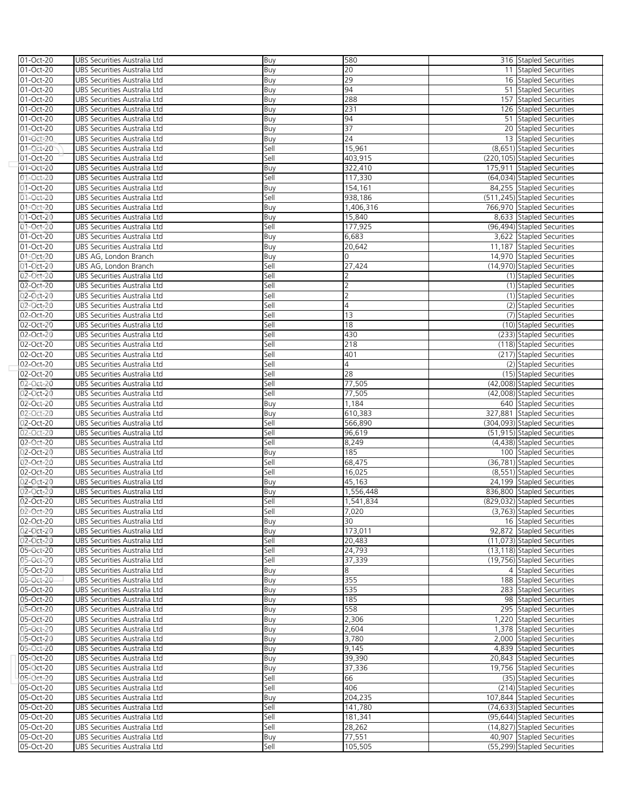| 01-Oct-20               | UBS Securities Australia Ltd | Buy  | 580            | 316 Stapled Securities       |
|-------------------------|------------------------------|------|----------------|------------------------------|
| 01-Oct-20               | UBS Securities Australia Ltd | Buy  | 20             | 11 Stapled Securities        |
| 01-Oct-20               | UBS Securities Australia Ltd | Buy  | 29             | 16 Stapled Securities        |
| 01-Oct-20               | UBS Securities Australia Ltd | Buy  | 94             | 51 Stapled Securities        |
| 01-Oct-20               | UBS Securities Australia Ltd | Buy  | 288            | 157 Stapled Securities       |
| 01-Oct-20               | UBS Securities Australia Ltd | Buy  | 231            | 126 Stapled Securities       |
| 01-Oct-20               | UBS Securities Australia Ltd | Buy  | 94             | 51 Stapled Securities        |
| 01-Oct-20               | UBS Securities Australia Ltd | Buy  | 37             | 20 Stapled Securities        |
| 01-Oct-20               | UBS Securities Australia Ltd | Buy  | 24             | 13 Stapled Securities        |
| 01-Oct-20               | UBS Securities Australia Ltd | Sell | 15,961         | (8,651) Stapled Securities   |
| 01-Oct-20               | UBS Securities Australia Ltd | Sell | 403,915        | (220,105) Stapled Securities |
| $\overline{01-0}$ ct-20 | UBS Securities Australia Ltd | Buy  | 322,410        | 175,911 Stapled Securities   |
| 01-Oct-20               | UBS Securities Australia Ltd | Sell | 117,330        | (64,034) Stapled Securities  |
| 01-Oct-20               | UBS Securities Australia Ltd | Buy  | 154,161        | 84,255 Stapled Securities    |
| 01-Oct-20               | UBS Securities Australia Ltd | Sell | 938,186        | (511,245) Stapled Securities |
| 01-Oct-20               | UBS Securities Australia Ltd | Buy  | 1,406,316      | 766,970 Stapled Securities   |
| 01-Oct-20               | UBS Securities Australia Ltd | Buy  | 15,840         | 8,633 Stapled Securities     |
| 01-Oct-20               | UBS Securities Australia Ltd | Sell | 177,925        | (96,494) Stapled Securities  |
| 01-Oct-20               | UBS Securities Australia Ltd | Buy  | 6,683          | 3,622 Stapled Securities     |
| 01-Oct-20               | UBS Securities Australia Ltd | Buy  | 20,642         | 11,187 Stapled Securities    |
| $01 - Oct-20$           | UBS AG, London Branch        | Buy  |                | 14,970 Stapled Securities    |
| 01-Oct-20               | UBS AG, London Branch        | Sell | 27,424         | (14,970) Stapled Securities  |
| 02-Oct-20               | UBS Securities Australia Ltd | Sell | 2              | (1) Stapled Securities       |
| 02-Oct-20               | UBS Securities Australia Ltd | Sell | 2              | (1) Stapled Securities       |
| 02-Oct-20               | UBS Securities Australia Ltd | Sell | $\overline{2}$ | (1) Stapled Securities       |
| 02-Oct-20               | UBS Securities Australia Ltd | Sell | 4              | (2) Stapled Securities       |
| 02-Oct-20               | UBS Securities Australia Ltd | Sell | 13             | (7) Stapled Securities       |
| 02-Oct-20               | UBS Securities Australia Ltd | Sell | 18             | (10) Stapled Securities      |
| 02-Oct-20               | UBS Securities Australia Ltd | Sell | 430            | (233) Stapled Securities     |
| 02-Oct-20               | UBS Securities Australia Ltd | Sell | 218            | (118) Stapled Securities     |
| 02-Oct-20               | UBS Securities Australia Ltd | Sell | 401            | (217) Stapled Securities     |
| 02-Oct-20               | UBS Securities Australia Ltd | Sell | 4              | (2) Stapled Securities       |
| 02-Oct-20               | UBS Securities Australia Ltd | Sell | 28             | (15) Stapled Securities      |
| 02-Oct-20               | UBS Securities Australia Ltd | Sell | 77,505         | (42,008) Stapled Securities  |
| 02-Oct-20               | UBS Securities Australia Ltd | Sell | 77,505         | (42,008) Stapled Securities  |
| 02-Oct-20               | UBS Securities Australia Ltd | Buy  | 1,184          | 640 Stapled Securities       |
| 02-Oct-20               | UBS Securities Australia Ltd | Buy  | 610,383        | 327,881 Stapled Securities   |
| 02-Oct-20               | UBS Securities Australia Ltd | Sell | 566,890        | (304,093) Stapled Securities |
| 02-Oct-20               | UBS Securities Australia Ltd | Sell | 96,619         | (51,915) Stapled Securities  |
| 02-Oct-20               | UBS Securities Australia Ltd | Sell | 8,249          | (4,438) Stapled Securities   |
| 02-Oct-20               | UBS Securities Australia Ltd | Buy  | 185            | 100 Stapled Securities       |
| 02-Oct-20               | UBS Securities Australia Ltd | Sell | 68,475         | (36,781) Stapled Securities  |
| 02-Oct-20               | UBS Securities Australia Ltd | Sell | 16,025         | (8,551) Stapled Securities   |
| 02-Oct-20               | UBS Securities Australia Ltd | Buy  | 45,163         | 24,199 Stapled Securities    |
| 02-Oct-20               | UBS Securities Australia Ltd | Buy  | 1,556,448      | 836,800 Stapled Securities   |
| 02-Oct-20               | UBS Securities Australia Ltd | Sell | 1,541,834      | (829,032) Stapled Securities |
| 02-Oct-20               | UBS Securities Australia Ltd | Sell | 7,020          | (3,763) Stapled Securities   |
| 02-Oct-20               | UBS Securities Australia Ltd | Buy  | 30             | 16 Stapled Securities        |
| 02-Oct-20               | UBS Securities Australia Ltd | Buy  | 173,011        | 92,872 Stapled Securities    |
| 02-Oct-20               | UBS Securities Australia Ltd | Sell | 20,483         | (11.073) Stapled Securities  |
| 05-Oct-20               | UBS Securities Australia Ltd | Sell | 24,793         | (13,118) Stapled Securities  |
| 05-Oct-20               | UBS Securities Australia Ltd | Sell | 37,339         | (19,756) Stapled Securities  |
| 05-Oct-20               | UBS Securities Australia Ltd | Buy  | 8              | 4 Stapled Securities         |
| 05-Oct-20               | UBS Securities Australia Ltd | Buy  | 355            | 188 Stapled Securities       |
| 05-Oct-20               | UBS Securities Australia Ltd | Buy  | 535            | 283 Stapled Securities       |
| 05-Oct-20               | UBS Securities Australia Ltd | Buy  | 185            | 98 Stapled Securities        |
| 05-Oct-20               | UBS Securities Australia Ltd | Buy  | 558            | 295 Stapled Securities       |
| 05-Oct-20               | UBS Securities Australia Ltd | Buy  | 2,306          | 1,220 Stapled Securities     |
| 05-Oct-20               | UBS Securities Australia Ltd | Buy  | 2,604          | 1,378 Stapled Securities     |
| 05-Oct-20               | UBS Securities Australia Ltd | Buy  | 3,780          | 2.000 Stapled Securities     |
| 05-Oct-20               | UBS Securities Australia Ltd | Buy  | 9,145          | 4,839 Stapled Securities     |
| 05-Oct-20               | UBS Securities Australia Ltd | Buy  | 39,390         | 20,843 Stapled Securities    |
| 05-Oct-20               | UBS Securities Australia Ltd | Buy  | 37,336         | 19,756 Stapled Securities    |
| 05-Oct-20               | UBS Securities Australia Ltd | Sell | 66             | (35) Stapled Securities      |
| 05-Oct-20               | UBS Securities Australia Ltd | Sell | 406            | (214) Stapled Securities     |
| 05-Oct-20               | UBS Securities Australia Ltd | Buy  | 204,235        | 107,844 Stapled Securities   |
| 05-Oct-20               | UBS Securities Australia Ltd | Sell | 141,780        | (74,633) Stapled Securities  |
| 05-Oct-20               | UBS Securities Australia Ltd | Sell | 181,341        | (95,644) Stapled Securities  |
| 05-Oct-20               | UBS Securities Australia Ltd | Sell | 28,262         | (14,827) Stapled Securities  |
| 05-Oct-20               | UBS Securities Australia Ltd | Buy  | 77,551         | 40,907 Stapled Securities    |
| 05-Oct-20               | UBS Securities Australia Ltd | Sell | 105,505        | (55,299) Stapled Securities  |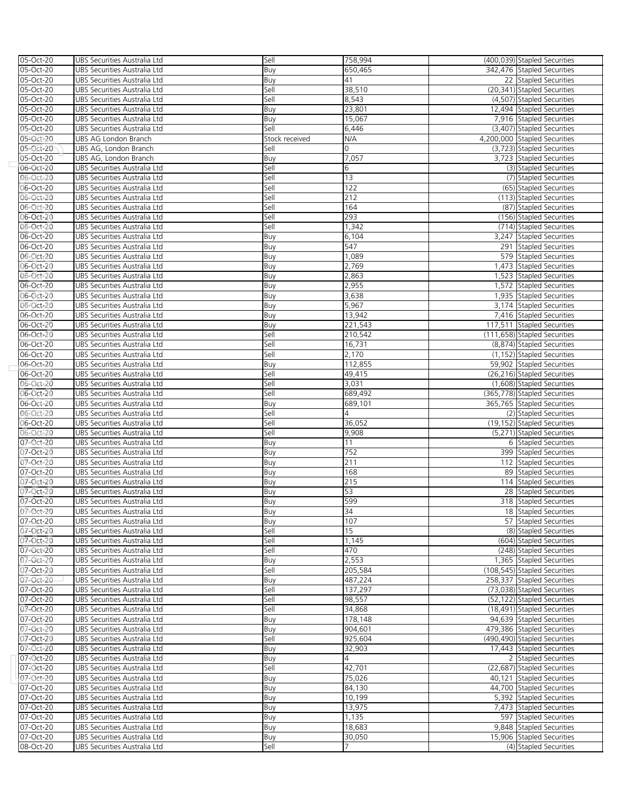| 05-Oct-20 | UBS Securities Australia Ltd | Sell           | 758,994         | (400,039) Stapled Securities |
|-----------|------------------------------|----------------|-----------------|------------------------------|
| 05-Oct-20 | UBS Securities Australia Ltd | Buy            | 650,465         | 342,476 Stapled Securities   |
|           |                              |                |                 |                              |
| 05-Oct-20 | UBS Securities Australia Ltd | Buy            | 41              | 22 Stapled Securities        |
| 05-Oct-20 | UBS Securities Australia Ltd | Sell           | 38,510          | (20,341) Stapled Securities  |
| 05-Oct-20 | UBS Securities Australia Ltd | Sell           | 8,543           | (4,507) Stapled Securities   |
| 05-Oct-20 | UBS Securities Australia Ltd | Buy            | 23,801          | 12,494 Stapled Securities    |
| 05-Oct-20 | UBS Securities Australia Ltd | Buy            | 15,067          | 7,916 Stapled Securities     |
| 05-Oct-20 | UBS Securities Australia Ltd | Sell           | 6,446           | (3,407) Stapled Securities   |
| 05-Oct-20 | UBS AG London Branch         | Stock received | N/A             | 4,200,000 Stapled Securities |
| 05-Oct-20 | UBS AG, London Branch        | Sell           | 0               | (3,723) Stapled Securities   |
|           | UBS AG, London Branch        |                | 7,057           | 3,723 Stapled Securities     |
| 05-Oct-20 |                              | Buy            |                 |                              |
| 06-Oct-20 | UBS Securities Australia Ltd | Sell           | 6               | (3) Stapled Securities       |
| 06-Oct-20 | UBS Securities Australia Ltd | Sell           | 13              | (7) Stapled Securities       |
| 06-Oct-20 | UBS Securities Australia Ltd | Sell           | 122             | (65) Stapled Securities      |
| 06-Oct-20 | UBS Securities Australia Ltd | Sell           | 212             | (113) Stapled Securities     |
| 06-Oct-20 | UBS Securities Australia Ltd | Sell           | 164             | (87) Stapled Securities      |
| 06-Oct-20 | UBS Securities Australia Ltd | Sell           | 293             | (156) Stapled Securities     |
| 06-Oct-20 | UBS Securities Australia Ltd | Sell           | 1,342           | (714) Stapled Securities     |
| 06-Oct-20 | UBS Securities Australia Ltd | Buy            | 6,104           | 3,247 Stapled Securities     |
|           |                              |                | 547             |                              |
| 06-Oct-20 | UBS Securities Australia Ltd | Buy            |                 | 291 Stapled Securities       |
| 06-Oct-20 | UBS Securities Australia Ltd | Buy            | 1,089           | 579 Stapled Securities       |
| 06-Oct-20 | UBS Securities Australia Ltd | Buy            | 2,769           | 1,473 Stapled Securities     |
| 06-Oct-20 | UBS Securities Australia Ltd | Buy            | 2,863           | 1,523 Stapled Securities     |
| 06-Oct-20 | UBS Securities Australia Ltd | Buy            | 2,955           | 1,572 Stapled Securities     |
| 06-Oct-20 | UBS Securities Australia Ltd | Buy            | 3,638           | 1,935 Stapled Securities     |
| 06-Oct-20 | UBS Securities Australia Ltd | Buy            | 5,967           | 3,174 Stapled Securities     |
| 06-Oct-20 | UBS Securities Australia Ltd | Buy            | 13,942          | 7,416 Stapled Securities     |
| 06-Oct-20 | UBS Securities Australia Ltd | Buy            | 221,543         | 117,511 Stapled Securities   |
| 06-Oct-20 | UBS Securities Australia Ltd | Sell           | 210,542         | (111,658) Stapled Securities |
| 06-Oct-20 | UBS Securities Australia Ltd | Sell           | 16,731          | (8,874) Stapled Securities   |
| 06-Oct-20 | UBS Securities Australia Ltd | Sell           | 2,170           | (1,152) Stapled Securities   |
| 06-Oct-20 | UBS Securities Australia Ltd | Buy            | 112,855         | 59,902 Stapled Securities    |
|           |                              |                |                 |                              |
| 06-Oct-20 | UBS Securities Australia Ltd | Sell           | 49,415          | (26,216) Stapled Securities  |
| 06-Oct-20 | UBS Securities Australia Ltd | Sell           | 3,031           | (1,608) Stapled Securities   |
| 06-Oct-20 | UBS Securities Australia Ltd | Sell           | 689,492         | (365,778) Stapled Securities |
| 06-Oct-20 | UBS Securities Australia Ltd | Buy            | 689,101         | 365,765 Stapled Securities   |
| 06-Oct-20 | UBS Securities Australia Ltd | Sell           | 4               | (2) Stapled Securities       |
| 06-Oct-20 | UBS Securities Australia Ltd | Sell           | 36,052          | (19,152) Stapled Securities  |
| 06-Oct-20 | UBS Securities Australia Ltd | Sell           | 9,908           | (5,271) Stapled Securities   |
| 07-Oct-20 | UBS Securities Australia Ltd | Buy            | 11              | 6 Stapled Securities         |
| 07-Oct-20 | UBS Securities Australia Ltd | Buy            | 752             | 399 Stapled Securities       |
| 07-Oct-20 | UBS Securities Australia Ltd | Buy            | 211             | 112 Stapled Securities       |
| 07-Oct-20 | UBS Securities Australia Ltd | Buy            | 168             | 89 Stapled Securities        |
| 07-Oct-20 | UBS Securities Australia Ltd | Buy            | 215             | 114 Stapled Securities       |
| 07-Oct-20 | UBS Securities Australia Ltd | Buy            | 53              | 28 Stapled Securities        |
| 07-Oct-20 | UBS Securities Australia Ltd |                | 599             | 318 Stapled Securities       |
| 07-Oct-20 |                              | Buy            | $\overline{34}$ |                              |
|           | UBS Securities Australia Ltd | Buy            |                 | 18 Stapled Securities        |
| 07-Oct-20 | UBS Securities Australia Ltd | Buy            | 107             | 57 Stapled Securities        |
| 07-Oct-20 | UBS Securities Australia Ltd | Sell           | 15              | (8) Stapled Securities       |
| 07-Oct-20 | UBS Securities Australia Ltd | Sell           | 1,145           | (604) Stapled Securities     |
| 07-Oct-20 | UBS Securities Australia Ltd | Sell           | 470             | (248) Stapled Securities     |
| 07-Oct-20 | UBS Securities Australia Ltd | Buy            | 2,553           | 1,365 Stapled Securities     |
| 07-Oct-20 | UBS Securities Australia Ltd | Sell           | 205,584         | (108,545) Stapled Securities |
| 07-Oct-20 | UBS Securities Australia Ltd | Buy            | 487,224         | 258,337 Stapled Securities   |
| 07-Oct-20 | UBS Securities Australia Ltd | Sell           | 137,297         | (73,038) Stapled Securities  |
| 07-Oct-20 | UBS Securities Australia Ltd | Sell           | 98,557          | (52,122) Stapled Securities  |
| 07-Oct-20 | UBS Securities Australia Ltd | Sell           | 34,868          | (18,491) Stapled Securities  |
| 07-Oct-20 | UBS Securities Australia Ltd | Buy            | 178,148         | 94,639 Stapled Securities    |
| 07-Oct-20 | UBS Securities Australia Ltd | Buy            | 904,601         | 479,386 Stapled Securities   |
| 07-Oct-20 | UBS Securities Australia Ltd | Sell           | 925,604         | (490,490) Stapled Securities |
| 07-Oct-20 | UBS Securities Australia Ltd | Buy            | 32,903          | 17,443 Stapled Securities    |
| 07-Oct-20 |                              |                | 4               |                              |
|           | UBS Securities Australia Ltd | Buy            |                 | 2 Stapled Securities         |
| 07-Oct-20 | UBS Securities Australia Ltd | Sell           | 42,701          | (22,687) Stapled Securities  |
| 07-Oct-20 | UBS Securities Australia Ltd | Buy            | 75,026          | 40,121 Stapled Securities    |
| 07-Oct-20 | UBS Securities Australia Ltd | Buy            | 84,130          | 44,700 Stapled Securities    |
| 07-Oct-20 | UBS Securities Australia Ltd | Buy            | 10,199          | 5,392 Stapled Securities     |
| 07-Oct-20 | UBS Securities Australia Ltd | Buy            | 13,975          | 7,473 Stapled Securities     |
| 07-Oct-20 | UBS Securities Australia Ltd | Buy            | 1,135           | 597 Stapled Securities       |
| 07-Oct-20 | UBS Securities Australia Ltd | Buy            | 18,683          | 9,848 Stapled Securities     |
| 07-Oct-20 | UBS Securities Australia Ltd | Buy            | 30,050          | 15,906 Stapled Securities    |
| 08-Oct-20 | UBS Securities Australia Ltd | Sell           |                 | (4) Stapled Securities       |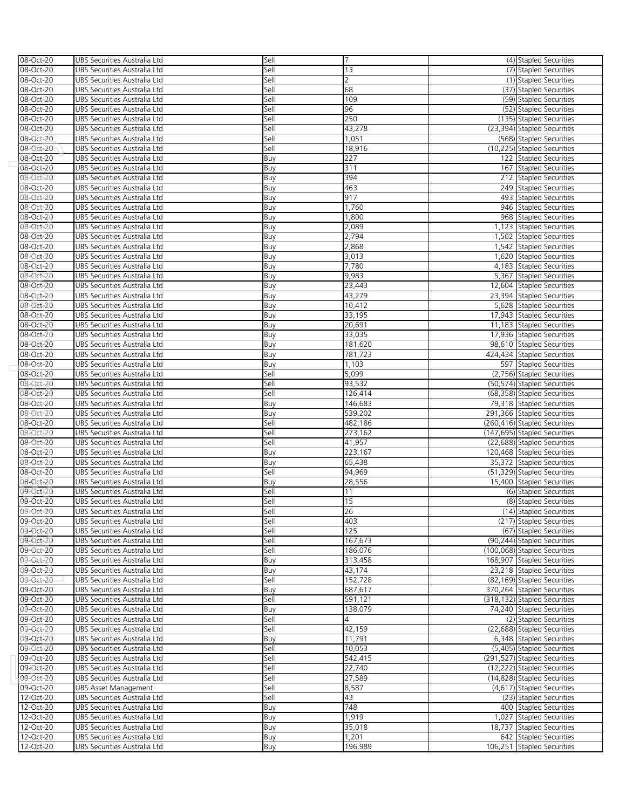| 08-Oct-20              | UBS Securities Australia Ltd                                 | Sell | 7       | (4) Stapled Securities                                    |
|------------------------|--------------------------------------------------------------|------|---------|-----------------------------------------------------------|
| 08-Oct-20              | UBS Securities Australia Ltd                                 | Sell | 13      | (7) Stapled Securities                                    |
| 08-Oct-20              | UBS Securities Australia Ltd                                 | Sell | 2       | (1) Stapled Securities                                    |
| 08-Oct-20              | UBS Securities Australia Ltd                                 | Sell | 68      | (37) Stapled Securities                                   |
| 08-Oct-20              | UBS Securities Australia Ltd                                 | Sell | 109     | (59) Stapled Securities                                   |
| 08-Oct-20              | UBS Securities Australia Ltd                                 | Sell | 96      | (52) Stapled Securities                                   |
| 08-Oct-20              | UBS Securities Australia Ltd                                 | Sell | 250     | (135) Stapled Securities                                  |
| 08-Oct-20              | UBS Securities Australia Ltd                                 | Sell | 43,278  | (23,394) Stapled Securities                               |
| 08-Oct-20              | UBS Securities Australia Ltd                                 | Sell | 1,051   | (568) Stapled Securities                                  |
|                        |                                                              |      |         | (10,225) Stapled Securities                               |
| 08-Oct-20              | UBS Securities Australia Ltd                                 | Sell | 18,916  |                                                           |
| 08-Oct-20              | UBS Securities Australia Ltd                                 | Buy  | 227     | 122 Stapled Securities                                    |
| 08-Oct-20              | UBS Securities Australia Ltd                                 | Buy  | 311     | 167 Stapled Securities                                    |
| 08-Oct-20              | UBS Securities Australia Ltd                                 | Buy  | 394     | 212 Stapled Securities                                    |
| 08-Oct-20              | UBS Securities Australia Ltd                                 | Buy  | 463     | 249 Stapled Securities                                    |
| 08-Oct-20              | UBS Securities Australia Ltd                                 | Buy  | 917     | 493 Stapled Securities                                    |
| 08-Oct-20              | UBS Securities Australia Ltd                                 | Buy  | 1,760   | 946 Stapled Securities                                    |
| 0 <b>8-Oct-20</b>      | UBS Securities Australia Ltd                                 | Buy  | 1,800   | 968 Stapled Securities                                    |
| 08-Oct-20              | UBS Securities Australia Ltd                                 | Buy  | 2,089   | 1,123 Stapled Securities                                  |
| 08-Oct-20              | UBS Securities Australia Ltd                                 | Buy  | 2,794   | 1,502 Stapled Securities                                  |
| 08-Oct-20              | UBS Securities Australia Ltd                                 | Buy  | 2,868   | 1,542 Stapled Securities                                  |
| 08-Oct-20              | UBS Securities Australia Ltd                                 | Buy  | 3,013   | 1,620 Stapled Securities                                  |
| 08-Oct-20              | UBS Securities Australia Ltd                                 | Buy  | 7,780   | 4,183 Stapled Securities                                  |
| 08-Oct-20              | UBS Securities Australia Ltd                                 | Buy  | 9,983   | 5,367 Stapled Securities                                  |
| 08-Oct-20              | UBS Securities Australia Ltd                                 | Buy  | 23,443  | 12,604 Stapled Securities                                 |
| 08-Oct-20              | UBS Securities Australia Ltd                                 | Buy  | 43,279  | 23,394 Stapled Securities                                 |
| 08-Oct-20              | UBS Securities Australia Ltd                                 | Buy  | 10,412  | 5,628 Stapled Securities                                  |
| 08-Oct-20              | UBS Securities Australia Ltd                                 | Buy  | 33,195  | 17,943 Stapled Securities                                 |
| 08-Oct-20              | UBS Securities Australia Ltd                                 | Buy  | 20,691  | 11,183 Stapled Securities                                 |
| 08-Oct-20              | UBS Securities Australia Ltd                                 | Buy  | 33,035  | 17,936 Stapled Securities                                 |
| 08-Oct-20              | UBS Securities Australia Ltd                                 | Buy  | 181,620 | 98.610 Stapled Securities                                 |
| 08-Oct-20              | UBS Securities Australia Ltd                                 | Buy  | 781,723 | 424,434 Stapled Securities                                |
| 08-Oct-20              | UBS Securities Australia Ltd                                 | Buy  | 1,103   | 597 Stapled Securities                                    |
| 08-Oct-20              | UBS Securities Australia Ltd                                 | Sell | 5,099   | (2,756) Stapled Securities                                |
| 08-Oct-20              | UBS Securities Australia Ltd                                 | Sell | 93,532  | (50,574) Stapled Securities                               |
| 08-Oct-20              | UBS Securities Australia Ltd                                 | Sell | 126,414 | (68,358) Stapled Securities                               |
| 08-Oct-20              | UBS Securities Australia Ltd                                 | Buy  | 146,683 | 79,318 Stapled Securities                                 |
| 08-Oct-20              | UBS Securities Australia Ltd                                 | Buy  | 539,202 | 291,366 Stapled Securities                                |
| 08-Oct-20              | UBS Securities Australia Ltd                                 | Sell | 482,186 | (260,416) Stapled Securities                              |
| 08-Oct-20              | UBS Securities Australia Ltd                                 | Sell | 273,162 | (147,695) Stapled Securities                              |
|                        |                                                              |      | 41,957  |                                                           |
| 08-Oct-20<br>08-Oct-20 | UBS Securities Australia Ltd<br>UBS Securities Australia Ltd | Sell | 223,167 | (22,688) Stapled Securities<br>120,468 Stapled Securities |
|                        |                                                              | Buy  |         |                                                           |
| 08-Oct-20              | UBS Securities Australia Ltd                                 | Buy  | 65,438  | 35,372 Stapled Securities                                 |
| 08-Oct-20              | UBS Securities Australia Ltd                                 | Sell | 94,969  | (51,329) Stapled Securities                               |
| 08-Oct-20              | UBS Securities Australia Ltd                                 | Buy  | 28,556  | 15,400 Stapled Securities                                 |
| 09-Oct-20              | UBS Securities Australia Ltd                                 | Sell | 11      | (6) Stapled Securities                                    |
| 09-Oct-20              | UBS Securities Australia Ltd                                 | Sell | 15      | (8) Stapled Securities                                    |
| 09-Oct-20              | UBS Securities Australia Ltd                                 | Sell | 26      | (14) Stapled Securities                                   |
| 09-Oct-20              | UBS Securities Australia Ltd                                 | Sell | 403     | (217) Stapled Securities                                  |
| 09-Oct-20              | UBS Securities Australia Ltd                                 | Sell | 125     | (67) Stapled Securities                                   |
| 09-Oct-20              | UBS Securities Australia Ltd                                 | Sell | 167,673 | (90.244) Stapled Securities                               |
| 09-Oct-20              | UBS Securities Australia Ltd                                 | Sell | 186,076 | (100,068) Stapled Securities                              |
| 09-Oct-20              | UBS Securities Australia Ltd                                 | Buy  | 313,458 | 168,907 Stapled Securities                                |
| 09-Oct-20              | UBS Securities Australia Ltd                                 | Buy  | 43,174  | 23,218 Stapled Securities                                 |
| 09-Oct-20              | UBS Securities Australia Ltd                                 | Sell | 152,728 | (82,169) Stapled Securities                               |
| 09-Oct-20              | UBS Securities Australia Ltd                                 | Buy  | 687,617 | 370,264 Stapled Securities                                |
| 09-Oct-20              | UBS Securities Australia Ltd                                 | Sell | 591,121 | (318,132) Stapled Securities                              |
| 09-Oct-20              | UBS Securities Australia Ltd                                 | Buy  | 138,079 | 74,240 Stapled Securities                                 |
| 09-Oct-20              | UBS Securities Australia Ltd                                 | Sell | 4       | (2) Stapled Securities                                    |
| 09-Oct-20              | UBS Securities Australia Ltd                                 | Sell | 42,159  | (22,688) Stapled Securities                               |
| 09-Oct-20              | UBS Securities Australia Ltd                                 | Buy  | 11,791  | 6,348 Stapled Securities                                  |
| 09-Oct-20              | UBS Securities Australia Ltd                                 | Sell | 10,053  | (5,405) Stapled Securities                                |
| 09-Oct-20              | UBS Securities Australia Ltd                                 | Sell | 542,415 | (291,527) Stapled Securities                              |
| 09-Oct-20              | UBS Securities Australia Ltd                                 | Sell | 22,740  | (12,222) Stapled Securities                               |
| 09-Oct-20              | UBS Securities Australia Ltd                                 | Sell | 27,589  | (14,828) Stapled Securities                               |
| 09-Oct-20              | <b>UBS Asset Management</b>                                  | Sell | 8,587   | (4,617) Stapled Securities                                |
| 12-Oct-20              | UBS Securities Australia Ltd                                 | Sell | 43      | (23) Stapled Securities                                   |
| 12-Oct-20              | UBS Securities Australia Ltd                                 | Buy  | 748     | 400 Stapled Securities                                    |
| 12-Oct-20              | UBS Securities Australia Ltd                                 | Buy  | 1,919   | 1,027 Stapled Securities                                  |
| 12-Oct-20              | UBS Securities Australia Ltd                                 | Buy  | 35,018  | 18,737 Stapled Securities                                 |
| 12-Oct-20              | UBS Securities Australia Ltd                                 | Buy  | 1,201   | 642 Stapled Securities                                    |
| 12-Oct-20              | UBS Securities Australia Ltd                                 | Buy  | 196,989 | 106,251 Stapled Securities                                |
|                        |                                                              |      |         |                                                           |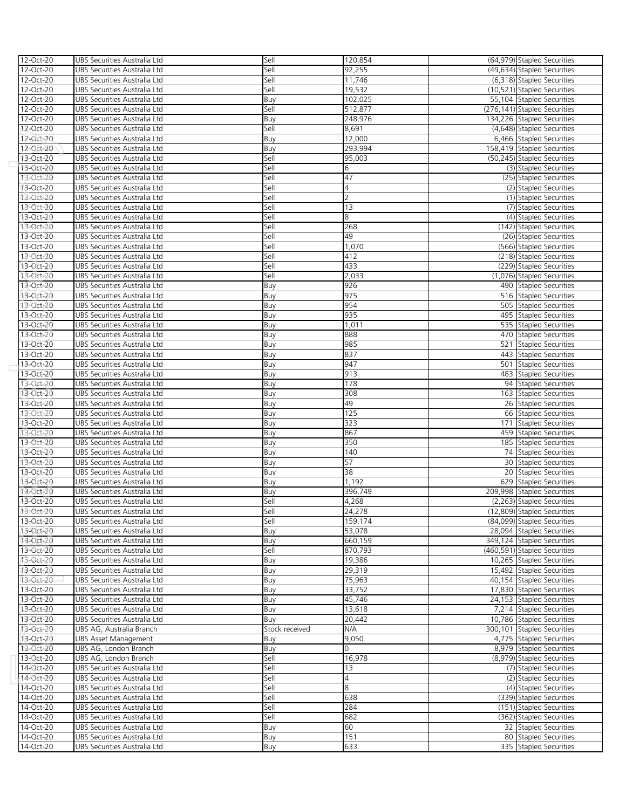| 12-Oct-20              | UBS Securities Australia Ltd                                 | Sell           | 120,854           | (64,979) Stapled Securities                     |
|------------------------|--------------------------------------------------------------|----------------|-------------------|-------------------------------------------------|
| 12-Oct-20              | UBS Securities Australia Ltd                                 | Sell           | 92,255            | (49,634) Stapled Securities                     |
| 12-Oct-20              | UBS Securities Australia Ltd                                 | Sell           | 11,746            | (6,318) Stapled Securities                      |
| 12-Oct-20              | UBS Securities Australia Ltd                                 | Sell           | 19,532            | (10,521) Stapled Securities                     |
| 12-Oct-20              | UBS Securities Australia Ltd                                 | Buy            | 102,025           | 55,104 Stapled Securities                       |
| 12-Oct-20              | UBS Securities Australia Ltd                                 | Sell           | 512,877           | (276,141) Stapled Securities                    |
| 12-Oct-20              | UBS Securities Australia Ltd                                 | Buy            | 248,976           | 134,226 Stapled Securities                      |
| 12-Oct-20              | UBS Securities Australia Ltd                                 | Sell           | 8,691             | (4,648) Stapled Securities                      |
| 12-Oct-20              | UBS Securities Australia Ltd                                 | Buy            | 12,000            | 6,466 Stapled Securities                        |
| 12-Oct-20              | UBS Securities Australia Ltd                                 | Buy            | 293,994           | 158,419 Stapled Securities                      |
| 13-Oct-20              | UBS Securities Australia Ltd                                 | Sell           | 95,003            | (50,245) Stapled Securities                     |
| 13-Oct-20              | UBS Securities Australia Ltd                                 | Sell           | 6                 | (3) Stapled Securities                          |
| 13-Oct-20              | UBS Securities Australia Ltd                                 | Sell           | 47                | (25) Stapled Securities                         |
| 13-Oct-20              | UBS Securities Australia Ltd                                 | Sell           | 4                 | (2) Stapled Securities                          |
| 13-Oct-20              | UBS Securities Australia Ltd                                 | Sell           | $\overline{2}$    | (1) Stapled Securities                          |
| 13-Oct-20              | UBS Securities Australia Ltd                                 | Sell           | 13                | (7) Stapled Securities                          |
| 13-Oct-20              | UBS Securities Australia Ltd                                 | Sell           | 8                 | (4) Stapled Securities                          |
| 13-Oct-20              | UBS Securities Australia Ltd                                 | Sell           | 268               | (142) Stapled Securities                        |
| 13-Oct-20              | UBS Securities Australia Ltd                                 | Sell           | 49                | (26) Stapled Securities                         |
| 13-Oct-20              | UBS Securities Australia Ltd                                 | Sell           | 1,070             | (566) Stapled Securities                        |
| 13-Oct-20              | UBS Securities Australia Ltd                                 | Sell           | 412               | (218) Stapled Securities                        |
| 13-Oct-20              | UBS Securities Australia Ltd                                 | Sell           | 433               | (229) Stapled Securities                        |
| 13-Oct-20              | UBS Securities Australia Ltd                                 | Sell           | 2,033             | (1,076) Stapled Securities                      |
| 13-Oct-20              | UBS Securities Australia Ltd                                 | Buy            | 926               | 490 Stapled Securities                          |
| 13-Oct-20              | UBS Securities Australia Ltd                                 | Buy            | 975               | 516 Stapled Securities                          |
| 13-Oct-20              | UBS Securities Australia Ltd                                 | Buy            | 954               | 505 Stapled Securities                          |
| 13-Oct-20              | UBS Securities Australia Ltd                                 | Buy            | 935               | 495 Stapled Securities                          |
| 13-Oct-20              | UBS Securities Australia Ltd                                 | Buy            | 1,011             | 535 Stapled Securities                          |
| 13-Oct-20              | UBS Securities Australia Ltd                                 | Buy            | 888               | 470 Stapled Securities                          |
| 13-Oct-20              | UBS Securities Australia Ltd                                 | Buy            | 985               | 521 Stapled Securities                          |
| 13-Oct-20              | UBS Securities Australia Ltd                                 | Buy            | 837               | 443 Stapled Securities                          |
| 13-Oct-20              | UBS Securities Australia Ltd                                 | Buy            | 947               | 501 Stapled Securities                          |
| 13-Oct-20              | UBS Securities Australia Ltd                                 | Buy            | 913               | 483 Stapled Securities                          |
| 13-Oct-20              | UBS Securities Australia Ltd                                 | Buy            | 178               | 94 Stapled Securities                           |
| 13-Oct-20              | UBS Securities Australia Ltd                                 | Buy            | 308               | 163 Stapled Securities                          |
| 13-Oct-20              | UBS Securities Australia Ltd                                 | Buy            | 49                | 26 Stapled Securities                           |
| 13-Oct-20              | UBS Securities Australia Ltd                                 | Buy            | 125               | 66 Stapled Securities                           |
| 13-Oct-20              | UBS Securities Australia Ltd                                 | Buy            | 323               | 171 Stapled Securities                          |
| 13-Oct-20              | UBS Securities Australia Ltd                                 | Buy            | 867               | 459 Stapled Securities                          |
| 13-Oct-20              | UBS Securities Australia Ltd                                 | Buy            | 350               | 185 Stapled Securities                          |
| 13-Oct-20              | UBS Securities Australia Ltd                                 | Buy            | 140               | 74 Stapled Securities                           |
| 13-Oct-20              | UBS Securities Australia Ltd                                 | Buy            | 57<br>38          | 30 Stapled Securities                           |
| 13-Oct-20              | UBS Securities Australia Ltd                                 | Buy            | 1,192             | 20 Stapled Securities<br>629 Stapled Securities |
| 13-Oct-20<br>13-Oct-20 | UBS Securities Australia Ltd<br>UBS Securities Australia Ltd | Buy            |                   | 209.998 Stapled Securities                      |
| 13-Oct-20              | UBS Securities Australia Ltd                                 | Buy<br>Sell    | 396,749<br>4,268  | (2,263) Stapled Securities                      |
| 13-Oct-20              | UBS Securities Australia Ltd                                 | Sell           |                   | (12,809) Stapled Securities                     |
| 13-Oct-20              | UBS Securities Australia Ltd                                 | Sell           | 24,278<br>159,174 | (84,099) Stapled Securities                     |
| 13-Oct-20              | UBS Securities Australia Ltd                                 | Buy            | 53,078            | 28,094 Stapled Securities                       |
| 13-Oct-20              | UBS Securities Australia Ltd                                 | Buy            | 660,159           | 349.124 Stapled Securities                      |
| 13-Oct-20              | UBS Securities Australia Ltd                                 | Sell           | 870,793           | (460,591) Stapled Securities                    |
| 13-Oct-20              | UBS Securities Australia Ltd                                 | Buy            | 19,386            | 10,265 Stapled Securities                       |
| 13-Oct-20              | UBS Securities Australia Ltd                                 | Buy            | 29,319            | 15,492 Stapled Securities                       |
| 13-Oct-20              | UBS Securities Australia Ltd                                 | Buy            | 75,963            | 40,154 Stapled Securities                       |
| 13-Oct-20              | UBS Securities Australia Ltd                                 | Buy            | 33,752            | 17,830 Stapled Securities                       |
| 13-Oct-20              | UBS Securities Australia Ltd                                 | Buy            | 45,746            | 24,153 Stapled Securities                       |
| 13-Oct-20              | UBS Securities Australia Ltd                                 | Buy            | 13,618            | 7,214 Stapled Securities                        |
| 13-Oct-20              | UBS Securities Australia Ltd                                 | Buy            | 20,442            | 10,786 Stapled Securities                       |
| 13-Oct-20              | UBS AG, Australia Branch                                     | Stock received | N/A               | 300,101 Stapled Securities                      |
| 13-Oct-20              | UBS Asset Management                                         | Buy            | 9,050             | 4,775 Stapled Securities                        |
| 13-Oct-20              | UBS AG, London Branch                                        | Buy            | 0                 | 8,979 Stapled Securities                        |
| 13-Oct-20              | UBS AG, London Branch                                        | Sell           | 16,978            | (8,979) Stapled Securities                      |
| 14-Oct-20              | UBS Securities Australia Ltd                                 | Sell           | 13                | (7) Stapled Securities                          |
| 14-Oct-20              | UBS Securities Australia Ltd                                 | Sell           | 4                 | (2) Stapled Securities                          |
| 14-Oct-20              | UBS Securities Australia Ltd                                 | Sell           | 8                 | (4) Stapled Securities                          |
| 14-Oct-20              | UBS Securities Australia Ltd                                 | Sell           | 638               | (339) Stapled Securities                        |
| 14-Oct-20              | UBS Securities Australia Ltd                                 | Sell           | 284               | (151) Stapled Securities                        |
| 14-Oct-20              | UBS Securities Australia Ltd                                 | Sell           | 682               | (362) Stapled Securities                        |
| 14-Oct-20              | UBS Securities Australia Ltd                                 | Buy            | 60                | 32 Stapled Securities                           |
| 14-Oct-20              | UBS Securities Australia Ltd                                 | Buy            | 151               | 80 Stapled Securities                           |
| 14-Oct-20              | UBS Securities Australia Ltd                                 | Buy            | 633               | 335 Stapled Securities                          |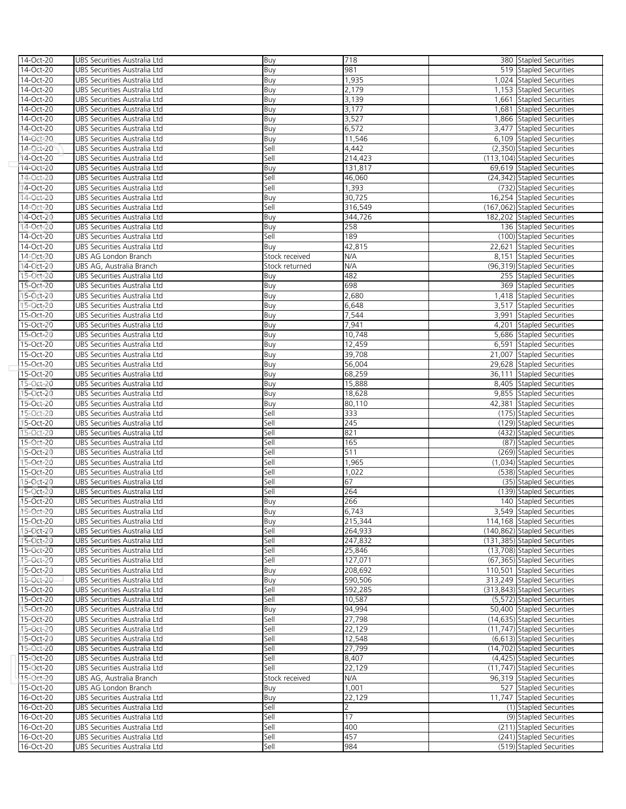| 14-Oct-20 | UBS Securities Australia Ltd | Buy            | 718            | 380 Stapled Securities       |
|-----------|------------------------------|----------------|----------------|------------------------------|
| 14-Oct-20 | UBS Securities Australia Ltd | Buy            | 981            | 519 Stapled Securities       |
| 14-Oct-20 | UBS Securities Australia Ltd | Buy            | 1,935          | 1,024 Stapled Securities     |
| 14-Oct-20 | UBS Securities Australia Ltd | Buy            | 2,179          | 1,153 Stapled Securities     |
| 14-Oct-20 | UBS Securities Australia Ltd | Buy            | 3,139          | 1,661 Stapled Securities     |
| 14-Oct-20 | UBS Securities Australia Ltd | Buy            | 3,177          | 1,681 Stapled Securities     |
| 14-Oct-20 | UBS Securities Australia Ltd | Buy            | 3,527          | 1,866 Stapled Securities     |
| 14-Oct-20 | UBS Securities Australia Ltd | Buy            | 6,572          | 3,477 Stapled Securities     |
| 14-Oct-20 | UBS Securities Australia Ltd | Buy            | 11,546         | 6,109 Stapled Securities     |
| 14-Oct-20 | UBS Securities Australia Ltd | Sell           | 4,442          | (2,350) Stapled Securities   |
| 14-Oct-20 | UBS Securities Australia Ltd | Sell           | 214,423        | (113,104) Stapled Securities |
| 14-Oct-20 | UBS Securities Australia Ltd | Buy            | 131,817        | 69,619 Stapled Securities    |
| 14-Oct-20 | UBS Securities Australia Ltd | Sell           |                | (24,342) Stapled Securities  |
|           | UBS Securities Australia Ltd | Sell           | 46,060         | (732) Stapled Securities     |
| 14-Oct-20 |                              |                | 1,393          |                              |
| 14-Oct-20 | UBS Securities Australia Ltd | Buy            | 30,725         | 16,254 Stapled Securities    |
| 14-Oct-20 | UBS Securities Australia Ltd | Sell           | 316,549        | (167,062) Stapled Securities |
| 14-Oct-20 | UBS Securities Australia Ltd | Buy            | 344,726        | 182,202 Stapled Securities   |
| 14-Oct-20 | UBS Securities Australia Ltd | Buy            | 258            | 136 Stapled Securities       |
| 14-Oct-20 | UBS Securities Australia Ltd | Sell           | 189            | (100) Stapled Securities     |
| 14-Oct-20 | UBS Securities Australia Ltd | Buy            | 42,815         | 22,621 Stapled Securities    |
| 14-Oct-20 | UBS AG London Branch         | Stock received | N/A            | 8,151 Stapled Securities     |
| 14-Oct-20 | UBS AG, Australia Branch     | Stock returned | N/A            | (96,319) Stapled Securities  |
| 15-Oct-20 | UBS Securities Australia Ltd | Buy            | 482            | 255 Stapled Securities       |
| 15-Oct-20 | UBS Securities Australia Ltd | Buy            | 698            | 369 Stapled Securities       |
| 15-Oct-20 | UBS Securities Australia Ltd | Buy            | 2,680          | 1,418 Stapled Securities     |
| 15-Oct-20 | UBS Securities Australia Ltd | Buy            | 6,648          | 3,517 Stapled Securities     |
| 15-Oct-20 | UBS Securities Australia Ltd | Buy            | 7,544          | 3,991 Stapled Securities     |
| 15-Oct-20 | UBS Securities Australia Ltd | Buy            | 7,941          | 4,201 Stapled Securities     |
| 15-Oct-20 | UBS Securities Australia Ltd | Buy            | 10,748         | 5,686 Stapled Securities     |
| 15-Oct-20 | UBS Securities Australia Ltd | Buy            | 12,459         | 6,591 Stapled Securities     |
| 15-Oct-20 | UBS Securities Australia Ltd | Buy            | 39,708         | 21,007 Stapled Securities    |
| 15-Oct-20 | UBS Securities Australia Ltd | Buy            | 56,004         | 29,628 Stapled Securities    |
| 15-Oct-20 | UBS Securities Australia Ltd | Buy            | 68,259         | 36,111 Stapled Securities    |
| 15-Oct-20 | UBS Securities Australia Ltd | Buy            | 15,888         | 8,405 Stapled Securities     |
| 15-Oct-20 | UBS Securities Australia Ltd | Buy            | 18,628         | 9,855 Stapled Securities     |
| 15-Oct-20 | UBS Securities Australia Ltd |                | 80,110         | 42,381 Stapled Securities    |
|           |                              | Buy            | 333            |                              |
| 15-Oct-20 | UBS Securities Australia Ltd | Sell           |                | (175) Stapled Securities     |
| 15-Oct-20 | UBS Securities Australia Ltd | Sell           | 245            | (129) Stapled Securities     |
| 15-Oct-20 | UBS Securities Australia Ltd | Sell           | 821            | (432) Stapled Securities     |
| 15-Oct-20 | UBS Securities Australia Ltd | Sell           | 165            | (87) Stapled Securities      |
| 15-Oct-20 | UBS Securities Australia Ltd | Sell           | 511            | (269) Stapled Securities     |
| 15-Oct-20 | UBS Securities Australia Ltd | Sell           | 1,965          | (1,034) Stapled Securities   |
| 15-Oct-20 | UBS Securities Australia Ltd | Sell           | 1,022          | (538) Stapled Securities     |
| 15-Oct-20 | UBS Securities Australia Ltd | Sell           | 67             | (35) Stapled Securities      |
| 15-Oct-20 | UBS Securities Australia Ltd | Sell           | 264            | (139) Stapled Securities     |
| 15-Oct-20 | UBS Securities Australia Ltd | Buy            | 266            | 140 Stapled Securities       |
| 15-Oct-20 | UBS Securities Australia Ltd | Buv            | 6.743          | 3,549 Stapled Securities     |
| 15-Oct-20 | UBS Securities Australia Ltd | Buy            | 215,344        | 114,168 Stapled Securities   |
| 15-Oct-20 | UBS Securities Australia Ltd | Sell           | 264,933        | (140,862) Stapled Securities |
| 15-Oct-20 | UBS Securities Australia Ltd | Sell           | 247,832        | (131.385) Stapled Securities |
| 15-Oct-20 | UBS Securities Australia Ltd | Sell           | 25,846         | (13,708) Stapled Securities  |
| 15-Oct-20 | UBS Securities Australia Ltd | Sell           | 127,071        | (67,365) Stapled Securities  |
| 15-Oct-20 | UBS Securities Australia Ltd | Buy            | 208,692        | 110,501 Stapled Securities   |
| 15-Oct-20 | UBS Securities Australia Ltd | Buy            | 590,506        | 313,249 Stapled Securities   |
| 15-Oct-20 | UBS Securities Australia Ltd | Sell           | 592,285        | (313,843) Stapled Securities |
| 15-Oct-20 | UBS Securities Australia Ltd | Sell           | 10,587         | (5,572) Stapled Securities   |
| 15-Oct-20 | UBS Securities Australia Ltd | Buy            | 94,994         | 50,400 Stapled Securities    |
| 15-Oct-20 | UBS Securities Australia Ltd | Sell           | 27,798         | (14,635) Stapled Securities  |
| 15-Oct-20 | UBS Securities Australia Ltd | Sell           | 22,129         | (11,747) Stapled Securities  |
| 15-Oct-20 | UBS Securities Australia Ltd | Sell           | 12,548         | (6,613) Stapled Securities   |
| 15-Oct-20 | UBS Securities Australia Ltd | Sell           | 27,799         | (14,702) Stapled Securities  |
| 15-Oct-20 | UBS Securities Australia Ltd | Sell           | 8,407          | (4,425) Stapled Securities   |
| 15-Oct-20 | UBS Securities Australia Ltd | Sell           | 22,129         | (11,747) Stapled Securities  |
| 15-Oct-20 | UBS AG, Australia Branch     | Stock received | N/A            | 96,319 Stapled Securities    |
| 15-Oct-20 | UBS AG London Branch         | Buy            | 1,001          | 527 Stapled Securities       |
| 16-Oct-20 | UBS Securities Australia Ltd |                | 22,129         | 11,747 Stapled Securities    |
|           |                              | Buy            | $\overline{2}$ |                              |
| 16-Oct-20 | UBS Securities Australia Ltd | Sell           |                | (1) Stapled Securities       |
| 16-Oct-20 | UBS Securities Australia Ltd | Sell           | 17             | (9) Stapled Securities       |
| 16-Oct-20 | UBS Securities Australia Ltd | Sell           | 400            | (211) Stapled Securities     |
| 16-Oct-20 | UBS Securities Australia Ltd | Sell           | 457            | (241) Stapled Securities     |
| 16-Oct-20 | UBS Securities Australia Ltd | Sell           | 984            | (519) Stapled Securities     |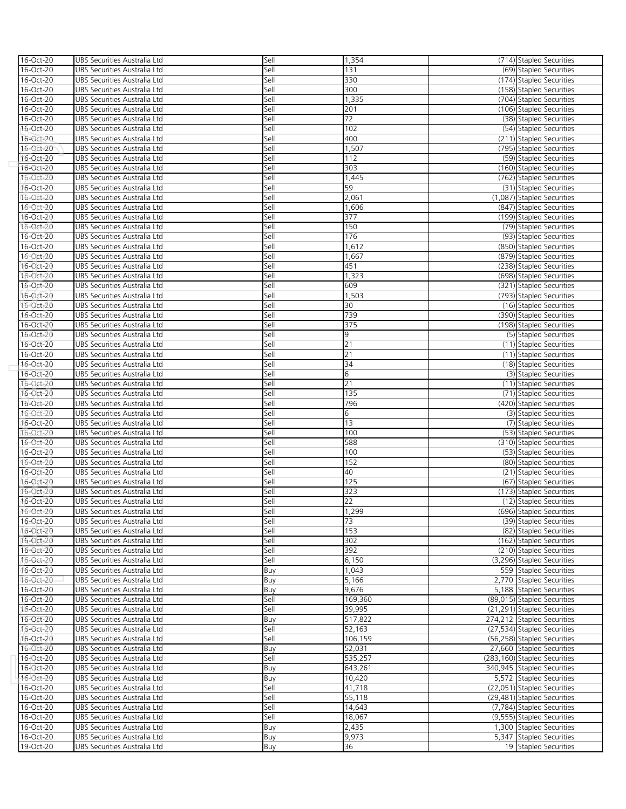| 16-Oct-20              | UBS Securities Australia Ltd                                 | Sell         | 1,354           | (714) Stapled Securities                           |
|------------------------|--------------------------------------------------------------|--------------|-----------------|----------------------------------------------------|
| 16-Oct-20              | UBS Securities Australia Ltd                                 | Sell         | 131             | (69) Stapled Securities                            |
| 16-Oct-20              | UBS Securities Australia Ltd                                 | Sell         | 330             | (174) Stapled Securities                           |
| 16-Oct-20              | UBS Securities Australia Ltd                                 | Sell         | 300             | (158) Stapled Securities                           |
| 16-Oct-20              | UBS Securities Australia Ltd                                 | Sell         | 1,335           | (704) Stapled Securities                           |
| 16-Oct-20              | UBS Securities Australia Ltd                                 | Sell         | 201             | (106) Stapled Securities                           |
| 16-Oct-20              | UBS Securities Australia Ltd                                 | Sell         | $\overline{72}$ | (38) Stapled Securities                            |
| 16-Oct-20              | UBS Securities Australia Ltd                                 | Sell         | 102             | (54) Stapled Securities                            |
| 16-Oct-20              | UBS Securities Australia Ltd                                 | Sell         | 400             | (211) Stapled Securities                           |
| 16-Oct-20              | UBS Securities Australia Ltd                                 | Sell         | 1,507           | (795) Stapled Securities                           |
| 16-Oct-20              | UBS Securities Australia Ltd                                 | Sell         | 112             | (59) Stapled Securities                            |
| 16-Oct-20              | UBS Securities Australia Ltd                                 | Sell         | 303             | (160) Stapled Securities                           |
| 16-Oct-20              | UBS Securities Australia Ltd                                 | Sell         | 1,445           | (762) Stapled Securities                           |
| 16-Oct-20              | UBS Securities Australia Ltd                                 | Sell         | 59              | (31) Stapled Securities                            |
| 16-Oct-20              | UBS Securities Australia Ltd                                 | Sell         | 2,061           | (1,087) Stapled Securities                         |
| 16-Oct-20              | UBS Securities Australia Ltd                                 | Sell         | 1,606           | (847) Stapled Securities                           |
| 16-Oct-20              | UBS Securities Australia Ltd                                 | Sell         | 377             | (199) Stapled Securities                           |
| 16-Oct-20              | UBS Securities Australia Ltd                                 | Sell         | 150             | (79) Stapled Securities                            |
| 16-Oct-20              | UBS Securities Australia Ltd                                 | Sell         | 176             | (93) Stapled Securities                            |
| 16-Oct-20              | UBS Securities Australia Ltd                                 | Sell         | 1,612           | (850) Stapled Securities                           |
| 16-Oct-20              | UBS Securities Australia Ltd                                 | Sell         | 1,667           | (879) Stapled Securities                           |
| 16-Oct-20              | UBS Securities Australia Ltd                                 | Sell         | 451             | (238) Stapled Securities                           |
| 16-Oct-20              | UBS Securities Australia Ltd                                 | Sell         | 1,323           | (698) Stapled Securities                           |
| 16-Oct-20              | UBS Securities Australia Ltd                                 | Sell         | 609             | (321) Stapled Securities                           |
| 16-Oct-20              | UBS Securities Australia Ltd                                 | Sell         | 1,503           | (793) Stapled Securities                           |
| 16-Oct-20              | UBS Securities Australia Ltd                                 | Sell         | 30              | (16) Stapled Securities                            |
| 16-Oct-20              | UBS Securities Australia Ltd                                 | Sell         | 739             | (390) Stapled Securities                           |
| 16-Oct-20              | UBS Securities Australia Ltd                                 | Sell         | 375             | (198) Stapled Securities                           |
| 16-Oct-20              | UBS Securities Australia Ltd                                 | Sell         | 9               | (5) Stapled Securities                             |
| 16-Oct-20              | UBS Securities Australia Ltd                                 | Sell         | 21              | (11) Stapled Securities                            |
| 16-Oct-20              | UBS Securities Australia Ltd                                 | Sell         | 21              | (11) Stapled Securities                            |
| 16-Oct-20              | UBS Securities Australia Ltd                                 | Sell         | 34              | (18) Stapled Securities                            |
| 16-Oct-20              | UBS Securities Australia Ltd                                 | Sell         | 6               | (3) Stapled Securities                             |
| 16-Oct-20              | UBS Securities Australia Ltd                                 | Sell         | 21              | (11) Stapled Securities                            |
| 16-Oct-20              | UBS Securities Australia Ltd                                 | Sell<br>Sell | 135<br>796      | (71) Stapled Securities                            |
| 16-Oct-20<br>16-Oct-20 | UBS Securities Australia Ltd<br>UBS Securities Australia Ltd | Sell         | 6               | (420) Stapled Securities<br>(3) Stapled Securities |
| 16-Oct-20              | UBS Securities Australia Ltd                                 | Sell         | 13              | (7) Stapled Securities                             |
| 16-Oct-20              | UBS Securities Australia Ltd                                 | Sell         | 100             | (53) Stapled Securities                            |
| 16-Oct-20              | UBS Securities Australia Ltd                                 | Sell         | 588             | (310) Stapled Securities                           |
| 16-Oct-20              | UBS Securities Australia Ltd                                 | Sell         | 100             | (53) Stapled Securities                            |
| 16-Oct-20              | UBS Securities Australia Ltd                                 | Sell         | 152             | (80) Stapled Securities                            |
| 16-Oct-20              | UBS Securities Australia Ltd                                 | Sell         | 40              | (21) Stapled Securities                            |
| 16-Oct-20              | UBS Securities Australia Ltd                                 | Sell         | 125             | (67) Stapled Securities                            |
| 16-Oct-20              | UBS Securities Australia Ltd                                 | Sell         | 323             | (173) Stapled Securities                           |
| 16-Oct-20              | UBS Securities Australia Ltd                                 | Sell         | 22              | (12) Stapled Securities                            |
| 16-Oct-20              | UBS Securities Australia Ltd                                 | Sell         | 1,299           | (696) Stapled Securities                           |
| 16-Oct-20              | UBS Securities Australia Ltd                                 | Sell         | 73              | (39) Stapled Securities                            |
| 16-Oct-20              | UBS Securities Australia Ltd                                 | Sell         | 153             | (82) Stapled Securities                            |
| 16-Oct-20              | UBS Securities Australia Ltd                                 | Sell         | 302             | (162) Stapled Securities                           |
| 16-Oct-20              | UBS Securities Australia Ltd                                 | Sell         | 392             | (210) Stapled Securities                           |
| 16-Oct-20              | UBS Securities Australia Ltd                                 | Sell         | 6,150           | (3,296) Stapled Securities                         |
| 16-Oct-20              | UBS Securities Australia Ltd                                 | Buy          | 1,043           | 559 Stapled Securities                             |
| 16-Oct-20              | UBS Securities Australia Ltd                                 | Buy          | 5,166           | 2,770 Stapled Securities                           |
| 16-Oct-20              | UBS Securities Australia Ltd                                 | Buy          | 9,676           | 5,188 Stapled Securities                           |
| 16-Oct-20              | UBS Securities Australia Ltd                                 | Sell         | 169,360         | (89,015) Stapled Securities                        |
| 16-Oct-20              | UBS Securities Australia Ltd                                 | Sell         | 39,995          | (21,291) Stapled Securities                        |
| 16-Oct-20              | UBS Securities Australia Ltd                                 | Buy          | 517,822         | 274,212 Stapled Securities                         |
| 16-Oct-20              | UBS Securities Australia Ltd                                 | Sell         | 52,163          | (27,534) Stapled Securities                        |
| 16-Oct-20              | UBS Securities Australia Ltd                                 | Sell         | 106,159         | (56,258) Stapled Securities                        |
| 16-Oct-20              | UBS Securities Australia Ltd                                 | Buy          | 52,031          | 27,660 Stapled Securities                          |
| 16-Oct-20              | UBS Securities Australia Ltd                                 | Sell         | 535,257         | (283,160) Stapled Securities                       |
| 16-Oct-20              | UBS Securities Australia Ltd                                 | Buy          | 643,261         | 340,945 Stapled Securities                         |
| 16-Oct-20              | UBS Securities Australia Ltd                                 | Buy          | 10,420          | 5,572 Stapled Securities                           |
| 16-Oct-20              | UBS Securities Australia Ltd                                 | Sell         | 41,718          | (22,051) Stapled Securities                        |
| 16-Oct-20              | UBS Securities Australia Ltd                                 | Sell         | 55,118          | (29,481) Stapled Securities                        |
| 16-Oct-20              | UBS Securities Australia Ltd                                 | Sell         | 14,643          | (7,784) Stapled Securities                         |
| 16-Oct-20              | UBS Securities Australia Ltd                                 | Sell         | 18,067          | (9,555) Stapled Securities                         |
| 16-Oct-20              | UBS Securities Australia Ltd                                 | Buy          | 2,435           | 1,300 Stapled Securities                           |
| 16-Oct-20              | UBS Securities Australia Ltd                                 | Buy          | 9,973           | 5,347 Stapled Securities                           |
| 19-Oct-20              | UBS Securities Australia Ltd                                 | Buy          | 36              | 19 Stapled Securities                              |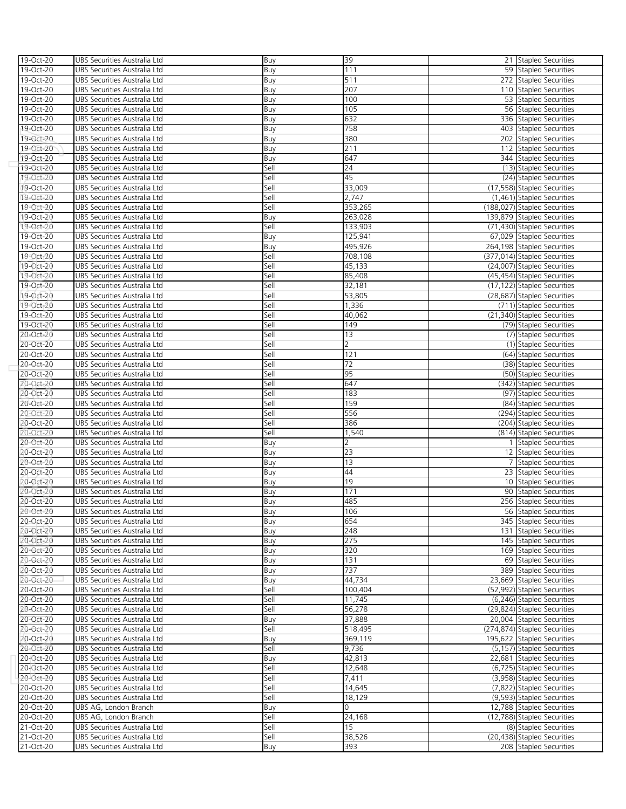| 19-Oct-20 | UBS Securities Australia Ltd | Buy  | 39             | 21 Stapled Securities        |
|-----------|------------------------------|------|----------------|------------------------------|
| 19-Oct-20 | UBS Securities Australia Ltd | Buy  | 111            | 59 Stapled Securities        |
| 19-Oct-20 | UBS Securities Australia Ltd | Buy  | 511            | 272 Stapled Securities       |
| 19-Oct-20 | UBS Securities Australia Ltd | Buy  | 207            | 110 Stapled Securities       |
| 19-Oct-20 | UBS Securities Australia Ltd | Buy  | 100            | 53 Stapled Securities        |
| 19-Oct-20 | UBS Securities Australia Ltd | Buy  | 105            | 56 Stapled Securities        |
| 19-Oct-20 | UBS Securities Australia Ltd | Buy  | 632            | 336 Stapled Securities       |
| 19-Oct-20 | UBS Securities Australia Ltd | Buy  | 758            | 403 Stapled Securities       |
| 19-Oct-20 | UBS Securities Australia Ltd | Buy  | 380            | 202 Stapled Securities       |
| 19-Oct-20 | UBS Securities Australia Ltd | Buy  | 211            | 112 Stapled Securities       |
| 19-Oct-20 | UBS Securities Australia Ltd | Buy  | 647            | 344 Stapled Securities       |
| 19-Oct-20 | UBS Securities Australia Ltd | Sell | 24             | (13) Stapled Securities      |
| 19-Oct-20 | UBS Securities Australia Ltd | Sell | 45             | (24) Stapled Securities      |
| 19-Oct-20 | UBS Securities Australia Ltd | Sell | 33,009         | (17,558) Stapled Securities  |
| 19-Oct-20 | UBS Securities Australia Ltd | Sell | 2,747          | (1,461) Stapled Securities   |
| 19-Oct-20 | UBS Securities Australia Ltd | Sell | 353,265        | (188,027) Stapled Securities |
| 19-Oct-20 | UBS Securities Australia Ltd | Buy  | 263,028        | 139,879 Stapled Securities   |
| 19-Oct-20 | UBS Securities Australia Ltd | Sell | 133,903        | (71,430) Stapled Securities  |
| 19-Oct-20 | UBS Securities Australia Ltd | Buy  | 125,941        | 67,029 Stapled Securities    |
| 19-Oct-20 | UBS Securities Australia Ltd | Buy  | 495,926        | 264,198 Stapled Securities   |
| 19-Oct-20 | UBS Securities Australia Ltd | Sell | 708,108        | (377,014) Stapled Securities |
| 19-Oct-20 | UBS Securities Australia Ltd | Sell | 45,133         | (24,007) Stapled Securities  |
| 19-Oct-20 | UBS Securities Australia Ltd | Sell | 85,408         | (45,454) Stapled Securities  |
| 19-Oct-20 | UBS Securities Australia Ltd | Sell | 32,181         | (17,122) Stapled Securities  |
| 19-Oct-20 | UBS Securities Australia Ltd | Sell | 53,805         | (28,687) Stapled Securities  |
| 19-Oct-20 | UBS Securities Australia Ltd | Sell | 1,336          | (711) Stapled Securities     |
| 19-Oct-20 | UBS Securities Australia Ltd | Sell | 40,062         | (21,340) Stapled Securities  |
| 19-Oct-20 | UBS Securities Australia Ltd | Sell | 149            | (79) Stapled Securities      |
| 20-Oct-20 | UBS Securities Australia Ltd | Sell | 13             | (7) Stapled Securities       |
| 20-Oct-20 | UBS Securities Australia Ltd | Sell | $\overline{2}$ | (1) Stapled Securities       |
| 20-Oct-20 | UBS Securities Australia Ltd | Sell | 121            | (64) Stapled Securities      |
| 20-Oct-20 | UBS Securities Australia Ltd | Sell | 72             | (38) Stapled Securities      |
| 20-Oct-20 | UBS Securities Australia Ltd | Sell | 95             | (50) Stapled Securities      |
| 20-Oct-20 | UBS Securities Australia Ltd | Sell | 647            | (342) Stapled Securities     |
| 20-Oct-20 | UBS Securities Australia Ltd | Sell | 183            | (97) Stapled Securities      |
| 20-Oct-20 | UBS Securities Australia Ltd | Sell | 159            | (84) Stapled Securities      |
| 20-Oct-20 | UBS Securities Australia Ltd | Sell | 556            | (294) Stapled Securities     |
| 20-Oct-20 | UBS Securities Australia Ltd | Sell | 386            | (204) Stapled Securities     |
| 20-Oct-20 | UBS Securities Australia Ltd | Sell | 1,540          | (814) Stapled Securities     |
| 20-Oct-20 | UBS Securities Australia Ltd | Buy  | 2              | 1 Stapled Securities         |
| 20-Oct-20 | UBS Securities Australia Ltd | Buy  | 23             | 12 Stapled Securities        |
| 20-Oct-20 | UBS Securities Australia Ltd | Buy  | 13             | 7 Stapled Securities         |
| 20-Oct-20 | UBS Securities Australia Ltd | Buy  | 44             | 23 Stapled Securities        |
| 20-Oct-20 | UBS Securities Australia Ltd | Buy  | 19             | 10 Stapled Securities        |
| 20-Oct-20 | UBS Securities Australia Ltd | Buy  | 171            | 90 Stapled Securities        |
| 20-Oct-20 | UBS Securities Australia Ltd | Buy  | 485            | 256 Stapled Securities       |
| 20-Oct-20 | UBS Securities Australia Ltd | Buv  | 106            | 56 Stapled Securities        |
| 20-Oct-20 | UBS Securities Australia Ltd | Buy  | 654            | 345 Stapled Securities       |
| 20-Oct-20 | UBS Securities Australia Ltd | Buy  | 248            | 131 Stapled Securities       |
| 20-Oct-20 | UBS Securities Australia Ltd | Buy  | 275            | 145 Stapled Securities       |
| 20-Oct-20 | UBS Securities Australia Ltd | Buy  | 320            | 169 Stapled Securities       |
| 20-Oct-20 | UBS Securities Australia Ltd | Buy  | 131            | 69 Stapled Securities        |
| 20-Oct-20 | UBS Securities Australia Ltd | Buy  | 737            | 389 Stapled Securities       |
| 20-Oct-20 | UBS Securities Australia Ltd | Buy  | 44,734         | 23,669 Stapled Securities    |
| 20-Oct-20 | UBS Securities Australia Ltd | Sell | 100,404        | (52.992) Stapled Securities  |
| 20-Oct-20 | UBS Securities Australia Ltd | Sell | 11,745         | (6,246) Stapled Securities   |
| 20-Oct-20 | UBS Securities Australia Ltd | Sell | 56,278         | (29,824) Stapled Securities  |
| 20-Oct-20 | UBS Securities Australia Ltd | Buy  | 37,888         | 20,004 Stapled Securities    |
| 20-Oct-20 | UBS Securities Australia Ltd | Sell | 518,495        | (274,874) Stapled Securities |
| 20-Oct-20 | UBS Securities Australia Ltd | Buy  | 369,119        | 195,622 Stapled Securities   |
| 20-Oct-20 | UBS Securities Australia Ltd | Sell | 9,736          | (5,157) Stapled Securities   |
| 20-Oct-20 | UBS Securities Australia Ltd | Buy  | 42,813         | 22,681 Stapled Securities    |
| 20-Oct-20 | UBS Securities Australia Ltd | Sell | 12,648         | (6,725) Stapled Securities   |
| 20-Oct-20 | UBS Securities Australia Ltd | Sell | 7,411          | (3,958) Stapled Securities   |
| 20-Oct-20 | UBS Securities Australia Ltd | Sell | 14,645         | (7,822) Stapled Securities   |
| 20-Oct-20 | UBS Securities Australia Ltd | Sell | 18,129         | (9,593) Stapled Securities   |
| 20-Oct-20 | UBS AG, London Branch        | Buy  | 0              | 12,788 Stapled Securities    |
| 20-Oct-20 | UBS AG, London Branch        | Sell | 24,168         | (12,788) Stapled Securities  |
| 21-Oct-20 | UBS Securities Australia Ltd | Sell | 15             | (8) Stapled Securities       |
| 21-Oct-20 | UBS Securities Australia Ltd | Sell | 38,526<br>393  | (20,438) Stapled Securities  |
| 21-Oct-20 | UBS Securities Australia Ltd | Buy  |                | 208 Stapled Securities       |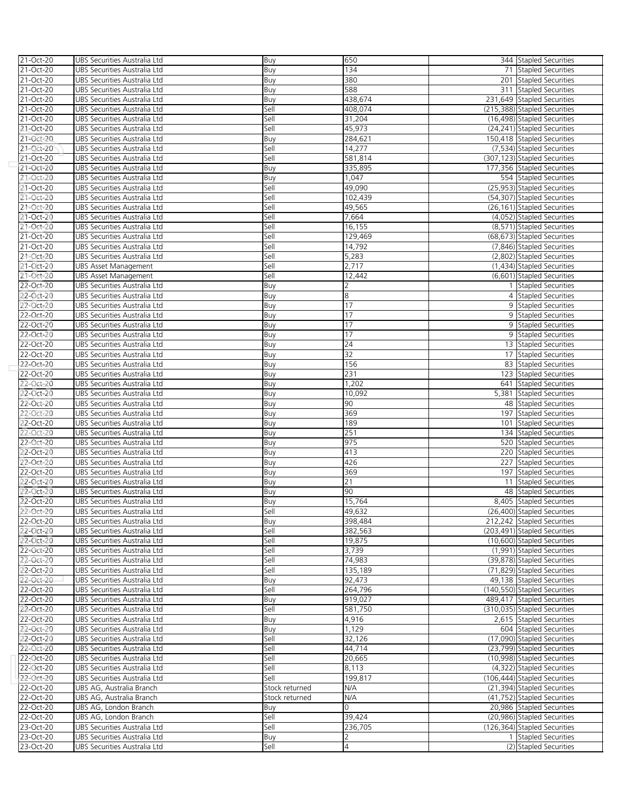| 21-Oct-20    | UBS Securities Australia Ltd | Buy            | 650     | 344 Stapled Securities       |
|--------------|------------------------------|----------------|---------|------------------------------|
| 21-Oct-20    | UBS Securities Australia Ltd | Buy            | 134     | 71 Stapled Securities        |
|              |                              |                |         |                              |
| 21-Oct-20    | UBS Securities Australia Ltd | Buy            | 380     | 201 Stapled Securities       |
| 21-Oct-20    | UBS Securities Australia Ltd | Buy            | 588     | 311 Stapled Securities       |
| 21-Oct-20    | UBS Securities Australia Ltd | Buy            | 438,674 | 231,649 Stapled Securities   |
| 21-Oct-20    | UBS Securities Australia Ltd | Sell           | 408,074 | (215,388) Stapled Securities |
| 21-Oct-20    | UBS Securities Australia Ltd | Sell           | 31,204  | (16,498) Stapled Securities  |
| 21-Oct-20    | UBS Securities Australia Ltd | Sell           | 45,973  | (24,241) Stapled Securities  |
| 21-Oct-20    | UBS Securities Australia Ltd | Buy            | 284,621 | 150,418 Stapled Securities   |
| 21-Oct-20    | UBS Securities Australia Ltd | Sell           | 14,277  | (7,534) Stapled Securities   |
|              |                              |                |         |                              |
| 21-Oct-20    | UBS Securities Australia Ltd | Sell           | 581,814 | (307,123) Stapled Securities |
| 21-Oct-20    | UBS Securities Australia Ltd | Buy            | 335,895 | 177,356 Stapled Securities   |
| 21-Oct-20    | UBS Securities Australia Ltd | Buy            | 1,047   | 554 Stapled Securities       |
| 21-Oct-20    | UBS Securities Australia Ltd | Sell           | 49,090  | (25,953) Stapled Securities  |
| 21-Oct-20    | UBS Securities Australia Ltd | Sell           | 102,439 | (54,307) Stapled Securities  |
| 21-Oct-20    | UBS Securities Australia Ltd | Sell           | 49,565  | (26,161) Stapled Securities  |
| 21-Oct-20    | UBS Securities Australia Ltd | Sell           | 7,664   | (4,052) Stapled Securities   |
| 21-Oct-20    | UBS Securities Australia Ltd | Sell           | 16,155  | (8,571) Stapled Securities   |
|              |                              |                |         |                              |
| 21-Oct-20    | UBS Securities Australia Ltd | Sell           | 129,469 | (68,673) Stapled Securities  |
| 21-Oct-20    | UBS Securities Australia Ltd | Sell           | 14,792  | (7,846) Stapled Securities   |
| 21-Oct-20    | UBS Securities Australia Ltd | Sell           | 5,283   | (2,802) Stapled Securities   |
| 21-Oct-20    | <b>UBS Asset Management</b>  | Sell           | 2,717   | (1,434) Stapled Securities   |
| 21-Oct-20    | <b>UBS Asset Management</b>  | Sell           | 12,442  | (6,601) Stapled Securities   |
| 22-Oct-20    | UBS Securities Australia Ltd | Buy            | 2       | 1 Stapled Securities         |
| 22-Oct-20    | UBS Securities Australia Ltd | Buy            | 8       | 4 Stapled Securities         |
| 22-Oct-20    | UBS Securities Australia Ltd | Buy            | 17      | 9 Stapled Securities         |
| 22-Oct-20    | UBS Securities Australia Ltd |                | 17      | 9 Stapled Securities         |
|              |                              | Buy            |         |                              |
| 22-Oct-20    | UBS Securities Australia Ltd | Buy            | 17      | 9 Stapled Securities         |
| 22-Oct-20    | UBS Securities Australia Ltd | Buy            | 17      | 9 Stapled Securities         |
| 22-Oct-20    | UBS Securities Australia Ltd | Buy            | 24      | 13 Stapled Securities        |
| 22-Oct-20    | UBS Securities Australia Ltd | Buy            | 32      | 17 Stapled Securities        |
| 22-Oct-20    | UBS Securities Australia Ltd | Buy            | 156     | 83 Stapled Securities        |
| 22-Oct-20    | UBS Securities Australia Ltd | Buy            | 231     | 123 Stapled Securities       |
| 22-Oct-20    | UBS Securities Australia Ltd | Buy            | 1,202   | 641 Stapled Securities       |
| 22-Oct-20    | UBS Securities Australia Ltd | Buy            | 10,092  | 5,381 Stapled Securities     |
| 22-Oct-20    | UBS Securities Australia Ltd | Buy            | 90      | 48 Stapled Securities        |
| $22$ -Oct-20 | UBS Securities Australia Ltd | Buy            | 369     | 197 Stapled Securities       |
|              |                              |                |         |                              |
| 22-Oct-20    | UBS Securities Australia Ltd | Buy            | 189     | 101 Stapled Securities       |
| 22-Oct-20    | UBS Securities Australia Ltd | Buy            | 251     | 134 Stapled Securities       |
| 22-Oct-20    | UBS Securities Australia Ltd | Buy            | 975     | 520 Stapled Securities       |
| 22-Oct-20    | UBS Securities Australia Ltd | Buy            | 413     | 220 Stapled Securities       |
| 22-Oct-20    | UBS Securities Australia Ltd | Buy            | 426     | 227 Stapled Securities       |
| 22-Oct-20    | UBS Securities Australia Ltd | Buy            | 369     | 197 Stapled Securities       |
| 22-Oct-20    | UBS Securities Australia Ltd | Buy            | 21      | 11 Stapled Securities        |
| 22-Oct-20    | UBS Securities Australia Ltd | Buy            | 90      | 48 Stapled Securities        |
| 22-Oct-20    | UBS Securities Australia Ltd | Buy            | 15,764  | 8,405 Stapled Securities     |
| 22-Oct-20    |                              |                | 49,632  | (26,400) Stapled Securities  |
|              | UBS Securities Australia Ltd | Sell           |         |                              |
| 22-Oct-20    | UBS Securities Australia Ltd | Buy            | 398,484 | 212,242 Stapled Securities   |
| 22-Oct-20    | UBS Securities Australia Ltd | Sell           | 382,563 | (203,491) Stapled Securities |
| 22-Oct-20    | UBS Securities Australia Ltd | Sell           | 19,875  | (10,600) Stapled Securities  |
| 22-Oct-20    | UBS Securities Australia Ltd | Sell           | 3,739   | (1,991) Stapled Securities   |
| 22-Oct-20    | UBS Securities Australia Ltd | Sell           | 74,983  | (39,878) Stapled Securities  |
| 22-Oct-20    | UBS Securities Australia Ltd | Sell           | 135,189 | (71,829) Stapled Securities  |
| 22-Oct-20    | UBS Securities Australia Ltd | Buy            | 92,473  | 49,138 Stapled Securities    |
| 22-Oct-20    | UBS Securities Australia Ltd | Sell           | 264,796 | (140,550) Stapled Securities |
| 22-Oct-20    | UBS Securities Australia Ltd | Buy            | 919,027 | 489,417 Stapled Securities   |
|              |                              |                |         |                              |
| 22-Oct-20    | UBS Securities Australia Ltd | Sell           | 581,750 | (310,035) Stapled Securities |
| 22-Oct-20    | UBS Securities Australia Ltd | Buy            | 4,916   | 2,615 Stapled Securities     |
| 22-Oct-20    | UBS Securities Australia Ltd | Buy            | 1,129   | 604 Stapled Securities       |
| 22-Oct-20    | UBS Securities Australia Ltd | Sell           | 32,126  | (17,090) Stapled Securities  |
| 22-Oct-20    | UBS Securities Australia Ltd | Sell           | 44,714  | (23,799) Stapled Securities  |
| 22-Oct-20    | UBS Securities Australia Ltd | Sell           | 20,665  | (10,998) Stapled Securities  |
| 22-Oct-20    | UBS Securities Australia Ltd | Sell           | 8,113   | (4,322) Stapled Securities   |
| 22-Oct-20    | UBS Securities Australia Ltd | Sell           | 199,817 | (106,444) Stapled Securities |
| 22-Oct-20    | UBS AG, Australia Branch     | Stock returned | N/A     | (21,394) Stapled Securities  |
|              |                              |                | N/A     |                              |
| 22-Oct-20    | UBS AG, Australia Branch     | Stock returned |         | (41,752) Stapled Securities  |
| 22-Oct-20    | UBS AG, London Branch        | Buy            | 0       | 20,986 Stapled Securities    |
| 22-Oct-20    | UBS AG, London Branch        | Sell           | 39,424  | (20,986) Stapled Securities  |
| 23-Oct-20    | UBS Securities Australia Ltd | Sell           | 236,705 | (126,364) Stapled Securities |
| 23-Oct-20    | UBS Securities Australia Ltd | Buy            |         | 1 Stapled Securities         |
| 23-Oct-20    | UBS Securities Australia Ltd | Sell           | 4       | (2) Stapled Securities       |
|              |                              |                |         |                              |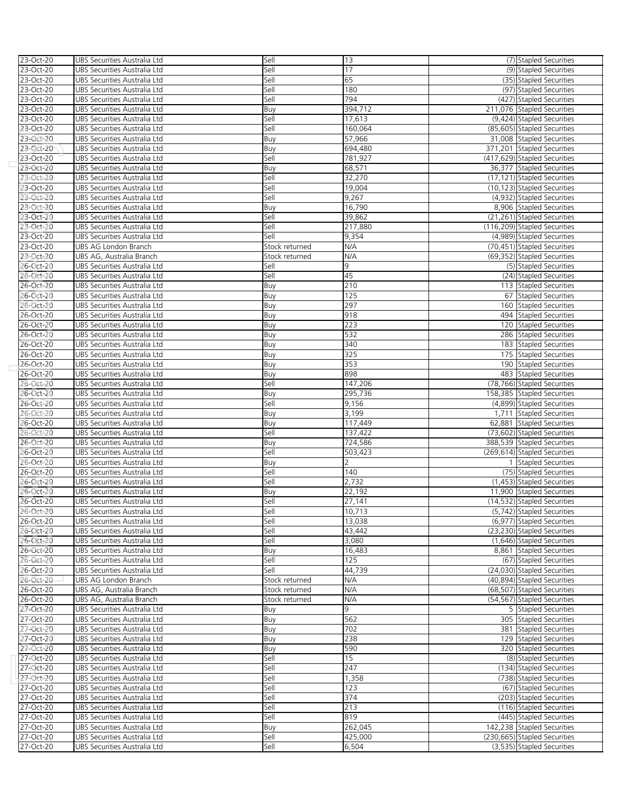| 23-Oct-20 | UBS Securities Australia Ltd | Sell           | 13      | (7) Stapled Securities       |
|-----------|------------------------------|----------------|---------|------------------------------|
| 23-Oct-20 | UBS Securities Australia Ltd | Sell           | 17      | (9) Stapled Securities       |
| 23-Oct-20 | UBS Securities Australia Ltd | Sell           | 65      | (35) Stapled Securities      |
| 23-Oct-20 | UBS Securities Australia Ltd | Sell           | 180     | (97) Stapled Securities      |
| 23-Oct-20 | UBS Securities Australia Ltd | Sell           | 794     | (427) Stapled Securities     |
| 23-Oct-20 | UBS Securities Australia Ltd | Buy            | 394,712 | 211,076 Stapled Securities   |
| 23-Oct-20 | UBS Securities Australia Ltd | Sell           | 17,613  | (9,424) Stapled Securities   |
| 23-Oct-20 | UBS Securities Australia Ltd | Sell           | 160,064 | (85,605) Stapled Securities  |
| 23-Oct-20 | UBS Securities Australia Ltd | Buy            | 57,966  | 31,008 Stapled Securities    |
| 23-Oct-20 | UBS Securities Australia Ltd | Buy            | 694,480 | 371,201 Stapled Securities   |
| 23-Oct-20 | UBS Securities Australia Ltd | Sell           | 781,927 | (417,629) Stapled Securities |
| 23-Oct-20 | UBS Securities Australia Ltd | Buy            | 68,571  | 36,377 Stapled Securities    |
| 23-Oct-20 | UBS Securities Australia Ltd | Sell           | 32,270  | (17,121) Stapled Securities  |
| 23-Oct-20 | UBS Securities Australia Ltd | Sell           | 19,004  | (10,123) Stapled Securities  |
| 23-Oct-20 | UBS Securities Australia Ltd | Sell           | 9,267   | (4,932) Stapled Securities   |
| 23-Oct-20 | UBS Securities Australia Ltd | Buy            | 16,790  | 8,906 Stapled Securities     |
| 23-Oct-20 | UBS Securities Australia Ltd | Sell           | 39,862  | (21,261) Stapled Securities  |
| 23-Oct-20 | UBS Securities Australia Ltd | Sell           | 217,880 | (116,209) Stapled Securities |
| 23-Oct-20 | UBS Securities Australia Ltd | Sell           | 9,354   | (4,989) Stapled Securities   |
| 23-Oct-20 | UBS AG London Branch         | Stock returned | N/A     | (70,451) Stapled Securities  |
| 23-Oct-20 | UBS AG, Australia Branch     | Stock returned | N/A     | (69,352) Stapled Securities  |
| 26-Oct-20 | UBS Securities Australia Ltd | Sell           | 9       | (5) Stapled Securities       |
| 26-Oct-20 | UBS Securities Australia Ltd | Sell           | 45      | (24) Stapled Securities      |
| 26-Oct-20 | UBS Securities Australia Ltd | Buy            | 210     | 113 Stapled Securities       |
| 26-Oct-20 | UBS Securities Australia Ltd | Buy            | 125     | 67 Stapled Securities        |
| 26-Oct-20 | UBS Securities Australia Ltd | Buy            | 297     | 160 Stapled Securities       |
| 26-Oct-20 | UBS Securities Australia Ltd | Buy            | 918     | 494 Stapled Securities       |
| 26-Oct-20 | UBS Securities Australia Ltd | Buy            | 223     | 120 Stapled Securities       |
| 26-Oct-20 | UBS Securities Australia Ltd | Buy            | 532     | 286 Stapled Securities       |
| 26-Oct-20 | UBS Securities Australia Ltd | Buy            | 340     | 183 Stapled Securities       |
| 26-Oct-20 | UBS Securities Australia Ltd | Buy            | 325     | 175 Stapled Securities       |
| 26-Oct-20 | UBS Securities Australia Ltd | Buy            | 353     | 190 Stapled Securities       |
| 26-Oct-20 | UBS Securities Australia Ltd | Buy            | 898     | 483 Stapled Securities       |
| 26-Oct-20 | UBS Securities Australia Ltd | Sell           | 147,206 | (78,766) Stapled Securities  |
| 26-Oct-20 | UBS Securities Australia Ltd | Buy            | 295,736 | 158,385 Stapled Securities   |
| 26-Oct-20 | UBS Securities Australia Ltd | Sell           | 9,156   | (4,899) Stapled Securities   |
| 26-Oct-20 | UBS Securities Australia Ltd | Buy            | 3,199   | 1,711 Stapled Securities     |
| 26-Oct-20 | UBS Securities Australia Ltd | Buy            | 117,449 | 62,881 Stapled Securities    |
| 26-Oct-20 | UBS Securities Australia Ltd | Sell           | 137,422 | (73,602) Stapled Securities  |
| 26-Oct-20 | UBS Securities Australia Ltd | Buy            | 724,586 | 388,539 Stapled Securities   |
| 26-Oct-20 | UBS Securities Australia Ltd | Sell           | 503,423 | (269,614) Stapled Securities |
| 26-Oct-20 | UBS Securities Australia Ltd | Buy            |         | 1 Stapled Securities         |
| 26-Oct-20 | UBS Securities Australia Ltd | Sell           | 140     | (75) Stapled Securities      |
| 26-Oct-20 | UBS Securities Australia Ltd | Sell           | 2,732   | (1,453) Stapled Securities   |
| 26-Oct-20 | UBS Securities Australia Ltd | Buy            | 22,192  | 11,900 Stapled Securities    |
| 26-Oct-20 | UBS Securities Australia Ltd | Sell           | 27,141  | (14,532) Stapled Securities  |
| 26-Oct-20 | UBS Securities Australia Ltd | Sell           | 10.713  | (5.742) Stapled Securities   |
| 26-Oct-20 | UBS Securities Australia Ltd | Sell           | 13,038  | (6,977) Stapled Securities   |
| 26-Oct-20 | UBS Securities Australia Ltd | Sell           | 43,442  | (23,230) Stapled Securities  |
| 26-Oct-20 | UBS Securities Australia Ltd | Sell           | 3,080   | (1.646) Stapled Securities   |
| 26-Oct-20 | UBS Securities Australia Ltd | Buy            | 16,483  | 8,861 Stapled Securities     |
| 26-Oct-20 | UBS Securities Australia Ltd | Sell           | 125     | (67) Stapled Securities      |
| 26-Oct-20 | UBS Securities Australia Ltd | Sell           | 44,739  | (24,030) Stapled Securities  |
| 26-Oct-20 | UBS AG London Branch         | Stock returned | N/A     | (40,894) Stapled Securities  |
| 26-Oct-20 | UBS AG, Australia Branch     | Stock returned | N/A     | (68,507) Stapled Securities  |
| 26-Oct-20 | UBS AG, Australia Branch     | Stock returned | N/A     | (54,567) Stapled Securities  |
| 27-Oct-20 | UBS Securities Australia Ltd | Buy            | 9       | 5 Stapled Securities         |
| 27-Oct-20 | UBS Securities Australia Ltd | Buy            | 562     | 305 Stapled Securities       |
| 27-Oct-20 | UBS Securities Australia Ltd | Buy            | 702     | 381 Stapled Securities       |
| 27-Oct-20 | UBS Securities Australia Ltd | Buy            | 238     | 129 Stapled Securities       |
| 27-Oct-20 | UBS Securities Australia Ltd | Buy            | 590     | 320 Stapled Securities       |
| 27-Oct-20 | UBS Securities Australia Ltd | Sell           | 15      | (8) Stapled Securities       |
| 27-Oct-20 | UBS Securities Australia Ltd | Sell           | 247     | (134) Stapled Securities     |
| 27-Oct-20 | UBS Securities Australia Ltd | Sell           | 1,358   | (738) Stapled Securities     |
| 27-Oct-20 | UBS Securities Australia Ltd | Sell           | 123     | (67) Stapled Securities      |
| 27-Oct-20 | UBS Securities Australia Ltd | Sell           | 374     | (203) Stapled Securities     |
| 27-Oct-20 | UBS Securities Australia Ltd | Sell           | 213     | (116) Stapled Securities     |
| 27-Oct-20 | UBS Securities Australia Ltd | Sell           | 819     | (445) Stapled Securities     |
| 27-Oct-20 | UBS Securities Australia Ltd | Buy            | 262,045 | 142,238 Stapled Securities   |
| 27-Oct-20 | UBS Securities Australia Ltd | Sell           | 425,000 | (230,665) Stapled Securities |
| 27-Oct-20 | UBS Securities Australia Ltd | Sell           | 6,504   | (3,535) Stapled Securities   |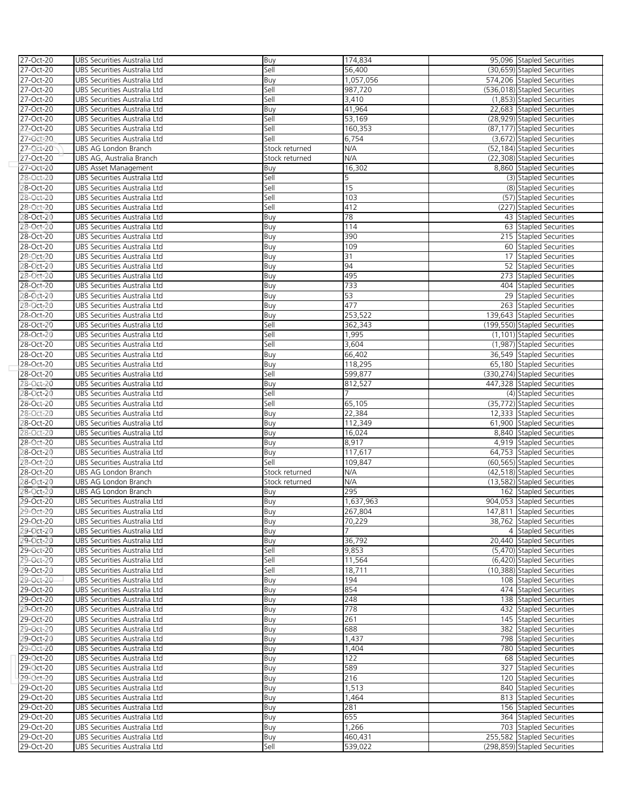| 27-Oct-20                       | UBS Securities Australia Ltd                                 | Buy            | 174,834   | 95,096 Stapled Securities                                |
|---------------------------------|--------------------------------------------------------------|----------------|-----------|----------------------------------------------------------|
| 27-Oct-20                       | UBS Securities Australia Ltd                                 | Sell           | 56,400    | (30,659) Stapled Securities                              |
| 27-Oct-20                       | UBS Securities Australia Ltd                                 | Buy            | 1,057,056 | 574,206 Stapled Securities                               |
| 27-Oct-20                       | UBS Securities Australia Ltd                                 | Sell           | 987,720   | (536,018) Stapled Securities                             |
| 27-Oct-20                       | UBS Securities Australia Ltd                                 | Sell           | 3,410     | (1,853) Stapled Securities                               |
| 27-Oct-20                       | UBS Securities Australia Ltd                                 | Buy            | 41,964    | 22,683 Stapled Securities                                |
| 27-Oct-20                       | UBS Securities Australia Ltd                                 | Sell           | 53,169    | (28,929) Stapled Securities                              |
| 27-Oct-20                       | UBS Securities Australia Ltd                                 | Sell           | 160,353   | (87,177) Stapled Securities                              |
| 27-Oct-20                       | UBS Securities Australia Ltd                                 | Sell           | 6,754     | (3,672) Stapled Securities                               |
| 27-Oct-20                       | UBS AG London Branch                                         | Stock returned | N/A       | (52,184) Stapled Securities                              |
| 27-Oct-20                       | UBS AG, Australia Branch                                     | Stock returned | N/A       | (22,308) Stapled Securities                              |
| $27 - Oct-20$                   | UBS Asset Management                                         | Buy            | 16,302    | 8,860 Stapled Securities                                 |
| 28-Oct-20                       | UBS Securities Australia Ltd                                 | Sell           | 5         | (3) Stapled Securities                                   |
| 2 <b>8-Oct-20</b>               | UBS Securities Australia Ltd                                 | Sell           | 15        | (8) Stapled Securities                                   |
| 28-Oct-20                       | UBS Securities Australia Ltd                                 | Sell           | 103       | (57) Stapled Securities                                  |
| 28-Oct-20                       | UBS Securities Australia Ltd                                 | Sell           | 412       | (227) Stapled Securities                                 |
| 2 <b>8-Oct-20</b>               | UBS Securities Australia Ltd                                 | Buy            | 78        | 43 Stapled Securities                                    |
| 28-Oct-20                       | UBS Securities Australia Ltd                                 | Buy            | 114       | 63 Stapled Securities                                    |
| 28-Oct-20                       | UBS Securities Australia Ltd                                 | Buy            | 390       | 215 Stapled Securities                                   |
| 28-Oct-20                       | UBS Securities Australia Ltd                                 | Buy            | 109       | 60 Stapled Securities                                    |
| 28-Oct-20                       | UBS Securities Australia Ltd                                 | Buy            | 31        | 17 Stapled Securities                                    |
| 28-Oct-20                       | UBS Securities Australia Ltd                                 | Buy            | 94        | 52 Stapled Securities                                    |
| 28-Oct-20                       | UBS Securities Australia Ltd                                 | Buy            | 495       | 273 Stapled Securities                                   |
| 28-Oct-20                       | UBS Securities Australia Ltd                                 | Buy            | 733       | 404 Stapled Securities                                   |
| 28-Oct-20                       | UBS Securities Australia Ltd                                 | Buy            | 53        | 29 Stapled Securities                                    |
| 28-Oct-20                       | UBS Securities Australia Ltd                                 | Buy            | 477       | 263 Stapled Securities                                   |
| 28-Oct-20                       | UBS Securities Australia Ltd                                 | Buy            | 253,522   | 139,643 Stapled Securities                               |
| 28-Oct-20                       | UBS Securities Australia Ltd                                 | Sell           | 362,343   | (199,550) Stapled Securities                             |
| 28-Oct-20                       | UBS Securities Australia Ltd                                 | Sell           | 1,995     | (1,101) Stapled Securities                               |
| 28-Oct-20                       | UBS Securities Australia Ltd                                 | Sell           | 3,604     | (1,987) Stapled Securities                               |
| 28-Oct-20                       | UBS Securities Australia Ltd                                 | Buy            | 66,402    | 36,549 Stapled Securities                                |
| 28-Oct-20                       | UBS Securities Australia Ltd                                 | Buy            | 118,295   | 65,180 Stapled Securities                                |
| 28-Oct-20                       | UBS Securities Australia Ltd                                 | Sell           | 599,877   | (330,274) Stapled Securities                             |
| 28-Oct-20                       | UBS Securities Australia Ltd                                 | Buy            | 812,527   | 447,328 Stapled Securities                               |
| 2 <b>8-</b> Oct-20<br>28-Oct-20 | UBS Securities Australia Ltd                                 | Sell<br>Sell   | 65,105    | (4) Stapled Securities                                   |
| 28-Oct-20                       | UBS Securities Australia Ltd<br>UBS Securities Australia Ltd | Buy            | 22,384    | (35,772) Stapled Securities<br>12,333 Stapled Securities |
| 28-Oct-20                       | UBS Securities Australia Ltd                                 |                | 112,349   | 61,900 Stapled Securities                                |
| 28-Oct-20                       | UBS Securities Australia Ltd                                 | Buy<br>Buy     | 16,024    | 8,840 Stapled Securities                                 |
| 28-Oct-20                       | UBS Securities Australia Ltd                                 | Buy            | 8,917     | 4,919 Stapled Securities                                 |
| 2 <b>8-Oct-20</b>               | UBS Securities Australia Ltd                                 | Buy            | 117,617   | 64,753 Stapled Securities                                |
| 28-Oct-20                       | UBS Securities Australia Ltd                                 | Sell           | 109,847   | (60,565) Stapled Securities                              |
| 28-Oct-20                       | UBS AG London Branch                                         | Stock returned | N/A       | (42,518) Stapled Securities                              |
| 28-Oct-20                       | UBS AG London Branch                                         | Stock returned | N/A       | (13,582) Stapled Securities                              |
| 28-Oct-20                       | UBS AG London Branch                                         | Buy            | 295       | 162 Stapled Securities                                   |
| 29-Oct-20                       | UBS Securities Australia Ltd                                 | Buy            | 1,637,963 | 904,053 Stapled Securities                               |
| 29-Oct-20                       | UBS Securities Australia Ltd                                 | Buv            | 267.804   | 147,811 Stapled Securities                               |
| 29-Oct-20                       | UBS Securities Australia Ltd                                 | Buy            | 70,229    | 38,762 Stapled Securities                                |
| 29-Oct-20                       | UBS Securities Australia Ltd                                 | Buy            |           | 4 Stapled Securities                                     |
| 29-Oct-20                       | UBS Securities Australia Ltd                                 | Buy            | 36,792    | 20.440 Stapled Securities                                |
| 29-Oct-20                       | UBS Securities Australia Ltd                                 | Sell           | 9,853     | (5,470) Stapled Securities                               |
| 29-Oct-20                       | UBS Securities Australia Ltd                                 | Sell           | 11,564    | (6,420) Stapled Securities                               |
| 29-Oct-20                       | UBS Securities Australia Ltd                                 | Sell           | 18,711    | (10,388) Stapled Securities                              |
| 29-Oct-20                       | UBS Securities Australia Ltd                                 | Buy            | 194       | 108 Stapled Securities                                   |
| 29-Oct-20                       | UBS Securities Australia Ltd                                 | Buy            | 854       | 474 Stapled Securities                                   |
| 29-Oct-20                       | UBS Securities Australia Ltd                                 | Buy            | 248       | 138 Stapled Securities                                   |
| 29-Oct-20                       | UBS Securities Australia Ltd                                 | Buy            | 778       | 432 Stapled Securities                                   |
| 29-Oct-20                       | UBS Securities Australia Ltd                                 | Buy            | 261       | 145 Stapled Securities                                   |
| 29-Oct-20                       | UBS Securities Australia Ltd                                 | Buy            | 688       | 382 Stapled Securities                                   |
| 29-Oct-20                       | UBS Securities Australia Ltd                                 | Buy            | 1,437     | 798 Stapled Securities                                   |
| 29-Oct-20                       | UBS Securities Australia Ltd                                 | Buy            | 1,404     | 780 Stapled Securities                                   |
| 29-Oct-20                       | UBS Securities Australia Ltd                                 | Buy            | 122       | 68 Stapled Securities                                    |
| 29-Oct-20                       | UBS Securities Australia Ltd                                 | Buy            | 589       | 327 Stapled Securities                                   |
| 29-Oct-20                       | UBS Securities Australia Ltd                                 | Buy            | 216       | 120 Stapled Securities                                   |
| 29-Oct-20                       | UBS Securities Australia Ltd                                 | Buy            | 1,513     | 840 Stapled Securities                                   |
| 29-Oct-20                       | UBS Securities Australia Ltd                                 | Buy            | 1,464     | 813 Stapled Securities                                   |
| 29-Oct-20                       | UBS Securities Australia Ltd                                 | Buy            | 281       | 156 Stapled Securities                                   |
| 29-Oct-20                       | UBS Securities Australia Ltd                                 | Buy            | 655       | 364 Stapled Securities                                   |
| 29-Oct-20                       | UBS Securities Australia Ltd                                 | Buy            | 1,266     | 703 Stapled Securities                                   |
| 29-Oct-20                       | UBS Securities Australia Ltd                                 | Buy            | 460,431   | 255,582 Stapled Securities                               |
| 29-Oct-20                       | UBS Securities Australia Ltd                                 | Sell           | 539,022   | (298,859) Stapled Securities                             |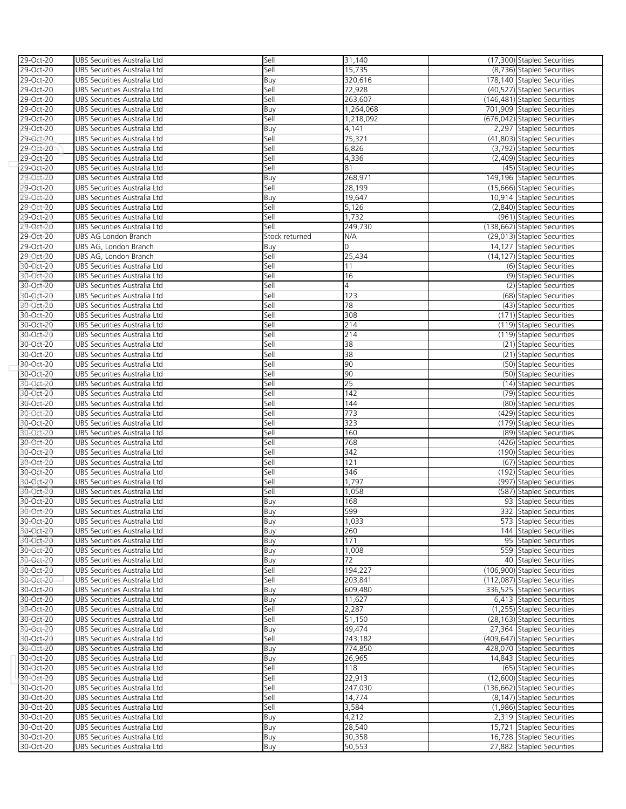| 29-Oct-20 | UBS Securities Australia Ltd | Sell           | 31,140    | (17,300) Stapled Securities  |
|-----------|------------------------------|----------------|-----------|------------------------------|
| 29-Oct-20 | UBS Securities Australia Ltd | Sell           | 15,735    | (8,736) Stapled Securities   |
|           |                              |                |           |                              |
| 29-Oct-20 | UBS Securities Australia Ltd | Buy            | 320,616   | 178,140 Stapled Securities   |
| 29-Oct-20 | UBS Securities Australia Ltd | Sell           | 72,928    | (40,527) Stapled Securities  |
| 29-Oct-20 | UBS Securities Australia Ltd | Sell           | 263,607   | (146,481) Stapled Securities |
| 29-Oct-20 | UBS Securities Australia Ltd | Buy            | 1,264,068 | 701,909 Stapled Securities   |
| 29-Oct-20 | UBS Securities Australia Ltd | Sell           | 1,218,092 | (676,042) Stapled Securities |
|           |                              |                |           |                              |
| 29-Oct-20 | UBS Securities Australia Ltd | Buy            | 4,141     | 2,297 Stapled Securities     |
| 29-Oct-20 | UBS Securities Australia Ltd | Sell           | 75,321    | (41,803) Stapled Securities  |
| 29-Oct-20 | UBS Securities Australia Ltd | Sell           | 6,826     | (3,792) Stapled Securities   |
| 29-Oct-20 | UBS Securities Australia Ltd | Sell           | 4,336     | (2,409) Stapled Securities   |
| 29-Oct-20 | UBS Securities Australia Ltd | Sell           | 81        | (45) Stapled Securities      |
|           |                              |                |           |                              |
| 29-Oct-20 | UBS Securities Australia Ltd | Buy            | 268,971   | 149,196 Stapled Securities   |
| 29-Oct-20 | UBS Securities Australia Ltd | Sell           | 28,199    | (15,666) Stapled Securities  |
| 29-Oct-20 | UBS Securities Australia Ltd | Buy            | 19,647    | 10,914 Stapled Securities    |
| 29-Oct-20 | UBS Securities Australia Ltd | Sell           | 5,126     | (2,840) Stapled Securities   |
| 29-Oct-20 | UBS Securities Australia Ltd | Sell           | 1,732     |                              |
|           |                              |                |           | (961) Stapled Securities     |
| 29-Oct-20 | UBS Securities Australia Ltd | Sell           | 249,730   | (138,662) Stapled Securities |
| 29-Oct-20 | UBS AG London Branch         | Stock returned | N/A       | (29,013) Stapled Securities  |
| 29-Oct-20 | UBS AG, London Branch        | Buy            | 0         | 14,127 Stapled Securities    |
| 29-Oct-20 | UBS AG, London Branch        | Sell           | 25,434    | (14,127) Stapled Securities  |
|           |                              |                |           |                              |
| 30-Oct-20 | UBS Securities Australia Ltd | Sell           | 11        | (6) Stapled Securities       |
| 30-Oct-20 | UBS Securities Australia Ltd | Sell           | 16        | (9) Stapled Securities       |
| 30-Oct-20 | UBS Securities Australia Ltd | Sell           | 4         | (2) Stapled Securities       |
| 30-Oct-20 | UBS Securities Australia Ltd | Sell           | 123       | (68) Stapled Securities      |
| 30-Oct-20 | UBS Securities Australia Ltd | Sell           | 78        | (43) Stapled Securities      |
|           |                              |                |           |                              |
| 30-Oct-20 | UBS Securities Australia Ltd | Sell           | 308       | (171) Stapled Securities     |
| 30-Oct-20 | UBS Securities Australia Ltd | Sell           | 214       | (119) Stapled Securities     |
| 30-Oct-20 | UBS Securities Australia Ltd | Sell           | 214       | (119) Stapled Securities     |
| 30-Oct-20 | UBS Securities Australia Ltd | Sell           | 38        | (21) Stapled Securities      |
| 30-Oct-20 | UBS Securities Australia Ltd | Sell           | 38        | (21) Stapled Securities      |
|           |                              |                |           |                              |
| 30-Oct-20 | UBS Securities Australia Ltd | Sell           | 90        | (50) Stapled Securities      |
| 30-Oct-20 | UBS Securities Australia Ltd | Sell           | 90        | (50) Stapled Securities      |
| 30-Oct-20 | UBS Securities Australia Ltd | Sell           | 25        | (14) Stapled Securities      |
| 30-Oct-20 | UBS Securities Australia Ltd | Sell           | 142       | (79) Stapled Securities      |
| 30-Oct-20 | UBS Securities Australia Ltd | Sell           | 144       | (80) Stapled Securities      |
|           |                              |                |           |                              |
| 30-Oct-20 | UBS Securities Australia Ltd | Sell           | 773       | (429) Stapled Securities     |
| 30-Oct-20 | UBS Securities Australia Ltd | Sell           | 323       | (179) Stapled Securities     |
| 30-Oct-20 | UBS Securities Australia Ltd | Sell           | 160       | (89) Stapled Securities      |
| 30-Oct-20 | UBS Securities Australia Ltd | Sell           | 768       | (426) Stapled Securities     |
| 30-Oct-20 | UBS Securities Australia Ltd | Sell           | 342       | (190) Stapled Securities     |
|           |                              |                |           |                              |
| 30-Oct-20 | UBS Securities Australia Ltd | Sell           | 121       | (67) Stapled Securities      |
| 30-Oct-20 | UBS Securities Australia Ltd | Sell           | 346       | (192) Stapled Securities     |
| 30-Oct-20 | UBS Securities Australia Ltd | Sell           | 1,797     | (997) Stapled Securities     |
| 30-Oct-20 | UBS Securities Australia Ltd | Sell           | 1,058     | (587) Stapled Securities     |
| 30-Oct-20 | UBS Securities Australia Ltd | Buy            | 168       | 93 Stapled Securities        |
|           |                              |                |           |                              |
| 30-Oct-20 | UBS Securities Australia Ltd | Buy            | 599       | 332 Stapled Securities       |
| 30-Oct-20 | UBS Securities Australia Ltd | Buy            | 1,033     | 573 Stapled Securities       |
| 30-Oct-20 | UBS Securities Australia Ltd | Buy            | 260       | 144 Stapled Securities       |
| 30-Oct-20 | UBS Securities Australia Ltd | Buy            | 171       | 95 Stapled Securities        |
| 30-Oct-20 | UBS Securities Australia Ltd | Buy            | 1,008     | 559 Stapled Securities       |
| 30-Oct-20 |                              |                |           |                              |
|           | UBS Securities Australia Ltd | Buy            | 72        | 40 Stapled Securities        |
| 30-Oct-20 | UBS Securities Australia Ltd | Sell           | 194,227   | (106,900) Stapled Securities |
| 30-Oct-20 | UBS Securities Australia Ltd | Sell           | 203.841   | (112,087) Stapled Securities |
| 30-Oct-20 | UBS Securities Australia Ltd | Buy            | 609,480   | 336,525 Stapled Securities   |
| 30-Oct-20 | UBS Securities Australia Ltd | Buy            | 11,627    | 6,413 Stapled Securities     |
|           |                              |                |           |                              |
| 30-Oct-20 | UBS Securities Australia Ltd | Sell           | 2,287     | (1,255) Stapled Securities   |
| 30-Oct-20 | UBS Securities Australia Ltd | Sell           | 51,150    | (28,163) Stapled Securities  |
| 30-Oct-20 | UBS Securities Australia Ltd | Buy            | 49,474    | 27,364 Stapled Securities    |
| 30-Oct-20 | UBS Securities Australia Ltd | Sell           | 743,182   | (409,647) Stapled Securities |
| 30-Oct-20 | UBS Securities Australia Ltd | Buy            | 774,850   | 428,070 Stapled Securities   |
|           |                              |                |           |                              |
| 30-Oct-20 | UBS Securities Australia Ltd | Buy            | 26,965    | 14,843 Stapled Securities    |
| 30-Oct-20 | UBS Securities Australia Ltd | Sell           | 118       | (65) Stapled Securities      |
| 30-Oct-20 | UBS Securities Australia Ltd | Sell           | 22,913    | (12,600) Stapled Securities  |
| 30-Oct-20 | UBS Securities Australia Ltd | Sell           | 247,030   | (136,662) Stapled Securities |
| 30-Oct-20 | UBS Securities Australia Ltd | Sell           | 14,774    | (8,147) Stapled Securities   |
|           |                              |                |           |                              |
| 30-Oct-20 | UBS Securities Australia Ltd | Sell           | 3,584     | (1,986) Stapled Securities   |
| 30-Oct-20 | UBS Securities Australia Ltd | Buy            | 4,212     | 2,319 Stapled Securities     |
| 30-Oct-20 | UBS Securities Australia Ltd | Buy            | 28,540    | 15,721 Stapled Securities    |
| 30-Oct-20 | UBS Securities Australia Ltd | Buy            | 30,358    | 16,728 Stapled Securities    |
| 30-Oct-20 | UBS Securities Australia Ltd | Buy            | 50,553    | 27,882 Stapled Securities    |
|           |                              |                |           |                              |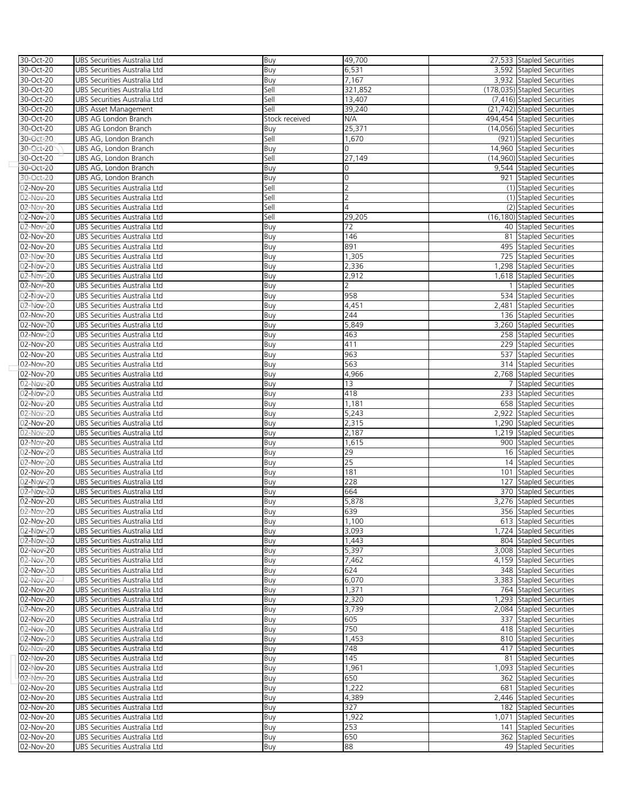| 30-Oct-20              | UBS Securities Australia Ltd                                 | Buy            | 49,700         | 27,533 Stapled Securities                        |
|------------------------|--------------------------------------------------------------|----------------|----------------|--------------------------------------------------|
| 30-Oct-20              | UBS Securities Australia Ltd                                 | Buy            | 6,531          | 3,592 Stapled Securities                         |
| 30-Oct-20              | UBS Securities Australia Ltd                                 | Buy            | 7,167          | 3,932 Stapled Securities                         |
| 30-Oct-20              | UBS Securities Australia Ltd                                 | Sell           | 321,852        | (178,035) Stapled Securities                     |
| 30-Oct-20              | UBS Securities Australia Ltd                                 | Sell           | 13,407         | (7,416) Stapled Securities                       |
| 30-Oct-20              | UBS Asset Management                                         | Sell           | 39,240         | (21,742) Stapled Securities                      |
| 30-Oct-20              | UBS AG London Branch                                         | Stock received | N/A            | 494,454 Stapled Securities                       |
| 30-Oct-20              | UBS AG London Branch                                         | Buy            | 25,371         | (14,056) Stapled Securities                      |
| 30-Oct-20              | UBS AG, London Branch                                        | Sell           | 1,670          | (921) Stapled Securities                         |
| 30-Oct-20              | UBS AG, London Branch                                        | Buy            | 0              | 14,960 Stapled Securities                        |
| 30-Oct-20              | UBS AG, London Branch                                        | Sell           | 27,149         | (14,960) Stapled Securities                      |
| 30-Oct-20              | UBS AG, London Branch                                        | Buy            | 0              | 9,544 Stapled Securities                         |
| 30-Oct-20              | UBS AG, London Branch                                        | Buy            | 0              | 921 Stapled Securities                           |
| 02-Nov-20              | UBS Securities Australia Ltd                                 | Sell           | $\overline{2}$ | (1) Stapled Securities                           |
| 02-Nov-20              | UBS Securities Australia Ltd                                 | Sell           | $\overline{2}$ | (1) Stapled Securities                           |
| 02-Nov-20              | UBS Securities Australia Ltd                                 | Sell           | 4              | (2) Stapled Securities                           |
| 02-Nov-20              | UBS Securities Australia Ltd                                 | Sell           | 29,205         | (16,180) Stapled Securities                      |
| 02-Nov-20              | UBS Securities Australia Ltd                                 | Buy            | 72             | 40 Stapled Securities                            |
| 02-Nov-20              | UBS Securities Australia Ltd                                 | Buy            | 146            | 81 Stapled Securities                            |
| 02-Nov-20              | UBS Securities Australia Ltd                                 | Buy            | 891            | 495 Stapled Securities                           |
| 02-Nov-20              | UBS Securities Australia Ltd                                 | Buy            | 1,305          | 725 Stapled Securities                           |
| 02-Nov-20              | UBS Securities Australia Ltd                                 | Buy            | 2,336          | 1,298 Stapled Securities                         |
| 02-Nov-20              | UBS Securities Australia Ltd                                 | Buy            | 2,912          | 1,618 Stapled Securities                         |
| 02-Nov-20              | UBS Securities Australia Ltd                                 | Buy            | 2              | 1 Stapled Securities                             |
| 02-Nov-20              | UBS Securities Australia Ltd                                 | Buy            | 958            | 534 Stapled Securities                           |
| 02-Nov-20              | UBS Securities Australia Ltd                                 | Buy            | 4,451          | 2,481 Stapled Securities                         |
| 02-Nov-20              | UBS Securities Australia Ltd                                 | Buy            | 244            | 136 Stapled Securities                           |
| 02-Nov-20              | UBS Securities Australia Ltd                                 | Buy            | 5,849          | 3,260 Stapled Securities                         |
| 02-Nov-20              | UBS Securities Australia Ltd                                 | Buy            | 463            | 258 Stapled Securities                           |
| 02-Nov-20              | UBS Securities Australia Ltd                                 | Buy            | 411            | 229 Stapled Securities                           |
| 02-Nov-20              | UBS Securities Australia Ltd                                 | Buy            | 963            | 537 Stapled Securities                           |
| 02-Nov-20              | UBS Securities Australia Ltd                                 | Buy            | 563            | 314 Stapled Securities                           |
| 02-Nov-20              | UBS Securities Australia Ltd                                 | Buy            | 4,966          | 2,768 Stapled Securities                         |
| 02-Nov-20              | UBS Securities Australia Ltd                                 | Buy            | 13             | 7 Stapled Securities                             |
| 02-Nov-20              | UBS Securities Australia Ltd                                 | Buy            | 418            | 233 Stapled Securities                           |
| 02-Nov-20              | UBS Securities Australia Ltd                                 | Buy            | 1,181          | 658 Stapled Securities                           |
| 02-Nov-20              | UBS Securities Australia Ltd                                 | Buy            | 5,243          | 2,922 Stapled Securities                         |
| 02-Nov-20              | UBS Securities Australia Ltd                                 | Buy            | 2,315          | 1,290 Stapled Securities                         |
| 02-Nov-20              | UBS Securities Australia Ltd                                 | Buy            | 2,187          | 1,219 Stapled Securities                         |
| 02-Nov-20              | UBS Securities Australia Ltd                                 | Buy            | 1,615          | 900 Stapled Securities                           |
| 02-Nov-20              | UBS Securities Australia Ltd                                 | Buy            | 29             | 16 Stapled Securities                            |
| 02-Nov-20              | UBS Securities Australia Ltd                                 | Buy            | 25             | 14 Stapled Securities                            |
| 02-Nov-20              | UBS Securities Australia Ltd                                 | Buy            | 181            | 101 Stapled Securities                           |
| 02-Nov-20              | UBS Securities Australia Ltd                                 | Buy            | 228            | 127 Stapled Securities                           |
| 02-Nov-20              | UBS Securities Australia Ltd                                 | Buy            | 664<br>5,878   | 370 Stapled Securities                           |
| 02-Nov-20<br>02-Nov-20 | UBS Securities Australia Ltd                                 | Buy            | 639            | 3,276 Stapled Securities                         |
| 02-Nov-20              | UBS Securities Australia Ltd                                 | Buv<br>Buy     | 1,100          | 356 Stapled Securities<br>613 Stapled Securities |
|                        | UBS Securities Australia Ltd                                 |                | 3,093          | 1,724 Stapled Securities                         |
| 02-Nov-20<br>02-Nov-20 | UBS Securities Australia Ltd<br>UBS Securities Australia Ltd | Buy            | 1,443          | 804 Stapled Securities                           |
| 02-Nov-20              | UBS Securities Australia Ltd                                 | Buy<br>Buy     | 5,397          | 3,008 Stapled Securities                         |
| 02-Nov-20              | UBS Securities Australia Ltd                                 | Buy            | 7,462          | 4,159 Stapled Securities                         |
| 02-Nov-20              | UBS Securities Australia Ltd                                 | Buy            | 624            | 348 Stapled Securities                           |
| 02-Nov-20              | UBS Securities Australia Ltd                                 | Buy            | 6,070          | 3,383 Stapled Securities                         |
| 02-Nov-20              | UBS Securities Australia Ltd                                 | Buy            | 1,371          | 764 Stapled Securities                           |
| 02-Nov-20              | UBS Securities Australia Ltd                                 | Buy            | 2,320          | 1,293 Stapled Securities                         |
| 02-Nov-20              | UBS Securities Australia Ltd                                 | Buy            | 3,739          | 2,084 Stapled Securities                         |
| 02-Nov-20              | UBS Securities Australia Ltd                                 | Buy            | 605            | 337 Stapled Securities                           |
| 02-Nov-20              | UBS Securities Australia Ltd                                 | Buy            | 750            | 418 Stapled Securities                           |
| 02-Nov-20              | UBS Securities Australia Ltd                                 | Buy            | 1,453          | 810 Stapled Securities                           |
| 02-Nov-20              | UBS Securities Australia Ltd                                 | Buy            | 748            | 417 Stapled Securities                           |
| 02-Nov-20              | UBS Securities Australia Ltd                                 | Buy            | 145            | 81 Stapled Securities                            |
| 02-Nov-20              | UBS Securities Australia Ltd                                 | Buy            | 1,961          | 1,093 Stapled Securities                         |
| 02-Nov-20              | UBS Securities Australia Ltd                                 | Buy            | 650            | 362 Stapled Securities                           |
| 02-Nov-20              | UBS Securities Australia Ltd                                 | Buy            | 1,222          | 681 Stapled Securities                           |
| 02-Nov-20              | UBS Securities Australia Ltd                                 | Buy            | 4,389          | 2,446 Stapled Securities                         |
| 02-Nov-20              | UBS Securities Australia Ltd                                 | Buy            | 327            | 182 Stapled Securities                           |
| 02-Nov-20              | UBS Securities Australia Ltd                                 | Buy            | 1,922          | 1,071 Stapled Securities                         |
| 02-Nov-20              | UBS Securities Australia Ltd                                 | Buy            | 253            | 141 Stapled Securities                           |
| 02-Nov-20              | UBS Securities Australia Ltd                                 | Buy            | 650            | 362 Stapled Securities                           |
| 02-Nov-20              | UBS Securities Australia Ltd                                 | Buy            | 88             | 49 Stapled Securities                            |
|                        |                                                              |                |                |                                                  |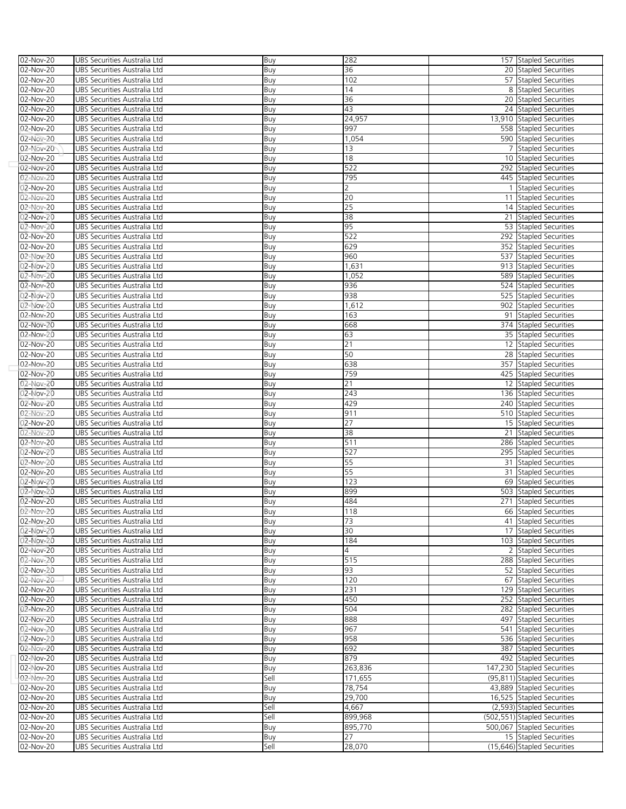| 02-Nov-20               | UBS Securities Australia Ltd                                 | Buy        | 282                  |                | 157 Stapled Securities                          |
|-------------------------|--------------------------------------------------------------|------------|----------------------|----------------|-------------------------------------------------|
| 02-Nov-20               | UBS Securities Australia Ltd                                 | Buy        | 36                   |                | 20 Stapled Securities                           |
| 02-Nov-20               | UBS Securities Australia Ltd                                 | Buy        | 102                  |                | 57 Stapled Securities                           |
| 02-Nov-20               | UBS Securities Australia Ltd                                 | Buy        | 14                   |                | 8 Stapled Securities                            |
| 02-Nov-20               | UBS Securities Australia Ltd                                 | Buy        | 36                   |                | 20 Stapled Securities                           |
| 02-Nov-20               | UBS Securities Australia Ltd                                 | Buy        | 43                   |                | 24 Stapled Securities                           |
| 02-Nov-20               | UBS Securities Australia Ltd                                 | Buy        | $\overline{2}$ 4,957 |                | 13,910 Stapled Securities                       |
| 02-Nov-20               | UBS Securities Australia Ltd                                 | Buy        | 997                  |                | 558 Stapled Securities                          |
| 02-Nov-20               | UBS Securities Australia Ltd                                 | Buy        | 1,054                |                | 590 Stapled Securities                          |
| 02-Nov-20               | UBS Securities Australia Ltd                                 | Buy        | 13                   |                | 7 Stapled Securities                            |
| 02-Nov-20               | UBS Securities Australia Ltd                                 | Buy        | 18                   |                | 10 Stapled Securities                           |
| $02-Nov-20$             | UBS Securities Australia Ltd                                 | Buy        | 522                  |                | 292 Stapled Securities                          |
| 02-Nov-20               | UBS Securities Australia Ltd                                 | Buy        | 795                  |                | 445 Stapled Securities                          |
| 02-Nov-20               | UBS Securities Australia Ltd                                 | Buy        | 2                    | $\overline{1}$ | Stapled Securities                              |
| 02-Nov-20               | UBS Securities Australia Ltd                                 | Buy        | 20                   |                | 11 Stapled Securities                           |
| 02-Nov-20               | UBS Securities Australia Ltd                                 | Buy        | 25                   |                | 14 Stapled Securities                           |
| 02-Nov-20               | UBS Securities Australia Ltd                                 | Buy        | 38                   |                | 21 Stapled Securities                           |
| 02-Nov-20               | UBS Securities Australia Ltd                                 | Buy        | 95                   |                | 53 Stapled Securities                           |
| 02-Nov-20               | UBS Securities Australia Ltd                                 | Buy        | 522                  |                | 292 Stapled Securities                          |
| 02-Nov-20               | UBS Securities Australia Ltd                                 | Buy        | 629                  |                | 352 Stapled Securities                          |
| 02-Nov-20               | UBS Securities Australia Ltd                                 | Buy        | 960                  |                | 537 Stapled Securities                          |
| 02-Nov-20               | UBS Securities Australia Ltd                                 | Buy        | 1,631                |                | 913 Stapled Securities                          |
| 02-Nov-20               | UBS Securities Australia Ltd                                 | Buy        | 1,052                |                | 589 Stapled Securities                          |
| 02-Nov-20               | UBS Securities Australia Ltd                                 | Buy        | 936                  |                | 524 Stapled Securities                          |
| 02-Nov-20               | UBS Securities Australia Ltd                                 | Buy        | 938                  |                | 525 Stapled Securities                          |
| 02-Nov-20               | UBS Securities Australia Ltd                                 | Buy        | 1,612                |                | 902 Stapled Securities                          |
| 02-Nov-20               | UBS Securities Australia Ltd                                 | Buy        | 163                  |                | 91 Stapled Securities                           |
| 02-Nov-20               | UBS Securities Australia Ltd                                 | Buy        | 668                  |                | 374 Stapled Securities                          |
| 02-Nov-20               | UBS Securities Australia Ltd                                 | Buy        | 63                   |                | 35 Stapled Securities                           |
| 02-Nov-20               | UBS Securities Australia Ltd                                 | Buy        | 21                   |                | 12 Stapled Securities                           |
| 02-Nov-20               | UBS Securities Australia Ltd                                 | Buy        | 50                   |                | 28 Stapled Securities                           |
| 02-Nov-20               | UBS Securities Australia Ltd                                 | Buy        | 638                  |                | 357 Stapled Securities                          |
| $\overline{O2}$ -Nov-20 | UBS Securities Australia Ltd                                 | Buy        | 759                  |                | 425 Stapled Securities                          |
| 02-Nov-20               | UBS Securities Australia Ltd                                 | Buy        | 21                   |                | 12 Stapled Securities                           |
| 02-Nov-20               | UBS Securities Australia Ltd                                 | Buy        | 243<br>429           |                | 136 Stapled Securities                          |
| 02-Nov-20               | UBS Securities Australia Ltd                                 | Buy        | 911                  |                | 240 Stapled Securities                          |
| 02-Nov-20<br>02-Nov-20  | UBS Securities Australia Ltd                                 | Buy        | 27                   |                | 510 Stapled Securities<br>15 Stapled Securities |
| 02-Nov-20               | UBS Securities Australia Ltd<br>UBS Securities Australia Ltd | Buy<br>Buy | 38                   |                | 21 Stapled Securities                           |
| 02-Nov-20               | UBS Securities Australia Ltd                                 | Buy        | 511                  |                | 286 Stapled Securities                          |
| 02-Nov-20               | UBS Securities Australia Ltd                                 | Buy        | 527                  |                | 295 Stapled Securities                          |
| 02-Nov-20               | UBS Securities Australia Ltd                                 | Buy        | 55                   |                | 31 Stapled Securities                           |
| 02-Nov-20               | UBS Securities Australia Ltd                                 | Buy        | 55                   |                | 31 Stapled Securities                           |
| 02-Nov-20               | UBS Securities Australia Ltd                                 | Buy        | 123                  |                | 69 Stapled Securities                           |
| 02-Nov-20               | UBS Securities Australia Ltd                                 | Buy        | 899                  |                | 503 Stapled Securities                          |
| 02-Nov-20               | UBS Securities Australia Ltd                                 | Buy        | 484                  |                | 271 Stapled Securities                          |
| 02-Nov-20               | UBS Securities Australia Ltd                                 | Buv        | 118                  |                | 66 Stapled Securities                           |
| 02-Nov-20               | UBS Securities Australia Ltd                                 | Buy        | 73                   |                | 41 Stapled Securities                           |
| 02-Nov-20               | UBS Securities Australia Ltd                                 | Buy        | 30                   |                | 17 Stapled Securities                           |
| 02-Nov-20               | UBS Securities Australia Ltd                                 | Buy        | 184                  |                | 103 Stapled Securities                          |
| 02-Nov-20               | UBS Securities Australia Ltd                                 | Buy        | 4                    |                | 2 Stapled Securities                            |
| 02-Nov-20               | UBS Securities Australia Ltd                                 | Buy        | 515                  |                | 288 Stapled Securities                          |
| 02-Nov-20               | UBS Securities Australia Ltd                                 | Buy        | 93                   |                | 52 Stapled Securities                           |
| 02-Nov-20               | UBS Securities Australia Ltd                                 | Buy        | 120                  |                | 67 Stapled Securities                           |
| 02-Nov-20               | UBS Securities Australia Ltd                                 | Buy        | 231                  |                | 129 Stapled Securities                          |
| 02-Nov-20               | UBS Securities Australia Ltd                                 | Buy        | 450                  |                | 252 Stapled Securities                          |
| 02-Nov-20               | UBS Securities Australia Ltd                                 | Buy        | 504                  |                | 282 Stapled Securities                          |
| 02-Nov-20               | UBS Securities Australia Ltd                                 | Buy        | 888                  |                | 497 Stapled Securities                          |
| 02-Nov-20               | UBS Securities Australia Ltd                                 | Buy        | 967                  |                | 541 Stapled Securities                          |
| 02-Nov-20               | UBS Securities Australia Ltd                                 | Buy        | 958                  |                | 536 Stapled Securities                          |
| 02-Nov-20               | UBS Securities Australia Ltd                                 | Buy        | 692                  |                | 387 Stapled Securities                          |
| 02-Nov-20               | UBS Securities Australia Ltd                                 | Buy        | 879                  |                | 492 Stapled Securities                          |
| 02-Nov-20               | UBS Securities Australia Ltd                                 | Buy        | 263,836              |                | 147,230 Stapled Securities                      |
| 02-Nov-20               | UBS Securities Australia Ltd                                 | Sell       | 171,655              |                | (95,811) Stapled Securities                     |
| 02-Nov-20               | UBS Securities Australia Ltd                                 | Buy        | 78,754               |                | 43,889 Stapled Securities                       |
| 02-Nov-20               | UBS Securities Australia Ltd                                 | Buy        | 29,700               |                | 16,525 Stapled Securities                       |
| 02-Nov-20               | UBS Securities Australia Ltd                                 | Sell       | 4,667                |                | (2,593) Stapled Securities                      |
| 02-Nov-20               | UBS Securities Australia Ltd                                 | Sell       | 899,968              |                | (502,551) Stapled Securities                    |
| 02-Nov-20               | UBS Securities Australia Ltd                                 | Buy        | 895,770              |                | 500,067 Stapled Securities                      |
| 02-Nov-20               | UBS Securities Australia Ltd                                 | Buy        | 27                   |                | 15 Stapled Securities                           |
| 02-Nov-20               | UBS Securities Australia Ltd                                 | Sell       | 28,070               |                | (15,646) Stapled Securities                     |